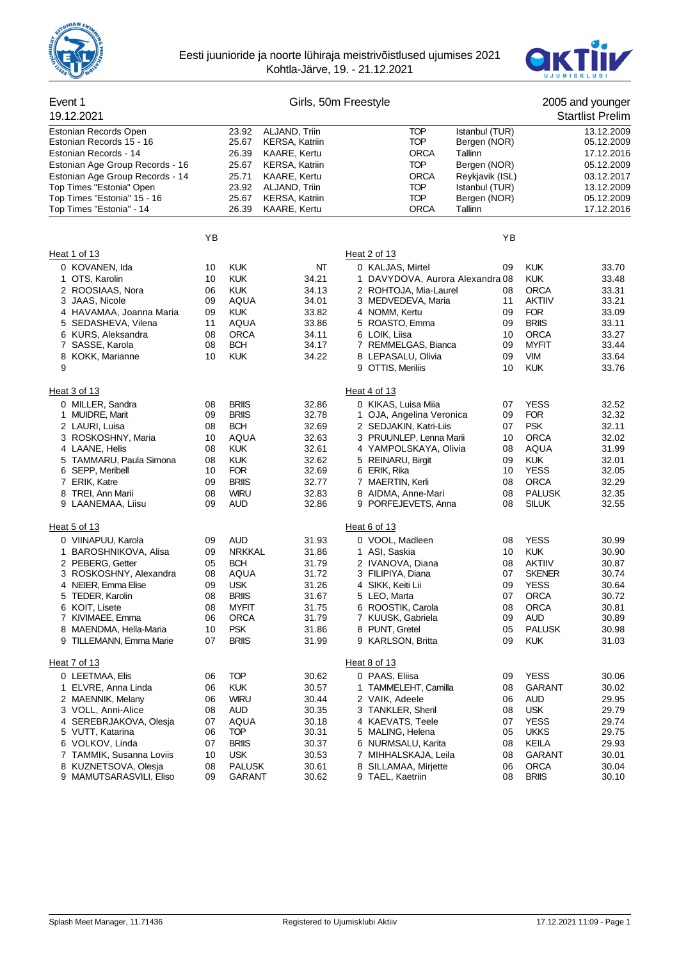



# Event 1 Girls, 50m Freestyle 2005 and younger

| 19.12.2021                                        |          |                            |                       |                                         |                 |                             | <b>Startlist Prelim</b> |
|---------------------------------------------------|----------|----------------------------|-----------------------|-----------------------------------------|-----------------|-----------------------------|-------------------------|
| Estonian Records Open                             |          | 23.92                      | ALJAND, Triin         | <b>TOP</b>                              | Istanbul (TUR)  |                             | 13.12.2009              |
| Estonian Records 15 - 16                          |          | 25.67                      | <b>KERSA, Katriin</b> | <b>TOP</b>                              | Bergen (NOR)    |                             | 05.12.2009              |
| Estonian Records - 14                             |          | 26.39                      | KAARE, Kertu          | <b>ORCA</b><br>Tallinn                  |                 |                             | 17.12.2016              |
| Estonian Age Group Records - 16                   |          | 25.67                      | <b>KERSA, Katriin</b> | <b>TOP</b>                              | Bergen (NOR)    |                             | 05.12.2009              |
| Estonian Age Group Records - 14                   |          | 25.71                      | KAARE, Kertu          | ORCA                                    | Reykjavik (ISL) |                             | 03.12.2017              |
| Top Times "Estonia" Open                          |          | 23.92                      | ALJAND, Triin         | <b>TOP</b>                              | Istanbul (TUR)  |                             | 13.12.2009              |
| Top Times "Estonia" 15 - 16                       |          | 25.67                      | <b>KERSA, Katriin</b> | <b>TOP</b>                              | Bergen (NOR)    |                             | 05.12.2009              |
| Top Times "Estonia" - 14                          |          | 26.39                      | KAARE, Kertu          | <b>ORCA</b><br>Tallinn                  |                 |                             | 17.12.2016              |
|                                                   | YB       |                            |                       |                                         | YB              |                             |                         |
| Heat 1 of 13                                      |          |                            |                       | Heat 2 of 13                            |                 |                             |                         |
| 0 KOVANEN, Ida                                    | 10       | <b>KUK</b>                 | NΤ                    | 0 KALJAS, Mirtel                        | 09              | <b>KUK</b>                  | 33.70                   |
| 1 OTS, Karolin                                    | 10       | <b>KUK</b>                 | 34.21                 | 1 DAVYDOVA, Aurora Alexandra 08         |                 | <b>KUK</b>                  | 33.48                   |
| 2 ROOSIAAS, Nora                                  | 06       | <b>KUK</b>                 | 34.13                 | 2 ROHTOJA, Mia-Laurel                   | 08              | <b>ORCA</b>                 | 33.31                   |
| 3 JAAS, Nicole                                    | 09       | AQUA                       | 34.01                 | 3 MEDVEDEVA, Maria                      | 11              | <b>AKTIIV</b>               | 33.21                   |
| 4 HAVAMAA, Joanna Maria                           | 09       | <b>KUK</b>                 | 33.82                 | 4 NOMM, Kertu                           | 09              | <b>FOR</b>                  | 33.09                   |
| 5 SEDASHEVA, Vilena                               | 11       | AQUA                       | 33.86                 | 5 ROASTO, Emma                          | 09              | <b>BRIIS</b>                | 33.11                   |
| 6 KURS, Aleksandra                                | 08       | <b>ORCA</b>                | 34.11                 | 6 LOIK, Liisa                           | 10              | <b>ORCA</b>                 | 33.27                   |
| 7 SASSE, Karola                                   | 08       | <b>BCH</b>                 | 34.17                 | 7 REMMELGAS, Bianca                     | 09              | <b>MYFIT</b>                | 33.44                   |
| 8 KOKK, Marianne<br>9                             | 10       | <b>KUK</b>                 | 34.22                 | 8 LEPASALU, Olivia<br>9 OTTIS, Meriliis | 09<br>10        | <b>VIM</b><br><b>KUK</b>    | 33.64<br>33.76          |
|                                                   |          |                            |                       |                                         |                 |                             |                         |
| Heat 3 of 13                                      |          |                            |                       | Heat 4 of 13                            |                 |                             |                         |
| 0 MILLER, Sandra                                  | 08       | <b>BRIIS</b>               | 32.86                 | 0 KIKAS, Luisa Miia                     | 07              | <b>YESS</b>                 | 32.52                   |
| 1 MUIDRE, Marit                                   | 09       | <b>BRIIS</b>               | 32.78                 | 1 OJA, Angelina Veronica                | 09              | <b>FOR</b>                  | 32.32                   |
| 2 LAURI, Luisa                                    | 08       | <b>BCH</b>                 | 32.69                 | 2 SEDJAKIN, Katri-Liis                  | 07              | <b>PSK</b>                  | 32.11                   |
| 3 ROSKOSHNY, Maria                                | 10       | <b>AQUA</b>                | 32.63                 | 3 PRUUNLEP, Lenna Marii                 | 10              | <b>ORCA</b>                 | 32.02                   |
| 4 LAANE, Helis                                    | 08       | <b>KUK</b>                 | 32.61                 | 4 YAMPOLSKAYA, Olivia                   | 08              | <b>AQUA</b>                 | 31.99                   |
| 5 TAMMARU, Paula Simona<br>6 SEPP, Meribell       | 08<br>10 | <b>KUK</b><br><b>FOR</b>   | 32.62<br>32.69        | 5 REINARU, Birgit<br>6 ERIK, Rika       | 09<br>10        | <b>KUK</b><br><b>YESS</b>   | 32.01<br>32.05          |
| 7 ERIK, Katre                                     | 09       | <b>BRIIS</b>               | 32.77                 | 7 MAERTIN, Kerli                        | 08              | <b>ORCA</b>                 | 32.29                   |
| 8<br>TREI, Ann Marii                              | 08       | <b>WIRU</b>                | 32.83                 | 8 AIDMA, Anne-Mari                      | 08              | <b>PALUSK</b>               | 32.35                   |
| 9 LAANEMAA, Liisu                                 | 09       | AUD                        | 32.86                 | 9 PORFEJEVETS, Anna                     | 08              | <b>SILUK</b>                | 32.55                   |
| Heat 5 of 13                                      |          |                            |                       | Heat 6 of 13                            |                 |                             |                         |
| 0 VIINAPUU, Karola                                | 09       | <b>AUD</b>                 | 31.93                 | 0 VOOL, Madleen                         | 08              | <b>YESS</b>                 | 30.99                   |
| 1 BAROSHNIKOVA, Alisa                             | 09       | <b>NRKKAL</b>              | 31.86                 | 1 ASI, Saskia                           | 10              | <b>KUK</b>                  | 30.90                   |
| 2 PEBERG, Getter                                  | 05       | <b>BCH</b>                 | 31.79                 | 2 IVANOVA, Diana                        | 08              | <b>AKTIIV</b>               | 30.87                   |
| 3 ROSKOSHNY, Alexandra                            | 08       | AQUA                       | 31.72                 | 3 FILIPIYA, Diana                       | 07              | <b>SKENER</b>               | 30.74                   |
| 4 NEIER, Emma Elise                               | 09       | <b>USK</b>                 | 31.26                 | 4 SIKK, Keiti Lii                       | 09              | <b>YESS</b>                 | 30.64                   |
| 5 TEDER, Karolin                                  | 08       | <b>BRIIS</b>               | 31.67                 | 5 LEO, Marta                            | 07              | <b>ORCA</b>                 | 30.72                   |
| 6 KOIT, Lisete                                    | 08       | <b>MYFIT</b>               | 31.75                 | 6 ROOSTIK, Carola                       | 08              | <b>ORCA</b>                 | 30.81                   |
| 7 KIVIMAEE, Emma                                  | 06       | ORCA                       | 31.79                 | 7 KUUSK, Gabriela                       | 09              | AUD                         | 30.89                   |
| 8 MAENDMA, Hella-Maria<br>9 TILLEMANN, Emma Marie | 10<br>07 | <b>PSK</b><br><b>BRIIS</b> | 31.86<br>31.99        | 8 PUNT, Gretel<br>9 KARLSON, Britta     | 05<br>09        | <b>PALUSK</b><br><b>KUK</b> | 30.98<br>31.03          |
|                                                   |          |                            |                       |                                         |                 |                             |                         |
| Heat 7 of 13                                      |          |                            |                       | Heat 8 of 13                            |                 |                             |                         |
| 0 LEETMAA, Elis                                   | 06       | <b>TOP</b>                 | 30.62                 | 0 PAAS, Eliisa                          | 09              | <b>YESS</b>                 | 30.06                   |
| 1 ELVRE, Anna Linda                               | 06       | <b>KUK</b>                 | 30.57                 | 1 TAMMELEHT, Camilla                    | 08              | GARANT                      | 30.02                   |
| 2 MAENNIK, Melany                                 | 06       | <b>WIRU</b>                | 30.44                 | 2 VAIK, Adeele                          | 06              | AUD                         | 29.95                   |
| 3 VOLL, Anni-Alice                                | 08       | AUD                        | 30.35                 | 3 TANKLER, Sheril                       | 08              | <b>USK</b>                  | 29.79                   |
| 4 SEREBRJAKOVA, Olesja                            | 07<br>06 | AQUA<br><b>TOP</b>         | 30.18                 | 4 KAEVATS, Teele<br>5 MALING, Helena    | 07<br>05        | <b>YESS</b><br><b>UKKS</b>  | 29.74                   |
| 5 VUTT, Katarina<br>6 VOLKOV, Linda               | 07       | <b>BRIIS</b>               | 30.31<br>30.37        | 6 NURMSALU, Karita                      | 08              | KEILA                       | 29.75<br>29.93          |
| 7 TAMMIK, Susanna Loviis                          | 10       | <b>USK</b>                 | 30.53                 | 7 MIHHALSKAJA, Leila                    | 08              | <b>GARANT</b>               | 30.01                   |
| 8 KUZNETSOVA, Olesja                              | 08       | <b>PALUSK</b>              | 30.61                 | 8<br>SILLAMAA, Mirjette                 | 06              | <b>ORCA</b>                 | 30.04                   |
| 9 MAMUTSARASVILI, Eliso                           | 09       | GARANT                     | 30.62                 | 9 TAEL, Kaetriin                        | 08              | <b>BRIIS</b>                | 30.10                   |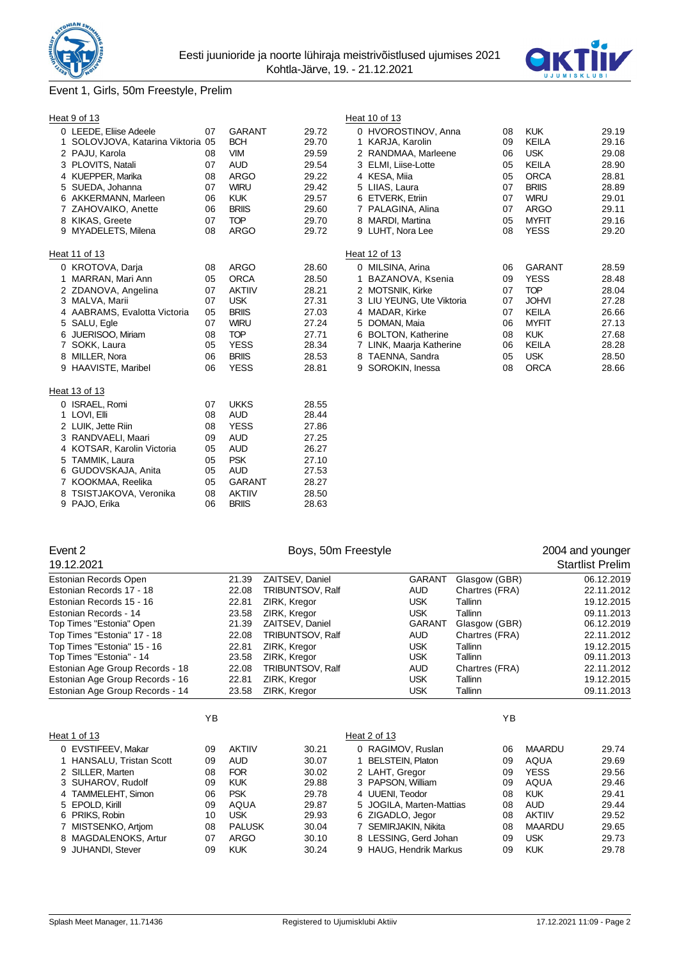



# Event 1, Girls, 50m Freestyle, Prelim

|   | Heat 9 of 13                      |    |               |       | Heat 10 of 13             |    |               |       |
|---|-----------------------------------|----|---------------|-------|---------------------------|----|---------------|-------|
|   | 0 LEEDE, Eliise Adeele            | 07 | <b>GARANT</b> | 29.72 | 0 HVOROSTINOV, Anna       | 08 | <b>KUK</b>    | 29.19 |
|   | 1 SOLOVJOVA, Katarina Viktoria 05 |    | <b>BCH</b>    | 29.70 | 1 KARJA, Karolin          | 09 | <b>KEILA</b>  | 29.16 |
|   | 2 PAJU, Karola                    | 08 | <b>VIM</b>    | 29.59 | 2 RANDMAA, Marleene       | 06 | <b>USK</b>    | 29.08 |
|   | 3 PLOVITS, Natali                 | 07 | <b>AUD</b>    | 29.54 | 3 ELMI, Liise-Lotte       | 05 | <b>KEILA</b>  | 28.90 |
|   | 4 KUEPPER, Marika                 | 08 | <b>ARGO</b>   | 29.22 | 4 KESA, Miia              | 05 | <b>ORCA</b>   | 28.81 |
|   | 5 SUEDA, Johanna                  | 07 | <b>WIRU</b>   | 29.42 | 5 LIIAS, Laura            | 07 | <b>BRIIS</b>  | 28.89 |
|   | 6 AKKERMANN, Marleen              | 06 | <b>KUK</b>    | 29.57 | 6 ETVERK, Etriin          | 07 | <b>WIRU</b>   | 29.01 |
|   | 7 ZAHOVAIKO, Anette               | 06 | <b>BRIIS</b>  | 29.60 | 7 PALAGINA, Alina         | 07 | ARGO          | 29.11 |
|   | 8 KIKAS, Greete                   | 07 | <b>TOP</b>    | 29.70 | 8 MARDI, Martina          | 05 | <b>MYFIT</b>  | 29.16 |
|   | 9 MYADELETS, Milena               | 08 | <b>ARGO</b>   | 29.72 | 9 LUHT, Nora Lee          | 08 | <b>YESS</b>   | 29.20 |
|   | Heat 11 of 13                     |    |               |       | Heat 12 of 13             |    |               |       |
|   | 0 KROTOVA, Darja                  | 08 | <b>ARGO</b>   | 28.60 | 0 MILSINA, Arina          | 06 | <b>GARANT</b> | 28.59 |
|   | 1 MARRAN, Mari Ann                | 05 | <b>ORCA</b>   | 28.50 | 1 BAZANOVA, Ksenia        | 09 | <b>YESS</b>   | 28.48 |
|   | 2 ZDANOVA, Angelina               | 07 | <b>AKTIIV</b> | 28.21 | 2 MOTSNIK, Kirke          | 07 | <b>TOP</b>    | 28.04 |
|   | 3 MALVA, Marii                    | 07 | <b>USK</b>    | 27.31 | 3 LIU YEUNG, Ute Viktoria | 07 | <b>JOHVI</b>  | 27.28 |
|   | 4 AABRAMS, Evalotta Victoria      | 05 | <b>BRIIS</b>  | 27.03 | 4 MADAR, Kirke            | 07 | <b>KEILA</b>  | 26.66 |
|   | 5 SALU, Egle                      | 07 | <b>WIRU</b>   | 27.24 | 5 DOMAN, Maia             | 06 | <b>MYFIT</b>  | 27.13 |
| 6 | JUERISOO, Miriam                  | 08 | <b>TOP</b>    | 27.71 | 6 BOLTON, Katherine       | 08 | <b>KUK</b>    | 27.68 |
|   | SOKK, Laura                       | 05 | <b>YESS</b>   | 28.34 | 7 LINK, Maarja Katherine  | 06 | KEILA         | 28.28 |
| 8 | MILLER, Nora                      | 06 | <b>BRIIS</b>  | 28.53 | 8 TAENNA, Sandra          | 05 | <b>USK</b>    | 28.50 |
|   | 9 HAAVISTE, Maribel               | 06 | <b>YESS</b>   | 28.81 | 9 SOROKIN, Inessa         | 08 | <b>ORCA</b>   | 28.66 |
|   | Heat 13 of 13                     |    |               |       |                           |    |               |       |
|   | 0 ISRAEL, Romi                    | 07 | <b>UKKS</b>   | 28.55 |                           |    |               |       |
|   | 1 LOVI, Elli                      | 08 | <b>AUD</b>    | 28.44 |                           |    |               |       |
|   | 2 LUIK, Jette Riin                | 08 | <b>YESS</b>   | 27.86 |                           |    |               |       |
|   | 3 RANDVAELI, Maari                | 09 | <b>AUD</b>    | 27.25 |                           |    |               |       |
|   | 4 KOTSAR, Karolin Victoria        | 05 | <b>AUD</b>    | 26.27 |                           |    |               |       |
| 5 | TAMMIK, Laura                     | 05 | <b>PSK</b>    | 27.10 |                           |    |               |       |
|   | 6 GUDOVSKAJA, Anita               | 05 | <b>AUD</b>    | 27.53 |                           |    |               |       |
|   | 7 KOOKMAA, Reelika                | 05 | <b>GARANT</b> | 28.27 |                           |    |               |       |
| 8 | TSISTJAKOVA, Veronika             | 08 | <b>AKTIIV</b> | 28.50 |                           |    |               |       |
|   | 9 PAJO, Erika                     | 06 | <b>BRIIS</b>  | 28.63 |                           |    |               |       |
|   |                                   |    |               |       |                           |    |               |       |

| Event 2                         |       | Boys, 50m Freestyle     |               |                | 2004 and younger        |
|---------------------------------|-------|-------------------------|---------------|----------------|-------------------------|
| 19.12.2021                      |       |                         |               |                | <b>Startlist Prelim</b> |
| Estonian Records Open           | 21.39 | ZAITSEV, Daniel         | <b>GARANT</b> | Glasgow (GBR)  | 06.12.2019              |
| Estonian Records 17 - 18        | 22.08 | TRIBUNTSOV, Ralf        | <b>AUD</b>    | Chartres (FRA) | 22.11.2012              |
| Estonian Records 15 - 16        | 22.81 | ZIRK. Kregor            | <b>USK</b>    | Tallinn        | 19.12.2015              |
| Estonian Records - 14           | 23.58 | ZIRK, Kregor            | <b>USK</b>    | Tallinn        | 09.11.2013              |
| Top Times "Estonia" Open        | 21.39 | ZAITSEV, Daniel         | <b>GARANT</b> | Glasgow (GBR)  | 06.12.2019              |
| Top Times "Estonia" 17 - 18     | 22.08 | <b>TRIBUNTSOV, Ralf</b> | <b>AUD</b>    | Chartres (FRA) | 22.11.2012              |
| Top Times "Estonia" 15 - 16     | 22.81 | ZIRK. Kregor            | <b>USK</b>    | Tallinn        | 19.12.2015              |
| Top Times "Estonia" - 14        | 23.58 | ZIRK, Kregor            | <b>USK</b>    | Tallinn        | 09.11.2013              |
| Estonian Age Group Records - 18 | 22.08 | <b>TRIBUNTSOV, Ralf</b> | <b>AUD</b>    | Chartres (FRA) | 22.11.2012              |
| Estonian Age Group Records - 16 | 22.81 | ZIRK, Kregor            | <b>USK</b>    | Tallinn        | 19.12.2015              |
| Estonian Age Group Records - 14 | 23.58 | ZIRK, Kregor            | <b>USK</b>    | Tallinn        | 09.11.2013              |

|                          | YB |               |       |                          | YB |               |       |
|--------------------------|----|---------------|-------|--------------------------|----|---------------|-------|
| Heat 1 of 13             |    |               |       | Heat 2 of 13             |    |               |       |
| 0 EVSTIFEEV, Makar       | 09 | <b>AKTIIV</b> | 30.21 | 0 RAGIMOV, Ruslan        | 06 | <b>MAARDU</b> | 29.74 |
| 1 HANSALU, Tristan Scott | 09 | <b>AUD</b>    | 30.07 | <b>BELSTEIN, Platon</b>  | 09 | AQUA          | 29.69 |
| 2 SILLER, Marten         | 08 | <b>FOR</b>    | 30.02 | 2 LAHT. Gregor           | 09 | <b>YESS</b>   | 29.56 |
| 3 SUHAROV, Rudolf        | 09 | <b>KUK</b>    | 29.88 | 3 PAPSON, William        | 09 | AQUA          | 29.46 |
| 4 TAMMELEHT, Simon       | 06 | <b>PSK</b>    | 29.78 | 4 UUENI, Teodor          | 08 | <b>KUK</b>    | 29.41 |
| 5 EPOLD, Kirill          | 09 | AQUA          | 29.87 | 5 JOGILA, Marten-Mattias | 08 | <b>AUD</b>    | 29.44 |
| 6 PRIKS, Robin           | 10 | <b>USK</b>    | 29.93 | 6 ZIGADLO, Jegor         | 08 | <b>AKTIIV</b> | 29.52 |
| 7 MISTSENKO, Artiom      | 08 | <b>PALUSK</b> | 30.04 | 7 SEMIRJAKIN, Nikita     | 08 | <b>MAARDU</b> | 29.65 |
| 8 MAGDALENOKS, Artur     | 07 | <b>ARGO</b>   | 30.10 | 8 LESSING, Gerd Johan    | 09 | <b>USK</b>    | 29.73 |
| 9 JUHANDI, Stever        | 09 | <b>KUK</b>    | 30.24 | 9 HAUG. Hendrik Markus   | 09 | <b>KUK</b>    | 29.78 |
|                          |    |               |       |                          |    |               |       |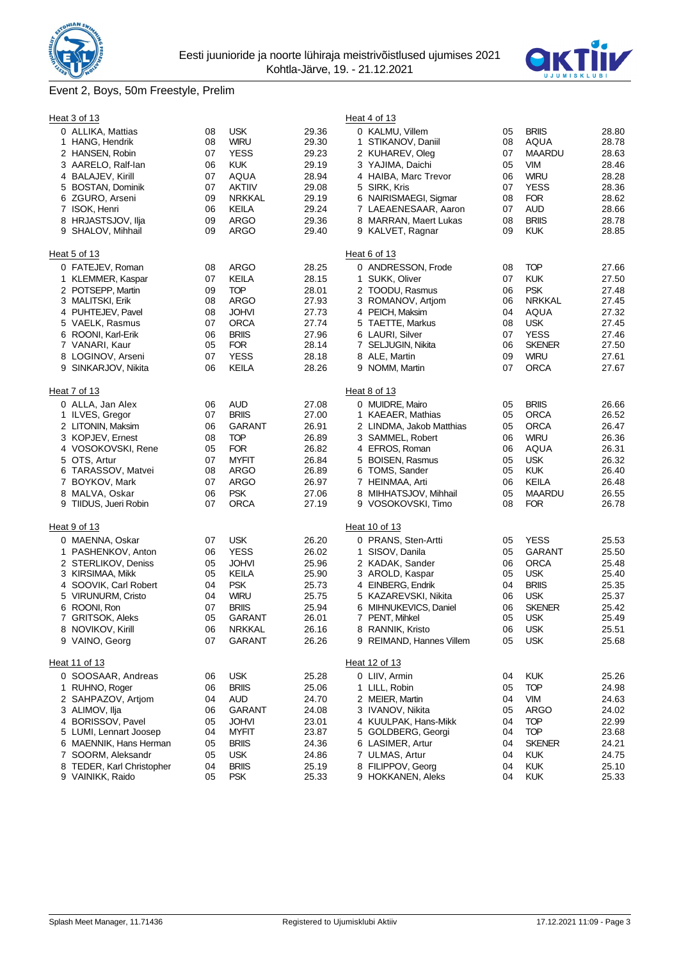

# Event 2, Boys, 50m Freestyle, Prelim



|   | Heat 3 of 13              |    |               |       | Heat 4 of 13                  |    |               |       |
|---|---------------------------|----|---------------|-------|-------------------------------|----|---------------|-------|
|   | 0 ALLIKA, Mattias         | 08 | <b>USK</b>    | 29.36 | 0 KALMU, Villem               | 05 | <b>BRIIS</b>  | 28.80 |
|   | 1 HANG, Hendrik           | 08 | <b>WIRU</b>   | 29.30 | STIKANOV, Daniil<br>1         | 08 | AQUA          | 28.78 |
|   | 2 HANSEN, Robin           | 07 | <b>YESS</b>   | 29.23 | 2 KUHAREV, Oleg               | 07 | <b>MAARDU</b> | 28.63 |
|   | 3 AARELO, Ralf-lan        | 06 | <b>KUK</b>    | 29.19 | 3 YAJIMA, Daichi              | 05 | <b>VIM</b>    | 28.46 |
|   | 4 BALAJEV, Kirill         | 07 | <b>AQUA</b>   | 28.94 | 4 HAIBA, Marc Trevor          | 06 | <b>WIRU</b>   | 28.28 |
|   | 5 BOSTAN, Dominik         | 07 | <b>AKTIIV</b> | 29.08 | 5 SIRK, Kris                  | 07 | <b>YESS</b>   | 28.36 |
|   | 6 ZGURO, Arseni           | 09 | <b>NRKKAL</b> | 29.19 | 6 NAIRISMAEGI, Sigmar         | 08 | <b>FOR</b>    | 28.62 |
|   | 7 ISOK, Henri             | 06 | KEILA         | 29.24 | 7 LAEAENESAAR, Aaron          | 07 | <b>AUD</b>    | 28.66 |
|   | 8 HRJASTSJOV, Ilja        | 09 | <b>ARGO</b>   | 29.36 | 8 MARRAN, Maert Lukas         | 08 | <b>BRIIS</b>  | 28.78 |
|   | 9 SHALOV, Mihhail         | 09 | <b>ARGO</b>   | 29.40 | 9 KALVET, Ragnar              | 09 | <b>KUK</b>    | 28.85 |
|   | Heat 5 of 13              |    |               |       | Heat 6 of 13                  |    |               |       |
|   | 0 FATEJEV, Roman          | 08 | <b>ARGO</b>   | 28.25 | 0 ANDRESSON, Frode            | 08 | <b>TOP</b>    | 27.66 |
|   | 1 KLEMMER, Kaspar         | 07 | KEILA         | 28.15 | 1 SUKK, Oliver                | 07 | <b>KUK</b>    | 27.50 |
|   | 2 POTSEPP, Martin         | 09 | <b>TOP</b>    | 28.01 | 2 TOODU, Rasmus               | 06 | <b>PSK</b>    | 27.48 |
|   | 3 MALITSKI, Erik          | 08 | <b>ARGO</b>   | 27.93 | 3 ROMANOV, Artjom             | 06 | <b>NRKKAL</b> | 27.45 |
|   | 4 PUHTEJEV, Pavel         | 08 | <b>JOHVI</b>  | 27.73 | 4 PEICH, Maksim               | 04 | <b>AQUA</b>   | 27.32 |
|   | 5 VAELK, Rasmus           | 07 | <b>ORCA</b>   | 27.74 | 5 TAETTE, Markus              | 08 | <b>USK</b>    | 27.45 |
|   | 6 ROONI, Karl-Erik        | 06 | <b>BRIIS</b>  | 27.96 | 6 LAURI, Silver               | 07 | <b>YESS</b>   | 27.46 |
|   | 7 VANARI, Kaur            | 05 | <b>FOR</b>    | 28.14 | 7 SELJUGIN, Nikita            | 06 | <b>SKENER</b> | 27.50 |
|   | 8 LOGINOV, Arseni         | 07 | <b>YESS</b>   | 28.18 | 8 ALE, Martin                 | 09 | <b>WIRU</b>   | 27.61 |
|   | 9 SINKARJOV, Nikita       | 06 | KEILA         | 28.26 | 9 NOMM, Martin                | 07 | <b>ORCA</b>   | 27.67 |
|   |                           |    |               |       |                               |    |               |       |
|   | Heat 7 of 13              |    |               |       | Heat 8 of 13                  |    |               |       |
|   | 0 ALLA, Jan Alex          | 06 | AUD           | 27.08 | 0 MUIDRE, Mairo               | 05 | <b>BRIIS</b>  | 26.66 |
|   | 1 ILVES, Gregor           | 07 | <b>BRIIS</b>  | 27.00 | 1 KAEAER, Mathias             | 05 | <b>ORCA</b>   | 26.52 |
|   | 2 LITONIN, Maksim         | 06 | <b>GARANT</b> | 26.91 | 2 LINDMA, Jakob Matthias      | 05 | <b>ORCA</b>   | 26.47 |
|   | 3 KOPJEV, Ernest          | 08 | <b>TOP</b>    | 26.89 | 3 SAMMEL, Robert              | 06 | <b>WIRU</b>   | 26.36 |
|   | 4 VOSOKOVSKI, Rene        | 05 | <b>FOR</b>    | 26.82 | 4 EFROS, Roman                | 06 | <b>AQUA</b>   | 26.31 |
|   | 5 OTS, Artur              | 07 | <b>MYFIT</b>  | 26.84 | 5 BOISEN, Rasmus              | 05 | <b>USK</b>    | 26.32 |
|   | 6 TARASSOV, Matvei        | 08 | ARGO          | 26.89 | 6 TOMS, Sander                | 05 | <b>KUK</b>    | 26.40 |
|   | 7 BOYKOV, Mark            | 07 | <b>ARGO</b>   | 26.97 | 7 HEINMAA, Arti               | 06 | KEILA         | 26.48 |
|   | 8 MALVA, Oskar            | 06 | <b>PSK</b>    | 27.06 | 8 MIHHATSJOV, Mihhail         | 05 | <b>MAARDU</b> | 26.55 |
|   | 9 TIIDUS, Jueri Robin     | 07 | <b>ORCA</b>   | 27.19 | 9 VOSOKOVSKI, Timo            | 08 | <b>FOR</b>    | 26.78 |
|   | Heat 9 of 13              |    |               |       | Heat 10 of 13                 |    |               |       |
|   | 0 MAENNA, Oskar           | 07 | <b>USK</b>    | 26.20 | 0 PRANS, Sten-Artti           | 05 | <b>YESS</b>   | 25.53 |
|   | 1 PASHENKOV, Anton        | 06 | <b>YESS</b>   | 26.02 | $\mathbf{1}$<br>SISOV, Danila | 05 | <b>GARANT</b> | 25.50 |
|   | 2 STERLIKOV, Deniss       | 05 | <b>JOHVI</b>  | 25.96 | 2 KADAK, Sander               | 06 | <b>ORCA</b>   | 25.48 |
|   | 3 KIRSIMAA, Mikk          | 05 | KEILA         | 25.90 | 3 AROLD, Kaspar               | 05 | <b>USK</b>    | 25.40 |
|   | 4 SOOVIK, Carl Robert     | 04 | <b>PSK</b>    | 25.73 | 4 EINBERG, Endrik             | 04 | <b>BRIIS</b>  | 25.35 |
|   | 5 VIRUNURM, Cristo        | 04 | <b>WIRU</b>   | 25.75 | 5 KAZAREVSKI, Nikita          | 06 | <b>USK</b>    | 25.37 |
| 6 | ROONI, Ron                | 07 | <b>BRIIS</b>  | 25.94 | 6 MIHNUKEVICS, Daniel         | 06 | <b>SKENER</b> | 25.42 |
|   | 7 GRITSOK, Aleks          | 05 | GARANT        | 26.01 | 7 PENT, Mihkel                | 05 | <b>USK</b>    | 25.49 |
|   | 8 NOVIKOV, Kirill         | 06 | <b>NRKKAL</b> | 26.16 | 8 RANNIK, Kristo              | 06 | <b>USK</b>    | 25.51 |
|   | 9 VAINO, Georg            | 07 | <b>GARANT</b> | 26.26 | 9 REIMAND, Hannes Villem      | 05 | <b>USK</b>    | 25.68 |
|   |                           |    |               |       |                               |    |               |       |
|   | Heat 11 of 13             |    |               |       | Heat 12 of 13                 |    |               |       |
|   | 0 SOOSAAR, Andreas        | 06 | <b>USK</b>    | 25.28 | 0 LIIV, Armin                 | 04 | <b>KUK</b>    | 25.26 |
|   | 1 RUHNO, Roger            | 06 | <b>BRIIS</b>  | 25.06 | 1 LILL, Robin                 | 05 | <b>TOP</b>    | 24.98 |
|   | 2 SAHPAZOV, Artiom        | 04 | <b>AUD</b>    | 24.70 | 2 MEIER, Martin               | 04 | <b>VIM</b>    | 24.63 |
|   | 3 ALIMOV, Ilja            | 06 | <b>GARANT</b> | 24.08 | 3 IVANOV, Nikita              | 05 | ARGO          | 24.02 |
|   | 4 BORISSOV, Pavel         | 05 | <b>JOHVI</b>  | 23.01 | 4 KUULPAK, Hans-Mikk          | 04 | <b>TOP</b>    | 22.99 |
|   | 5 LUMI, Lennart Joosep    | 04 | <b>MYFIT</b>  | 23.87 | 5 GOLDBERG, Georgi            | 04 | <b>TOP</b>    | 23.68 |
|   | 6 MAENNIK, Hans Herman    | 05 | <b>BRIIS</b>  | 24.36 | 6 LASIMER, Artur              | 04 | <b>SKENER</b> | 24.21 |
|   | 7 SOORM, Aleksandr        | 05 | <b>USK</b>    | 24.86 | 7 ULMAS, Artur                | 04 | <b>KUK</b>    | 24.75 |
|   | 8 TEDER, Karl Christopher | 04 | <b>BRIIS</b>  | 25.19 | 8 FILIPPOV, Georg             | 04 | <b>KUK</b>    | 25.10 |
|   | 9 VAINIKK, Raido          | 05 | <b>PSK</b>    | 25.33 | 9 HOKKANEN, Aleks             | 04 | <b>KUK</b>    | 25.33 |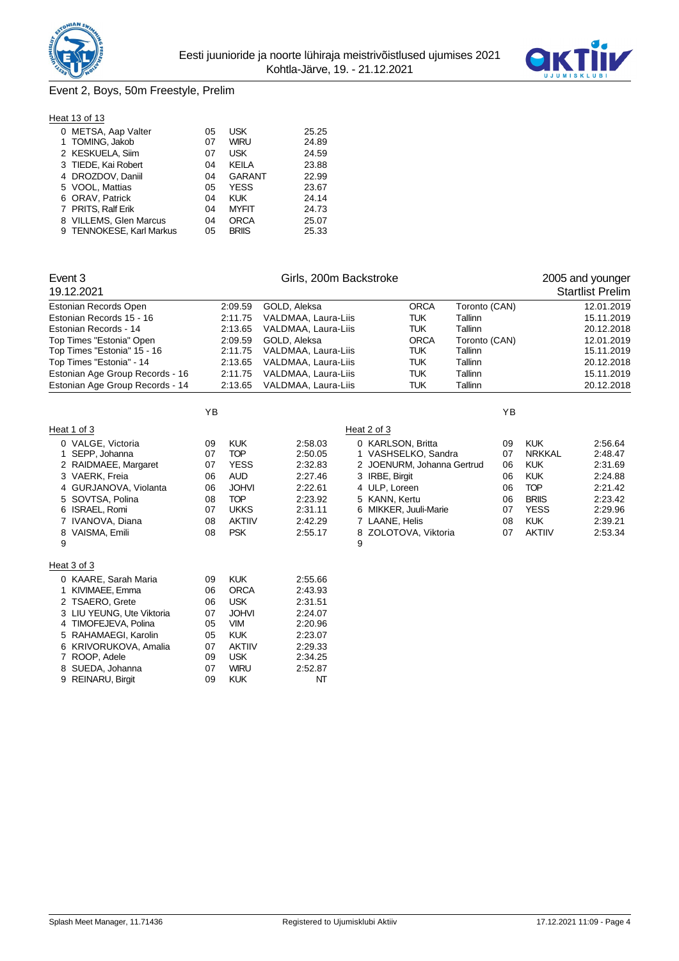



# Event 2, Boys, 50m Freestyle, Prelim

#### **Heat 13 of 13**

| 0 METSA, Aap Valter      | 05 | <b>USK</b>    | 25.25 |
|--------------------------|----|---------------|-------|
| 1 TOMING, Jakob          | 07 | <b>WIRU</b>   | 24.89 |
| 2 KESKUELA, Siim         | 07 | USK           | 24.59 |
| 3 TIEDE, Kai Robert      | 04 | KEILA         | 23.88 |
| 4 DROZDOV, Daniil        | 04 | <b>GARANT</b> | 22.99 |
| 5 VOOL, Mattias          | 05 | <b>YESS</b>   | 23.67 |
| 6 ORAV, Patrick          | 04 | <b>KUK</b>    | 24.14 |
| 7 PRITS, Ralf Erik       | 04 | <b>MYFIT</b>  | 24.73 |
| 8 VILLEMS, Glen Marcus   | 04 | <b>ORCA</b>   | 25.07 |
| 9 TENNOKESE, Karl Markus | 05 | <b>BRIIS</b>  | 25.33 |

| Event 3                         |    |               | Girls, 200m Backstroke |   |                            |               |    |               | 2005 and younger        |
|---------------------------------|----|---------------|------------------------|---|----------------------------|---------------|----|---------------|-------------------------|
| 19.12.2021                      |    |               |                        |   |                            |               |    |               | <b>Startlist Prelim</b> |
| Estonian Records Open           |    | 2:09.59       | GOLD, Aleksa           |   | <b>ORCA</b>                | Toronto (CAN) |    |               | 12.01.2019              |
| Estonian Records 15 - 16        |    | 2:11.75       | VALDMAA, Laura-Liis    |   | <b>TUK</b>                 | Tallinn       |    |               | 15.11.2019              |
| Estonian Records - 14           |    | 2:13.65       | VALDMAA, Laura-Liis    |   | <b>TUK</b>                 | Tallinn       |    |               | 20.12.2018              |
| Top Times "Estonia" Open        |    | 2:09.59       | GOLD, Aleksa           |   | <b>ORCA</b>                | Toronto (CAN) |    |               | 12.01.2019              |
| Top Times "Estonia" 15 - 16     |    | 2:11.75       | VALDMAA, Laura-Liis    |   | <b>TUK</b>                 | Tallinn       |    |               | 15.11.2019              |
| Top Times "Estonia" - 14        |    | 2:13.65       | VALDMAA, Laura-Liis    |   | <b>TUK</b>                 | Tallinn       |    |               | 20.12.2018              |
| Estonian Age Group Records - 16 |    | 2:11.75       | VALDMAA, Laura-Liis    |   | <b>TUK</b>                 | Tallinn       |    |               | 15.11.2019              |
| Estonian Age Group Records - 14 |    | 2:13.65       | VALDMAA, Laura-Liis    |   | <b>TUK</b>                 | Tallinn       |    |               | 20.12.2018              |
|                                 | YB |               |                        |   |                            |               | YB |               |                         |
| Heat 1 of 3                     |    |               |                        |   | Heat 2 of 3                |               |    |               |                         |
| 0 VALGE, Victoria               | 09 | <b>KUK</b>    | 2:58.03                |   | 0 KARLSON, Britta          |               | 09 | <b>KUK</b>    | 2:56.64                 |
| 1 SEPP, Johanna                 | 07 | <b>TOP</b>    | 2:50.05                |   | 1 VASHSELKO, Sandra        |               | 07 | <b>NRKKAL</b> | 2:48.47                 |
| 2 RAIDMAEE, Margaret            | 07 | <b>YESS</b>   | 2:32.83                |   | 2 JOENURM, Johanna Gertrud |               | 06 | <b>KUK</b>    | 2:31.69                 |
| 3 VAERK, Freia                  | 06 | <b>AUD</b>    | 2:27.46                |   | 3 IRBE, Birgit             |               | 06 | <b>KUK</b>    | 2:24.88                 |
| 4 GURJANOVA, Violanta           | 06 | <b>JOHVI</b>  | 2:22.61                |   | 4 ULP, Loreen              |               | 06 | <b>TOP</b>    | 2:21.42                 |
| SOVTSA, Polina<br>5             | 08 | <b>TOP</b>    | 2:23.92                |   | 5 KANN, Kertu              |               | 06 | <b>BRIIS</b>  | 2:23.42                 |
| ISRAEL, Romi<br>6               | 07 | <b>UKKS</b>   | 2:31.11                |   | 6 MIKKER, Juuli-Marie      |               | 07 | <b>YESS</b>   | 2:29.96                 |
| 7 IVANOVA, Diana                | 08 | <b>AKTIIV</b> | 2:42.29                |   | 7 LAANE, Helis             |               | 08 | <b>KUK</b>    | 2:39.21                 |
| 8 VAISMA, Emili                 | 08 | <b>PSK</b>    | 2:55.17                |   | 8 ZOLOTOVA, Viktoria       |               | 07 | <b>AKTIIV</b> | 2:53.34                 |
| 9                               |    |               |                        | 9 |                            |               |    |               |                         |
| Heat 3 of 3                     |    |               |                        |   |                            |               |    |               |                         |
| 0 KAARE, Sarah Maria            | 09 | <b>KUK</b>    | 2:55.66                |   |                            |               |    |               |                         |
| 1 KIVIMAEE, Emma                | 06 | <b>ORCA</b>   | 2:43.93                |   |                            |               |    |               |                         |
| 2 TSAERO, Grete                 | 06 | <b>USK</b>    | 2:31.51                |   |                            |               |    |               |                         |
| 3 LIU YEUNG, Ute Viktoria       | 07 | <b>JOHVI</b>  | 2:24.07                |   |                            |               |    |               |                         |
| 4 TIMOFEJEVA, Polina            | 05 | <b>VIM</b>    | 2:20.96                |   |                            |               |    |               |                         |
| 5 RAHAMAEGI, Karolin            | 05 | <b>KUK</b>    | 2:23.07                |   |                            |               |    |               |                         |
| 6 KRIVORUKOVA, Amalia           | 07 | <b>AKTIIV</b> | 2:29.33                |   |                            |               |    |               |                         |
| 7 ROOP, Adele                   | 09 | <b>USK</b>    | 2:34.25                |   |                            |               |    |               |                         |
| 8 SUEDA, Johanna                | 07 | <b>WIRU</b>   | 2:52.87                |   |                            |               |    |               |                         |
| 9 REINARU, Birgit               | 09 | <b>KUK</b>    | NT                     |   |                            |               |    |               |                         |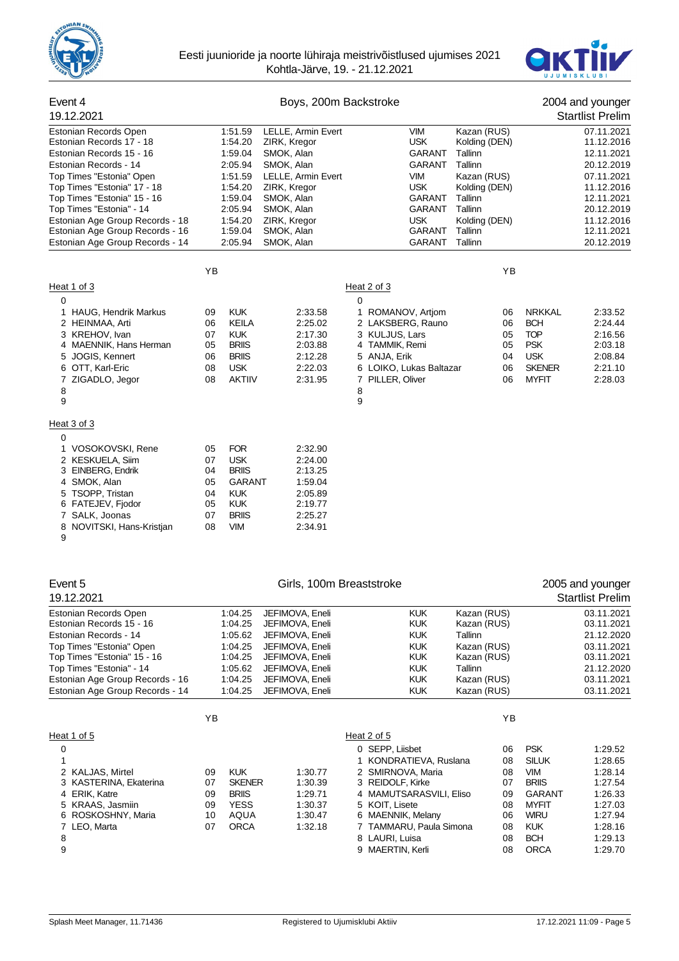



| Event 4<br>19.12.2021                                                                                                                                                                                                                                                                                                                 |                                              |                                                                                                                       | Boys, 200m Backstroke                                                                                                                                                        |                                                                                                                                                      |                                                                                                                          |                                                                                                                                                 |                                                                                                                                                     | 2004 and younger<br><b>Startlist Prelim</b>                                                                                                            |
|---------------------------------------------------------------------------------------------------------------------------------------------------------------------------------------------------------------------------------------------------------------------------------------------------------------------------------------|----------------------------------------------|-----------------------------------------------------------------------------------------------------------------------|------------------------------------------------------------------------------------------------------------------------------------------------------------------------------|------------------------------------------------------------------------------------------------------------------------------------------------------|--------------------------------------------------------------------------------------------------------------------------|-------------------------------------------------------------------------------------------------------------------------------------------------|-----------------------------------------------------------------------------------------------------------------------------------------------------|--------------------------------------------------------------------------------------------------------------------------------------------------------|
| Estonian Records Open<br>Estonian Records 17 - 18<br>Estonian Records 15 - 16<br>Estonian Records - 14<br>Top Times "Estonia" Open<br>Top Times "Estonia" 17 - 18<br>Top Times "Estonia" 15 - 16<br>Top Times "Estonia" - 14<br>Estonian Age Group Records - 18<br>Estonian Age Group Records - 16<br>Estonian Age Group Records - 14 |                                              | 1:51.59<br>1:54.20<br>1:59.04<br>2:05.94<br>1:51.59<br>1:54.20<br>1:59.04<br>2:05.94<br>1:54.20<br>1:59.04<br>2:05.94 | LELLE, Armin Evert<br>ZIRK, Kregor<br>SMOK, Alan<br>SMOK, Alan<br>LELLE, Armin Evert<br>ZIRK, Kregor<br>SMOK, Alan<br>SMOK, Alan<br>ZIRK, Kregor<br>SMOK, Alan<br>SMOK, Alan |                                                                                                                                                      | <b>VIM</b><br><b>USK</b><br>GARANT<br>GARANT<br><b>VIM</b><br><b>USK</b><br>GARANT<br>GARANT<br>USK.<br>GARANT<br>GARANT | Kazan (RUS)<br>Kolding (DEN)<br>Tallinn<br>Tallinn<br>Kazan (RUS)<br>Kolding (DEN)<br>Tallinn<br>Tallinn<br>Kolding (DEN)<br>Tallinn<br>Tallinn |                                                                                                                                                     | 07.11.2021<br>11.12.2016<br>12.11.2021<br>20.12.2019<br>07.11.2021<br>11.12.2016<br>12.11.2021<br>20.12.2019<br>11.12.2016<br>12.11.2021<br>20.12.2019 |
|                                                                                                                                                                                                                                                                                                                                       | ΥB                                           |                                                                                                                       |                                                                                                                                                                              |                                                                                                                                                      |                                                                                                                          | YB                                                                                                                                              |                                                                                                                                                     |                                                                                                                                                        |
| Heat 1 of 3                                                                                                                                                                                                                                                                                                                           |                                              |                                                                                                                       |                                                                                                                                                                              | Heat 2 of 3                                                                                                                                          |                                                                                                                          |                                                                                                                                                 |                                                                                                                                                     |                                                                                                                                                        |
| 0<br><b>HAUG, Hendrik Markus</b><br>1<br>2 HEINMAA, Arti<br>3 KREHOV, Ivan<br>4 MAENNIK, Hans Herman<br>5 JOGIS, Kennert<br>6 OTT, Karl-Eric<br>7 ZIGADLO, Jegor<br>8<br>9                                                                                                                                                            | 09<br>06<br>07<br>05<br>06<br>08<br>08       | <b>KUK</b><br>KEILA<br><b>KUK</b><br><b>BRIIS</b><br><b>BRIIS</b><br><b>USK</b><br><b>AKTIIV</b>                      | 2:33.58<br>2:25.02<br>2:17.30<br>2:03.88<br>2:12.28<br>2:22.03<br>2:31.95                                                                                                    | 0<br>3 KULJUS, Lars<br>4 TAMMIK, Remi<br>5 ANJA, Erik<br>7 PILLER, Oliver<br>8<br>9                                                                  | ROMANOV, Artjom<br>2 LAKSBERG, Rauno<br>6 LOIKO, Lukas Baltazar                                                          | 06<br>06<br>05<br>05<br>04<br>06<br>06                                                                                                          | <b>NRKKAL</b><br><b>BCH</b><br><b>TOP</b><br><b>PSK</b><br><b>USK</b><br><b>SKENER</b><br><b>MYFIT</b>                                              | 2:33.52<br>2:24.44<br>2:16.56<br>2:03.18<br>2:08.84<br>2:21.10<br>2:28.03                                                                              |
| Heat 3 of 3                                                                                                                                                                                                                                                                                                                           |                                              |                                                                                                                       |                                                                                                                                                                              |                                                                                                                                                      |                                                                                                                          |                                                                                                                                                 |                                                                                                                                                     |                                                                                                                                                        |
| $\mathbf 0$<br>VOSOKOVSKI, Rene<br>1.<br>2 KESKUELA, Siim<br>3 EINBERG, Endrik<br>4 SMOK, Alan<br>5 TSOPP, Tristan<br>6 FATEJEV, Fjodor<br>7 SALK, Joonas<br>8 NOVITSKI, Hans-Kristjan<br>9                                                                                                                                           | 05<br>07<br>04<br>05<br>04<br>05<br>07<br>08 | <b>FOR</b><br><b>USK</b><br><b>BRIIS</b><br>GARANT<br><b>KUK</b><br><b>KUK</b><br><b>BRIIS</b><br><b>VIM</b>          | 2:32.90<br>2:24.00<br>2:13.25<br>1:59.04<br>2:05.89<br>2:19.77<br>2:25.27<br>2:34.91                                                                                         |                                                                                                                                                      |                                                                                                                          |                                                                                                                                                 |                                                                                                                                                     |                                                                                                                                                        |
| Event 5<br>19.12.2021                                                                                                                                                                                                                                                                                                                 |                                              |                                                                                                                       | Girls, 100m Breaststroke                                                                                                                                                     |                                                                                                                                                      |                                                                                                                          |                                                                                                                                                 |                                                                                                                                                     | 2005 and younger<br><b>Startlist Prelim</b>                                                                                                            |
| Estonian Records Open<br>Estonian Records 15 - 16<br>Estonian Records - 14<br>Top Times "Estonia" Open<br>Top Times "Estonia" 15 - 16<br>Top Times "Estonia" - 14<br>Estonian Age Group Records - 16<br>Estonian Age Group Records - 14                                                                                               |                                              | 1:04.25<br>1:04.25<br>1:05.62<br>1:04.25<br>1:04.25<br>1:05.62<br>1:04.25<br>1:04.25                                  | JEFIMOVA, Eneli<br>JEFIMOVA, Eneli<br>JEFIMOVA, Eneli<br>JEFIMOVA, Eneli<br>JEFIMOVA, Eneli<br>JEFIMOVA, Eneli<br>JEFIMOVA, Eneli<br>JEFIMOVA, Eneli                         |                                                                                                                                                      | <b>KUK</b><br><b>KUK</b><br><b>KUK</b><br><b>KUK</b><br><b>KUK</b><br><b>KUK</b><br><b>KUK</b><br><b>KUK</b>             | Kazan (RUS)<br>Kazan (RUS)<br>Tallinn<br>Kazan (RUS)<br>Kazan (RUS)<br>Tallinn<br>Kazan (RUS)<br>Kazan (RUS)                                    |                                                                                                                                                     | 03.11.2021<br>03.11.2021<br>21.12.2020<br>03.11.2021<br>03.11.2021<br>21.12.2020<br>03.11.2021<br>03.11.2021                                           |
|                                                                                                                                                                                                                                                                                                                                       | YB                                           |                                                                                                                       |                                                                                                                                                                              |                                                                                                                                                      |                                                                                                                          | YB                                                                                                                                              |                                                                                                                                                     |                                                                                                                                                        |
| Heat 1 of 5<br>0<br>1<br>2 KALJAS, Mirtel<br>3 KASTERINA, Ekaterina<br>4 ERIK, Katre<br>5 KRAAS, Jasmiin<br>6 ROSKOSHNY, Maria<br>7 LEO, Marta<br>8<br>9                                                                                                                                                                              | 09<br>07<br>09<br>09<br>10<br>07             | <b>KUK</b><br><b>SKENER</b><br><b>BRIIS</b><br><b>YESS</b><br>AQUA<br><b>ORCA</b>                                     | 1:30.77<br>1:30.39<br>1:29.71<br>1:30.37<br>1:30.47<br>1:32.18                                                                                                               | Heat 2 of 5<br>0 SEPP, Liisbet<br>2 SMIRNOVA, Maria<br>3 REIDOLF, Kirke<br>5 KOIT, Lisete<br>6 MAENNIK, Melany<br>8 LAURI, Luisa<br>9 MAERTIN, Kerli | 1 KONDRATIEVA, Ruslana<br>4 MAMUTSARASVILI, Eliso<br>7 TAMMARU, Paula Simona                                             | 06<br>08<br>08<br>07<br>09<br>08<br>06<br>08<br>08<br>08                                                                                        | <b>PSK</b><br><b>SILUK</b><br><b>VIM</b><br><b>BRIIS</b><br><b>GARANT</b><br><b>MYFIT</b><br><b>WIRU</b><br><b>KUK</b><br><b>BCH</b><br><b>ORCA</b> | 1:29.52<br>1:28.65<br>1:28.14<br>1:27.54<br>1:26.33<br>1:27.03<br>1:27.94<br>1:28.16<br>1:29.13<br>1:29.70                                             |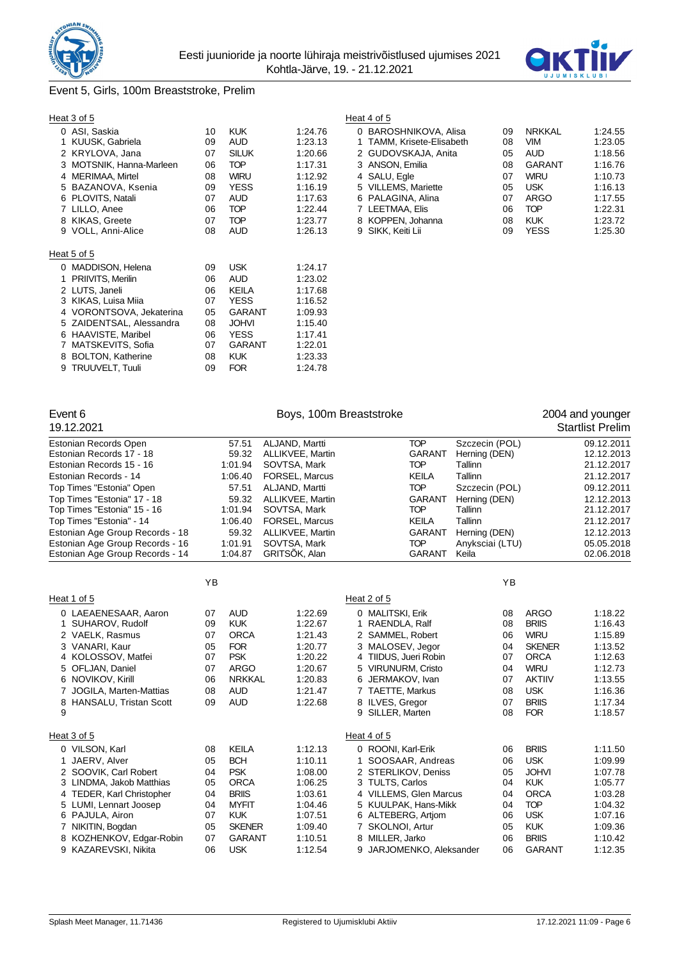



# Event 5, Girls, 100m Breaststroke, Prelim

# Heat 3 of 5 Heat 4 of 5

|   | 0 ASI, Saskia            | 10 | <b>KUK</b>   | 1:24.76 |
|---|--------------------------|----|--------------|---------|
| 1 | KUUSK, Gabriela          | 09 | <b>AUD</b>   | 1:23.13 |
| 2 | KRYLOVA, Jana            | 07 | <b>SILUK</b> | 1:20.66 |
| 3 | MOTSNIK, Hanna-Marleen   | 06 | <b>TOP</b>   | 1:17.31 |
| 4 | <b>MERIMAA, Mirtel</b>   | 08 | <b>WIRU</b>  | 1:12.92 |
| 5 | BAZANOVA, Ksenia         | 09 | <b>YESS</b>  | 1:16.19 |
| 6 | PLOVITS, Natali          | 07 | <b>AUD</b>   | 1:17.63 |
|   | 7 LILLO, Anee            | 06 | <b>TOP</b>   | 1:22.44 |
|   | 8 KIKAS, Greete          | 07 | <b>TOP</b>   | 1:23.77 |
| 9 | VOLL, Anni-Alice         | 08 | <b>AUD</b>   | 1:26.13 |
|   |                          |    |              |         |
|   | Heat 5 of 5              |    |              |         |
| 0 | <b>MADDISON, Helena</b>  | 09 | <b>USK</b>   | 1:24.17 |
| 1 | PRIIVITS, Merilin        | 06 | AUD          | 1:23.02 |
|   | 2 LUTS, Janeli           | 06 | <b>KEILA</b> | 1:17.68 |
| 3 | KIKAS, Luisa Miia        | 07 | YESS         | 1:16.52 |
| 4 | VORONTSOVA, Jekaterina   | 05 | GARANT       | 1:09.93 |
| 5 | ZAIDENTSAL, Alessandra   | 08 | <b>JOHVI</b> | 1:15.40 |
| 6 | HAAVISTE, Maribel        | 06 | YESS         | 1:17.41 |
| 7 | MATSKEVITS, Sofia        | 07 | GARANT       | 1:22.01 |
| 8 | <b>BOLTON, Katherine</b> | 08 | <b>KUK</b>   | 1.23.33 |
| 9 | <b>TRUUVELT, Tuuli</b>   | 09 | <b>FOR</b>   | 1:24.78 |

| al ou o                  |    |              |         | Heal 4 OLD                |    |               |         |
|--------------------------|----|--------------|---------|---------------------------|----|---------------|---------|
| 0 ASI, Saskia            | 10 | <b>KUK</b>   | 1:24.76 | 0 BAROSHNIKOVA, Alisa     | 09 | <b>NRKKAL</b> | 1:24.55 |
| 1 KUUSK, Gabriela        | 09 | <b>AUD</b>   | 1:23.13 | 1 TAMM, Krisete-Elisabeth | 08 | VIM           | 1.23.05 |
| 2 KRYLOVA. Jana          | 07 | <b>SILUK</b> | 1:20.66 | 2 GUDOVSKAJA, Anita       | 05 | <b>AUD</b>    | 1:18.56 |
| 3 MOTSNIK, Hanna-Marleen | 06 | <b>TOP</b>   | 1:17.31 | 3 ANSON, Emilia           | 08 | GARANT        | 1:16.76 |
| 4 MERIMAA, Mirtel        | 08 | <b>WIRU</b>  | 1:12.92 | 4 SALU, Egle              | 07 | <b>WIRU</b>   | 1:10.73 |
| 5 BAZANOVA, Ksenia       | 09 | <b>YESS</b>  | 1:16.19 | 5 VILLEMS, Mariette       | 05 | <b>USK</b>    | 1:16.13 |
| 6 PLOVITS, Natali        | 07 | <b>AUD</b>   | 1:17.63 | 6 PALAGINA, Alina         | 07 | ARGO          | 1:17.55 |
| 7 LILLO, Anee            | 06 | <b>TOP</b>   | 1:22.44 | 7 LEETMAA, Elis           | 06 | <b>TOP</b>    | 1:22.31 |
| 8 KIKAS, Greete          | 07 | <b>TOP</b>   | 1:23.77 | 8 KOPPEN, Johanna         | 08 | <b>KUK</b>    | 1:23.72 |
| 9 VOLL. Anni-Alice       | 08 | AUD          | 1:26.13 | 9 SIKK. Keiti Lii         | 09 | YESS          | 1.25.30 |

| Event 6<br>19.12.2021                                                                                                                                                                                                                                                                                                                 |                                                    |                                                                                                                                 | Boys, 100m Breaststroke                                                                                                                                                                           |                                                                                                                                                                                                           |                                                                                                                                                             |                                                                                                                                                        | 2004 and younger<br><b>Startlist Prelim</b>                                                                                                            |
|---------------------------------------------------------------------------------------------------------------------------------------------------------------------------------------------------------------------------------------------------------------------------------------------------------------------------------------|----------------------------------------------------|---------------------------------------------------------------------------------------------------------------------------------|---------------------------------------------------------------------------------------------------------------------------------------------------------------------------------------------------|-----------------------------------------------------------------------------------------------------------------------------------------------------------------------------------------------------------|-------------------------------------------------------------------------------------------------------------------------------------------------------------|--------------------------------------------------------------------------------------------------------------------------------------------------------|--------------------------------------------------------------------------------------------------------------------------------------------------------|
| Estonian Records Open<br>Estonian Records 17 - 18<br>Estonian Records 15 - 16<br>Estonian Records - 14<br>Top Times "Estonia" Open<br>Top Times "Estonia" 17 - 18<br>Top Times "Estonia" 15 - 16<br>Top Times "Estonia" - 14<br>Estonian Age Group Records - 18<br>Estonian Age Group Records - 16<br>Estonian Age Group Records - 14 |                                                    | 57.51<br>59.32<br>1:01.94<br>1:06.40<br>57.51<br>59.32<br>1:01.94<br>1:06.40<br>59.32<br>1:01.91<br>1:04.87                     | ALJAND, Martti<br>ALLIKVEE, Martin<br>SOVTSA, Mark<br>FORSEL, Marcus<br>ALJAND, Martti<br>ALLIKVEE, Martin<br>SOVTSA, Mark<br>FORSEL, Marcus<br>ALLIKVEE, Martin<br>SOVTSA, Mark<br>GRITSÖK, Alan | <b>TOP</b><br><b>GARANT</b><br><b>TOP</b><br><b>KEILA</b><br><b>TOP</b><br><b>GARANT</b><br><b>TOP</b><br><b>KEILA</b><br><b>GARANT</b><br><b>TOP</b><br><b>GARANT</b>                                    | Szczecin (POL)<br>Herning (DEN)<br>Tallinn<br>Tallinn<br>Szczecin (POL)<br>Herning (DEN)<br>Tallinn<br>Tallinn<br>Herning (DEN)<br>Anyksciai (LTU)<br>Keila |                                                                                                                                                        | 09.12.2011<br>12.12.2013<br>21.12.2017<br>21.12.2017<br>09.12.2011<br>12.12.2013<br>21.12.2017<br>21.12.2017<br>12.12.2013<br>05.05.2018<br>02.06.2018 |
|                                                                                                                                                                                                                                                                                                                                       | YB                                                 |                                                                                                                                 |                                                                                                                                                                                                   |                                                                                                                                                                                                           | YB                                                                                                                                                          |                                                                                                                                                        |                                                                                                                                                        |
| Heat 1 of 5                                                                                                                                                                                                                                                                                                                           |                                                    |                                                                                                                                 |                                                                                                                                                                                                   | Heat 2 of 5                                                                                                                                                                                               |                                                                                                                                                             |                                                                                                                                                        |                                                                                                                                                        |
| 0 LAEAENESAAR, Aaron<br>1 SUHAROV, Rudolf<br>2 VAELK, Rasmus<br>3 VANARI, Kaur<br>4 KOLOSSOV, Matfei<br>5 OFLJAN, Daniel<br>6 NOVIKOV, Kirill<br>7 JOGILA, Marten-Mattias<br>8 HANSALU, Tristan Scott<br>9                                                                                                                            | 07<br>09<br>07<br>05<br>07<br>07<br>06<br>08<br>09 | <b>AUD</b><br><b>KUK</b><br><b>ORCA</b><br><b>FOR</b><br><b>PSK</b><br><b>ARGO</b><br><b>NRKKAL</b><br><b>AUD</b><br><b>AUD</b> | 1:22.69<br>1:22.67<br>1:21.43<br>1:20.77<br>1:20.22<br>1:20.67<br>1:20.83<br>1:21.47<br>1:22.68                                                                                                   | 0 MALITSKI, Erik<br>1 RAENDLA, Ralf<br>2 SAMMEL, Robert<br>3 MALOSEV, Jegor<br>4 TIIDUS, Jueri Robin<br>5 VIRUNURM, Cristo<br>6 JERMAKOV, Ivan<br>7 TAETTE, Markus<br>8 ILVES, Gregor<br>9 SILLER, Marten | 08<br>08<br>06<br>04<br>07<br>04<br>07<br>08<br>07<br>08                                                                                                    | <b>ARGO</b><br><b>BRIIS</b><br><b>WIRU</b><br><b>SKENER</b><br><b>ORCA</b><br><b>WIRU</b><br><b>AKTIIV</b><br><b>USK</b><br><b>BRIIS</b><br><b>FOR</b> | 1:18.22<br>1:16.43<br>1:15.89<br>1:13.52<br>1:12.63<br>1:12.73<br>1:13.55<br>1:16.36<br>1:17.34<br>1:18.57                                             |
| Heat 3 of 5                                                                                                                                                                                                                                                                                                                           |                                                    |                                                                                                                                 |                                                                                                                                                                                                   | Heat 4 of 5                                                                                                                                                                                               |                                                                                                                                                             |                                                                                                                                                        |                                                                                                                                                        |
| 0 VILSON, Karl<br>JAERV, Alver<br>2 SOOVIK, Carl Robert<br>3 LINDMA, Jakob Matthias<br>4 TEDER, Karl Christopher<br>5 LUMI, Lennart Joosep<br>6 PAJULA, Airon                                                                                                                                                                         | 08<br>05<br>04<br>05<br>04<br>04<br>07             | <b>KEILA</b><br><b>BCH</b><br><b>PSK</b><br><b>ORCA</b><br><b>BRIIS</b><br><b>MYFIT</b><br><b>KUK</b>                           | 1:12.13<br>1:10.11<br>1:08.00<br>1:06.25<br>1:03.61<br>1:04.46<br>1:07.51                                                                                                                         | 0 ROONI, Karl-Erik<br>1 SOOSAAR, Andreas<br>2 STERLIKOV, Deniss<br>3 TULTS, Carlos<br>4 VILLEMS, Glen Marcus<br>5 KUULPAK, Hans-Mikk<br>6 ALTEBERG, Artiom                                                | 06<br>06<br>05<br>04<br>04<br>04<br>06                                                                                                                      | <b>BRIIS</b><br><b>USK</b><br><b>JOHVI</b><br><b>KUK</b><br><b>ORCA</b><br><b>TOP</b><br><b>USK</b>                                                    | 1:11.50<br>1:09.99<br>1:07.78<br>1:05.77<br>1:03.28<br>1:04.32<br>1:07.16                                                                              |
| 7 NIKITIN, Bogdan<br>8 KOZHENKOV, Edgar-Robin<br>9 KAZAREVSKI, Nikita                                                                                                                                                                                                                                                                 | 05<br>07<br>06                                     | <b>SKENER</b><br><b>GARANT</b><br><b>USK</b>                                                                                    | 1:09.40<br>1:10.51<br>1:12.54                                                                                                                                                                     | 7 SKOLNOI, Artur<br>8 MILLER, Jarko<br>9 JARJOMENKO, Aleksander                                                                                                                                           | 05<br>06<br>06                                                                                                                                              | <b>KUK</b><br><b>BRIIS</b><br><b>GARANT</b>                                                                                                            | 1:09.36<br>1:10.42<br>1:12.35                                                                                                                          |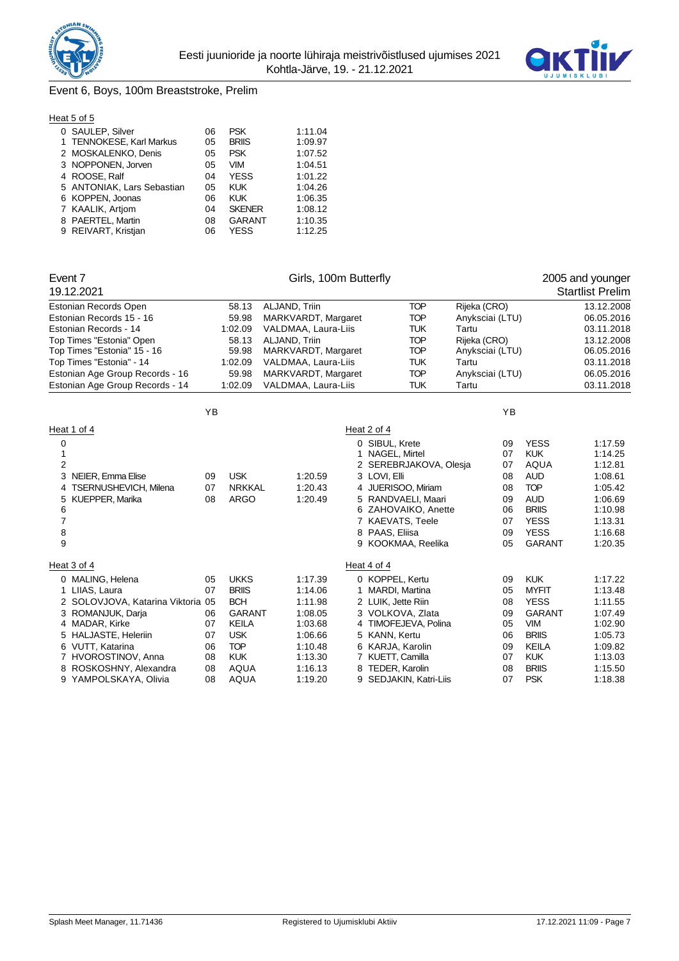



# Event 6, Boys, 100m Breaststroke, Prelim

|--|

| 0 SAULEP, Silver           | 06 | <b>PSK</b>    | 1:11.04 |
|----------------------------|----|---------------|---------|
| 1 TENNOKESE, Karl Markus   | 05 | <b>BRIIS</b>  | 1:09.97 |
| 2 MOSKALENKO, Denis        | 05 | <b>PSK</b>    | 1:07.52 |
| 3 NOPPONEN, Jorven         | 05 | <b>VIM</b>    | 1:04.51 |
| 4 ROOSE, Ralf              | 04 | <b>YESS</b>   | 1:01.22 |
| 5 ANTONIAK, Lars Sebastian | 05 | <b>KUK</b>    | 1:04.26 |
| 6 KOPPEN, Joonas           | 06 | <b>KUK</b>    | 1:06.35 |
| 7 KAALIK, Artiom           | 04 | <b>SKENER</b> | 1:08.12 |
| 8 PAERTEL, Martin          | 08 | <b>GARANT</b> | 1:10.35 |
| 9 REIVART, Kristjan        | 06 | <b>YESS</b>   | 1:12.25 |
|                            |    |               |         |

| Event 7                           |    |               |               | Girls, 100m Butterfly |                    |                        |                 |    |               | 2005 and younger        |
|-----------------------------------|----|---------------|---------------|-----------------------|--------------------|------------------------|-----------------|----|---------------|-------------------------|
| 19.12.2021                        |    |               |               |                       |                    |                        |                 |    |               | <b>Startlist Prelim</b> |
| Estonian Records Open             |    | 58.13         | ALJAND, Triin |                       |                    | <b>TOP</b>             | Rijeka (CRO)    |    |               | 13.12.2008              |
| Estonian Records 15 - 16          |    | 59.98         |               | MARKVARDT, Margaret   |                    | <b>TOP</b>             | Anyksciai (LTU) |    |               | 06.05.2016              |
| Estonian Records - 14             |    | 1:02.09       |               | VALDMAA, Laura-Liis   |                    | <b>TUK</b>             | Tartu           |    |               | 03.11.2018              |
| Top Times "Estonia" Open          |    | 58.13         | ALJAND, Triin |                       |                    | <b>TOP</b>             | Rijeka (CRO)    |    |               | 13.12.2008              |
| Top Times "Estonia" 15 - 16       |    | 59.98         |               | MARKVARDT, Margaret   |                    | <b>TOP</b>             | Anyksciai (LTU) |    |               | 06.05.2016              |
| Top Times "Estonia" - 14          |    | 1:02.09       |               | VALDMAA, Laura-Liis   |                    | <b>TUK</b>             | Tartu           |    |               | 03.11.2018              |
| Estonian Age Group Records - 16   |    | 59.98         |               | MARKVARDT, Margaret   |                    | <b>TOP</b>             | Anyksciai (LTU) |    |               | 06.05.2016              |
| Estonian Age Group Records - 14   |    | 1:02.09       |               | VALDMAA, Laura-Liis   |                    | <b>TUK</b>             | Tartu           |    |               | 03.11.2018              |
|                                   | YB |               |               |                       |                    |                        |                 | YB |               |                         |
| Heat 1 of 4                       |    |               |               |                       | Heat 2 of 4        |                        |                 |    |               |                         |
| 0                                 |    |               |               |                       | 0 SIBUL, Krete     |                        |                 | 09 | <b>YESS</b>   | 1:17.59                 |
| 1                                 |    |               |               |                       | 1 NAGEL, Mirtel    |                        |                 | 07 | <b>KUK</b>    | 1:14.25                 |
| $\overline{2}$                    |    |               |               |                       |                    | 2 SEREBRJAKOVA, Olesja |                 | 07 | <b>AQUA</b>   | 1:12.81                 |
| 3 NEIER, Emma Elise               | 09 | <b>USK</b>    |               | 1:20.59               | 3 LOVI, Elli       |                        |                 | 08 | <b>AUD</b>    | 1:08.61                 |
| <b>TSERNUSHEVICH, Milena</b><br>4 | 07 | <b>NRKKAL</b> |               | 1:20.43               |                    | 4 JUERISOO, Miriam     |                 | 08 | <b>TOP</b>    | 1:05.42                 |
| KUEPPER, Marika<br>5              | 08 | <b>ARGO</b>   |               | 1:20.49               |                    | 5 RANDVAELI, Maari     |                 | 09 | <b>AUD</b>    | 1:06.69                 |
| 6                                 |    |               |               |                       |                    | 6 ZAHOVAIKO, Anette    |                 | 06 | <b>BRIIS</b>  | 1:10.98                 |
| $\overline{7}$                    |    |               |               |                       | 7 KAEVATS, Teele   |                        |                 | 07 | <b>YESS</b>   | 1:13.31                 |
| 8                                 |    |               |               |                       | 8 PAAS, Eliisa     |                        |                 | 09 | <b>YESS</b>   | 1:16.68                 |
| 9                                 |    |               |               |                       |                    | 9 KOOKMAA, Reelika     |                 | 05 | <b>GARANT</b> | 1:20.35                 |
| Heat 3 of 4                       |    |               |               |                       | Heat 4 of 4        |                        |                 |    |               |                         |
| 0 MALING, Helena                  | 05 | <b>UKKS</b>   |               | 1:17.39               | 0 KOPPEL, Kertu    |                        |                 | 09 | <b>KUK</b>    | 1:17.22                 |
| 1 LIIAS, Laura                    | 07 | <b>BRIIS</b>  |               | 1:14.06               | 1 MARDI, Martina   |                        |                 | 05 | <b>MYFIT</b>  | 1:13.48                 |
| 2 SOLOVJOVA, Katarina Viktoria 05 |    | <b>BCH</b>    |               | 1:11.98               | 2 LUIK, Jette Riin |                        |                 | 08 | <b>YESS</b>   | 1:11.55                 |
| 3 ROMANJUK, Darja                 | 06 | <b>GARANT</b> |               | 1:08.05               | 3 VOLKOVA, Zlata   |                        |                 | 09 | <b>GARANT</b> | 1:07.49                 |
| 4 MADAR, Kirke                    | 07 | <b>KEILA</b>  |               | 1:03.68               |                    | 4 TIMOFEJEVA, Polina   |                 | 05 | <b>VIM</b>    | 1:02.90                 |
| 5 HALJASTE, Heleriin              | 07 | <b>USK</b>    |               | 1:06.66               | 5 KANN, Kertu      |                        |                 | 06 | <b>BRIIS</b>  | 1:05.73                 |
| 6 VUTT, Katarina                  | 06 | <b>TOP</b>    |               | 1:10.48               | 6 KARJA, Karolin   |                        |                 | 09 | <b>KEILA</b>  | 1:09.82                 |
| 7 HVOROSTINOV, Anna               | 08 | <b>KUK</b>    |               | 1:13.30               | 7 KUETT, Camilla   |                        |                 | 07 | <b>KUK</b>    | 1:13.03                 |
| 8 ROSKOSHNY, Alexandra            | 08 | <b>AQUA</b>   |               | 1:16.13               | 8 TEDER, Karolin   |                        |                 | 08 | <b>BRIIS</b>  | 1:15.50                 |
| 9 YAMPOLSKAYA, Olivia             | 08 | <b>AQUA</b>   |               | 1:19.20               |                    | 9 SEDJAKIN, Katri-Liis |                 | 07 | <b>PSK</b>    | 1:18.38                 |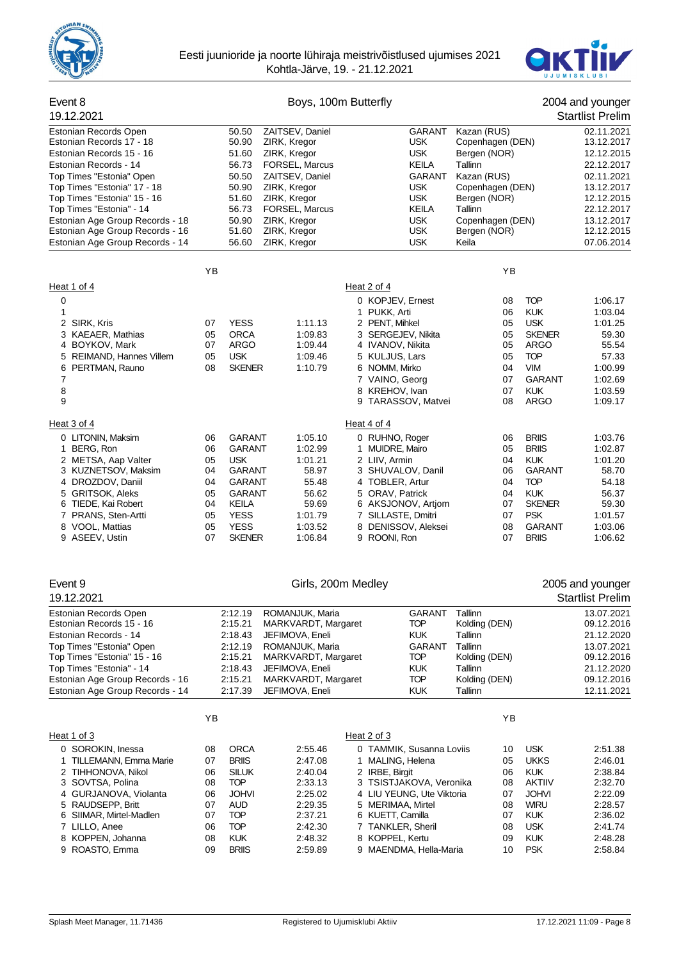



| Event 8<br>19.12.2021                                                                                                                                                                                                                                           |                                                          |                                                                                                                                    | Boys, 100m Butterfly                                                                                                                                             |                                                                                                                                                                                                  |                                                                                                                                              |                                                                                                                                                  | 2004 and younger<br><b>Startlist Prelim</b>                                                                                |
|-----------------------------------------------------------------------------------------------------------------------------------------------------------------------------------------------------------------------------------------------------------------|----------------------------------------------------------|------------------------------------------------------------------------------------------------------------------------------------|------------------------------------------------------------------------------------------------------------------------------------------------------------------|--------------------------------------------------------------------------------------------------------------------------------------------------------------------------------------------------|----------------------------------------------------------------------------------------------------------------------------------------------|--------------------------------------------------------------------------------------------------------------------------------------------------|----------------------------------------------------------------------------------------------------------------------------|
| Estonian Records Open<br>Estonian Records 17 - 18<br>Estonian Records 15 - 16<br>Estonian Records - 14<br>Top Times "Estonia" Open<br>Top Times "Estonia" 17 - 18<br>Top Times "Estonia" 15 - 16<br>Top Times "Estonia" - 14<br>Estonian Age Group Records - 18 |                                                          | 50.50<br>50.90<br>51.60<br>56.73<br>50.50<br>50.90<br>51.60<br>56.73<br>50.90                                                      | ZAITSEV, Daniel<br>ZIRK, Kregor<br>ZIRK, Kregor<br>FORSEL, Marcus<br>ZAITSEV, Daniel<br>ZIRK, Kregor<br>ZIRK, Kregor<br>FORSEL, Marcus<br>ZIRK, Kregor           | GARANT<br><b>USK</b><br><b>USK</b><br><b>KEILA</b><br><b>GARANT</b><br><b>USK</b><br><b>USK</b><br><b>KEILA</b><br><b>USK</b>                                                                    | Kazan (RUS)<br>Copenhagen (DEN)<br>Bergen (NOR)<br>Tallinn<br>Kazan (RUS)<br>Copenhagen (DEN)<br>Bergen (NOR)<br>Tallinn<br>Copenhagen (DEN) |                                                                                                                                                  | 02.11.2021<br>13.12.2017<br>12.12.2015<br>22.12.2017<br>02.11.2021<br>13.12.2017<br>12.12.2015<br>22.12.2017<br>13.12.2017 |
| Estonian Age Group Records - 16<br>Estonian Age Group Records - 14                                                                                                                                                                                              |                                                          | 51.60<br>56.60                                                                                                                     | ZIRK, Kregor<br>ZIRK, Kregor                                                                                                                                     | <b>USK</b><br><b>USK</b>                                                                                                                                                                         | Bergen (NOR)<br>Keila                                                                                                                        |                                                                                                                                                  | 12.12.2015<br>07.06.2014                                                                                                   |
|                                                                                                                                                                                                                                                                 | YB                                                       |                                                                                                                                    |                                                                                                                                                                  |                                                                                                                                                                                                  | YB                                                                                                                                           |                                                                                                                                                  |                                                                                                                            |
| Heat 1 of 4                                                                                                                                                                                                                                                     |                                                          |                                                                                                                                    |                                                                                                                                                                  | Heat 2 of 4                                                                                                                                                                                      |                                                                                                                                              |                                                                                                                                                  |                                                                                                                            |
| 0<br>1                                                                                                                                                                                                                                                          |                                                          |                                                                                                                                    |                                                                                                                                                                  | 0 KOPJEV, Ernest<br>1 PUKK, Arti                                                                                                                                                                 | 08<br>06                                                                                                                                     | <b>TOP</b><br><b>KUK</b>                                                                                                                         | 1:06.17<br>1:03.04                                                                                                         |
| 2 SIRK, Kris<br>3 KAEAER, Mathias<br>4 BOYKOV, Mark                                                                                                                                                                                                             | 07<br>05<br>07                                           | <b>YESS</b><br><b>ORCA</b><br>ARGO                                                                                                 | 1:11.13<br>1:09.83<br>1:09.44                                                                                                                                    | 2 PENT, Mihkel<br>3 SERGEJEV, Nikita<br>4 IVANOV, Nikita                                                                                                                                         | 05<br>05<br>05                                                                                                                               | <b>USK</b><br><b>SKENER</b><br><b>ARGO</b>                                                                                                       | 1:01.25<br>59.30<br>55.54                                                                                                  |
| 5 REIMAND, Hannes Villem<br>6 PERTMAN, Rauno<br>7                                                                                                                                                                                                               | 05<br>08                                                 | <b>USK</b><br><b>SKENER</b>                                                                                                        | 1:09.46<br>1:10.79                                                                                                                                               | 5 KULJUS, Lars<br>6 NOMM, Mirko<br>7 VAINO, Georg                                                                                                                                                | 05<br>04<br>07                                                                                                                               | <b>TOP</b><br><b>VIM</b><br><b>GARANT</b>                                                                                                        | 57.33<br>1:00.99<br>1:02.69                                                                                                |
| 8<br>9                                                                                                                                                                                                                                                          |                                                          |                                                                                                                                    |                                                                                                                                                                  | 8 KREHOV, Ivan<br>9 TARASSOV, Matvei                                                                                                                                                             | 07<br>08                                                                                                                                     | <b>KUK</b><br><b>ARGO</b>                                                                                                                        | 1:03.59<br>1:09.17                                                                                                         |
| Heat 3 of 4                                                                                                                                                                                                                                                     |                                                          |                                                                                                                                    |                                                                                                                                                                  | Heat 4 of 4                                                                                                                                                                                      |                                                                                                                                              |                                                                                                                                                  |                                                                                                                            |
| 0 LITONIN, Maksim<br>1 BERG, Ron<br>2 METSA, Aap Valter<br>3 KUZNETSOV, Maksim<br>4 DROZDOV, Daniil<br>5 GRITSOK, Aleks<br>6 TIEDE, Kai Robert<br>7 PRANS, Sten-Artti<br>8 VOOL, Mattias<br>9 ASEEV, Ustin                                                      | 06<br>06<br>05<br>04<br>04<br>05<br>04<br>05<br>05<br>07 | GARANT<br><b>GARANT</b><br><b>USK</b><br>GARANT<br>GARANT<br><b>GARANT</b><br>KEILA<br><b>YESS</b><br><b>YESS</b><br><b>SKENER</b> | 1:05.10<br>1:02.99<br>1:01.21<br>58.97<br>55.48<br>56.62<br>59.69<br>1:01.79<br>1:03.52<br>1:06.84                                                               | 0 RUHNO, Roger<br>1 MUIDRE, Mairo<br>2 LIIV, Armin<br>3 SHUVALOV, Danil<br>4 TOBLER, Artur<br>5 ORAV, Patrick<br>6 AKSJONOV, Artjom<br>7 SILLASTE, Dmitri<br>8 DENISSOV, Aleksei<br>9 ROONI, Ron | 06<br>05<br>04<br>06<br>04<br>04<br>07<br>07<br>08<br>07                                                                                     | <b>BRIIS</b><br><b>BRIIS</b><br><b>KUK</b><br>GARANT<br><b>TOP</b><br><b>KUK</b><br><b>SKENER</b><br><b>PSK</b><br><b>GARANT</b><br><b>BRIIS</b> | 1:03.76<br>1:02.87<br>1:01.20<br>58.70<br>54.18<br>56.37<br>59.30<br>1:01.57<br>1:03.06<br>1:06.62                         |
| Event 9<br>19.12.2021                                                                                                                                                                                                                                           |                                                          |                                                                                                                                    | Girls, 200m Medley                                                                                                                                               |                                                                                                                                                                                                  |                                                                                                                                              |                                                                                                                                                  | 2005 and younger<br><b>Startlist Prelim</b>                                                                                |
| Estonian Records Open<br>Estonian Records 15 - 16<br>Estonian Records - 14<br>Top Times "Estonia" Open<br>Top Times "Estonia" 15 - 16<br>Top Times "Estonia" - 14<br>Estonian Age Group Records - 16<br>Estonian Age Group Records - 14                         |                                                          | 2:12.19<br>2:15.21<br>2:18.43<br>2:12.19<br>2:15.21<br>2:18.43<br>2:15.21<br>2:17.39                                               | ROMANJUK, Maria<br>MARKVARDT, Margaret<br>JEFIMOVA, Eneli<br>ROMANJUK, Maria<br>MARKVARDT, Margaret<br>JEFIMOVA, Eneli<br>MARKVARDT, Margaret<br>JEFIMOVA, Eneli | <b>GARANT</b><br><b>TOP</b><br><b>KUK</b><br><b>GARANT</b><br><b>TOP</b><br><b>KUK</b><br><b>TOP</b><br><b>KUK</b>                                                                               | Tallinn<br>Kolding (DEN)<br>Tallinn<br>Tallinn<br>Kolding (DEN)<br>Tallinn<br>Kolding (DEN)<br>Tallinn                                       |                                                                                                                                                  | 13.07.2021<br>09.12.2016<br>21.12.2020<br>13.07.2021<br>09.12.2016<br>21.12.2020<br>09.12.2016<br>12.11.2021               |

|                         | YB |              |         |                           | YB |               |         |
|-------------------------|----|--------------|---------|---------------------------|----|---------------|---------|
| Heat 1 of 3             |    |              |         | Heat 2 of 3               |    |               |         |
| 0 SOROKIN, Inessa       | 08 | <b>ORCA</b>  | 2:55.46 | 0 TAMMIK, Susanna Loviis  | 10 | <b>USK</b>    | 2:51.38 |
| 1 TILLEMANN, Emma Marie | 07 | <b>BRIIS</b> | 2:47.08 | 1 MALING, Helena          | 05 | <b>UKKS</b>   | 2:46.01 |
| 2 TIHHONOVA, Nikol      | 06 | <b>SILUK</b> | 2:40.04 | 2 IRBE, Birgit            | 06 | <b>KUK</b>    | 2:38.84 |
| 3 SOVTSA, Polina        | 08 | TOP          | 2:33.13 | 3 TSISTJAKOVA, Veronika   | 08 | <b>AKTIIV</b> | 2:32.70 |
| 4 GURJANOVA, Violanta   | 06 | <b>JOHVI</b> | 2:25.02 | 4 LIU YEUNG, Ute Viktoria | 07 | <b>JOHVI</b>  | 2:22.09 |
| 5 RAUDSEPP. Britt       | 07 | <b>AUD</b>   | 2:29.35 | 5 MERIMAA, Mirtel         | 08 | <b>WIRU</b>   | 2:28.57 |
| 6 SIIMAR, Mirtel-Madlen | 07 | <b>TOP</b>   | 2:37.21 | 6 KUETT, Camilla          | 07 | <b>KUK</b>    | 2:36.02 |
| 7 LILLO, Anee           | 06 | TOP          | 2:42.30 | 7 TANKLER, Sheril         | 08 | <b>USK</b>    | 2:41.74 |
| 8 KOPPEN, Johanna       | 08 | <b>KUK</b>   | 2:48.32 | 8 KOPPEL, Kertu           | 09 | <b>KUK</b>    | 2:48.28 |
| 9 ROASTO, Emma          | 09 | <b>BRIIS</b> | 2:59.89 | 9 MAENDMA, Hella-Maria    | 10 | <b>PSK</b>    | 2:58.84 |
|                         |    |              |         |                           |    |               |         |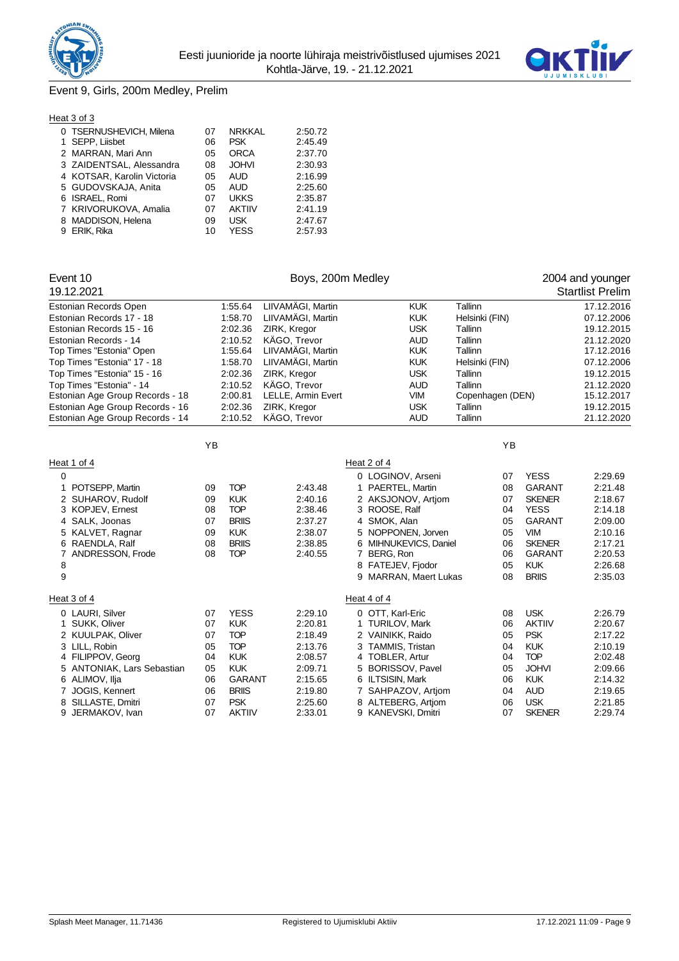



# Event 9, Girls, 200m Medley, Prelim

| Heat 3 of 3                |    |               |         |
|----------------------------|----|---------------|---------|
| 0 TSERNUSHEVICH, Milena    | 07 | <b>NRKKAL</b> | 2:50.72 |
| 1 SEPP, Liisbet            | 06 | <b>PSK</b>    | 2:45.49 |
| 2 MARRAN, Mari Ann         | 05 | <b>ORCA</b>   | 2:37.70 |
| 3 ZAIDENTSAL, Alessandra   | 08 | <b>JOHVI</b>  | 2:30.93 |
| 4 KOTSAR, Karolin Victoria | 05 | AUD           | 2:16.99 |
| 5 GUDOVSKAJA, Anita        | 05 | <b>AUD</b>    | 2:25.60 |
| 6 ISRAEL, Romi             | 07 | <b>UKKS</b>   | 2:35.87 |
| 7 KRIVORUKOVA, Amalia      | 07 | <b>AKTIIV</b> | 2:41.19 |
| 8 MADDISON, Helena         | 09 | <b>USK</b>    | 2:47.67 |
| 9 ERIK, Rika               | 10 | YESS          | 2:57.93 |

| Event 10                        | Boys, 200m Medley |               |                    |  |   |                        |                  |    |               | 2004 and younger        |
|---------------------------------|-------------------|---------------|--------------------|--|---|------------------------|------------------|----|---------------|-------------------------|
| 19.12.2021                      |                   |               |                    |  |   |                        |                  |    |               | <b>Startlist Prelim</b> |
| Estonian Records Open           |                   | 1:55.64       | LIIVAMÄGI, Martin  |  |   | <b>KUK</b>             | Tallinn          |    |               | 17.12.2016              |
| Estonian Records 17 - 18        |                   | 1:58.70       | LIIVAMÄGI, Martin  |  |   | <b>KUK</b>             | Helsinki (FIN)   |    |               | 07.12.2006              |
| Estonian Records 15 - 16        |                   | 2:02.36       | ZIRK, Kregor       |  |   | <b>USK</b>             | Tallinn          |    |               | 19.12.2015              |
| Estonian Records - 14           |                   | 2:10.52       | KÄGO, Trevor       |  |   | <b>AUD</b>             | Tallinn          |    |               | 21.12.2020              |
| Top Times "Estonia" Open        |                   | 1:55.64       | LIIVAMÄGI, Martin  |  |   | <b>KUK</b>             | Tallinn          |    |               | 17.12.2016              |
| Top Times "Estonia" 17 - 18     |                   | 1:58.70       | LIIVAMÄGI, Martin  |  |   | <b>KUK</b>             | Helsinki (FIN)   |    |               | 07.12.2006              |
| Top Times "Estonia" 15 - 16     |                   | 2:02.36       | ZIRK, Kregor       |  |   | <b>USK</b>             | Tallinn          |    |               | 19.12.2015              |
| Top Times "Estonia" - 14        |                   | 2:10.52       | KÄGO, Trevor       |  |   | <b>AUD</b>             | Tallinn          |    |               | 21.12.2020              |
| Estonian Age Group Records - 18 |                   | 2:00.81       | LELLE, Armin Evert |  |   | <b>VIM</b>             | Copenhagen (DEN) |    |               | 15.12.2017              |
| Estonian Age Group Records - 16 |                   | 2:02.36       | ZIRK, Kregor       |  |   | <b>USK</b>             | Tallinn          |    |               | 19.12.2015              |
| Estonian Age Group Records - 14 |                   | 2:10.52       | KÄGO, Trevor       |  |   | <b>AUD</b>             | Tallinn          |    |               | 21.12.2020              |
|                                 | YB                |               |                    |  |   |                        |                  | YB |               |                         |
| Heat 1 of 4                     |                   |               |                    |  |   | Heat 2 of 4            |                  |    |               |                         |
| 0                               |                   |               |                    |  |   | 0 LOGINOV, Arseni      |                  | 07 | <b>YESS</b>   | 2:29.69                 |
| POTSEPP, Martin                 | 09                | <b>TOP</b>    | 2:43.48            |  |   | 1 PAERTEL, Martin      |                  | 08 | <b>GARANT</b> | 2:21.48                 |
| 2 SUHAROV, Rudolf               | 09                | <b>KUK</b>    | 2:40.16            |  |   | 2 AKSJONOV, Artjom     |                  | 07 | <b>SKENER</b> | 2:18.67                 |
| 3 KOPJEV, Ernest                | 08                | <b>TOP</b>    | 2:38.46            |  |   | 3 ROOSE, Ralf          |                  | 04 | <b>YESS</b>   | 2:14.18                 |
| 4 SALK, Joonas                  | 07                | <b>BRIIS</b>  | 2:37.27            |  |   | 4 SMOK, Alan           |                  | 05 | <b>GARANT</b> | 2:09.00                 |
| 5 KALVET, Ragnar                | 09                | <b>KUK</b>    | 2:38.07            |  |   | 5 NOPPONEN, Jorven     |                  | 05 | <b>VIM</b>    | 2:10.16                 |
| 6 RAENDLA, Ralf                 | 08                | <b>BRIIS</b>  | 2:38.85            |  |   | 6 MIHNUKEVICS, Daniel  |                  | 06 | <b>SKENER</b> | 2:17.21                 |
| ANDRESSON, Frode<br>7           | 08                | <b>TOP</b>    | 2:40.55            |  |   | 7 BERG, Ron            |                  | 06 | <b>GARANT</b> | 2:20.53                 |
| 8                               |                   |               |                    |  |   | 8 FATEJEV, Fjodor      |                  | 05 | <b>KUK</b>    | 2:26.68                 |
| 9                               |                   |               |                    |  |   | 9 MARRAN, Maert Lukas  |                  | 08 | <b>BRIIS</b>  | 2:35.03                 |
| Heat 3 of 4                     |                   |               |                    |  |   | Heat 4 of 4            |                  |    |               |                         |
| 0 LAURI, Silver                 | 07                | <b>YESS</b>   | 2:29.10            |  |   | 0 OTT, Karl-Eric       |                  | 08 | <b>USK</b>    | 2:26.79                 |
| 1 SUKK, Oliver                  | 07                | <b>KUK</b>    | 2:20.81            |  |   | 1 TURILOV, Mark        |                  | 06 | <b>AKTIIV</b> | 2:20.67                 |
| 2 KUULPAK, Oliver               | 07                | <b>TOP</b>    | 2:18.49            |  |   | 2 VAINIKK, Raido       |                  | 05 | <b>PSK</b>    | 2:17.22                 |
| 3 LILL, Robin                   | 05                | <b>TOP</b>    | 2:13.76            |  |   | 3 TAMMIS, Tristan      |                  | 04 | <b>KUK</b>    | 2:10.19                 |
| 4 FILIPPOV, Georg               | 04                | <b>KUK</b>    | 2:08.57            |  |   | 4 TOBLER, Artur        |                  | 04 | <b>TOP</b>    | 2:02.48                 |
| 5 ANTONIAK, Lars Sebastian      | 05                | <b>KUK</b>    | 2:09.71            |  | 5 | <b>BORISSOV, Pavel</b> |                  | 05 | <b>JOHVI</b>  | 2:09.66                 |
| 6 ALIMOV, Ilja                  | 06                | <b>GARANT</b> | 2:15.65            |  |   | 6 ILTSISIN, Mark       |                  | 06 | <b>KUK</b>    | 2:14.32                 |
| 7 JOGIS, Kennert                | 06                | <b>BRIIS</b>  | 2:19.80            |  |   | 7 SAHPAZOV, Artjom     |                  | 04 | <b>AUD</b>    | 2:19.65                 |
| SILLASTE, Dmitri<br>8           | 07                | <b>PSK</b>    | 2:25.60            |  |   | 8 ALTEBERG, Artjom     |                  | 06 | <b>USK</b>    | 2:21.85                 |
| 9<br>JERMAKOV, Ivan             | 07                | <b>AKTIIV</b> | 2:33.01            |  |   | 9 KANEVSKI, Dmitri     |                  | 07 | <b>SKENER</b> | 2:29.74                 |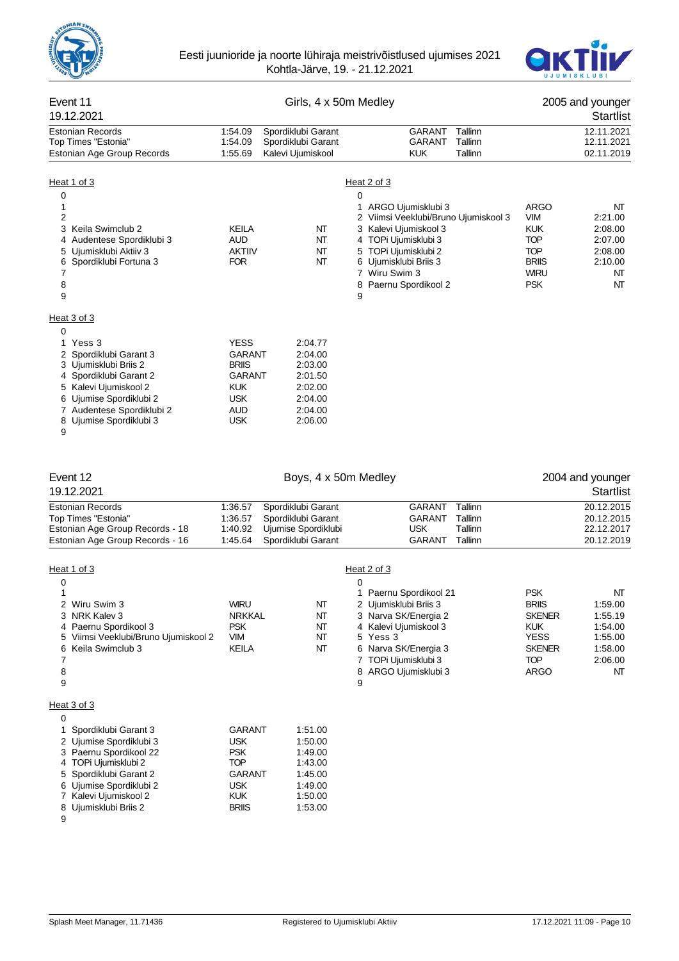



## Event 11 Girls, 4 x 50m Medley 2005 and younger 19.12.2021 Startlist Estonian Records 1:54.09 Spordiklubi Garant GARANT Tallinn 12.11.2021 Top Times "Estonia" Estonian Age Group Records 1:55.69 Kalevi Ujumiskool KUK Tallinn 02.11.2019 Heat 1 of 3 Heat 2 of 3  $\overline{0}$ 1 1 ARGO Ujumisklubi 3 ARGO NT Viimsi Veeklubi/Bruno Ujumiskool 3 3 Keila Swimclub 2 KEILA NT 3 Kalevi Ujumiskool 3 KUK 2:08.00 4 Audentese Spordiklubi 3 AUD 1 MT 4 TOPi Ujumisklubi 3 TOP 2:07.00<br>1 AKTIIV 1 TOP 1 2:08.00 5 Ujumisklubi Aktiiv 3 AKTIIV NT 5 TOPi Ujumisklubi 2 TOP 2:08.00 6 Spordiklubi Fortuna 3 FOR NT 6 Ujumisklubi Briis 3 BRIIS 2:10.00 7 7 Wiru Swim 3 WIRU NT 8 8 Paernu Spordikool 2 PSK PSK NT 9 9 Heat 3 of 3  $\Omega$ 1 Yess 3 YESS 2:04.77 2 Spordiklubi Garant 3 GARANT 2:04.00 3 Ujumisklubi Briis 2 BRIIS 2:03.00 4 Spordiklubi Garant 2 GARANT 2:01.50 5 Kalevi Ujumiskool 2 KUK 2:02.00 6 Ujumise Spordiklubi 2 USK 2:04.00 7 Audentese Spordiklubi 2 AUD 2:04.00 8 Ujumise Spordiklubi 3 9 Event 12 **Exercise 2004** and younger **Boys, 4 x 50m Medley 2004** and younger 19.12.2021 Startlist Estonian Records 1:36.57 Spordiklubi Garant GARANT Tallinn 20.12.2015 Top Times "Estonia" 1:36.57 Spordiklubi Garant GARANT Tallinn 20.12.2015 Estonian Age Group Records - 18 1:40.92 Ujumise Spordiklubi VSK Tallinn USK Tallinn 22.12.12.12.12.12.12.12.12<br>Estonian Age Group Records - 16 1:45.64 Spordiklubi Garant CARANT Tallinn Estonian Age Group Records - 16 1:45.64 Spordiklubi Garant GARANT Tallinn 20.12.2019 Heat 1 of 3 Heat 2 of 3  $\overline{0}$ 1 1 Paernu Spordikool 21 PSK NT<br>2 Minu Suim 3 NT 1 And 1 Paernu Spordikool 21 PSK NT

|    | Wiru Swim 3                        | WIRU          | NΤ      | 2 Ujumisklubi Briis 3 | <b>BRIIS</b>  | 1:59.00 |
|----|------------------------------------|---------------|---------|-----------------------|---------------|---------|
| 3. | NRK Kalev 3                        | <b>NRKKAL</b> | NΤ      | 3 Narva SK/Energia 2  | <b>SKENER</b> | 1:55.19 |
|    | 4 Paernu Spordikool 3              | <b>PSK</b>    | NΤ      | 4 Kalevi Ujumiskool 3 | <b>KUK</b>    | 1:54.00 |
| 5. | Viimsi Veeklubi/Bruno Ujumiskool 2 | <b>VIM</b>    | NΤ      | 5 Yess 3              | <b>YESS</b>   | 1:55.00 |
| 6  | Keila Swimclub 3                   | KEILA         | NΤ      | 6 Narva SK/Energia 3  | <b>SKENER</b> | 1:58.00 |
|    |                                    |               |         | 7 TOPi Ujumisklubi 3  | <b>TOP</b>    | 2:06.00 |
| 8  |                                    |               |         | 8 ARGO Ujumisklubi 3  | ARGO          | NΤ      |
| 9  |                                    |               |         | 9                     |               |         |
|    |                                    |               |         |                       |               |         |
|    | Heat 3 of 3                        |               |         |                       |               |         |
| 0  |                                    |               |         |                       |               |         |
|    | Spordiklubi Garant 3               | <b>GARANT</b> | 1:51.00 |                       |               |         |
|    | 2 Ujumise Spordiklubi 3            | <b>USK</b>    | 1:50.00 |                       |               |         |
|    | 3 Paernu Spordikool 22             | <b>PSK</b>    | 1:49.00 |                       |               |         |
|    | 4 TOPi Ujumisklubi 2               | <b>TOP</b>    | 1:43.00 |                       |               |         |
|    | 5 Spordiklubi Garant 2             | <b>GARANT</b> | 1:45.00 |                       |               |         |
|    | 6 Ujumise Spordiklubi 2            | <b>USK</b>    | 1:49.00 |                       |               |         |
|    | Kalevi Ujumiskool 2                | KUK.          | 1:50.00 |                       |               |         |
| 8. | Ujumisklubi Briis 2                | <b>BRIIS</b>  | 1:53.00 |                       |               |         |
| 9  |                                    |               |         |                       |               |         |
|    |                                    |               |         |                       |               |         |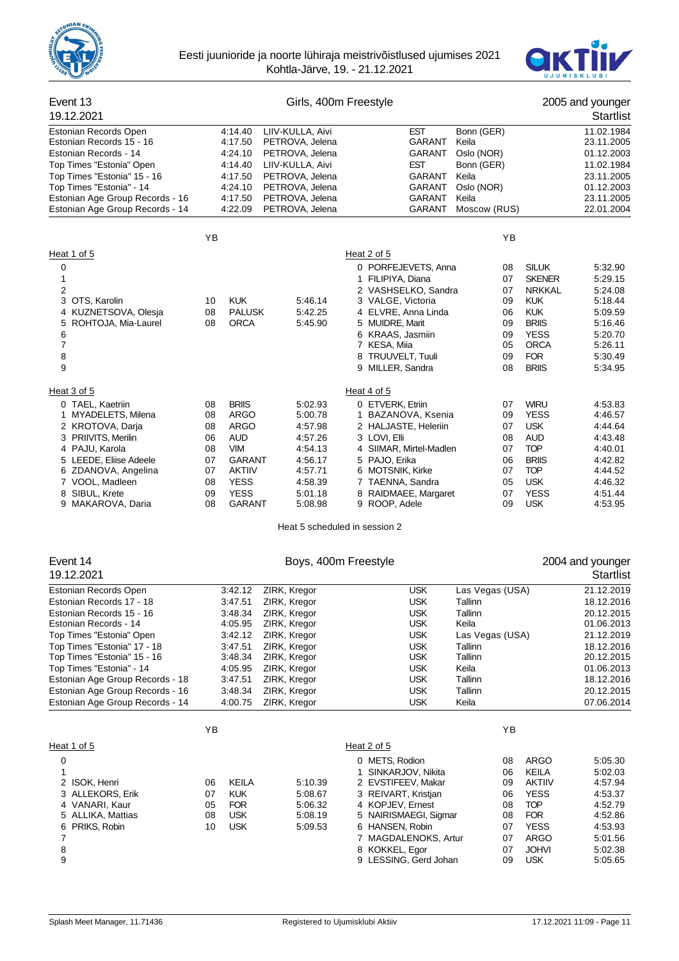



| Event 13<br>19.12.2021                                                                                                                                                                                                                                                                                                                |                                                          |                                                                                                                       |                                                                                                                                                                              | Girls, 400m Freestyle                                                                                                                                                                                                      |                                                                                                                                                        |                                                                                                                                 |                                                          |                                                                                                                                                        | 2005 and younger<br><b>Startlist</b>                                                                                                                   |
|---------------------------------------------------------------------------------------------------------------------------------------------------------------------------------------------------------------------------------------------------------------------------------------------------------------------------------------|----------------------------------------------------------|-----------------------------------------------------------------------------------------------------------------------|------------------------------------------------------------------------------------------------------------------------------------------------------------------------------|----------------------------------------------------------------------------------------------------------------------------------------------------------------------------------------------------------------------------|--------------------------------------------------------------------------------------------------------------------------------------------------------|---------------------------------------------------------------------------------------------------------------------------------|----------------------------------------------------------|--------------------------------------------------------------------------------------------------------------------------------------------------------|--------------------------------------------------------------------------------------------------------------------------------------------------------|
| Estonian Records Open<br>Estonian Records 15 - 16<br>Estonian Records - 14<br>Top Times "Estonia" Open<br>Top Times "Estonia" 15 - 16<br>Top Times "Estonia" - 14<br>Estonian Age Group Records - 16<br>Estonian Age Group Records - 14                                                                                               |                                                          | 4:14.40<br>4:17.50<br>4:24.10<br>4:14.40<br>4:17.50<br>4:24.10<br>4:17.50<br>4:22.09                                  | LIIV-KULLA, Aivi<br>PETROVA, Jelena<br>PETROVA, Jelena<br>LIIV-KULLA, Aivi<br>PETROVA, Jelena<br>PETROVA, Jelena<br>PETROVA, Jelena<br>PETROVA, Jelena                       |                                                                                                                                                                                                                            | <b>EST</b><br>GARANT<br>GARANT<br>EST<br>GARANT<br>GARANT<br>GARANT<br>GARANT                                                                          | Bonn (GER)<br>Keila<br>Oslo (NOR)<br>Bonn (GER)<br>Keila<br>Oslo (NOR)<br>Keila<br>Moscow (RUS)                                 |                                                          |                                                                                                                                                        | 11.02.1984<br>23.11.2005<br>01.12.2003<br>11.02.1984<br>23.11.2005<br>01.12.2003<br>23.11.2005<br>22.01.2004                                           |
|                                                                                                                                                                                                                                                                                                                                       | ΥB                                                       |                                                                                                                       |                                                                                                                                                                              |                                                                                                                                                                                                                            |                                                                                                                                                        |                                                                                                                                 | ΥB                                                       |                                                                                                                                                        |                                                                                                                                                        |
| Heat 1 of 5<br>0<br>1<br>2<br>3<br>OTS, Karolin<br>4 KUZNETSOVA, Olesja<br>ROHTOJA, Mia-Laurel<br>5<br>6<br>7<br>8<br>9                                                                                                                                                                                                               | 10<br>08<br>08                                           | <b>KUK</b><br><b>PALUSK</b><br><b>ORCA</b>                                                                            | 5:46.14<br>5:42.25<br>5:45.90                                                                                                                                                | Heat 2 of 5<br>0 PORFEJEVETS, Anna<br>1 FILIPIYA, Diana<br>2 VASHSELKO, Sandra<br>3 VALGE, Victoria<br>4 ELVRE, Anna Linda<br>5 MUIDRE, Marit<br>6 KRAAS, Jasmiin<br>7 KESA, Miia<br>8 TRUUVELT, Tuuli<br>9 MILLER, Sandra |                                                                                                                                                        |                                                                                                                                 | 08<br>07<br>07<br>09<br>06<br>09<br>09<br>05<br>09<br>08 | <b>SILUK</b><br><b>SKENER</b><br><b>NRKKAL</b><br><b>KUK</b><br><b>KUK</b><br><b>BRIIS</b><br><b>YESS</b><br><b>ORCA</b><br><b>FOR</b><br><b>BRIIS</b> | 5:32.90<br>5:29.15<br>5:24.08<br>5:18.44<br>5:09.59<br>5:16.46<br>5:20.70<br>5:26.11<br>5:30.49<br>5:34.95                                             |
| Heat 3 of 5<br>0 TAEL, Kaetriin<br>1 MYADELETS, Milena<br>2 KROTOVA, Darja<br>3 PRIIVITS, Merilin<br>4 PAJU, Karola<br>5 LEEDE, Eliise Adeele<br>6 ZDANOVA, Angelina<br>7 VOOL, Madleen<br>8 SIBUL, Krete                                                                                                                             | 08<br>08<br>08<br>06<br>08<br>07<br>07<br>08<br>09<br>08 | <b>BRIIS</b><br>ARGO<br>ARGO<br>AUD<br><b>VIM</b><br>GARANT<br><b>AKTIIV</b><br><b>YESS</b><br><b>YESS</b><br>GARANT  | 5:02.93<br>5:00.78<br>4:57.98<br>4:57.26<br>4:54.13<br>4:56.17<br>4:57.71<br>4:58.39<br>5:01.18<br>5:08.98                                                                   | Heat 4 of 5<br>0 ETVERK, Etriin<br>1 BAZANOVA, Ksenia<br>2 HALJASTE, Heleriin<br>3 LOVI, Elli<br>4 SIIMAR, Mirtel-Madlen<br>5 PAJO, Erika<br>6 MOTSNIK, Kirke<br>7 TAENNA, Sandra<br>8 RAIDMAEE, Margaret                  |                                                                                                                                                        |                                                                                                                                 | 07<br>09<br>07<br>08<br>07<br>06<br>07<br>05<br>07<br>09 | <b>WIRU</b><br><b>YESS</b><br><b>USK</b><br><b>AUD</b><br><b>TOP</b><br><b>BRIIS</b><br><b>TOP</b><br><b>USK</b><br><b>YESS</b><br><b>USK</b>          | 4:53.83<br>4:46.57<br>4:44.64<br>4:43.48<br>4:40.01<br>4:42.82<br>4:44.52<br>4:46.32<br>4:51.44<br>4:53.95                                             |
| 9 MAKAROVA, Daria                                                                                                                                                                                                                                                                                                                     |                                                          |                                                                                                                       |                                                                                                                                                                              | 9 ROOP, Adele<br>Heat 5 scheduled in session 2                                                                                                                                                                             |                                                                                                                                                        |                                                                                                                                 |                                                          |                                                                                                                                                        |                                                                                                                                                        |
| Event 14<br>19.12.2021                                                                                                                                                                                                                                                                                                                |                                                          |                                                                                                                       |                                                                                                                                                                              | Boys, 400m Freestyle                                                                                                                                                                                                       |                                                                                                                                                        |                                                                                                                                 |                                                          |                                                                                                                                                        | 2004 and younger<br><b>Startlist</b>                                                                                                                   |
| Estonian Records Open<br>Estonian Records 17 - 18<br>Estonian Records 15 - 16<br>Estonian Records - 14<br>Top Times "Estonia" Open<br>Top Times "Estonia" 17 - 18<br>Top Times "Estonia" 15 - 16<br>Top Times "Estonia" - 14<br>Estonian Age Group Records - 18<br>Estonian Age Group Records - 16<br>Estonian Age Group Records - 14 |                                                          | 3:42.12<br>3:47.51<br>3:48.34<br>4:05.95<br>3:42.12<br>3:47.51<br>3:48.34<br>4:05.95<br>3:47.51<br>3:48.34<br>4:00.75 | ZIRK, Kregor<br>ZIRK, Kregor<br>ZIRK, Kregor<br>ZIRK, Kregor<br>ZIRK, Kregor<br>ZIRK, Kregor<br>ZIRK, Kregor<br>ZIRK, Kregor<br>ZIRK, Kregor<br>ZIRK, Kregor<br>ZIRK, Kregor |                                                                                                                                                                                                                            | <b>USK</b><br><b>USK</b><br><b>USK</b><br><b>USK</b><br><b>USK</b><br><b>USK</b><br><b>USK</b><br><b>USK</b><br><b>USK</b><br><b>USK</b><br><b>USK</b> | Las Vegas (USA)<br>Tallinn<br>Tallinn<br>Keila<br>Las Vegas (USA)<br>Tallinn<br>Tallinn<br>Keila<br>Tallinn<br>Tallinn<br>Keila |                                                          |                                                                                                                                                        | 21.12.2019<br>18.12.2016<br>20.12.2015<br>01.06.2013<br>21.12.2019<br>18.12.2016<br>20.12.2015<br>01.06.2013<br>18.12.2016<br>20.12.2015<br>07.06.2014 |
|                                                                                                                                                                                                                                                                                                                                       | ΥB                                                       |                                                                                                                       |                                                                                                                                                                              |                                                                                                                                                                                                                            |                                                                                                                                                        |                                                                                                                                 | ΥB                                                       |                                                                                                                                                        |                                                                                                                                                        |
| Heat 1 of 5<br>0<br>1<br>2 ISOK, Henri<br>3 ALLEKORS, Erik<br>4 VANARI, Kaur<br>5 ALLIKA, Mattias                                                                                                                                                                                                                                     | 06<br>07<br>05<br>08                                     | <b>KEILA</b><br><b>KUK</b><br><b>FOR</b><br><b>USK</b>                                                                | 5:10.39<br>5:08.67<br>5:06.32<br>5:08.19                                                                                                                                     | Heat 2 of 5<br>0 METS, Rodion<br>1 SINKARJOV, Nikita<br>2 EVSTIFEEV, Makar<br>3 REIVART, Kristjan<br>4 KOPJEV, Ernest<br>5 NAIRISMAEGI, Sigmar                                                                             |                                                                                                                                                        |                                                                                                                                 | 08<br>06<br>09<br>06<br>08<br>08                         | <b>ARGO</b><br>KEILA<br><b>AKTIIV</b><br><b>YESS</b><br><b>TOP</b><br><b>FOR</b>                                                                       | 5:05.30<br>5:02.03<br>4:57.94<br>4:53.37<br>4:52.79<br>4:52.86                                                                                         |

 PRIKS, Robin 10 USK 5:09.53 6 HANSEN, Robin 07 YESS 4:53.93 7 MAGDALENOKS, Artur 07 ARGO 5:01.56 8 KOKKEL, Egor 07 JOHVI 5:02.38 9 LESSING, Gerd Johan 09 USK 5:05.65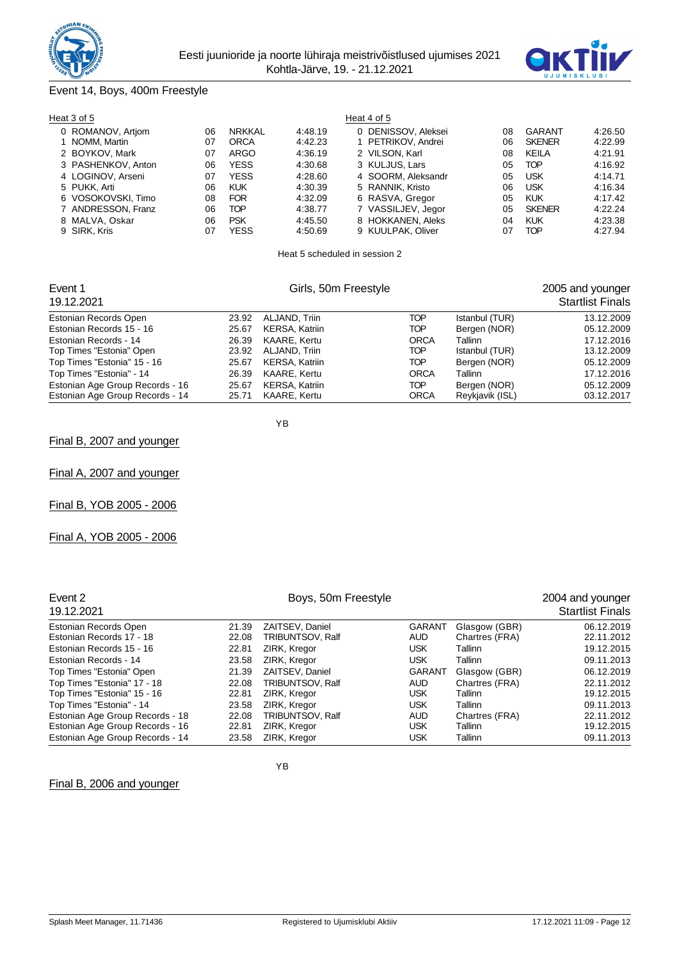



# Event 14, Boys, 400m Freestyle

| Heat 3 of 5        |    |               |         | Heat 4 of 5         |    |               |         |
|--------------------|----|---------------|---------|---------------------|----|---------------|---------|
| 0 ROMANOV, Artjom  | 06 | <b>NRKKAL</b> | 4:48.19 | 0 DENISSOV, Aleksei | 08 | GARANT        | 4:26.50 |
| 1 NOMM, Martin     | 07 | <b>ORCA</b>   | 4:42.23 | 1 PETRIKOV, Andrei  | 06 | <b>SKENER</b> | 4:22.99 |
| 2 BOYKOV, Mark     | 07 | <b>ARGO</b>   | 4:36.19 | 2 VILSON, Karl      | 08 | KEILA         | 4:21.91 |
| 3 PASHENKOV, Anton | 06 | <b>YESS</b>   | 4:30.68 | 3 KULJUS, Lars      | 05 | <b>TOP</b>    | 4:16.92 |
| 4 LOGINOV, Arseni  | 07 | <b>YESS</b>   | 4:28.60 | 4 SOORM, Aleksandr  | 05 | <b>USK</b>    | 4:14.71 |
| 5 PUKK, Arti       | 06 | <b>KUK</b>    | 4:30.39 | 5 RANNIK, Kristo    | 06 | <b>USK</b>    | 4:16.34 |
| 6 VOSOKOVSKI, Timo | 08 | <b>FOR</b>    | 4:32.09 | 6 RASVA, Gregor     | 05 | <b>KUK</b>    | 4:17.42 |
| 7 ANDRESSON, Franz | 06 | TOP           | 4:38.77 | 7 VASSILJEV, Jegor  | 05 | <b>SKENER</b> | 4:22.24 |
| 8 MALVA, Oskar     | 06 | <b>PSK</b>    | 4:45.50 | 8 HOKKANEN, Aleks   | 04 | <b>KUK</b>    | 4:23.38 |
| 9 SIRK, Kris       | 07 | YESS          | 4:50.69 | 9 KUULPAK, Oliver   | 07 | TOP           | 4:27.94 |
|                    |    |               |         |                     |    |               |         |

Heat 5 scheduled in session 2

| Event 1<br>19.12.2021                                              |                | Girls, 50m Freestyle           |                    |                                 | 2005 and younger<br><b>Startlist Finals</b> |
|--------------------------------------------------------------------|----------------|--------------------------------|--------------------|---------------------------------|---------------------------------------------|
| Estonian Records Open                                              | 23.92          | ALJAND, Triin                  | TOP                | Istanbul (TUR)                  | 13.12.2009                                  |
| Estonian Records 15 - 16                                           | 25.67          | KERSA, Katriin                 | TOP                | Bergen (NOR)                    | 05.12.2009                                  |
| Estonian Records - 14                                              | 26.39          | KAARE, Kertu                   | <b>ORCA</b>        | Tallinn                         | 17.12.2016                                  |
| Top Times "Estonia" Open                                           | 23.92          | ALJAND, Triin                  | TOP                | Istanbul (TUR)                  | 13.12.2009                                  |
| Top Times "Estonia" 15 - 16                                        | 25.67          | KERSA, Katriin                 | TOP                | Bergen (NOR)                    | 05.12.2009                                  |
| Top Times "Estonia" - 14                                           | 26.39          | KAARE, Kertu                   | <b>ORCA</b>        | Tallinn                         | 17.12.2016                                  |
| Estonian Age Group Records - 16<br>Estonian Age Group Records - 14 | 25.67<br>25.71 | KERSA, Katriin<br>KAARE, Kertu | TOP<br><b>ORCA</b> | Bergen (NOR)<br>Reykjavik (ISL) | 05.12.2009<br>03.12.2017                    |

YB

Final B, 2007 and younger

Final A, 2007 and younger

Final B, YOB 2005 - 2006

Final A, YOB 2005 - 2006

| Event 2<br>19.12.2021           |       | Boys, 50m Freestyle     |               |                | 2004 and younger<br><b>Startlist Finals</b> |
|---------------------------------|-------|-------------------------|---------------|----------------|---------------------------------------------|
| Estonian Records Open           | 21.39 | <b>ZAITSEV. Daniel</b>  | <b>GARANT</b> | Glasgow (GBR)  | 06.12.2019                                  |
| Estonian Records 17 - 18        | 22.08 | TRIBUNTSOV, Ralf        | AUD           | Chartres (FRA) | 22.11.2012                                  |
| Estonian Records 15 - 16        | 22.81 | ZIRK, Kregor            | <b>USK</b>    | Tallinn        | 19.12.2015                                  |
| Estonian Records - 14           | 23.58 | ZIRK, Kregor            | <b>USK</b>    | Tallinn        | 09.11.2013                                  |
| Top Times "Estonia" Open        | 21.39 | ZAITSEV, Daniel         | <b>GARANT</b> | Glasgow (GBR)  | 06.12.2019                                  |
| Top Times "Estonia" 17 - 18     | 22.08 | <b>TRIBUNTSOV, Ralf</b> | <b>AUD</b>    | Chartres (FRA) | 22.11.2012                                  |
| Top Times "Estonia" 15 - 16     | 22.81 | ZIRK, Kregor            | <b>USK</b>    | Tallinn        | 19.12.2015                                  |
| Top Times "Estonia" - 14        | 23.58 | ZIRK, Kregor            | <b>USK</b>    | Tallinn        | 09.11.2013                                  |
| Estonian Age Group Records - 18 | 22.08 | TRIBUNTSOV, Ralf        | <b>AUD</b>    | Chartres (FRA) | 22.11.2012                                  |
| Estonian Age Group Records - 16 | 22.81 | ZIRK, Kregor            | <b>USK</b>    | Tallinn        | 19.12.2015                                  |
| Estonian Age Group Records - 14 | 23.58 | ZIRK, Kregor            | <b>USK</b>    | Tallinn        | 09.11.2013                                  |

YB

Final B, 2006 and younger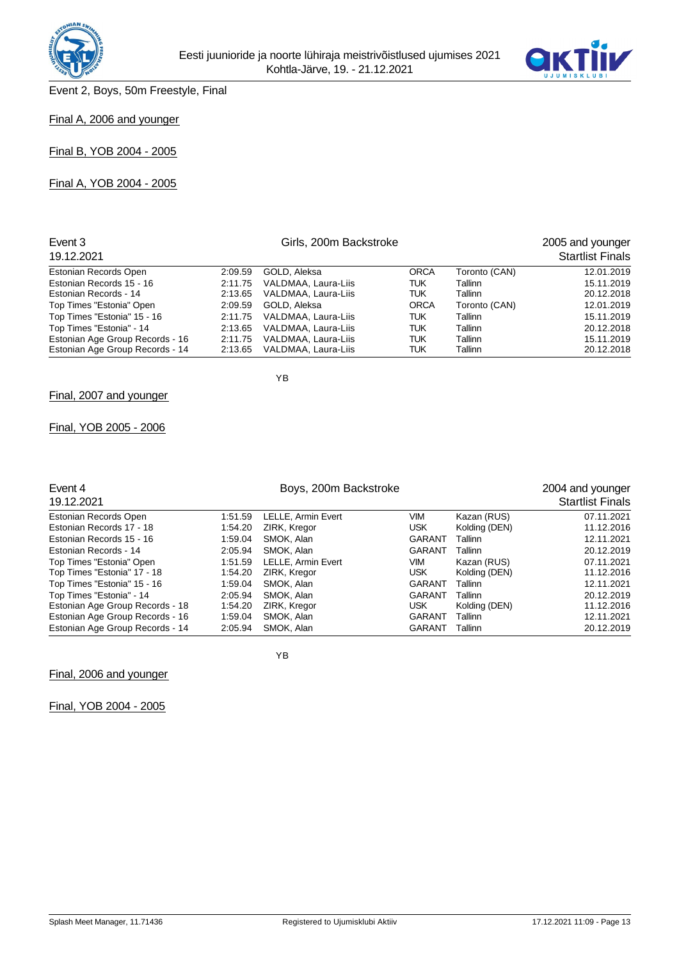



Event 2, Boys, 50m Freestyle, Final

# Final A, 2006 and younger

Final B, YOB 2004 - 2005

Final A, YOB 2004 - 2005

| Event 3<br>19.12.2021           |         | Girls, 200m Backstroke |             |               | 2005 and younger<br><b>Startlist Finals</b> |
|---------------------------------|---------|------------------------|-------------|---------------|---------------------------------------------|
| Estonian Records Open           | 2:09.59 | GOLD, Aleksa           | <b>ORCA</b> | Toronto (CAN) | 12.01.2019                                  |
| Estonian Records 15 - 16        | 2:11.75 | VALDMAA, Laura-Liis    | TUK         | Tallinn       | 15.11.2019                                  |
| Estonian Records - 14           | 2:13.65 | VALDMAA, Laura-Liis    | TUK         | Tallinn       | 20.12.2018                                  |
| Top Times "Estonia" Open        | 2:09.59 | GOLD, Aleksa           | <b>ORCA</b> | Toronto (CAN) | 12.01.2019                                  |
| Top Times "Estonia" 15 - 16     | 2:11.75 | VALDMAA, Laura-Liis    | TUK         | Tallinn       | 15.11.2019                                  |
| Top Times "Estonia" - 14        | 2:13.65 | VALDMAA, Laura-Liis    | TUK         | Tallinn       | 20.12.2018                                  |
| Estonian Age Group Records - 16 | 2:11.75 | VALDMAA, Laura-Liis    | TUK         | Tallinn       | 15.11.2019                                  |
| Estonian Age Group Records - 14 | 2:13.65 | VALDMAA, Laura-Liis    | TUK         | Tallinn       | 20.12.2018                                  |

Final, 2007 and younger

# Final, YOB 2005 - 2006

| Event 4<br>19.12.2021                                   |                    | 2004 and younger<br><b>Startlist Finals</b> |                   |                              |                          |
|---------------------------------------------------------|--------------------|---------------------------------------------|-------------------|------------------------------|--------------------------|
| Estonian Records Open                                   | 1:51.59            | LELLE, Armin Evert                          | <b>VIM</b>        | Kazan (RUS)                  | 07.11.2021               |
| Estonian Records 17 - 18                                | 1:54.20            | ZIRK, Kregor                                | <b>USK</b>        | Kolding (DEN)                | 11.12.2016               |
| Estonian Records 15 - 16                                | 1:59.04            | SMOK, Alan                                  | <b>GARANT</b>     | Tallinn                      | 12.11.2021               |
| Estonian Records - 14                                   | 2:05.94            | SMOK. Alan                                  | GARANT            | Tallinn                      | 20.12.2019               |
| Top Times "Estonia" Open<br>Top Times "Estonia" 17 - 18 | 1:51.59<br>1:54.20 | LELLE, Armin Evert<br>ZIRK, Kregor          | VIM<br><b>USK</b> | Kazan (RUS)<br>Kolding (DEN) | 07.11.2021<br>11.12.2016 |
| Top Times "Estonia" 15 - 16                             | 1:59.04            | SMOK. Alan                                  | <b>GARANT</b>     | Tallinn                      | 12.11.2021               |
| Top Times "Estonia" - 14                                | 2:05.94            | SMOK, Alan                                  | <b>GARANT</b>     | Tallinn                      | 20.12.2019               |
| Estonian Age Group Records - 18                         | 1:54.20            | ZIRK, Kregor                                | <b>USK</b>        | Kolding (DEN)                | 11.12.2016               |
| Estonian Age Group Records - 16                         | 1:59.04            | SMOK, Alan                                  | <b>GARANT</b>     | Tallinn                      | 12.11.2021               |
| Estonian Age Group Records - 14                         | 2:05.94            | SMOK. Alan                                  | <b>GARANT</b>     | Tallinn                      | 20.12.2019               |

Final, 2006 and younger

YB

YB

Final, YOB 2004 - 2005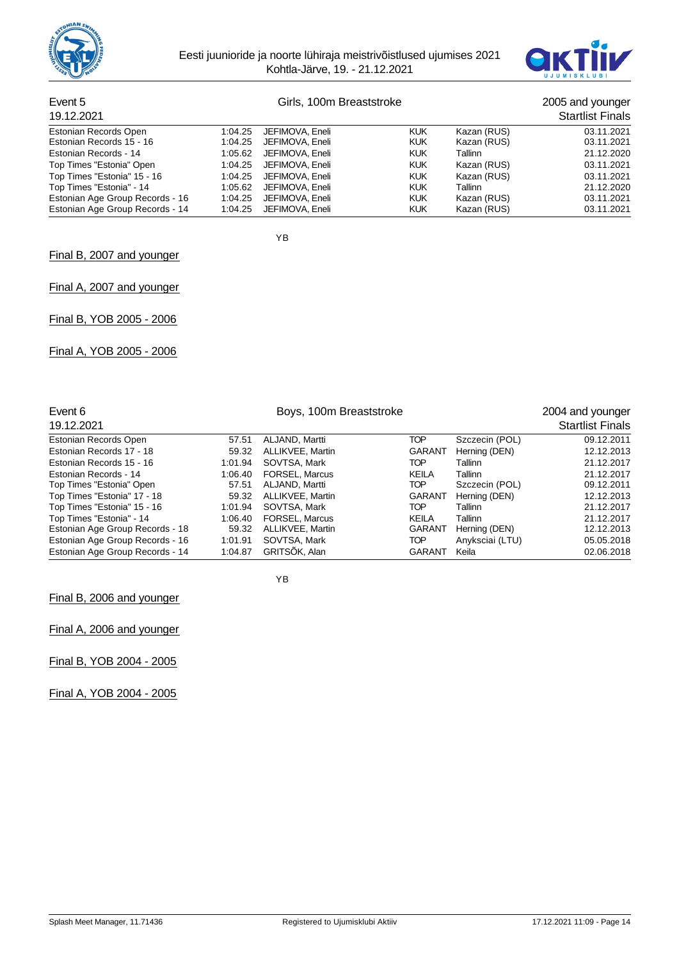



# Event 5 Girls, 100m Breaststroke 2005 and younger 19, 100m Breaststroke 2005 and younger 2005 and younger 2005 and younger 2005 and younger 2005 and younger 2005 and younger 2005 and younger 2005 and younger 2005 and young

# 2005 and younger<br>Startlist Finals

| 19. IZ.ZUZ I                    |         |                         |            |             | cialulol Filidio |
|---------------------------------|---------|-------------------------|------------|-------------|------------------|
| Estonian Records Open           | 1:04.25 | JEFIMOVA, Eneli         | <b>KUK</b> | Kazan (RUS) | 03.11.2021       |
| Estonian Records 15 - 16        |         | 1:04.25 JEFIMOVA, Eneli | <b>KUK</b> | Kazan (RUS) | 03.11.2021       |
| Estonian Records - 14           |         | 1:05.62 JEFIMOVA, Eneli | <b>KUK</b> | Tallinn     | 21.12.2020       |
| Top Times "Estonia" Open        |         | 1:04.25 JEFIMOVA, Eneli | <b>KUK</b> | Kazan (RUS) | 03.11.2021       |
| Top Times "Estonia" 15 - 16     |         | 1:04.25 JEFIMOVA, Eneli | <b>KUK</b> | Kazan (RUS) | 03.11.2021       |
| Top Times "Estonia" - 14        |         | 1:05.62 JEFIMOVA, Eneli | <b>KUK</b> | Tallinn     | 21.12.2020       |
| Estonian Age Group Records - 16 |         | 1:04.25 JEFIMOVA, Eneli | <b>KUK</b> | Kazan (RUS) | 03.11.2021       |
| Estonian Age Group Records - 14 |         | 1:04.25 JEFIMOVA, Eneli | <b>KUK</b> | Kazan (RUS) | 03.11.2021       |

YB

## Final B, 2007 and younger

## Final A, 2007 and younger

Final B, YOB 2005 - 2006

Final A, YOB 2005 - 2006

| Event 6<br>19.12.2021           |         | 2004 and younger<br><b>Startlist Finals</b> |               |                 |            |
|---------------------------------|---------|---------------------------------------------|---------------|-----------------|------------|
|                                 |         |                                             |               |                 |            |
| Estonian Records Open           | 57.51   | ALJAND, Martti                              | <b>TOP</b>    | Szczecin (POL)  | 09.12.2011 |
| Estonian Records 17 - 18        | 59.32   | ALLIKVEE, Martin                            | <b>GARANT</b> | Herning (DEN)   | 12.12.2013 |
| Estonian Records 15 - 16        | 1:01.94 | SOVTSA, Mark                                | <b>TOP</b>    | Tallinn         | 21.12.2017 |
| Estonian Records - 14           | 1:06.40 | <b>FORSEL, Marcus</b>                       | KEILA         | Tallinn         | 21.12.2017 |
| Top Times "Estonia" Open        | 57.51   | ALJAND, Martti                              | TOP           | Szczecin (POL)  | 09.12.2011 |
| Top Times "Estonia" 17 - 18     | 59.32   | ALLIKVEE, Martin                            | <b>GARANT</b> | Herning (DEN)   | 12.12.2013 |
| Top Times "Estonia" 15 - 16     | 1:01.94 | SOVTSA, Mark                                | <b>TOP</b>    | Tallinn         | 21.12.2017 |
| Top Times "Estonia" - 14        | 1:06.40 | <b>FORSEL, Marcus</b>                       | KEILA         | Tallinn         | 21.12.2017 |
| Estonian Age Group Records - 18 | 59.32   | ALLIKVEE, Martin                            | <b>GARANT</b> | Herning (DEN)   | 12.12.2013 |
| Estonian Age Group Records - 16 | 1:01.91 | SOVTSA, Mark                                | <b>TOP</b>    | Anyksciai (LTU) | 05.05.2018 |
| Estonian Age Group Records - 14 | 1:04.87 | <b>GRITSOK, Alan</b>                        | GARANT        | Keila           | 02.06.2018 |

YB

## Final B, 2006 and younger

Final A, 2006 and younger

Final B, YOB 2004 - 2005

Final A, YOB 2004 - 2005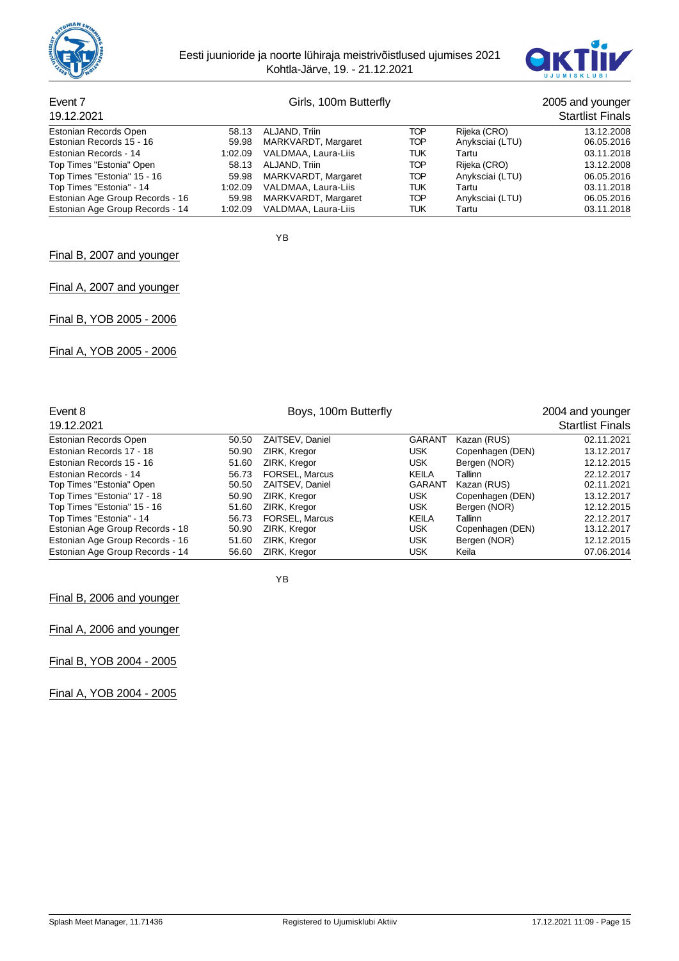



## Event 7 Girls, 100m Butterfly **Event 7** 2005 and younger

| 19.12.2021                      |                             | <b>Startlist Finals</b> |                 |            |
|---------------------------------|-----------------------------|-------------------------|-----------------|------------|
| Estonian Records Open           | 58.13 ALJAND, Triin         | TOP                     | Rijeka (CRO)    | 13.12.2008 |
| Estonian Records 15 - 16        | 59.98 MARKVARDT, Margaret   | TOP                     | Anyksciai (LTU) | 06.05.2016 |
| Estonian Records - 14           | 1:02.09 VALDMAA, Laura-Liis | TUK                     | Tartu           | 03.11.2018 |
| Top Times "Estonia" Open        | 58.13 ALJAND, Triin         | TOP                     | Rijeka (CRO)    | 13.12.2008 |
| Top Times "Estonia" 15 - 16     | 59.98 MARKVARDT, Margaret   | TOP                     | Anyksciai (LTU) | 06.05.2016 |
| Top Times "Estonia" - 14        | 1:02.09 VALDMAA, Laura-Liis | TUK                     | Tartu           | 03.11.2018 |
| Estonian Age Group Records - 16 | 59.98 MARKVARDT, Margaret   | TOP                     | Anyksciai (LTU) | 06.05.2016 |
| Estonian Age Group Records - 14 | 1:02.09 VALDMAA, Laura-Liis | TUK                     | Tartu           | 03.11.2018 |

YB

## Final B, 2007 and younger

## Final A, 2007 and younger

Final B, YOB 2005 - 2006

Final A, YOB 2005 - 2006

| Event 8                         |       | 2004 and younger      |               |                  |                         |
|---------------------------------|-------|-----------------------|---------------|------------------|-------------------------|
| 19.12.2021                      |       |                       |               |                  | <b>Startlist Finals</b> |
| Estonian Records Open           | 50.50 | ZAITSEV, Daniel       | <b>GARANT</b> | Kazan (RUS)      | 02.11.2021              |
| Estonian Records 17 - 18        | 50.90 | ZIRK, Kregor          | <b>USK</b>    | Copenhagen (DEN) | 13.12.2017              |
| Estonian Records 15 - 16        | 51.60 | ZIRK, Kregor          | <b>USK</b>    | Bergen (NOR)     | 12.12.2015              |
| Estonian Records - 14           | 56.73 | <b>FORSEL, Marcus</b> | KEILA         | Tallinn          | 22.12.2017              |
| Top Times "Estonia" Open        | 50.50 | ZAITSEV, Daniel       | <b>GARANT</b> | Kazan (RUS)      | 02.11.2021              |
| Top Times "Estonia" 17 - 18     | 50.90 | ZIRK, Kregor          | <b>USK</b>    | Copenhagen (DEN) | 13.12.2017              |
| Top Times "Estonia" 15 - 16     | 51.60 | ZIRK, Kregor          | <b>USK</b>    | Bergen (NOR)     | 12.12.2015              |
| Top Times "Estonia" - 14        | 56.73 | <b>FORSEL, Marcus</b> | KEILA         | Tallinn          | 22.12.2017              |
| Estonian Age Group Records - 18 | 50.90 | ZIRK, Kregor          | <b>USK</b>    | Copenhagen (DEN) | 13.12.2017              |
| Estonian Age Group Records - 16 | 51.60 | ZIRK, Kregor          | <b>USK</b>    | Bergen (NOR)     | 12.12.2015              |
| Estonian Age Group Records - 14 | 56.60 | ZIRK, Kregor          | <b>USK</b>    | Keila            | 07.06.2014              |

YB

Final B, 2006 and younger

Final A, 2006 and younger

Final B, YOB 2004 - 2005

Final A, YOB 2004 - 2005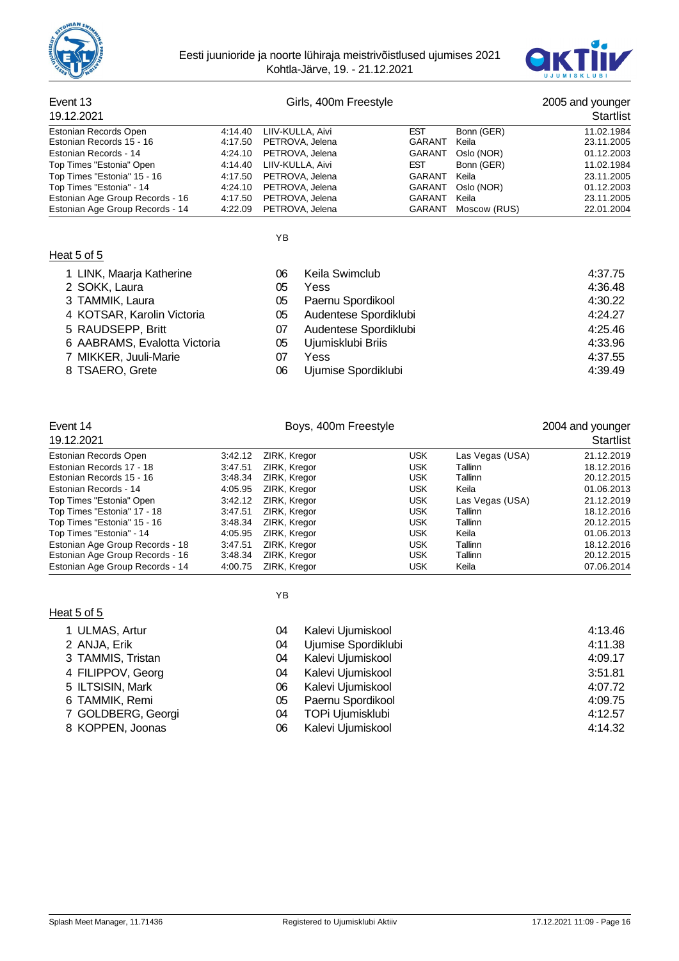



# Event 13 Girls, 400m Freestyle 2005 and younger

| 19.12.2021                      |         |                          |               |              |            |  |
|---------------------------------|---------|--------------------------|---------------|--------------|------------|--|
| Estonian Records Open           | 4:14.40 | LIIV-KULLA, Aivi         | <b>EST</b>    | Bonn (GER)   | 11.02.1984 |  |
| Estonian Records 15 - 16        |         | 4:17.50 PETROVA, Jelena  | <b>GARANT</b> | Keila        | 23.11.2005 |  |
| Estonian Records - 14           |         | 4:24.10 PETROVA, Jelena  | GARANT        | Oslo (NOR)   | 01.12.2003 |  |
| Top Times "Estonia" Open        |         | 4:14.40 LIIV-KULLA, Aivi | <b>EST</b>    | Bonn (GER)   | 11.02.1984 |  |
| Top Times "Estonia" 15 - 16     |         | 4:17.50 PETROVA, Jelena  | GARANT        | Keila        | 23.11.2005 |  |
| Top Times "Estonia" - 14        |         | 4:24.10 PETROVA, Jelena  | <b>GARANT</b> | Oslo (NOR)   | 01.12.2003 |  |
| Estonian Age Group Records - 16 |         | 4:17.50 PETROVA, Jelena  | GARANT        | Keila        | 23.11.2005 |  |
| Estonian Age Group Records - 14 |         | 4:22.09 PETROVA, Jelena  | GARANT        | Moscow (RUS) | 22.01.2004 |  |

YB

# Heat 5 of 5

| 1 LINK, Maarja Katherine     | 06 | Keila Swimclub        | 4:37.75 |
|------------------------------|----|-----------------------|---------|
| 2 SOKK, Laura                | 05 | Yess                  | 4:36.48 |
| 3 TAMMIK, Laura              | 05 | Paernu Spordikool     | 4:30.22 |
| 4 KOTSAR, Karolin Victoria   | 05 | Audentese Spordiklubi | 4:24.27 |
| 5 RAUDSEPP, Britt            | 07 | Audentese Spordiklubi | 4:25.46 |
| 6 AABRAMS, Evalotta Victoria | 05 | Ujumisklubi Briis     | 4:33.96 |
| 7 MIKKER, Juuli-Marie        | 07 | Yess                  | 4:37.55 |
| 8 TSAERO, Grete              | 06 | Ujumise Spordiklubi   | 4:39.49 |

|  | 8 TSAERO, Grete |  |
|--|-----------------|--|
|--|-----------------|--|

| Event 14<br>19.12.2021          |         | 2004 and younger<br><b>Startlist</b> |            |                 |            |
|---------------------------------|---------|--------------------------------------|------------|-----------------|------------|
| Estonian Records Open           | 3:42.12 | ZIRK, Kregor                         | <b>USK</b> | Las Vegas (USA) | 21.12.2019 |
| Estonian Records 17 - 18        | 3:47.51 | ZIRK, Kregor                         | <b>USK</b> | Tallinn         | 18.12.2016 |
| Estonian Records 15 - 16        | 3.48.34 | ZIRK, Kregor                         | <b>USK</b> | Tallinn         | 20.12.2015 |
| Estonian Records - 14           | 4:05.95 | ZIRK, Kregor                         | <b>USK</b> | Keila           | 01.06.2013 |
| Top Times "Estonia" Open        | 3:42.12 | ZIRK, Kregor                         | <b>USK</b> | Las Vegas (USA) | 21.12.2019 |
| Top Times "Estonia" 17 - 18     | 3:47.51 | ZIRK. Kregor                         | <b>USK</b> | Tallinn         | 18.12.2016 |
| Top Times "Estonia" 15 - 16     | 3.48.34 | ZIRK, Kregor                         | <b>USK</b> | Tallinn         | 20.12.2015 |
| Top Times "Estonia" - 14        | 4:05.95 | ZIRK, Kregor                         | <b>USK</b> | Keila           | 01.06.2013 |
| Estonian Age Group Records - 18 | 3:47.51 | ZIRK, Kregor                         | <b>USK</b> | Tallinn         | 18.12.2016 |
| Estonian Age Group Records - 16 | 3.48.34 | ZIRK, Kregor                         | <b>USK</b> | Tallinn         | 20.12.2015 |
| Estonian Age Group Records - 14 | 4:00.75 | ZIRK, Kregor                         | <b>USK</b> | Keila           | 07.06.2014 |

# Heat 5 of 5

| 04 | Kalevi |
|----|--------|
| ົ  | 111    |

YB

| 1 ULMAS, Artur     | 04 | Kalevi Ujumiskool   | 4:13.46 |
|--------------------|----|---------------------|---------|
| 2 ANJA, Erik       | 04 | Ujumise Spordiklubi | 4:11.38 |
| 3 TAMMIS, Tristan  | 04 | Kalevi Ujumiskool   | 4:09.17 |
| 4 FILIPPOV, Georg  | 04 | Kalevi Ujumiskool   | 3:51.81 |
| 5 ILTSISIN, Mark   | 06 | Kalevi Ujumiskool   | 4:07.72 |
| 6 TAMMIK, Remi     | 05 | Paernu Spordikool   | 4:09.75 |
| 7 GOLDBERG, Georgi | 04 | TOPi Ujumisklubi    | 4:12.57 |
| 8 KOPPEN, Joonas   | 06 | Kalevi Ujumiskool   | 4:14.32 |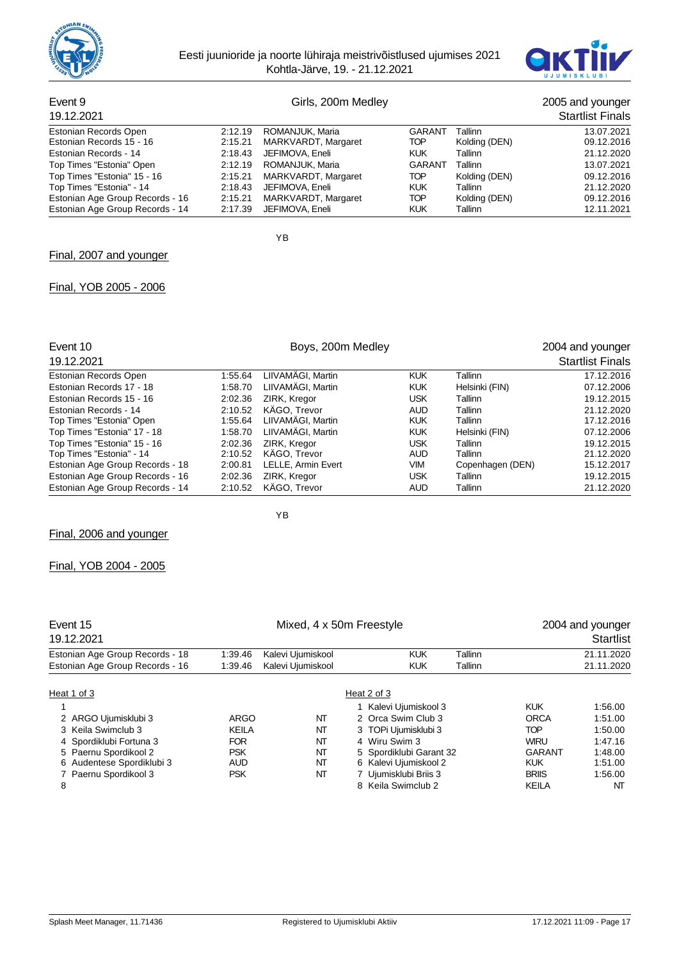



#### Event 9 Girls, 200m Medley 2005 and younger 19.12.2021 Startlist Finals Estonian Records Open 2:12.19 ROMANJUK, Maria GARANT Tallinn 13.07.2021<br>Estonian Records 15 - 16 2:15.21 MARKVARDT, Margaret TOP Kolding (DEN) 09.12.2016 Estonian Records 15 - 16 Estonian Records - 14 2:18.43 JEFIMOVA, Eneli KUK Tallinn 21.12.2020 Top Times "Estonia" Open Top Times "Estonia" 15 - 16 2:15.21 MARKVARDT, Margaret TOP Kolding (DEN) 09.12.2016 Top Times "Estonia" - 14 2:18.43 JEFIMOVA, Eneli KUK Tallinn (Callinn 21.12.2020)<br>Estonian Age Group Records - 16 2:15.21 MARKVARDT, Margaret TOP Kolding (DEN) (20.12.2016 Estonian Age Group Records - 16 2:15.21 MARKVARDT, Margaret TOP Kolding (DEN) 09.12.2016 Estonian Age Group Records - 14

YB

YB

#### Final, 2007 and younger

#### Final, YOB 2005 - 2006

| Event 10                        |         | 2004 and younger          |            |                  |                         |
|---------------------------------|---------|---------------------------|------------|------------------|-------------------------|
| 19.12.2021                      |         |                           |            |                  | <b>Startlist Finals</b> |
| Estonian Records Open           | 1:55.64 | LIIVAMÄGI, Martin         | <b>KUK</b> | Tallinn          | 17.12.2016              |
| Estonian Records 17 - 18        | 1:58.70 | LIIVAMÄGI, Martin         | <b>KUK</b> | Helsinki (FIN)   | 07.12.2006              |
| Estonian Records 15 - 16        | 2:02.36 | ZIRK, Kregor              | <b>USK</b> | Tallinn          | 19.12.2015              |
| Estonian Records - 14           | 2:10.52 | KÄGO, Trevor              | <b>AUD</b> | Tallinn          | 21.12.2020              |
| Top Times "Estonia" Open        | 1:55.64 | LIIVAMÄGI, Martin         | <b>KUK</b> | Tallinn          | 17.12.2016              |
| Top Times "Estonia" 17 - 18     | 1:58.70 | LIIVAMÄGI. Martin         | <b>KUK</b> | Helsinki (FIN)   | 07.12.2006              |
| Top Times "Estonia" 15 - 16     | 2:02.36 | ZIRK, Kregor              | USK        | Tallinn          | 19.12.2015              |
| Top Times "Estonia" - 14        | 2:10.52 | KÄGO, Trevor              | <b>AUD</b> | Tallinn          | 21.12.2020              |
| Estonian Age Group Records - 18 | 2:00.81 | <b>LELLE, Armin Evert</b> | VIM        | Copenhagen (DEN) | 15.12.2017              |
| Estonian Age Group Records - 16 | 2:02.36 | ZIRK, Kregor              | <b>USK</b> | Tallinn          | 19.12.2015              |
| Estonian Age Group Records - 14 | 2:10.52 | KÄGO, Trevor              | <b>AUD</b> | Tallinn          | 21.12.2020              |

Final, 2006 and younger

## Final, YOB 2004 - 2005

| Event 15<br>19.12.2021          |              | Mixed, 4 x 50m Freestyle |                         | 2004 and younger<br><b>Startlist</b> |            |
|---------------------------------|--------------|--------------------------|-------------------------|--------------------------------------|------------|
| Estonian Age Group Records - 18 | 1:39.46      | Kalevi Ujumiskool        | <b>KUK</b><br>Tallinn   |                                      | 21.11.2020 |
| Estonian Age Group Records - 16 | 1:39.46      | Kalevi Ujumiskool        | <b>KUK</b><br>Tallinn   |                                      | 21.11.2020 |
| Heat 1 of 3                     |              |                          | Heat 2 of 3             |                                      |            |
|                                 |              |                          | 1 Kalevi Ujumiskool 3   | <b>KUK</b>                           | 1:56.00    |
| 2 ARGO Ujumisklubi 3            | ARGO         | NT                       | 2 Orca Swim Club 3      | <b>ORCA</b>                          | 1:51.00    |
| 3 Keila Swimclub 3              | <b>KEILA</b> | NΤ                       | 3 TOPi Ujumisklubi 3    | <b>TOP</b>                           | 1:50.00    |
| 4 Spordiklubi Fortuna 3         | <b>FOR</b>   | NΤ                       | 4 Wiru Swim 3           | <b>WIRU</b>                          | 1:47.16    |
| 5 Paernu Spordikool 2           | <b>PSK</b>   | NΤ                       | 5 Spordiklubi Garant 32 | <b>GARANT</b>                        | 1:48.00    |
| 6 Audentese Spordiklubi 3       | <b>AUD</b>   | NΤ                       | 6 Kalevi Ujumiskool 2   | <b>KUK</b>                           | 1:51.00    |
| 7 Paernu Spordikool 3           | <b>PSK</b>   | NΤ                       | 7 Ujumisklubi Briis 3   | <b>BRIIS</b>                         | 1:56.00    |
| 8                               |              |                          | 8 Keila Swimclub 2      | <b>KEILA</b>                         | NT         |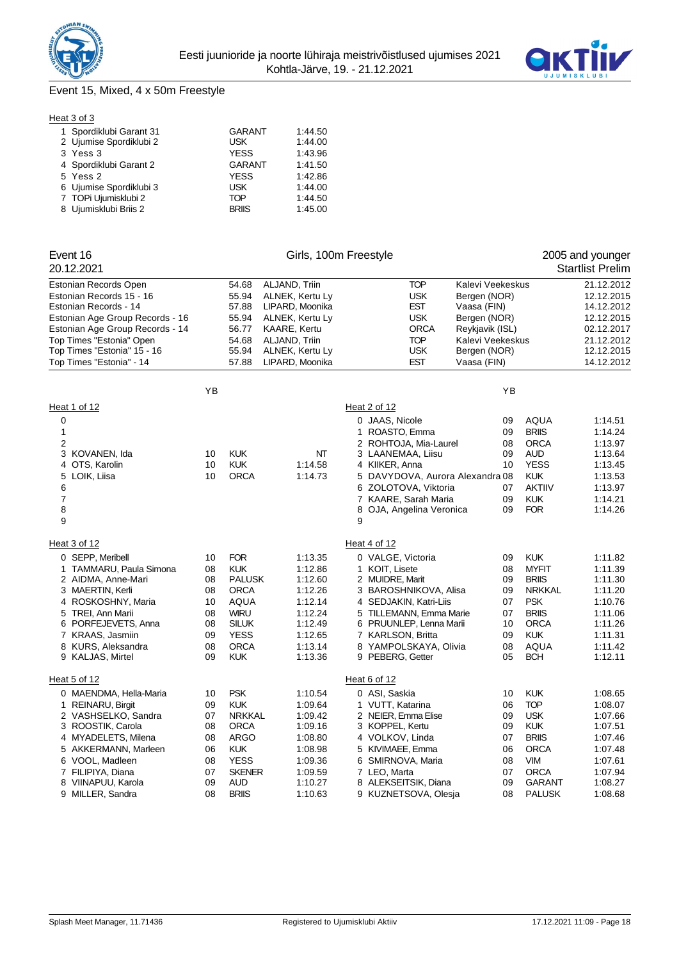



# Event 15, Mixed, 4 x 50m Freestyle

| Heat 3 of 3 |
|-------------|
|-------------|

| 1 Spordiklubi Garant 31 | <b>GARANT</b> | 1:44.50 |
|-------------------------|---------------|---------|
| 2 Ujumise Spordiklubi 2 | <b>USK</b>    | 1:44.00 |
| 3 Yess 3                | <b>YESS</b>   | 1:43.96 |
| 4 Spordiklubi Garant 2  | <b>GARANT</b> | 1:41.50 |
| 5 Yess 2                | <b>YESS</b>   | 1:42.86 |
| 6 Ujumise Spordiklubi 3 | <b>USK</b>    | 1:44.00 |
| 7 TOPi Ujumisklubi 2    | <b>TOP</b>    | 1:44.50 |
| 8 Ujumisklubi Briis 2   | <b>BRIIS</b>  | 1:45.00 |
|                         |               |         |

| Event 16                                      |          |                          |                     | Girls, 100m Freestyle              |                  |                            | 2005 and younger        |
|-----------------------------------------------|----------|--------------------------|---------------------|------------------------------------|------------------|----------------------------|-------------------------|
| 20.12.2021                                    |          |                          |                     |                                    |                  |                            | <b>Startlist Prelim</b> |
| Estonian Records Open                         |          | 54.68                    | ALJAND, Triin       | <b>TOP</b>                         | Kalevi Veekeskus |                            | 21.12.2012              |
| Estonian Records 15 - 16                      |          | 55.94                    | ALNEK, Kertu Ly     | <b>USK</b>                         | Bergen (NOR)     |                            | 12.12.2015              |
| Estonian Records - 14                         |          | 57.88                    | LIPARD, Moonika     | <b>EST</b>                         | Vaasa (FIN)      |                            | 14.12.2012              |
| Estonian Age Group Records - 16               |          | 55.94<br>ALNEK, Kertu Ly |                     | <b>USK</b>                         | Bergen (NOR)     |                            | 12.12.2015              |
| Estonian Age Group Records - 14               |          | 56.77                    | <b>KAARE, Kertu</b> | <b>ORCA</b>                        | Reykjavik (ISL)  |                            | 02.12.2017              |
| Top Times "Estonia" Open                      |          | 54.68                    | ALJAND, Triin       | <b>TOP</b>                         | Kalevi Veekeskus |                            | 21.12.2012              |
| Top Times "Estonia" 15 - 16                   |          | 55.94                    | ALNEK, Kertu Ly     | <b>USK</b>                         | Bergen (NOR)     |                            | 12.12.2015              |
| Top Times "Estonia" - 14                      |          | 57.88                    | LIPARD, Moonika     | <b>EST</b>                         | Vaasa (FIN)      |                            | 14.12.2012              |
|                                               | YB       |                          |                     |                                    | YB               |                            |                         |
| Heat 1 of 12                                  |          |                          |                     | Heat 2 of 12                       |                  |                            |                         |
| 0                                             |          |                          |                     | 0 JAAS, Nicole                     | 09               | AQUA                       | 1:14.51                 |
| 1                                             |          |                          |                     | 1 ROASTO, Emma                     | 09               | <b>BRIIS</b>               | 1:14.24                 |
| 2                                             |          |                          |                     | 2 ROHTOJA, Mia-Laurel              | 08               | <b>ORCA</b>                | 1:13.97                 |
| 3 KOVANEN, Ida                                | 10       | <b>KUK</b>               | NΤ                  | 3 LAANEMAA, Liisu                  | 09               | <b>AUD</b>                 | 1:13.64                 |
| 4 OTS, Karolin                                | 10       | <b>KUK</b>               | 1:14.58             | 4 KIIKER, Anna                     | 10               | <b>YESS</b>                | 1:13.45                 |
| 5 LOIK, Liisa                                 | 10       | <b>ORCA</b>              | 1:14.73             | DAVYDOVA, Aurora Alexandra 08<br>5 |                  | <b>KUK</b>                 | 1:13.53                 |
| 6                                             |          |                          |                     | 6 ZOLOTOVA, Viktoria               | 07               | <b>AKTIIV</b>              | 1:13.97                 |
| $\overline{7}$                                |          |                          |                     | 7 KAARE, Sarah Maria               | 09               | <b>KUK</b>                 | 1:14.21                 |
| 8<br>9                                        |          |                          |                     | 8 OJA, Angelina Veronica<br>9      | 09               | <b>FOR</b>                 | 1:14.26                 |
| Heat 3 of 12                                  |          |                          |                     | Heat 4 of 12                       |                  |                            |                         |
|                                               |          |                          |                     |                                    |                  |                            |                         |
| 0 SEPP, Meribell                              | 10       | <b>FOR</b><br><b>KUK</b> | 1:13.35             | 0 VALGE, Victoria                  | 09               | <b>KUK</b><br><b>MYFIT</b> | 1:11.82                 |
| 1 TAMMARU, Paula Simona<br>2 AIDMA, Anne-Mari | 08<br>08 | <b>PALUSK</b>            | 1:12.86<br>1:12.60  | 1 KOIT, Lisete<br>2 MUIDRE, Marit  | 08<br>09         | <b>BRIIS</b>               | 1:11.39<br>1:11.30      |
| 3 MAERTIN, Kerli                              | 08       | <b>ORCA</b>              | 1:12.26             | 3 BAROSHNIKOVA, Alisa              | 09               | <b>NRKKAL</b>              | 1:11.20                 |
| 4 ROSKOSHNY, Maria                            | 10       | <b>AQUA</b>              | 1:12.14             | 4 SEDJAKIN, Katri-Liis             | 07               | <b>PSK</b>                 | 1:10.76                 |
| 5 TREI, Ann Marii                             | 08       | <b>WIRU</b>              | 1:12.24             | 5 TILLEMANN, Emma Marie            | 07               | <b>BRIIS</b>               | 1:11.06                 |
| 6 PORFEJEVETS, Anna                           | 08       | <b>SILUK</b>             | 1:12.49             | 6 PRUUNLEP, Lenna Marii            | 10               | <b>ORCA</b>                | 1:11.26                 |
| 7 KRAAS, Jasmiin                              | 09       | <b>YESS</b>              | 1:12.65             | 7 KARLSON, Britta                  | 09               | <b>KUK</b>                 | 1:11.31                 |
| 8 KURS, Aleksandra                            | 08       | <b>ORCA</b>              | 1:13.14             | 8 YAMPOLSKAYA, Olivia              | 08               | <b>AQUA</b>                | 1:11.42                 |
| 9 KALJAS, Mirtel                              | 09       | <b>KUK</b>               | 1:13.36             | 9 PEBERG, Getter                   | 05               | <b>BCH</b>                 | 1:12.11                 |
| Heat 5 of 12                                  |          |                          |                     | Heat 6 of 12                       |                  |                            |                         |
| 0 MAENDMA, Hella-Maria                        | 10       | <b>PSK</b>               | 1:10.54             | 0 ASI, Saskia                      | 10               | <b>KUK</b>                 | 1:08.65                 |
| 1 REINARU, Birgit                             | 09       | <b>KUK</b>               | 1:09.64             | 1 VUTT, Katarina                   | 06               | <b>TOP</b>                 | 1:08.07                 |
| 2 VASHSELKO, Sandra                           | 07       | <b>NRKKAL</b>            | 1:09.42             | 2 NEIER, Emma Elise                | 09               | <b>USK</b>                 | 1:07.66                 |
| 3 ROOSTIK, Carola                             | 08       | <b>ORCA</b>              | 1:09.16             | 3 KOPPEL, Kertu                    | 09               | <b>KUK</b>                 | 1:07.51                 |
| 4 MYADELETS, Milena                           | 08       | <b>ARGO</b>              | 1:08.80             | 4 VOLKOV, Linda                    | 07               | <b>BRIIS</b>               | 1:07.46                 |
| 5 AKKERMANN, Marleen                          | 06       | <b>KUK</b>               | 1:08.98             | 5 KIVIMAEE, Emma                   | 06               | <b>ORCA</b>                | 1:07.48                 |
| 6 VOOL, Madleen                               | 08       | <b>YESS</b>              | 1:09.36             | 6 SMIRNOVA, Maria                  | 08               | <b>VIM</b>                 | 1:07.61                 |
| 7 FILIPIYA, Diana                             | 07       | <b>SKENER</b>            | 1:09.59             | 7 LEO, Marta                       | 07               | <b>ORCA</b>                | 1:07.94                 |
| VIINAPUU, Karola<br>8                         | 09       | AUD                      | 1:10.27             | 8 ALEKSEITSIK, Diana               | 09               | GARANT                     | 1:08.27                 |
| 9 MILLER, Sandra                              | 08       | <b>BRIIS</b>             | 1:10.63             | 9 KUZNETSOVA, Olesja               | 08               | <b>PALUSK</b>              | 1:08.68                 |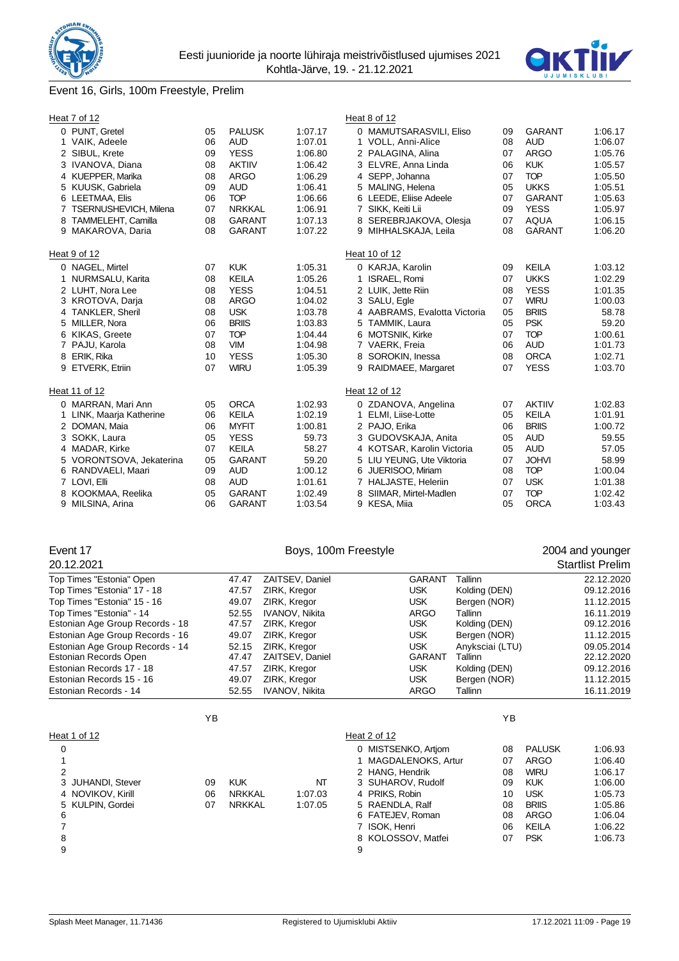

## Event 16, Girls, 100m Freestyle, Prelim

| Heat 7 of 12                     |                          |          |                             |                    |   | Heat 8 of 12                                  |          |                             |                    |
|----------------------------------|--------------------------|----------|-----------------------------|--------------------|---|-----------------------------------------------|----------|-----------------------------|--------------------|
| 0 PUNT, Gretel<br>1 VAIK, Adeele |                          | 05<br>06 | <b>PALUSK</b><br><b>AUD</b> | 1:07.17<br>1:07.01 |   | 0 MAMUTSARASVILI, Eliso<br>1 VOLL, Anni-Alice | 09<br>08 | <b>GARANT</b><br><b>AUD</b> | 1:06.17<br>1:06.07 |
| 2 SIBUL, Krete                   |                          | 09       | <b>YESS</b>                 | 1:06.80            |   | 2 PALAGINA, Alina                             | 07       | <b>ARGO</b>                 | 1:05.76            |
|                                  | 3 IVANOVA, Diana         | 08       | <b>AKTIIV</b>               | 1:06.42            |   | 3 ELVRE, Anna Linda                           | 06       | <b>KUK</b>                  | 1:05.57            |
|                                  | 4 KUEPPER, Marika        | 08       | <b>ARGO</b>                 | 1:06.29            |   | 4 SEPP, Johanna                               | 07       | <b>TOP</b>                  | 1:05.50            |
|                                  | 5 KUUSK, Gabriela        | 09       | <b>AUD</b>                  | 1:06.41            |   | 5 MALING, Helena                              | 05       | <b>UKKS</b>                 | 1:05.51            |
|                                  | 6 LEETMAA, Elis          | 06       | <b>TOP</b>                  | 1:06.66            |   | 6 LEEDE, Eliise Adeele                        | 07       | <b>GARANT</b>               | 1:05.63            |
|                                  | TSERNUSHEVICH, Milena    | 07       | <b>NRKKAL</b>               | 1:06.91            |   | 7 SIKK, Keiti Lii                             | 09       | <b>YESS</b>                 | 1:05.97            |
| 8                                | TAMMELEHT, Camilla       | 08       | <b>GARANT</b>               | 1:07.13            |   | 8 SEREBRJAKOVA, Olesja                        | 07       | <b>AQUA</b>                 | 1:06.15            |
|                                  | 9 MAKAROVA, Daria        | 08       | <b>GARANT</b>               | 1:07.22            |   | 9 MIHHALSKAJA, Leila                          | 08       | <b>GARANT</b>               | 1:06.20            |
| Heat 9 of 12                     |                          |          |                             |                    |   | Heat 10 of 12                                 |          |                             |                    |
| 0 NAGEL, Mirtel                  |                          | 07       | <b>KUK</b>                  | 1:05.31            |   | 0 KARJA, Karolin                              | 09       | <b>KEILA</b>                | 1:03.12            |
|                                  | 1 NURMSALU, Karita       | 08       | <b>KEILA</b>                | 1:05.26            |   | 1 ISRAEL, Romi                                | 07       | <b>UKKS</b>                 | 1:02.29            |
|                                  | 2 LUHT, Nora Lee         | 08       | <b>YESS</b>                 | 1:04.51            |   | 2 LUIK, Jette Riin                            | 08       | <b>YESS</b>                 | 1:01.35            |
|                                  | 3 KROTOVA, Darja         | 08       | <b>ARGO</b>                 | 1:04.02            |   | 3 SALU, Egle                                  | 07       | <b>WIRU</b>                 | 1:00.03            |
|                                  | 4 TANKLER, Sheril        | 08       | <b>USK</b>                  | 1:03.78            |   | 4 AABRAMS, Evalotta Victoria                  | 05       | <b>BRIIS</b>                | 58.78              |
| 5 MILLER, Nora                   |                          | 06       | <b>BRIIS</b>                | 1:03.83            |   | 5 TAMMIK, Laura                               | 05       | <b>PSK</b>                  | 59.20              |
| 6                                | KIKAS, Greete            | 07       | <b>TOP</b>                  | 1:04.44            |   | 6 MOTSNIK, Kirke                              | 07       | <b>TOP</b>                  | 1:00.61            |
| 7 PAJU, Karola                   |                          | 08       | <b>VIM</b>                  | 1:04.98            |   | 7 VAERK, Freia                                | 06       | <b>AUD</b>                  | 1:01.73            |
| ERIK, Rika<br>8                  |                          | 10       | <b>YESS</b>                 | 1:05.30            |   | 8 SOROKIN, Inessa                             | 08       | <b>ORCA</b>                 | 1:02.71            |
| 9                                | ETVERK, Etriin           | 07       | <b>WIRU</b>                 | 1:05.39            |   | 9 RAIDMAEE, Margaret                          | 07       | <b>YESS</b>                 | 1:03.70            |
| Heat 11 of 12                    |                          |          |                             |                    |   | Heat 12 of 12                                 |          |                             |                    |
|                                  | 0 MARRAN, Mari Ann       | 05       | <b>ORCA</b>                 | 1:02.93            |   | 0 ZDANOVA, Angelina                           | 07       | <b>AKTIIV</b>               | 1:02.83            |
|                                  | 1 LINK, Maarja Katherine | 06       | <b>KEILA</b>                | 1:02.19            |   | 1 ELMI, Liise-Lotte                           | 05       | <b>KEILA</b>                | 1:01.91            |
| 2 DOMAN, Maia                    |                          | 06       | <b>MYFIT</b>                | 1:00.81            |   | 2 PAJO, Erika                                 | 06       | <b>BRIIS</b>                | 1:00.72            |
| 3 SOKK, Laura                    |                          | 05       | <b>YESS</b>                 | 59.73              |   | 3 GUDOVSKAJA, Anita                           | 05       | <b>AUD</b>                  | 59.55              |
|                                  | 4 MADAR, Kirke           | 07       | <b>KEILA</b>                | 58.27              |   | 4 KOTSAR, Karolin Victoria                    | 05       | <b>AUD</b>                  | 57.05              |
|                                  | 5 VORONTSOVA, Jekaterina | 05       | <b>GARANT</b>               | 59.20              |   | 5 LIU YEUNG, Ute Viktoria                     | 07       | <b>JOHVI</b>                | 58.99              |
|                                  | 6 RANDVAELI, Maari       | 09       | <b>AUD</b>                  | 1:00.12            |   | 6 JUERISOO, Miriam                            | 08       | <b>TOP</b>                  | 1:00.04            |
| 7 LOVI, Elli                     |                          | 08       | <b>AUD</b>                  | 1:01.61            |   | 7 HALJASTE, Heleriin                          | 07       | <b>USK</b>                  | 1:01.38            |
| 8                                | KOOKMAA, Reelika         | 05       | <b>GARANT</b>               | 1:02.49            | 8 | SIIMAR, Mirtel-Madlen                         | 07       | <b>TOP</b>                  | 1:02.42            |
| 9                                | MILSINA, Arina           | 06       | <b>GARANT</b>               | 1:03.54            |   | 9 KESA, Miia                                  | 05       | <b>ORCA</b>                 | 1:03.43            |

# Event 17 **Event 17** Boys, 100m Freestyle **17** 2004 and younger

| 20.12.2021                      |       |                 |               |                 | <b>Startlist Prelim</b> |
|---------------------------------|-------|-----------------|---------------|-----------------|-------------------------|
| Top Times "Estonia" Open        | 47.47 | ZAITSEV, Daniel | <b>GARANT</b> | Tallinn         | 22.12.2020              |
| Top Times "Estonia" 17 - 18     | 47.57 | ZIRK, Kregor    | USK           | Kolding (DEN)   | 09.12.2016              |
| Top Times "Estonia" 15 - 16     | 49.07 | ZIRK, Kregor    | <b>USK</b>    | Bergen (NOR)    | 11.12.2015              |
| Top Times "Estonia" - 14        | 52.55 | IVANOV, Nikita  | <b>ARGO</b>   | Tallinn         | 16.11.2019              |
| Estonian Age Group Records - 18 | 47.57 | ZIRK, Kregor    | <b>USK</b>    | Kolding (DEN)   | 09.12.2016              |
| Estonian Age Group Records - 16 | 49.07 | ZIRK, Kregor    | <b>USK</b>    | Bergen (NOR)    | 11.12.2015              |
| Estonian Age Group Records - 14 | 52.15 | ZIRK, Kregor    | <b>USK</b>    | Anyksciai (LTU) | 09.05.2014              |
| Estonian Records Open           | 47.47 | ZAITSEV, Daniel | <b>GARANT</b> | Tallinn         | 22.12.2020              |
| Estonian Records 17 - 18        | 47.57 | ZIRK, Kregor    | <b>USK</b>    | Kolding (DEN)   | 09.12.2016              |
| Estonian Records 15 - 16        | 49.07 | ZIRK, Kregor    | <b>USK</b>    | Bergen (NOR)    | 11.12.2015              |
| Estonian Records - 14           | 52.55 | IVANOV, Nikita  | <b>ARGO</b>   | Tallinn         | 16.11.2019              |

|                   | ΥB |               |         |                     | ΥB |               |         |
|-------------------|----|---------------|---------|---------------------|----|---------------|---------|
| Heat 1 of 12      |    |               |         | Heat 2 of 12        |    |               |         |
| 0                 |    |               |         | 0 MISTSENKO, Artiom | 08 | <b>PALUSK</b> | 1:06.93 |
|                   |    |               |         | MAGDALENOKS, Artur  | 07 | ARGO          | 1:06.40 |
| 2                 |    |               |         | 2 HANG, Hendrik     | 08 | <b>WIRU</b>   | 1:06.17 |
| 3 JUHANDI, Stever | 09 | <b>KUK</b>    | NT      | 3 SUHAROV, Rudolf   | 09 | <b>KUK</b>    | 1:06.00 |
| 4 NOVIKOV, Kirill | 06 | <b>NRKKAL</b> | 1:07.03 | 4 PRIKS, Robin      | 10 | <b>USK</b>    | 1:05.73 |
| 5 KULPIN, Gordei  | 07 | <b>NRKKAL</b> | 1:07.05 | 5 RAENDLA, Ralf     | 08 | <b>BRIIS</b>  | 1:05.86 |
| 6                 |    |               |         | 6 FATEJEV, Roman    | 08 | ARGO          | 1:06.04 |
|                   |    |               |         | 7 ISOK. Henri       | 06 | <b>KEILA</b>  | 1:06.22 |
| 8                 |    |               |         | 8 KOLOSSOV, Matfei  | 07 | <b>PSK</b>    | 1:06.73 |
| 9                 |    |               |         | 9                   |    |               |         |
|                   |    |               |         |                     |    |               |         |

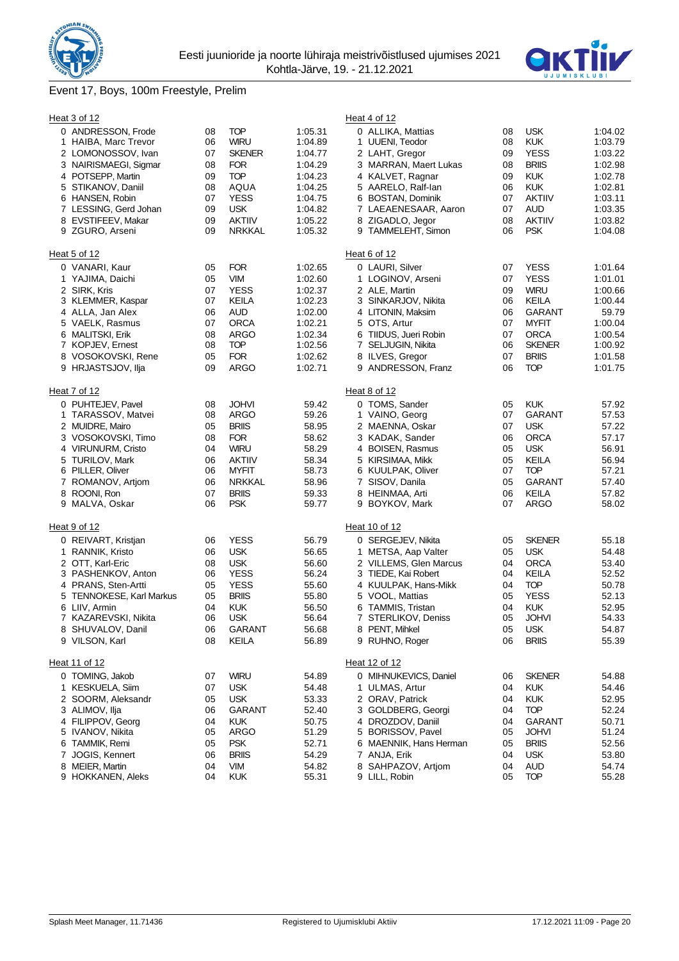

# Event 17, Boys, 100m Freestyle, Prelim



| Heat 3 of 12                               |          |                             |                    | Heat 4 of 12                                  |          |                             |                    |
|--------------------------------------------|----------|-----------------------------|--------------------|-----------------------------------------------|----------|-----------------------------|--------------------|
| 0 ANDRESSON, Frode<br>1 HAIBA, Marc Trevor | 08<br>06 | TOP<br><b>WIRU</b>          | 1:05.31<br>1:04.89 | 0 ALLIKA, Mattias<br>1 UUENI, Teodor          | 08<br>08 | <b>USK</b><br><b>KUK</b>    | 1:04.02<br>1:03.79 |
| 2 LOMONOSSOV, Ivan                         | 07       | <b>SKENER</b>               | 1:04.77            | 2 LAHT, Gregor                                | 09       | <b>YESS</b>                 | 1:03.22            |
| 3 NAIRISMAEGI, Sigmar                      | 08       | <b>FOR</b>                  | 1:04.29            | 3 MARRAN, Maert Lukas                         | 08       | <b>BRIIS</b>                | 1:02.98            |
| 4 POTSEPP, Martin                          | 09       | <b>TOP</b>                  | 1:04.23            | 4 KALVET, Ragnar                              | 09       | <b>KUK</b>                  | 1:02.78            |
| 5 STIKANOV, Daniil                         | 08       | AQUA                        | 1:04.25            | 5 AARELO, Ralf-lan                            | 06       | <b>KUK</b>                  | 1:02.81            |
| 6 HANSEN, Robin                            | 07       | <b>YESS</b>                 | 1:04.75            | 6 BOSTAN, Dominik                             | 07       | <b>AKTIIV</b>               | 1:03.11            |
| 7 LESSING, Gerd Johan                      | 09<br>09 | <b>USK</b><br><b>AKTIIV</b> | 1:04.82            | 7 LAEAENESAAR, Aaron                          | 07<br>08 | <b>AUD</b><br><b>AKTIIV</b> | 1:03.35<br>1:03.82 |
| 8 EVSTIFEEV, Makar<br>9 ZGURO, Arseni      | 09       | <b>NRKKAL</b>               | 1:05.22<br>1:05.32 | 8 ZIGADLO, Jegor<br>9 TAMMELEHT, Simon        | 06       | <b>PSK</b>                  | 1:04.08            |
| Heat 5 of 12                               |          |                             |                    | Heat 6 of 12                                  |          |                             |                    |
| 0 VANARI, Kaur                             | 05       | <b>FOR</b>                  | 1:02.65            | 0 LAURI, Silver                               | 07       | <b>YESS</b>                 | 1:01.64            |
| 1 YAJIMA, Daichi                           | 05       | <b>VIM</b>                  | 1:02.60            | 1 LOGINOV, Arseni                             | 07       | <b>YESS</b>                 | 1:01.01            |
| 2 SIRK, Kris                               | 07       | <b>YESS</b>                 | 1:02.37            | 2 ALE, Martin                                 | 09       | <b>WIRU</b>                 | 1:00.66            |
| 3 KLEMMER, Kaspar                          | 07       | KEILA                       | 1:02.23            | 3 SINKARJOV, Nikita                           | 06       | KEILA                       | 1:00.44            |
| 4 ALLA, Jan Alex                           | 06       | <b>AUD</b>                  | 1:02.00            | 4 LITONIN, Maksim                             | 06       | <b>GARANT</b>               | 59.79              |
| 5 VAELK, Rasmus                            | 07       | <b>ORCA</b>                 | 1:02.21            | 5 OTS, Artur                                  | 07       | <b>MYFIT</b>                | 1:00.04            |
| 6 MALITSKI, Erik                           | 08       | ARGO                        | 1:02.34            | 6 TIIDUS, Jueri Robin                         | 07       | <b>ORCA</b>                 | 1:00.54            |
| 7 KOPJEV, Ernest                           | 08       | TOP                         | 1:02.56            | 7 SELJUGIN, Nikita                            | 06       | <b>SKENER</b>               | 1:00.92            |
| 8 VOSOKOVSKI, Rene                         | 05       | <b>FOR</b>                  | 1:02.62            | 8 ILVES, Gregor                               | 07       | <b>BRIIS</b>                | 1:01.58            |
| 9 HRJASTSJOV, Ilja                         | 09       | <b>ARGO</b>                 | 1:02.71            | 9 ANDRESSON, Franz                            | 06       | <b>TOP</b>                  | 1:01.75            |
| Heat 7 of 12                               |          |                             |                    | Heat 8 of 12                                  |          |                             |                    |
| 0 PUHTEJEV, Pavel                          | 08       | <b>JOHVI</b>                | 59.42              | 0 TOMS, Sander                                | 05       | <b>KUK</b>                  | 57.92              |
| 1 TARASSOV, Matvei                         | 08       | <b>ARGO</b>                 | 59.26              | 1 VAINO, Georg                                | 07       | <b>GARANT</b>               | 57.53              |
| 2 MUIDRE, Mairo                            | 05       | <b>BRIIS</b>                | 58.95              | 2 MAENNA, Oskar                               | 07       | <b>USK</b>                  | 57.22              |
| 3 VOSOKOVSKI, Timo                         | 08       | <b>FOR</b>                  | 58.62              | 3 KADAK, Sander                               | 06       | <b>ORCA</b>                 | 57.17              |
| 4 VIRUNURM, Cristo                         | 04       | <b>WIRU</b>                 | 58.29              | 4 BOISEN, Rasmus                              | 05       | <b>USK</b>                  | 56.91              |
| 5 TURILOV, Mark                            | 06       | <b>AKTIIV</b>               | 58.34              | 5 KIRSIMAA, Mikk                              | 05       | <b>KEILA</b>                | 56.94              |
| 6 PILLER, Oliver                           | 06       | <b>MYFIT</b>                | 58.73              | 6 KUULPAK, Oliver                             | 07       | <b>TOP</b>                  | 57.21              |
| 7 ROMANOV, Artiom                          | 06       | <b>NRKKAL</b>               | 58.96              | 7 SISOV, Danila                               | 05       | <b>GARANT</b>               | 57.40              |
| 8 ROONI, Ron<br>9 MALVA, Oskar             | 07<br>06 | <b>BRIIS</b><br><b>PSK</b>  | 59.33<br>59.77     | 8 HEINMAA, Arti<br>9 BOYKOV, Mark             | 06<br>07 | KEILA<br><b>ARGO</b>        | 57.82<br>58.02     |
|                                            |          |                             |                    |                                               |          |                             |                    |
| Heat 9 of 12                               |          |                             |                    | Heat 10 of 12                                 |          |                             |                    |
| 0 REIVART, Kristjan                        | 06       | <b>YESS</b>                 | 56.79              | 0 SERGEJEV, Nikita                            | 05       | <b>SKENER</b>               | 55.18              |
| 1 RANNIK, Kristo                           | 06       | <b>USK</b>                  | 56.65              | 1 METSA, Aap Valter                           | 05       | <b>USK</b><br><b>ORCA</b>   | 54.48              |
| 2 OTT, Karl-Eric                           | 08<br>06 | <b>USK</b><br><b>YESS</b>   | 56.60<br>56.24     | 2 VILLEMS, Glen Marcus<br>3 TIEDE, Kai Robert | 04<br>04 | <b>KEILA</b>                | 53.40<br>52.52     |
| 3 PASHENKOV, Anton<br>4 PRANS, Sten-Artti  | 05       | <b>YESS</b>                 | 55.60              | 4 KUULPAK, Hans-Mikk                          | 04       | <b>TOP</b>                  | 50.78              |
| 5 TENNOKESE, Karl Markus                   | 05       | <b>BRIIS</b>                | 55.80              | 5 VOOL, Mattias                               | 05       | <b>YESS</b>                 | 52.13              |
| 6 LIIV, Armin                              | 04       | <b>KUK</b>                  | 56.50              | 6 TAMMIS, Tristan                             | 04       | <b>KUK</b>                  | 52.95              |
| 7 KAZAREVSKI, Nikita                       | 06       | <b>USK</b>                  | 56.64              | 7 STERLIKOV, Deniss                           | 05       | <b>JOHVI</b>                | 54.33              |
| 8 SHUVALOV, Danil                          | 06       | GARANT                      | 56.68              | 8 PENT, Mihkel                                | 05       | <b>USK</b>                  | 54.87              |
| 9 VILSON, Karl                             | 08       | <b>KEILA</b>                | 56.89              | 9 RUHNO, Roger                                | 06       | <b>BRIIS</b>                | 55.39              |
| Heat 11 of 12                              |          |                             |                    | Heat 12 of 12                                 |          |                             |                    |
| 0 TOMING, Jakob                            | 07       | <b>WIRU</b>                 | 54.89              | 0 MIHNUKEVICS, Daniel                         | 06       | <b>SKENER</b>               | 54.88              |
| 1 KESKUELA, Siim                           | 07       | <b>USK</b>                  | 54.48              | 1 ULMAS, Artur                                | 04       | <b>KUK</b>                  | 54.46              |
| 2 SOORM, Aleksandr                         | 05       | <b>USK</b>                  | 53.33              | 2 ORAV, Patrick                               | 04       | <b>KUK</b>                  | 52.95              |
| 3 ALIMOV, Ilja                             | 06       | <b>GARANT</b>               | 52.40              | 3 GOLDBERG, Georgi                            | 04       | <b>TOP</b>                  | 52.24              |
| 4 FILIPPOV, Georg                          | 04       | <b>KUK</b>                  | 50.75              | 4 DROZDOV, Daniil                             | 04       | <b>GARANT</b>               | 50.71              |
| 5 IVANOV, Nikita                           | 05       | <b>ARGO</b>                 | 51.29              | 5 BORISSOV, Pavel                             | 05       | <b>JOHVI</b>                | 51.24              |
| 6 TAMMIK, Remi                             | 05       | <b>PSK</b>                  | 52.71              | 6 MAENNIK, Hans Herman                        | 05       | <b>BRIIS</b>                | 52.56              |
| 7 JOGIS, Kennert                           | 06       | <b>BRIIS</b>                | 54.29              | 7 ANJA, Erik                                  | 04       | <b>USK</b>                  | 53.80              |
| 8 MEIER, Martin                            | 04       | VIM                         | 54.82              | 8 SAHPAZOV, Artjom                            | 04       | AUD                         | 54.74              |
| 9 HOKKANEN, Aleks                          | 04       | <b>KUK</b>                  | 55.31              | 9 LILL, Robin                                 | 05       | <b>TOP</b>                  | 55.28              |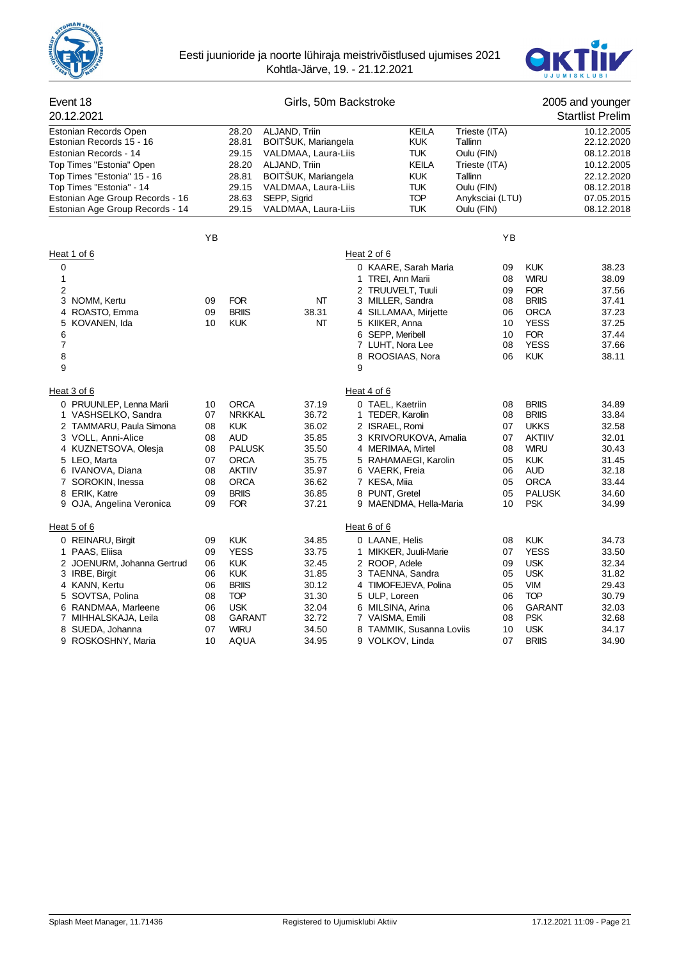



| Event 18<br>20.12.2021                                                     |    |                         | Girls, 50m Backstroke                                       |                                      |                                          |                                        |                           | 2005 and younger<br><b>Startlist Prelim</b> |
|----------------------------------------------------------------------------|----|-------------------------|-------------------------------------------------------------|--------------------------------------|------------------------------------------|----------------------------------------|---------------------------|---------------------------------------------|
| Estonian Records Open<br>Estonian Records 15 - 16<br>Estonian Records - 14 |    | 28.20<br>28.81<br>29.15 | ALJAND, Triin<br>BOITSUK, Mariangela<br>VALDMAA, Laura-Liis |                                      | <b>KEILA</b><br><b>KUK</b><br><b>TUK</b> | Trieste (ITA)<br>Tallinn<br>Oulu (FIN) |                           | 10.12.2005<br>22.12.2020<br>08.12.2018      |
| Top Times "Estonia" Open                                                   |    | 28.20                   | ALJAND, Triin                                               |                                      | <b>KEILA</b>                             | Trieste (ITA)                          |                           | 10.12.2005                                  |
| Top Times "Estonia" 15 - 16                                                |    | 28.81                   | <b>BOITSUK, Mariangela</b>                                  |                                      | <b>KUK</b>                               | Tallinn                                |                           | 22.12.2020                                  |
| Top Times "Estonia" - 14                                                   |    | 29.15                   | VALDMAA, Laura-Liis                                         |                                      | <b>TUK</b>                               | Oulu (FIN)                             |                           | 08.12.2018                                  |
| Estonian Age Group Records - 16<br>Estonian Age Group Records - 14         |    | 28.63<br>29.15          | SEPP, Sigrid<br>VALDMAA, Laura-Liis                         |                                      | <b>TOP</b><br><b>TUK</b>                 | Anyksciai (LTU)<br>Oulu (FIN)          |                           | 07.05.2015<br>08.12.2018                    |
|                                                                            |    |                         |                                                             |                                      |                                          |                                        |                           |                                             |
|                                                                            | YB |                         |                                                             |                                      |                                          | YB                                     |                           |                                             |
| Heat 1 of 6                                                                |    |                         |                                                             | Heat 2 of 6                          |                                          |                                        |                           |                                             |
| $\mathbf 0$                                                                |    |                         |                                                             |                                      | 0 KAARE, Sarah Maria                     | 09                                     | <b>KUK</b>                | 38.23                                       |
| 1                                                                          |    |                         |                                                             | 1 TREI, Ann Marii                    |                                          | 08                                     | <b>WIRU</b>               | 38.09                                       |
| 2                                                                          |    |                         |                                                             |                                      | 2 TRUUVELT, Tuuli                        | 09                                     | <b>FOR</b>                | 37.56                                       |
| 3<br>NOMM, Kertu                                                           | 09 | <b>FOR</b>              | NΤ                                                          | 3 MILLER, Sandra                     |                                          | 08                                     | <b>BRIIS</b>              | 37.41                                       |
| ROASTO, Emma<br>4                                                          | 09 | <b>BRIIS</b>            | 38.31                                                       |                                      | 4 SILLAMAA, Mirjette                     | 06                                     | <b>ORCA</b>               | 37.23                                       |
| KOVANEN, Ida<br>5                                                          | 10 | <b>KUK</b>              | NT                                                          | 5 KIIKER, Anna                       |                                          | 10                                     | <b>YESS</b>               | 37.25                                       |
| 6<br>7                                                                     |    |                         |                                                             | 6 SEPP, Meribell<br>7 LUHT, Nora Lee |                                          | 10<br>08                               | <b>FOR</b><br><b>YESS</b> | 37.44<br>37.66                              |
| 8                                                                          |    |                         |                                                             |                                      | 8 ROOSIAAS, Nora                         | 06                                     | <b>KUK</b>                | 38.11                                       |
| 9                                                                          |    |                         |                                                             | 9                                    |                                          |                                        |                           |                                             |
| Heat 3 of 6                                                                |    |                         |                                                             | Heat 4 of 6                          |                                          |                                        |                           |                                             |
| 0 PRUUNLEP, Lenna Marii                                                    | 10 | <b>ORCA</b>             | 37.19                                                       | 0 TAEL, Kaetriin                     |                                          | 08                                     | <b>BRIIS</b>              | 34.89                                       |
| 1 VASHSELKO, Sandra                                                        | 07 | <b>NRKKAL</b>           | 36.72                                                       | 1 TEDER, Karolin                     |                                          | 08                                     | <b>BRIIS</b>              | 33.84                                       |
| 2 TAMMARU, Paula Simona                                                    | 08 | <b>KUK</b>              | 36.02                                                       | 2 ISRAEL, Romi                       |                                          | 07                                     | <b>UKKS</b>               | 32.58                                       |
| 3 VOLL, Anni-Alice                                                         | 08 | <b>AUD</b>              | 35.85                                                       |                                      | 3 KRIVORUKOVA, Amalia                    | 07                                     | <b>AKTIIV</b>             | 32.01                                       |
| 4 KUZNETSOVA, Olesja                                                       | 08 | <b>PALUSK</b>           | 35.50                                                       | 4 MERIMAA, Mirtel                    |                                          | 08                                     | <b>WIRU</b>               | 30.43                                       |
| 5 LEO, Marta                                                               | 07 | <b>ORCA</b>             | 35.75                                                       |                                      | 5 RAHAMAEGI, Karolin                     | 05                                     | <b>KUK</b>                | 31.45                                       |
| 6 IVANOVA, Diana                                                           | 08 | <b>AKTIIV</b>           | 35.97                                                       | 6 VAERK, Freia                       |                                          | 06                                     | AUD                       | 32.18                                       |
| 7 SOROKIN, Inessa                                                          | 08 | <b>ORCA</b>             | 36.62                                                       | 7 KESA, Miia                         |                                          | 05                                     | <b>ORCA</b>               | 33.44                                       |
| 8 ERIK, Katre                                                              | 09 | <b>BRIIS</b>            | 36.85                                                       | 8 PUNT, Gretel                       |                                          | 05                                     | <b>PALUSK</b>             | 34.60                                       |
| OJA, Angelina Veronica<br>9                                                | 09 | <b>FOR</b>              | 37.21                                                       |                                      | 9 MAENDMA, Hella-Maria                   | 10                                     | <b>PSK</b>                | 34.99                                       |
| Heat 5 of 6                                                                |    |                         |                                                             | Heat 6 of 6                          |                                          |                                        |                           |                                             |
| 0 REINARU, Birgit                                                          | 09 | <b>KUK</b>              | 34.85                                                       | 0 LAANE, Helis                       |                                          | 08                                     | <b>KUK</b>                | 34.73                                       |
| 1 PAAS, Eliisa                                                             | 09 | <b>YESS</b>             | 33.75                                                       |                                      | 1 MIKKER, Juuli-Marie                    | 07                                     | <b>YESS</b>               | 33.50                                       |
| 2 JOENURM, Johanna Gertrud                                                 | 06 | <b>KUK</b>              | 32.45                                                       | 2 ROOP, Adele                        |                                          | 09                                     | <b>USK</b>                | 32.34                                       |
| 3 IRBE, Birgit                                                             | 06 | <b>KUK</b>              | 31.85                                                       |                                      | 3 TAENNA, Sandra                         | 05                                     | <b>USK</b>                | 31.82                                       |
| 4 KANN, Kertu                                                              | 06 | <b>BRIIS</b>            | 30.12                                                       |                                      | 4 TIMOFEJEVA, Polina                     | 05                                     | <b>VIM</b>                | 29.43                                       |
| SOVTSA, Polina<br>5                                                        | 08 | <b>TOP</b>              | 31.30                                                       | 5 ULP, Loreen                        |                                          | 06                                     | <b>TOP</b>                | 30.79                                       |
| RANDMAA, Marleene<br>6                                                     | 06 | <b>USK</b>              | 32.04                                                       | 6 MILSINA, Arina                     |                                          | 06                                     | <b>GARANT</b>             | 32.03                                       |
| 7 MIHHALSKAJA, Leila                                                       | 08 | <b>GARANT</b>           | 32.72                                                       | 7 VAISMA, Emili                      |                                          | 08                                     | <b>PSK</b>                | 32.68                                       |
| SUEDA, Johanna<br>8                                                        | 07 | <b>WIRU</b>             | 34.50                                                       |                                      | 8 TAMMIK, Susanna Loviis                 | 10                                     | <b>USK</b>                | 34.17                                       |
| ROSKOSHNY, Maria<br>9                                                      | 10 | AQUA                    | 34.95                                                       | 9 VOLKOV, Linda                      |                                          | 07                                     | <b>BRIIS</b>              | 34.90                                       |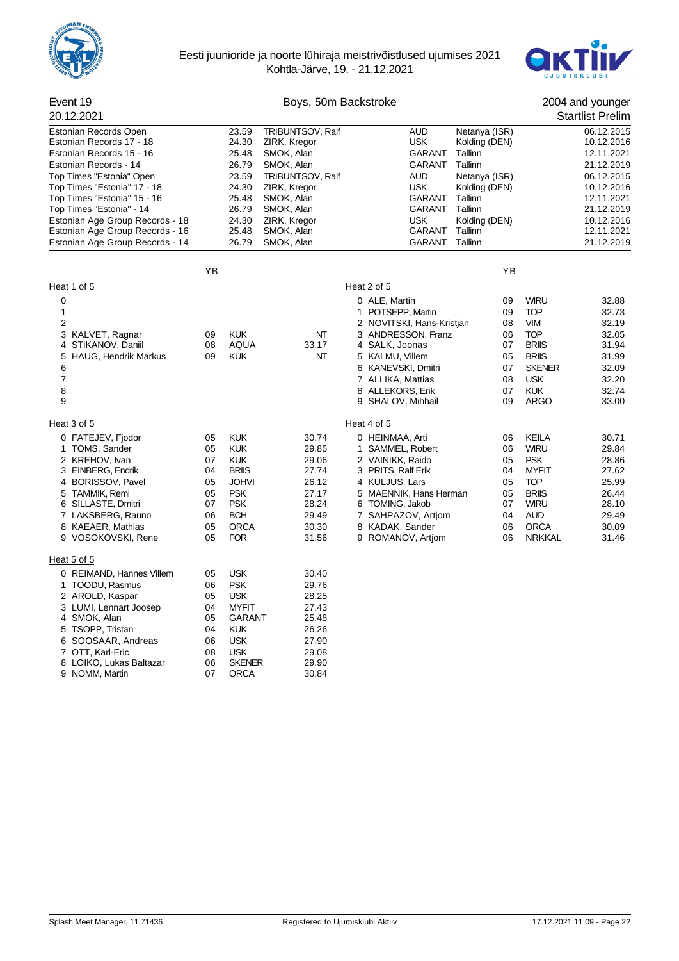



| Event 19                                                           | Boys, 50m Backstroke |                |                            |                                       |                          |                           | 2004 and younger         |
|--------------------------------------------------------------------|----------------------|----------------|----------------------------|---------------------------------------|--------------------------|---------------------------|--------------------------|
| 20.12.2021                                                         |                      |                |                            |                                       |                          |                           | <b>Startlist Prelim</b>  |
| Estonian Records Open                                              |                      | 23.59          | <b>TRIBUNTSOV, Ralf</b>    | <b>AUD</b>                            | Netanya (ISR)            |                           | 06.12.2015               |
| Estonian Records 17 - 18                                           |                      | 24.30          | ZIRK, Kregor               | <b>USK</b>                            | Kolding (DEN)            |                           | 10.12.2016               |
| Estonian Records 15 - 16                                           |                      | 25.48          | SMOK, Alan                 | GARANT                                | Tallinn                  |                           | 12.11.2021               |
| Estonian Records - 14                                              |                      | 26.79          | SMOK, Alan                 | <b>GARANT</b>                         | Tallinn                  |                           | 21.12.2019               |
| Top Times "Estonia" Open                                           |                      | 23.59          | TRIBUNTSOV, Ralf           | <b>AUD</b>                            | Netanya (ISR)            |                           | 06.12.2015               |
| Top Times "Estonia" 17 - 18                                        |                      | 24.30          | ZIRK, Kregor               | <b>USK</b>                            | Kolding (DEN)            |                           | 10.12.2016               |
| Top Times "Estonia" 15 - 16                                        |                      | 25.48          | SMOK, Alan                 | GARANT                                | Tallinn                  |                           | 12.11.2021               |
| Top Times "Estonia" - 14                                           |                      | 26.79          | SMOK, Alan                 | <b>GARANT</b>                         | Tallinn                  |                           | 21.12.2019               |
| Estonian Age Group Records - 18<br>Estonian Age Group Records - 16 |                      | 24.30<br>25.48 | ZIRK, Kregor<br>SMOK, Alan | <b>USK</b><br>GARANT                  | Kolding (DEN)<br>Tallinn |                           | 10.12.2016<br>12.11.2021 |
| Estonian Age Group Records - 14                                    |                      | 26.79          | SMOK, Alan                 | <b>GARANT</b>                         | Tallinn                  |                           | 21.12.2019               |
|                                                                    |                      |                |                            |                                       |                          |                           |                          |
|                                                                    | YB                   |                |                            |                                       | YB                       |                           |                          |
| Heat 1 of 5                                                        |                      |                |                            | Heat 2 of 5                           |                          |                           |                          |
| 0                                                                  |                      |                |                            | 0 ALE, Martin                         | 09                       | <b>WIRU</b>               | 32.88                    |
| 1                                                                  |                      |                |                            | 1 POTSEPP, Martin                     | 09                       | <b>TOP</b>                | 32.73                    |
| $\overline{2}$                                                     |                      |                |                            | 2 NOVITSKI, Hans-Kristjan             | 08                       | <b>VIM</b>                | 32.19                    |
| 3 KALVET, Ragnar                                                   | 09                   | <b>KUK</b>     | NΤ                         | 3 ANDRESSON, Franz                    | 06                       | <b>TOP</b>                | 32.05                    |
| 4 STIKANOV, Daniil                                                 | 08                   | AQUA           | 33.17                      | 4 SALK, Joonas                        | 07                       | <b>BRIIS</b>              | 31.94                    |
| HAUG, Hendrik Markus<br>5                                          | 09                   | <b>KUK</b>     | NΤ                         | 5 KALMU, Villem                       | 05                       | <b>BRIIS</b>              | 31.99                    |
| 6                                                                  |                      |                |                            | 6 KANEVSKI, Dmitri                    | 07                       | <b>SKENER</b>             | 32.09                    |
| 7                                                                  |                      |                |                            | 7 ALLIKA, Mattias                     | 08                       | <b>USK</b>                | 32.20                    |
| 8<br>9                                                             |                      |                |                            | 8 ALLEKORS, Erik<br>9 SHALOV, Mihhail | 07<br>09                 | <b>KUK</b><br><b>ARGO</b> | 32.74<br>33.00           |
| Heat 3 of 5                                                        |                      |                |                            | Heat 4 of 5                           |                          |                           |                          |
| 0 FATEJEV, Fjodor                                                  | 05                   | <b>KUK</b>     | 30.74                      | 0 HEINMAA, Arti                       | 06                       | <b>KEILA</b>              | 30.71                    |
| 1 TOMS, Sander                                                     | 05                   | <b>KUK</b>     | 29.85                      | 1 SAMMEL, Robert                      | 06                       | <b>WIRU</b>               | 29.84                    |
| 2 KREHOV, Ivan                                                     | 07                   | <b>KUK</b>     | 29.06                      | 2 VAINIKK, Raido                      | 05                       | <b>PSK</b>                | 28.86                    |
| 3 EINBERG, Endrik                                                  | 04                   | <b>BRIIS</b>   | 27.74                      | 3 PRITS, Ralf Erik                    | 04                       | <b>MYFIT</b>              | 27.62                    |
| 4 BORISSOV, Pavel                                                  | 05                   | <b>JOHVI</b>   | 26.12                      | 4 KULJUS, Lars                        | 05                       | <b>TOP</b>                | 25.99                    |
| 5 TAMMIK, Remi                                                     | 05                   | <b>PSK</b>     | 27.17                      | 5 MAENNIK, Hans Herman                | 05                       | <b>BRIIS</b>              | 26.44                    |
| 6 SILLASTE, Dmitri                                                 | 07                   | <b>PSK</b>     | 28.24                      | 6 TOMING, Jakob                       | 07                       | <b>WIRU</b>               | 28.10                    |
| 7 LAKSBERG, Rauno                                                  | 06                   | <b>BCH</b>     | 29.49                      | 7 SAHPAZOV, Artjom                    | 04                       | <b>AUD</b>                | 29.49                    |
| 8 KAEAER, Mathias                                                  | 05                   | <b>ORCA</b>    | 30.30                      | 8 KADAK, Sander                       | 06                       | <b>ORCA</b>               | 30.09                    |
| 9 VOSOKOVSKI, Rene                                                 | 05                   | <b>FOR</b>     | 31.56                      | 9 ROMANOV, Artiom                     | 06                       | <b>NRKKAL</b>             | 31.46                    |
| Heat 5 of 5                                                        |                      |                |                            |                                       |                          |                           |                          |
| 0 REIMAND, Hannes Villem                                           | 05                   | <b>USK</b>     | 30.40                      |                                       |                          |                           |                          |
| 1 TOODU, Rasmus                                                    | 06                   | <b>PSK</b>     | 29.76                      |                                       |                          |                           |                          |
| 2 AROLD, Kaspar                                                    | 05                   | <b>USK</b>     | 28.25                      |                                       |                          |                           |                          |
| 3 LUMI, Lennart Joosep                                             | 04                   | <b>MYFIT</b>   | 27.43                      |                                       |                          |                           |                          |
| 4 SMOK, Alan                                                       | 05                   | <b>GARANT</b>  | 25.48                      |                                       |                          |                           |                          |
| 5 TSOPP, Tristan                                                   | 04                   | <b>KUK</b>     | 26.26                      |                                       |                          |                           |                          |
| 6 SOOSAAR, Andreas                                                 | 06                   | <b>USK</b>     | 27.90                      |                                       |                          |                           |                          |
| 7 OTT, Karl-Eric                                                   | 08                   | <b>USK</b>     | 29.08                      |                                       |                          |                           |                          |
| 8 LOIKO, Lukas Baltazar                                            | 06                   | <b>SKENER</b>  | 29.90                      |                                       |                          |                           |                          |
| 9 NOMM, Martin                                                     | 07                   | <b>ORCA</b>    | 30.84                      |                                       |                          |                           |                          |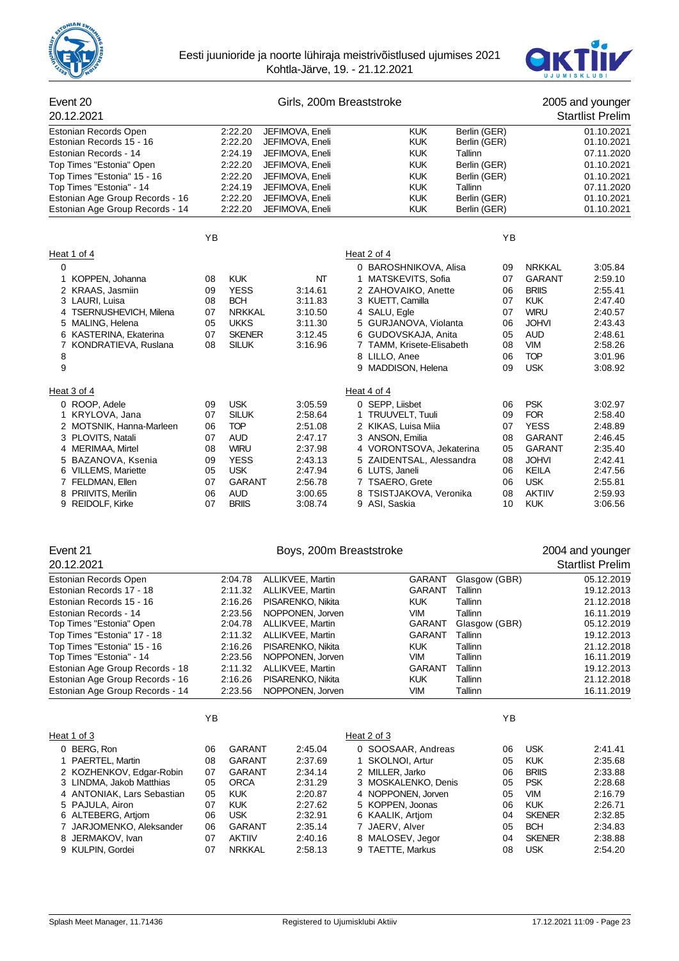



| Event 20                        |    |               |                 | Girls, 200m Breaststroke  |              |               | 2005 and younger        |
|---------------------------------|----|---------------|-----------------|---------------------------|--------------|---------------|-------------------------|
| 20.12.2021                      |    |               |                 |                           |              |               | <b>Startlist Prelim</b> |
| Estonian Records Open           |    | 2:22.20       | JEFIMOVA, Eneli | <b>KUK</b>                | Berlin (GER) |               | 01.10.2021              |
| Estonian Records 15 - 16        |    | 2:22.20       | JEFIMOVA, Eneli | <b>KUK</b>                | Berlin (GER) |               | 01.10.2021              |
| Estonian Records - 14           |    | 2:24.19       | JEFIMOVA, Eneli | <b>KUK</b>                | Tallinn      |               | 07.11.2020              |
| Top Times "Estonia" Open        |    | 2:22.20       | JEFIMOVA, Eneli | <b>KUK</b>                | Berlin (GER) |               | 01.10.2021              |
| Top Times "Estonia" 15 - 16     |    | 2:22.20       | JEFIMOVA, Eneli | <b>KUK</b>                | Berlin (GER) |               | 01.10.2021              |
| Top Times "Estonia" - 14        |    | 2:24.19       | JEFIMOVA, Eneli | <b>KUK</b>                | Tallinn      |               | 07.11.2020              |
| Estonian Age Group Records - 16 |    | 2:22.20       | JEFIMOVA, Eneli | <b>KUK</b>                | Berlin (GER) |               | 01.10.2021              |
| Estonian Age Group Records - 14 |    | 2:22.20       | JEFIMOVA, Eneli | <b>KUK</b>                | Berlin (GER) |               | 01.10.2021              |
|                                 | YB |               |                 |                           | YB           |               |                         |
| Heat 1 of 4                     |    |               |                 | Heat 2 of 4               |              |               |                         |
| $\mathbf 0$                     |    |               |                 | 0 BAROSHNIKOVA, Alisa     | 09           | <b>NRKKAL</b> | 3:05.84                 |
| 1 KOPPEN, Johanna               | 08 | <b>KUK</b>    | NT              | 1 MATSKEVITS, Sofia       | 07           | <b>GARANT</b> | 2:59.10                 |
| 2 KRAAS, Jasmiin                | 09 | <b>YESS</b>   | 3:14.61         | 2 ZAHOVAIKO, Anette       | 06           | <b>BRIIS</b>  | 2:55.41                 |
| 3 LAURI, Luisa                  | 08 | <b>BCH</b>    | 3:11.83         | 3 KUETT, Camilla          | 07           | <b>KUK</b>    | 2:47.40                 |
| 4 TSERNUSHEVICH, Milena         | 07 | <b>NRKKAL</b> | 3:10.50         | 4 SALU, Egle              | 07           | <b>WIRU</b>   | 2:40.57                 |
| 5 MALING, Helena                | 05 | <b>UKKS</b>   | 3:11.30         | 5 GURJANOVA, Violanta     | 06           | <b>JOHVI</b>  | 2:43.43                 |
| 6 KASTERINA, Ekaterina          | 07 | <b>SKENER</b> | 3:12.45         | 6 GUDOVSKAJA, Anita       | 05           | <b>AUD</b>    | 2:48.61                 |
| 7 KONDRATIEVA, Ruslana          | 08 | <b>SILUK</b>  | 3:16.96         | 7 TAMM, Krisete-Elisabeth | 08           | <b>VIM</b>    | 2:58.26                 |
| 8                               |    |               |                 | 8 LILLO, Anee             | 06           | <b>TOP</b>    | 3:01.96                 |
| 9                               |    |               |                 | 9 MADDISON, Helena        | 09           | <b>USK</b>    | 3:08.92                 |
| Heat 3 of 4                     |    |               |                 | Heat 4 of 4               |              |               |                         |
| 0 ROOP, Adele                   | 09 | <b>USK</b>    | 3:05.59         | 0 SEPP, Liisbet           | 06           | <b>PSK</b>    | 3:02.97                 |
| 1 KRYLOVA, Jana                 | 07 | <b>SILUK</b>  | 2:58.64         | 1 TRUUVELT, Tuuli         | 09           | <b>FOR</b>    | 2:58.40                 |
| 2 MOTSNIK, Hanna-Marleen        | 06 | <b>TOP</b>    | 2:51.08         | 2 KIKAS, Luisa Miia       | 07           | <b>YESS</b>   | 2:48.89                 |
| 3 PLOVITS, Natali               | 07 | <b>AUD</b>    | 2:47.17         | 3 ANSON, Emilia           | 08           | <b>GARANT</b> | 2:46.45                 |
| 4 MERIMAA, Mirtel               | 08 | <b>WIRU</b>   | 2:37.98         | 4 VORONTSOVA, Jekaterina  | 05           | <b>GARANT</b> | 2:35.40                 |
| 5 BAZANOVA, Ksenia              | 09 | <b>YESS</b>   | 2:43.13         | 5 ZAIDENTSAL, Alessandra  | 08           | <b>JOHVI</b>  | 2:42.41                 |
| 6 VILLEMS, Mariette             | 05 | <b>USK</b>    | 2:47.94         | 6 LUTS, Janeli            | 06           | <b>KEILA</b>  | 2:47.56                 |
| 7 FELDMAN, Ellen                | 07 | <b>GARANT</b> | 2:56.78         | 7 TSAERO, Grete           | 06           | <b>USK</b>    | 2:55.81                 |
| 8 PRIIVITS, Merilin             | 06 | <b>AUD</b>    | 3:00.65         | 8 TSISTJAKOVA, Veronika   | 08           | <b>AKTIIV</b> | 2:59.93                 |
| 9 REIDOLF, Kirke                | 07 | <b>BRIIS</b>  | 3:08.74         | 9 ASI, Saskia             | 10           | <b>KUK</b>    | 3:06.56                 |
|                                 |    |               |                 |                           |              |               |                         |
| Event 21                        |    |               |                 | Boys, 200m Breaststroke   |              |               | 2004 and younger        |
| 20 12 2021                      |    |               |                 |                           |              |               | Startliet Pralim        |

| 20.12.2021                      |         |                   |               |               | <b>Startlist Prelim</b> |
|---------------------------------|---------|-------------------|---------------|---------------|-------------------------|
| Estonian Records Open           | 2:04.78 | ALLIKVEE, Martin  | <b>GARANT</b> | Glasgow (GBR) | 05.12.2019              |
| Estonian Records 17 - 18        | 2:11.32 | ALLIKVEE, Martin  | <b>GARANT</b> | Tallinn       | 19.12.2013              |
| Estonian Records 15 - 16        | 2:16.26 | PISARENKO, Nikita | <b>KUK</b>    | Tallinn       | 21.12.2018              |
| Estonian Records - 14           | 2:23.56 | NOPPONEN, Jorven  | VIM           | Tallinn       | 16.11.2019              |
| Top Times "Estonia" Open        | 2:04.78 | ALLIKVEE, Martin  | <b>GARANT</b> | Glasgow (GBR) | 05.12.2019              |
| Top Times "Estonia" 17 - 18     | 2:11.32 | ALLIKVEE, Martin  | <b>GARANT</b> | Tallinn       | 19.12.2013              |
| Top Times "Estonia" 15 - 16     | 2:16.26 | PISARENKO, Nikita | <b>KUK</b>    | Tallinn       | 21.12.2018              |
| Top Times "Estonia" - 14        | 2.23.56 | NOPPONEN, Jorven  | VIM           | Tallinn       | 16.11.2019              |
| Estonian Age Group Records - 18 | 2:11.32 | ALLIKVEE, Martin  | <b>GARANT</b> | Tallinn       | 19.12.2013              |
| Estonian Age Group Records - 16 | 2:16.26 | PISARENKO, Nikita | <b>KUK</b>    | Tallinn       | 21.12.2018              |
| Estonian Age Group Records - 14 | 2:23.56 | NOPPONEN, Jorven  | VIM           | Tallinn       | 16.11.2019              |
|                                 |         |                   |               |               |                         |

|                            | ΥB |               |         |                     | YB |               |         |
|----------------------------|----|---------------|---------|---------------------|----|---------------|---------|
| Heat 1 of 3                |    |               |         | Heat 2 of 3         |    |               |         |
| 0 BERG, Ron                | 06 | GARANT        | 2:45.04 | 0 SOOSAAR, Andreas  | 06 | <b>USK</b>    | 2:41.41 |
| 1 PAERTEL, Martin          | 08 | <b>GARANT</b> | 2:37.69 | 1 SKOLNOI, Artur    | 05 | <b>KUK</b>    | 2:35.68 |
| 2 KOZHENKOV, Edgar-Robin   | 07 | <b>GARANT</b> | 2:34.14 | 2 MILLER, Jarko     | 06 | <b>BRIIS</b>  | 2:33.88 |
| 3 LINDMA, Jakob Matthias   | 05 | <b>ORCA</b>   | 2:31.29 | 3 MOSKALENKO, Denis | 05 | <b>PSK</b>    | 2:28.68 |
| 4 ANTONIAK, Lars Sebastian | 05 | <b>KUK</b>    | 2:20.87 | 4 NOPPONEN, Jorven  | 05 | <b>VIM</b>    | 2:16.79 |
| 5 PAJULA, Airon            | 07 | <b>KUK</b>    | 2:27.62 | 5 KOPPEN, Joonas    | 06 | <b>KUK</b>    | 2:26.71 |
| 6 ALTEBERG, Artiom         | 06 | <b>USK</b>    | 2:32.91 | 6 KAALIK, Artiom    | 04 | <b>SKENER</b> | 2:32.85 |
| 7 JARJOMENKO, Aleksander   | 06 | <b>GARANT</b> | 2:35.14 | 7 JAERV, Alver      | 05 | <b>BCH</b>    | 2:34.83 |
| 8 JERMAKOV, Ivan           | 07 | <b>AKTIIV</b> | 2:40.16 | 8 MALOSEV, Jegor    | 04 | <b>SKENER</b> | 2:38.88 |
| 9 KULPIN, Gordei           | 07 | <b>NRKKAL</b> | 2:58.13 | 9 TAETTE, Markus    | 08 | <b>USK</b>    | 2:54.20 |
|                            |    |               |         |                     |    |               |         |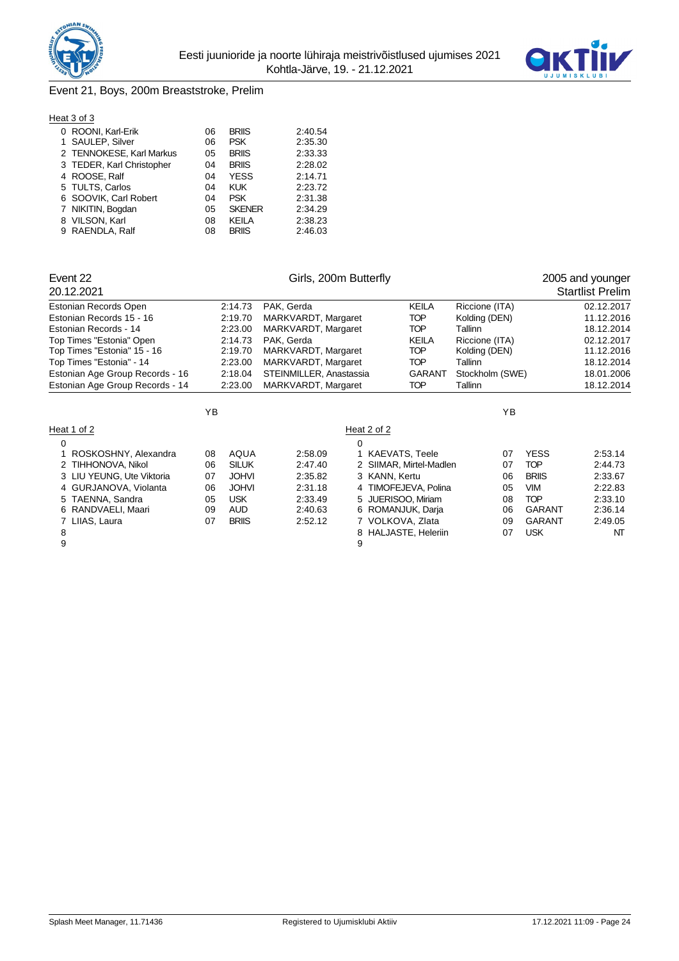



# Event 21, Boys, 200m Breaststroke, Prelim

#### Heat 3 of 3

| 06                                                                                                                                                                                                                     | <b>BRIIS</b>  | 2:40.54 |
|------------------------------------------------------------------------------------------------------------------------------------------------------------------------------------------------------------------------|---------------|---------|
| 06                                                                                                                                                                                                                     | <b>PSK</b>    | 2:35.30 |
| 05                                                                                                                                                                                                                     | <b>BRIIS</b>  | 2:33.33 |
| 04                                                                                                                                                                                                                     | <b>BRIIS</b>  | 2:28.02 |
| 04                                                                                                                                                                                                                     | <b>YESS</b>   | 2:14.71 |
| 04                                                                                                                                                                                                                     | <b>KUK</b>    | 2:23.72 |
| 04                                                                                                                                                                                                                     | <b>PSK</b>    | 2:31.38 |
| 05                                                                                                                                                                                                                     | <b>SKENER</b> | 2:34.29 |
| 08                                                                                                                                                                                                                     | KEILA         | 2:38.23 |
| 08                                                                                                                                                                                                                     | <b>BRIIS</b>  | 2:46.03 |
| 0 ROONI, Karl-Erik<br>1 SAULEP, Silver<br>2 TENNOKESE, Karl Markus<br>3 TEDER, Karl Christopher<br>4 ROOSE, Ralf<br>5 TULTS, Carlos<br>6 SOOVIK, Carl Robert<br>7 NIKITIN, Bogdan<br>8 VILSON, Karl<br>9 RAENDLA, Ralf |               |         |

| Event 22<br>20.12.2021          |    |              | Girls, 200m Butterfly   |   |                         |                 |               | 2005 and younger<br><b>Startlist Prelim</b> |
|---------------------------------|----|--------------|-------------------------|---|-------------------------|-----------------|---------------|---------------------------------------------|
| Estonian Records Open           |    | 2:14.73      | PAK, Gerda              |   | KEILA                   | Riccione (ITA)  |               | 02.12.2017                                  |
| Estonian Records 15 - 16        |    | 2:19.70      | MARKVARDT, Margaret     |   | <b>TOP</b>              | Kolding (DEN)   |               | 11.12.2016                                  |
| Estonian Records - 14           |    | 2:23.00      | MARKVARDT, Margaret     |   | <b>TOP</b>              | Tallinn         |               | 18.12.2014                                  |
| Top Times "Estonia" Open        |    | 2:14.73      | PAK, Gerda              |   | <b>KEILA</b>            | Riccione (ITA)  |               | 02.12.2017                                  |
| Top Times "Estonia" 15 - 16     |    | 2:19.70      | MARKVARDT, Margaret     |   | <b>TOP</b>              | Kolding (DEN)   |               | 11.12.2016                                  |
| Top Times "Estonia" - 14        |    | 2:23.00      | MARKVARDT, Margaret     |   | <b>TOP</b>              | Tallinn         |               | 18.12.2014                                  |
| Estonian Age Group Records - 16 |    | 2:18.04      | STEINMILLER, Anastassia |   | <b>GARANT</b>           | Stockholm (SWE) |               | 18.01.2006                                  |
| Estonian Age Group Records - 14 |    | 2:23.00      | MARKVARDT, Margaret     |   | <b>TOP</b>              | Tallinn         |               | 18.12.2014                                  |
|                                 | YB |              |                         |   |                         | YB              |               |                                             |
| Heat 1 of 2                     |    |              |                         |   | Heat 2 of 2             |                 |               |                                             |
| 0                               |    |              |                         | 0 |                         |                 |               |                                             |
| ROSKOSHNY, Alexandra            | 08 | <b>AQUA</b>  | 2:58.09                 |   | <b>KAEVATS, Teele</b>   | 07              | <b>YESS</b>   | 2:53.14                                     |
| TIHHONOVA, Nikol                | 06 | <b>SILUK</b> | 2:47.40                 |   | 2 SIIMAR, Mirtel-Madlen | 07              | <b>TOP</b>    | 2:44.73                                     |
| 3 LIU YEUNG, Ute Viktoria       | 07 | <b>JOHVI</b> | 2:35.82                 |   | 3 KANN, Kertu           | 06              | <b>BRIIS</b>  | 2:33.67                                     |
| 4 GURJANOVA, Violanta           | 06 | <b>JOHVI</b> | 2:31.18                 |   | 4 TIMOFEJEVA, Polina    | 05              | <b>VIM</b>    | 2:22.83                                     |
| TAENNA, Sandra<br>5             | 05 | <b>USK</b>   | 2:33.49                 | 5 | JUERISOO, Miriam        | 08              | <b>TOP</b>    | 2:33.10                                     |
| RANDVAELI, Maari                | 09 | <b>AUD</b>   | 2:40.63                 |   | 6 ROMANJUK, Darja       | 06              | <b>GARANT</b> | 2:36.14                                     |
| LIIAS, Laura                    | 07 | <b>BRIIS</b> | 2:52.12                 |   | 7 VOLKOVA, Zlata        | 09              | <b>GARANT</b> | 2:49.05                                     |
| 8                               |    |              |                         | 8 | HALJASTE, Heleriin      | 07              | <b>USK</b>    | NT                                          |
| 9                               |    |              |                         | 9 |                         |                 |               |                                             |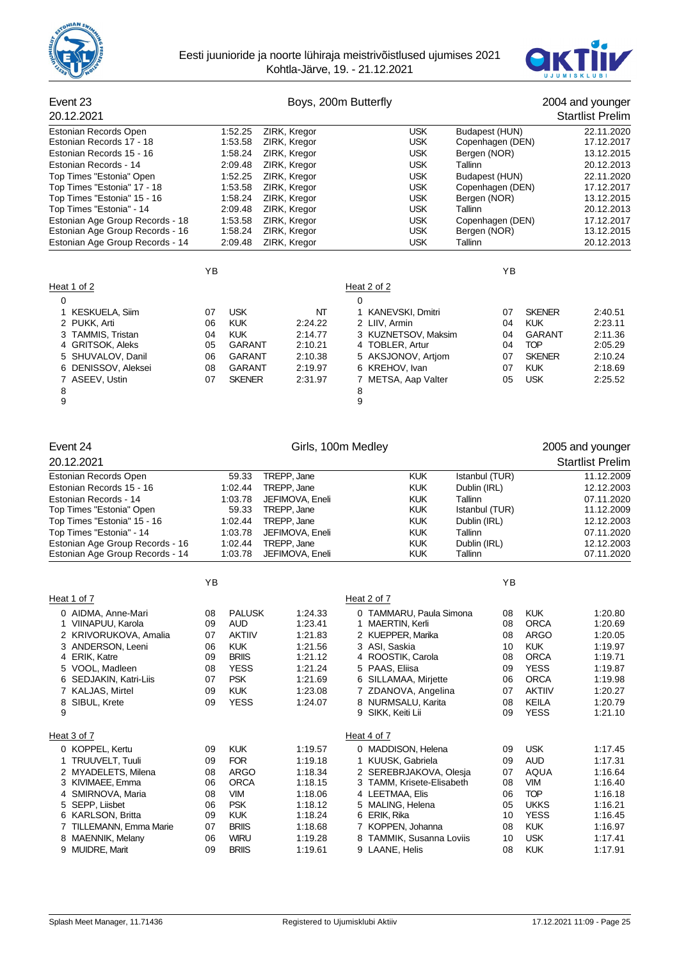



| Event 23<br>20.12.2021<br>Estonian Records Open<br>1:52.25<br>Estonian Records 17 - 18<br>1:53.58<br>Estonian Records 15 - 16<br>1:58.24<br>Estonian Records - 14<br>2:09.48<br>Top Times "Estonia" Open<br>1:52.25<br>Top Times "Estonia" 17 - 18<br>1:53.58<br>Top Times "Estonia" 15 - 16<br>1:58.24<br>Top Times "Estonia" - 14<br>2:09.48<br>1:53.58<br>Estonian Age Group Records - 18<br>Estonian Age Group Records - 16<br>1:58.24<br>Estonian Age Group Records - 14<br>2:09.48 |                                                                                                                                                                                     | ZIRK, Kregor<br>ZIRK, Kregor<br>ZIRK, Kregor<br>ZIRK, Kregor<br>ZIRK, Kregor<br>ZIRK, Kregor<br>ZIRK, Kregor<br>ZIRK, Kregor<br>ZIRK, Kregor<br>ZIRK, Kregor<br>ZIRK, Kregor | Boys, 200m Butterfly<br><b>USK</b><br><b>USK</b><br><b>USK</b><br><b>USK</b><br><b>USK</b><br><b>USK</b><br><b>USK</b><br><b>USK</b><br><b>USK</b><br><b>USK</b><br><b>USK</b>                                                       | Budapest (HUN)<br>Copenhagen (DEN)<br>Bergen (NOR)<br><b>Tallinn</b><br>Budapest (HUN)<br>Copenhagen (DEN)<br>Bergen (NOR)<br>Tallinn<br>Copenhagen (DEN)<br>Bergen (NOR)<br>Tallinn |                                                                                                                                                     | 2004 and younger<br><b>Startlist Prelim</b><br>22.11.2020<br>17.12.2017<br>13.12.2015<br>20.12.2013<br>22.11.2020<br>17.12.2017<br>13.12.2015<br>20.12.2013<br>17.12.2017<br>13.12.2015<br>20.12.2013 |
|------------------------------------------------------------------------------------------------------------------------------------------------------------------------------------------------------------------------------------------------------------------------------------------------------------------------------------------------------------------------------------------------------------------------------------------------------------------------------------------|-------------------------------------------------------------------------------------------------------------------------------------------------------------------------------------|------------------------------------------------------------------------------------------------------------------------------------------------------------------------------|--------------------------------------------------------------------------------------------------------------------------------------------------------------------------------------------------------------------------------------|--------------------------------------------------------------------------------------------------------------------------------------------------------------------------------------|-----------------------------------------------------------------------------------------------------------------------------------------------------|-------------------------------------------------------------------------------------------------------------------------------------------------------------------------------------------------------|
| Heat 1 of 2                                                                                                                                                                                                                                                                                                                                                                                                                                                                              | YB                                                                                                                                                                                  |                                                                                                                                                                              | Heat 2 of 2                                                                                                                                                                                                                          | YB                                                                                                                                                                                   |                                                                                                                                                     |                                                                                                                                                                                                       |
| 0<br>1 KESKUELA, Siim<br>2 PUKK, Arti<br>3 TAMMIS, Tristan<br>4 GRITSOK, Aleks<br>5 SHUVALOV, Danil<br>6 DENISSOV, Aleksei<br>7 ASEEV, Ustin<br>8<br>9                                                                                                                                                                                                                                                                                                                                   | <b>USK</b><br>07<br><b>KUK</b><br>06<br><b>KUK</b><br>04<br><b>GARANT</b><br>05<br><b>GARANT</b><br>06<br><b>GARANT</b><br>08<br>07<br><b>SKENER</b>                                | NΤ<br>2:24.22<br>2:14.77<br>2:10.21<br>2:10.38<br>2:19.97<br>2:31.97                                                                                                         | 0<br>1 KANEVSKI, Dmitri<br>2 LIIV, Armin<br>3 KUZNETSOV, Maksim<br>4 TOBLER, Artur<br>5 AKSJONOV, Artjom<br>6 KREHOV, Ivan<br>7 METSA, Aap Valter<br>8<br>9                                                                          | 07<br>04<br>04<br>04<br>07<br>07<br>05                                                                                                                                               | <b>SKENER</b><br><b>KUK</b><br><b>GARANT</b><br><b>TOP</b><br><b>SKENER</b><br><b>KUK</b><br><b>USK</b>                                             | 2:40.51<br>2:23.11<br>2:11.36<br>2:05.29<br>2:10.24<br>2:18.69<br>2:25.52                                                                                                                             |
| Event 24                                                                                                                                                                                                                                                                                                                                                                                                                                                                                 |                                                                                                                                                                                     |                                                                                                                                                                              | Girls, 100m Medley                                                                                                                                                                                                                   |                                                                                                                                                                                      |                                                                                                                                                     | 2005 and younger                                                                                                                                                                                      |
| 20.12.2021                                                                                                                                                                                                                                                                                                                                                                                                                                                                               |                                                                                                                                                                                     |                                                                                                                                                                              |                                                                                                                                                                                                                                      |                                                                                                                                                                                      |                                                                                                                                                     | <b>Startlist Prelim</b>                                                                                                                                                                               |
| Estonian Records Open<br>Estonian Records 15 - 16<br>Estonian Records - 14<br>Top Times "Estonia" Open<br>Top Times "Estonia" 15 - 16<br>Top Times "Estonia" - 14<br>Estonian Age Group Records - 16<br>Estonian Age Group Records - 14                                                                                                                                                                                                                                                  | 59.33<br>1:02.44<br>1:03.78<br>59.33<br>1:02.44<br>1:03.78<br>1:02.44<br>1:03.78                                                                                                    | TREPP, Jane<br>TREPP, Jane<br>JEFIMOVA, Eneli<br>TREPP, Jane<br>TREPP, Jane<br>JEFIMOVA, Eneli<br>TREPP, Jane<br>JEFIMOVA, Eneli                                             | <b>KUK</b><br><b>KUK</b><br><b>KUK</b><br><b>KUK</b><br><b>KUK</b><br><b>KUK</b><br><b>KUK</b><br><b>KUK</b>                                                                                                                         | Istanbul (TUR)<br>Dublin (IRL)<br>Tallinn<br>Istanbul (TUR)<br>Dublin (IRL)<br>Tallinn<br>Dublin (IRL)<br>Tallinn                                                                    |                                                                                                                                                     | 11.12.2009<br>12.12.2003<br>07.11.2020<br>11.12.2009<br>12.12.2003<br>07.11.2020<br>12.12.2003<br>07.11.2020                                                                                          |
|                                                                                                                                                                                                                                                                                                                                                                                                                                                                                          | YB                                                                                                                                                                                  |                                                                                                                                                                              |                                                                                                                                                                                                                                      | YB                                                                                                                                                                                   |                                                                                                                                                     |                                                                                                                                                                                                       |
| Heat 1 of 7<br>0 AIDMA, Anne-Mari<br>1 VIINAPUU, Karola<br>2 KRIVORUKOVA, Amalia<br>3 ANDERSON, Leeni<br>4 ERIK, Katre<br>5 VOOL, Madleen<br>6 SEDJAKIN, Katri-Liis<br>7 KALJAS, Mirtel<br>SIBUL, Krete<br>8<br>9                                                                                                                                                                                                                                                                        | <b>PALUSK</b><br>08<br>09<br><b>AUD</b><br>07<br>AKTIIV<br><b>KUK</b><br>06<br><b>BRIIS</b><br>09<br><b>YESS</b><br>08<br><b>PSK</b><br>07<br><b>KUK</b><br>09<br><b>YESS</b><br>09 | 1:24.33<br>1:23.41<br>1:21.83<br>1:21.56<br>1:21.12<br>1:21.24<br>1:21.69<br>1:23.08<br>1:24.07                                                                              | Heat 2 of 7<br>0 TAMMARU, Paula Simona<br>1<br>MAERTIN, Kerli<br>2 KUEPPER, Marika<br>3 ASI, Saskia<br>4 ROOSTIK, Carola<br>5 PAAS, Eliisa<br>6 SILLAMAA, Mirjette<br>7 ZDANOVA, Angelina<br>8 NURMSALU, Karita<br>9 SIKK, Keiti Lii | 08<br>08<br>08<br>10<br>08<br>09<br>06<br>07<br>08<br>09                                                                                                                             | <b>KUK</b><br><b>ORCA</b><br><b>ARGO</b><br><b>KUK</b><br><b>ORCA</b><br><b>YESS</b><br><b>ORCA</b><br><b>AKTIIV</b><br><b>KEILA</b><br><b>YESS</b> | 1:20.80<br>1:20.69<br>1:20.05<br>1:19.97<br>1:19.71<br>1:19.87<br>1:19.98<br>1:20.27<br>1:20.79<br>1:21.10                                                                                            |

Heat 3 of 7 Heat 4 of 7

0 KOPPEL, Kertu 09 KUK 1:19.57 0 MADDISON, Helena 09 USK 1:17.45

2 MYADELETS, Milena 08 ARGO 1:18.34 2 SEREBRJAKOVA, Olesja 07 AQUA 1:16.64 3 TAMM, Krisete-Elisabeth<br>VIM 1:18.06 4 LEETMAA, Elis 1 116.18 A SMIRNOVA, Maria 108 VIM 1:18.06 4 LEETMAA, Elis 16 06 TOP 1:16.18<br>1:18.12 5 MALING, Helena 165 UKKS 1:16.21 16.21

 KARLSON, Britta 09 KUK 1:18.24 6 ERIK, Rika 10 YESS 1:16.45 TILLEMANN, Emma Marie 07 BRIIS 1:18.68 7 KOPPEN, Johanna 08 KUK 1:16.97 MAENNIK, Melany 06 WIRU 1:19.28 8 TAMMIK, Susanna Loviis 10 USK 1:17.41 MUIDRE, Marit 09 BRIIS 1:19.61 9 LAANE, Helis 08 KUK 1:17.91

09 FOR 1:19.18 1 KUUSK, Gabriela 109 AUD 1:17.31

5 SEPP, Liisbet 06 PSK 1:18.12 5 MALING, Helena 05 UKKS 1:16.21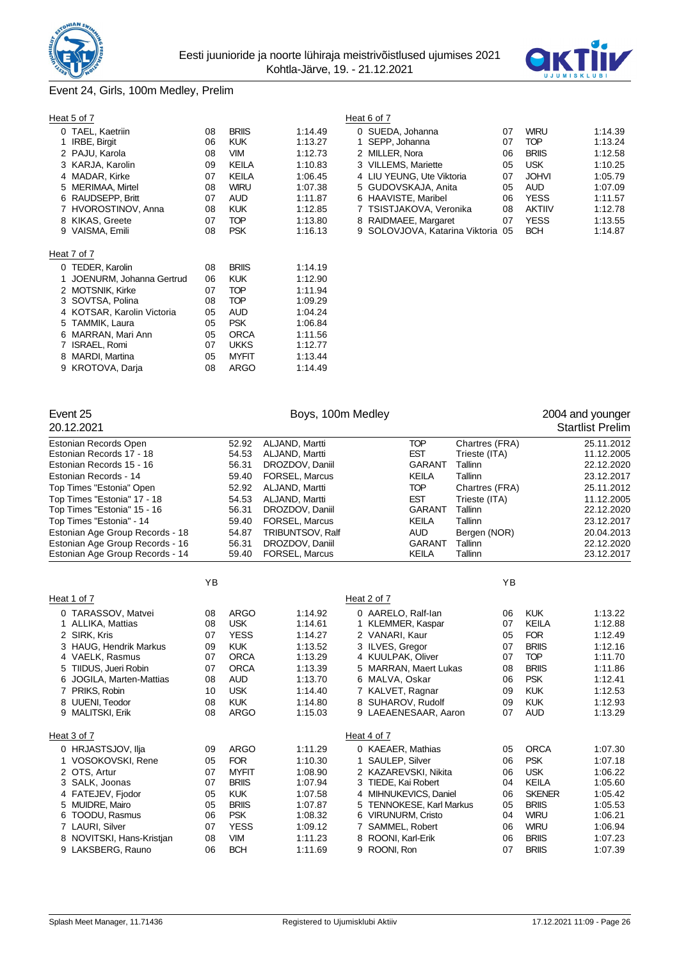



# Event 24, Girls, 100m Medley, Prelim

# Heat 5 of 7 Heat 6 of 7

| 0 TAEL, Kaetriin           | 08 | <b>BRIIS</b> | 1:14.49 | 0 SUEDA, Johanna                  | 07 | <b>WIRU</b>   | 1:14.39 |
|----------------------------|----|--------------|---------|-----------------------------------|----|---------------|---------|
| 1 IRBE, Birgit             | 06 | <b>KUK</b>   | 1:13.27 | 1 SEPP, Johanna                   | 07 | <b>TOP</b>    | 1:13.24 |
| 2 PAJU, Karola             | 08 | <b>VIM</b>   | 1:12.73 | 2 MILLER, Nora                    | 06 | <b>BRIIS</b>  | 1:12.58 |
| 3 KARJA, Karolin           | 09 | KEILA        | 1:10.83 | 3 VILLEMS, Mariette               | 05 | <b>USK</b>    | 1:10.25 |
| 4 MADAR, Kirke             | 07 | KEILA        | 1:06.45 | 4 LIU YEUNG, Ute Viktoria         | 07 | <b>JOHVI</b>  | 1:05.79 |
| 5 MERIMAA, Mirtel          | 08 | <b>WIRU</b>  | 1:07.38 | 5 GUDOVSKAJA, Anita               | 05 | <b>AUD</b>    | 1:07.09 |
| 6 RAUDSEPP, Britt          | 07 | <b>AUD</b>   | 1:11.87 | 6 HAAVISTE, Maribel               | 06 | <b>YESS</b>   | 1:11.57 |
| 7 HVOROSTINOV, Anna        | 08 | <b>KUK</b>   | 1:12.85 | 7 TSISTJAKOVA, Veronika           | 08 | <b>AKTIIV</b> | 1:12.78 |
| 8 KIKAS, Greete            | 07 | <b>TOP</b>   | 1:13.80 | 8 RAIDMAEE, Margaret              | 07 | <b>YESS</b>   | 1:13.55 |
| 9 VAISMA, Emili            | 08 | <b>PSK</b>   | 1:16.13 | 9 SOLOVJOVA, Katarina Viktoria 05 |    | <b>BCH</b>    | 1:14.87 |
|                            |    |              |         |                                   |    |               |         |
| eat 7 of 7                 |    |              |         |                                   |    |               |         |
| 0 TEDER, Karolin           | 08 | <b>BRIIS</b> | 1:14.19 |                                   |    |               |         |
| 1 JOENURM, Johanna Gertrud | 06 | <b>KUK</b>   | 1:12.90 |                                   |    |               |         |
| 2 MOTSNIK, Kirke           | 07 | <b>TOP</b>   | 1:11.94 |                                   |    |               |         |
| 3 SOVTSA, Polina           | 08 | <b>TOP</b>   | 1:09.29 |                                   |    |               |         |
| 4 KOTSAR, Karolin Victoria | 05 | <b>AUD</b>   | 1:04.24 |                                   |    |               |         |
| 5 TAMMIK, Laura            | 05 | <b>PSK</b>   | 1:06.84 |                                   |    |               |         |
| 6 MARRAN, Mari Ann         | 05 | <b>ORCA</b>  | 1:11.56 |                                   |    |               |         |
| 7 ISRAEL, Romi             | 07 | <b>UKKS</b>  | 1:12.77 |                                   |    |               |         |
| 8 MARDI, Martina           | 05 | <b>MYFIT</b> | 1:13.44 |                                   |    |               |         |
| 9 KROTOVA, Darja           | 08 | <b>ARGO</b>  | 1:14.49 |                                   |    |               |         |
|                            |    |              |         |                                   |    |               |         |

| u. v. .             |    |              |         | .                                 |    |               |         |
|---------------------|----|--------------|---------|-----------------------------------|----|---------------|---------|
| 0 TAEL, Kaetriin    | 08 | <b>BRIIS</b> | 1:14.49 | 0 SUEDA, Johanna                  | 07 | <b>WIRU</b>   | 1:14.39 |
| 1 IRBE, Birgit      | 06 | <b>KUK</b>   | 1:13.27 | 1 SEPP, Johanna                   | 07 | TOP           | 1:13.24 |
| 2 PAJU, Karola      | 08 | VIM          | 1:12.73 | 2 MILLER, Nora                    | 06 | <b>BRIIS</b>  | 1:12.58 |
| 3 KARJA, Karolin    | 09 | KEILA        | 1:10.83 | 3 VILLEMS, Mariette               | 05 | <b>USK</b>    | 1:10.25 |
| 4 MADAR, Kirke      | 07 | <b>KEILA</b> | 1:06.45 | 4 LIU YEUNG, Ute Viktoria         | 07 | <b>JOHVI</b>  | 1:05.79 |
| 5 MERIMAA, Mirtel   | 08 | <b>WIRU</b>  | 1:07.38 | 5 GUDOVSKAJA, Anita               | 05 | <b>AUD</b>    | 1:07.09 |
| 6 RAUDSEPP, Britt   | 07 | <b>AUD</b>   | 1:11.87 | 6 HAAVISTE, Maribel               | 06 | <b>YESS</b>   | 1:11.57 |
| 7 HVOROSTINOV, Anna | 08 | <b>KUK</b>   | 1:12.85 | 7 TSISTJAKOVA, Veronika           | 08 | <b>AKTIIV</b> | 1:12.78 |
| 8 KIKAS, Greete     | 07 | TOP          | 1:13.80 | 8 RAIDMAEE, Margaret              | 07 | <b>YESS</b>   | 1:13.55 |
| 9 VAISMA. Emili     | 08 | <b>PSK</b>   | 1:16.13 | 9 SOLOVJOVA, Katarina Viktoria 05 |    | <b>BCH</b>    | 1:14.87 |

## $H$

| 20.12.2021                      |           |              |                  |                          |                |               | <b>Startlist Prelim</b> |
|---------------------------------|-----------|--------------|------------------|--------------------------|----------------|---------------|-------------------------|
| Estonian Records Open           |           | 52.92        | ALJAND, Martti   | <b>TOP</b>               | Chartres (FRA) |               | 25.11.2012              |
| Estonian Records 17 - 18        |           | 54.53        | ALJAND, Martti   | <b>EST</b>               | Trieste (ITA)  |               | 11.12.2005              |
| Estonian Records 15 - 16        |           | 56.31        | DROZDOV, Daniil  | <b>GARANT</b>            | Tallinn        |               | 22.12.2020              |
| Estonian Records - 14           |           | 59.40        | FORSEL, Marcus   | <b>KEILA</b>             | Tallinn        |               | 23.12.2017              |
| Top Times "Estonia" Open        |           | 52.92        | ALJAND, Martti   | <b>TOP</b>               | Chartres (FRA) |               | 25.11.2012              |
| Top Times "Estonia" 17 - 18     |           | 54.53        | ALJAND, Martti   | <b>EST</b>               | Trieste (ITA)  |               | 11.12.2005              |
| Top Times "Estonia" 15 - 16     |           | 56.31        | DROZDOV, Daniil  | <b>GARANT</b>            | Tallinn        |               | 22.12.2020              |
| Top Times "Estonia" - 14        |           | 59.40        | FORSEL, Marcus   | <b>KEILA</b>             | Tallinn        |               | 23.12.2017              |
| Estonian Age Group Records - 18 |           | 54.87        | TRIBUNTSOV, Ralf | <b>AUD</b>               | Bergen (NOR)   |               | 20.04.2013              |
| Estonian Age Group Records - 16 |           | 56.31        | DROZDOV, Daniil  | <b>GARANT</b>            | Tallinn        |               | 22.12.2020              |
| Estonian Age Group Records - 14 |           | 59.40        | FORSEL, Marcus   | <b>KEILA</b>             | Tallinn        |               | 23.12.2017              |
|                                 | <b>YB</b> |              |                  |                          | YB             |               |                         |
| Heat 1 of 7                     |           |              |                  | Heat 2 of 7              |                |               |                         |
| 0 TARASSOV, Matvei              | 08        | <b>ARGO</b>  | 1:14.92          | 0 AARELO, Ralf-lan       | 06             | <b>KUK</b>    | 1:13.22                 |
| 1 ALLIKA, Mattias               | 08        | <b>USK</b>   | 1:14.61          | 1 KLEMMER, Kaspar        | 07             | <b>KEILA</b>  | 1:12.88                 |
| 2 SIRK, Kris                    | 07        | <b>YESS</b>  | 1:14.27          | 2 VANARI, Kaur           | 05             | <b>FOR</b>    | 1:12.49                 |
| 3 HAUG, Hendrik Markus          | 09        | <b>KUK</b>   | 1:13.52          | 3 ILVES, Gregor          | 07             | <b>BRIIS</b>  | 1:12.16                 |
| 4 VAELK, Rasmus                 | 07        | <b>ORCA</b>  | 1:13.29          | 4 KUULPAK, Oliver        | 07             | <b>TOP</b>    | 1:11.70                 |
| 5 TIIDUS, Jueri Robin           | 07        | <b>ORCA</b>  | 1:13.39          | 5 MARRAN, Maert Lukas    | 08             | <b>BRIIS</b>  | 1:11.86                 |
| 6 JOGILA, Marten-Mattias        | 08        | <b>AUD</b>   | 1:13.70          | 6 MALVA, Oskar           | 06             | <b>PSK</b>    | 1:12.41                 |
| 7 PRIKS, Robin                  | 10        | <b>USK</b>   | 1:14.40          | 7 KALVET, Ragnar         | 09             | <b>KUK</b>    | 1:12.53                 |
| 8 UUENI, Teodor                 | 08        | <b>KUK</b>   | 1:14.80          | 8 SUHAROV, Rudolf        | 09             | <b>KUK</b>    | 1:12.93                 |
| 9 MALITSKI, Erik                | 08        | <b>ARGO</b>  | 1:15.03          | 9 LAEAENESAAR, Aaron     | 07             | <b>AUD</b>    | 1:13.29                 |
| Heat 3 of 7                     |           |              |                  | Heat 4 of 7              |                |               |                         |
| 0 HRJASTSJOV, Ilja              | 09        | <b>ARGO</b>  | 1:11.29          | 0 KAEAER, Mathias        | 05             | <b>ORCA</b>   | 1:07.30                 |
| 1 VOSOKOVSKI, Rene              | 05        | <b>FOR</b>   | 1:10.30          | SAULEP, Silver           | 06             | <b>PSK</b>    | 1:07.18                 |
| 2 OTS, Artur                    | 07        | <b>MYFIT</b> | 1:08.90          | 2 KAZAREVSKI, Nikita     | 06             | <b>USK</b>    | 1:06.22                 |
| 3 SALK, Joonas                  | 07        | <b>BRIIS</b> | 1:07.94          | 3 TIEDE, Kai Robert      | 04             | <b>KEILA</b>  | 1:05.60                 |
| 4 FATEJEV, Fjodor               | 05        | <b>KUK</b>   | 1:07.58          | 4 MIHNUKEVICS, Daniel    | 06             | <b>SKENER</b> | 1:05.42                 |
| 5 MUIDRE, Mairo                 | 05        | <b>BRIIS</b> | 1:07.87          | 5 TENNOKESE, Karl Markus | 05             | <b>BRIIS</b>  | 1:05.53                 |
| 6 TOODU, Rasmus                 | 06        | <b>PSK</b>   | 1:08.32          | 6 VIRUNURM, Cristo       | 04             | <b>WIRU</b>   | 1:06.21                 |
| 7 LAURI, Silver                 | 07        | <b>YESS</b>  | 1:09.12          | 7 SAMMEL, Robert         | 06             | <b>WIRU</b>   | 1:06.94                 |
| 8 NOVITSKI, Hans-Kristjan       | 08        | <b>VIM</b>   | 1:11.23          | 8 ROONI, Karl-Erik       | 06             | <b>BRIIS</b>  | 1:07.23                 |
| 9 LAKSBERG, Rauno               | 06        | <b>BCH</b>   | 1:11.69          | 9 ROONI, Ron             | 07             | <b>BRIIS</b>  | 1:07.39                 |
|                                 |           |              |                  |                          |                |               |                         |

Event 25 **Boys, 100m Medley Boys**, 100m Medley **1988**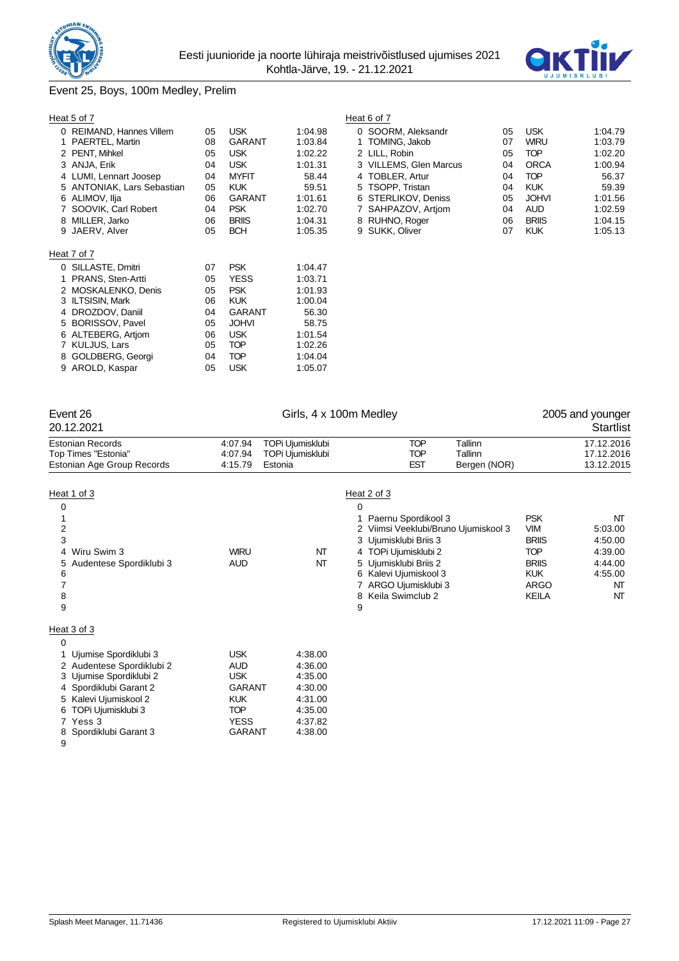



# Event 25, Boys, 100m Medley, Prelim

|   | Heat 5 of 7                |    |               |         | Heat 6 of 7       |
|---|----------------------------|----|---------------|---------|-------------------|
|   | 0 REIMAND, Hannes Villem   | 05 | <b>USK</b>    | 1:04.98 | 0 SOOF            |
|   | 1 PAERTEL, Martin          | 08 | <b>GARANT</b> | 1:03.84 | <b>TOMI</b><br>1. |
|   | 2 PENT, Mihkel             | 05 | <b>USK</b>    | 1:02.22 | 2 LILL,           |
|   | 3 ANJA, Erik               | 04 | <b>USK</b>    | 1:01.31 | 3 VILLE           |
|   | 4 LUMI, Lennart Joosep     | 04 | <b>MYFIT</b>  | 58.44   | <b>TOBL</b><br>4  |
|   | 5 ANTONIAK, Lars Sebastian | 05 | <b>KUK</b>    | 59.51   | <b>TSOP</b><br>5  |
|   | 6 ALIMOV, Ilja             | 06 | <b>GARANT</b> | 1:01.61 | <b>STER</b><br>6  |
|   | 7 SOOVIK, Carl Robert      | 04 | <b>PSK</b>    | 1:02.70 | SAHF<br>7         |
|   | 8 MILLER, Jarko            | 06 | <b>BRIIS</b>  | 1:04.31 | <b>RUHN</b><br>8  |
|   | 9 JAERV, Alver             | 05 | <b>BCH</b>    | 1:05.35 | 9 SUKK            |
|   |                            |    |               |         |                   |
|   | Heat 7 of 7                |    |               |         |                   |
|   | 0 SILLASTE, Dmitri         | 07 | <b>PSK</b>    | 1:04.47 |                   |
|   | 1 PRANS, Sten-Artti        | 05 | <b>YESS</b>   | 1:03.71 |                   |
|   | 2 MOSKALENKO, Denis        | 05 | <b>PSK</b>    | 1:01.93 |                   |
|   | 3 ILTSISIN, Mark           | 06 | <b>KUK</b>    | 1:00.04 |                   |
| 4 | DROZDOV, Daniil            | 04 | GARANT        | 56.30   |                   |
|   | 5 BORISSOV, Pavel          | 05 | <b>JOHVI</b>  | 58.75   |                   |
|   | 6 ALTEBERG, Artjom         | 06 | <b>USK</b>    | 1:01.54 |                   |
|   | 7 KULJUS, Lars             | 05 | <b>TOP</b>    | 1:02.26 |                   |
| 8 | GOLDBERG, Georgi           | 04 | <b>TOP</b>    | 1:04.04 |                   |
| 9 | AROLD, Kaspar              | 05 | <b>USK</b>    | 1:05.07 |                   |

| al ou <i>r</i>             |    |               |         | Heat 6 OL 7            |    |              |         |
|----------------------------|----|---------------|---------|------------------------|----|--------------|---------|
| 0 REIMAND, Hannes Villem   | 05 | <b>USK</b>    | 1:04.98 | 0 SOORM. Aleksandr     | 05 | <b>USK</b>   | 1:04.79 |
| 1 PAERTEL, Martin          | 08 | <b>GARANT</b> | 1:03.84 | 1 TOMING, Jakob        | 07 | <b>WIRU</b>  | 1:03.79 |
| 2 PENT, Mihkel             | 05 | <b>USK</b>    | 1:02.22 | 2 LILL. Robin          | 05 | <b>TOP</b>   | 1:02.20 |
| 3 ANJA. Erik               | 04 | <b>USK</b>    | 1:01.31 | 3 VILLEMS, Glen Marcus | 04 | <b>ORCA</b>  | 1:00.94 |
| 4 LUMI, Lennart Joosep     | 04 | <b>MYFIT</b>  | 58.44   | 4 TOBLER, Artur        | 04 | <b>TOP</b>   | 56.37   |
| 5 ANTONIAK, Lars Sebastian | 05 | <b>KUK</b>    | 59.51   | 5 TSOPP. Tristan       | 04 | KUK          | 59.39   |
| 6 ALIMOV, Ilja             | 06 | <b>GARANT</b> | 1:01.61 | 6 STERLIKOV, Deniss    | 05 | <b>JOHVI</b> | 1:01.56 |
| 7 SOOVIK, Carl Robert      | 04 | <b>PSK</b>    | 1:02.70 | 7 SAHPAZOV, Artiom     | 04 | <b>AUD</b>   | 1:02.59 |
| 8 MILLER, Jarko            | 06 | <b>BRIIS</b>  | 1:04.31 | 8 RUHNO, Roger         | 06 | <b>BRIIS</b> | 1:04.15 |
| 9 JAERV. Alver             | 05 | <b>BCH</b>    | 1:05.35 | 9 SUKK, Oliver         | 07 | <b>KUK</b>   | 1:05.13 |
|                            |    |               |         |                        |    |              |         |

| Girls, 4 x 100m Medley<br>Event 26<br>20.12.2021                                                            |                               |                                                 |                                                                                                                                                                                                                                            |                                    | 2005 and younger<br>Startlist                                                                                                                                           |
|-------------------------------------------------------------------------------------------------------------|-------------------------------|-------------------------------------------------|--------------------------------------------------------------------------------------------------------------------------------------------------------------------------------------------------------------------------------------------|------------------------------------|-------------------------------------------------------------------------------------------------------------------------------------------------------------------------|
| <b>Estonian Records</b><br>Top Times "Estonia"<br>Estonian Age Group Records                                | 4:07.94<br>4:07.94<br>4:15.79 | TOPi Ujumisklubi<br>TOPi Ujumisklubi<br>Estonia | <b>TOP</b><br>TOP<br><b>EST</b>                                                                                                                                                                                                            | Tallinn<br>Tallinn<br>Bergen (NOR) | 17.12.2016<br>17.12.2016<br>13.12.2015                                                                                                                                  |
| Heat 1 of 3<br>0<br>$\overline{2}$<br>3<br>Wiru Swim 3<br>4<br>Audentese Spordiklubi 3<br>5.<br>6<br>8<br>9 | <b>WIRU</b><br>AUD            | NT<br>NΤ                                        | Heat 2 of 3<br>0<br>1 Paernu Spordikool 3<br>2 Viimsi Veeklubi/Bruno Ujumiskool 3<br>3 Ujumisklubi Briis 3<br>4 TOPi Ujumisklubi 2<br>5 Ujumisklubi Briis 2<br>6 Kalevi Ujumiskool 3<br>7 ARGO Ujumisklubi 3<br>Keila Swimclub 2<br>8<br>9 | VIM                                | <b>PSK</b><br>NT<br>5:03.00<br><b>BRIIS</b><br>4:50.00<br><b>TOP</b><br>4:39.00<br>4:44.00<br><b>BRIIS</b><br><b>KUK</b><br>4:55.00<br><b>ARGO</b><br>NT<br>KEILA<br>NT |
| Heat 3 of 3<br>0<br>Ujumise Spordiklubi 3<br>2 Audentese Spordiklubi 2                                      | <b>USK</b><br>AUD             | 4:38.00<br>4:36.00                              |                                                                                                                                                                                                                                            |                                    |                                                                                                                                                                         |

| 2 Audentese Spordikiupi 2 | <b>AUD</b>    | 4.36.UU |
|---------------------------|---------------|---------|
| 3 Ujumise Spordiklubi 2   | <b>USK</b>    | 4:35.00 |
| 4 Spordiklubi Garant 2    | <b>GARANT</b> | 4:30.00 |
| 5 Kalevi Ujumiskool 2     | <b>KUK</b>    | 4:31.00 |
| 6 TOPi Ujumisklubi 3      | <b>TOP</b>    | 4:35.00 |
| 7 Yess 3                  | <b>YESS</b>   | 4:37.82 |
| 8 Spordiklubi Garant 3    | <b>GARANT</b> | 4:38.00 |
|                           |               |         |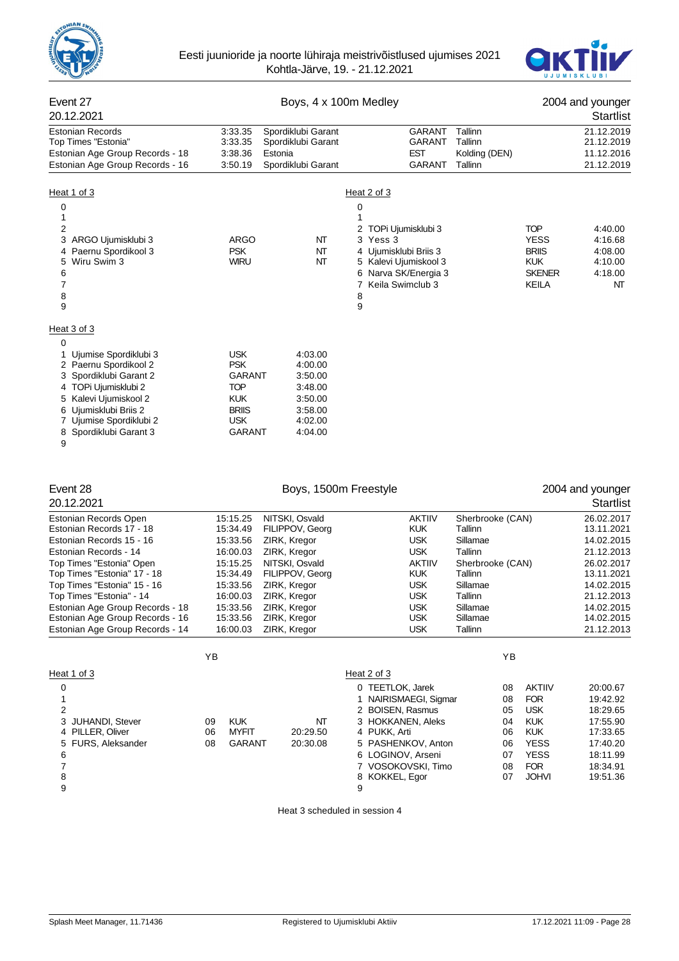



| Event 27<br>20.12.2021                                                                                                                                                                                                                                                                                                                |                                                                                                                                  | Boys, 4 x 100m Medley                                                                                                                                                                  |                                                                                                                                                                                                           |                                                                                                                                                     | 2004 and younger<br>Startlist                                                                                                                                                                                                                 |
|---------------------------------------------------------------------------------------------------------------------------------------------------------------------------------------------------------------------------------------------------------------------------------------------------------------------------------------|----------------------------------------------------------------------------------------------------------------------------------|----------------------------------------------------------------------------------------------------------------------------------------------------------------------------------------|-----------------------------------------------------------------------------------------------------------------------------------------------------------------------------------------------------------|-----------------------------------------------------------------------------------------------------------------------------------------------------|-----------------------------------------------------------------------------------------------------------------------------------------------------------------------------------------------------------------------------------------------|
| <b>Estonian Records</b><br>Top Times "Estonia"<br>Estonian Age Group Records - 18<br>Estonian Age Group Records - 16                                                                                                                                                                                                                  | 3:33.35<br>3:33.35<br>3:38.36<br>3:50.19                                                                                         | Spordiklubi Garant<br>Spordiklubi Garant<br>Estonia<br>Spordiklubi Garant                                                                                                              | GARANT<br>GARANT<br><b>EST</b><br><b>GARANT</b>                                                                                                                                                           | Tallinn<br>Tallinn<br>Kolding (DEN)<br>Tallinn                                                                                                      | 21.12.2019<br>21.12.2019<br>11.12.2016<br>21.12.2019                                                                                                                                                                                          |
| Heat 1 of 3<br>0<br>1<br>2<br>3<br>ARGO Ujumisklubi 3<br>Paernu Spordikool 3<br>Wiru Swim 3<br>5<br>6<br>7<br>8<br>9                                                                                                                                                                                                                  | ARGO<br><b>PSK</b><br><b>WIRU</b>                                                                                                | NT<br>NT<br>NT                                                                                                                                                                         | Heat 2 of 3<br>0<br>1<br>2 TOPi Ujumisklubi 3<br>3 Yess 3<br>4 Ujumisklubi Briis 3<br>5 Kalevi Ujumiskool 3<br>6 Narva SK/Energia 3<br>7 Keila Swimclub 3<br>8<br>9                                       |                                                                                                                                                     | <b>TOP</b><br>4:40.00<br><b>YESS</b><br>4:16.68<br><b>BRIIS</b><br>4:08.00<br><b>KUK</b><br>4:10.00<br><b>SKENER</b><br>4:18.00<br>KEILA<br>NΤ                                                                                                |
| Heat 3 of 3<br>0<br>Ujumise Spordiklubi 3<br>1<br>2 Paernu Spordikool 2<br>3 Spordiklubi Garant 2<br>TOPi Ujumisklubi 2<br>4<br>5 Kalevi Ujumiskool 2<br>6 Ujumisklubi Briis 2<br>7 Ujumise Spordiklubi 2<br>8 Spordiklubi Garant 3<br>9                                                                                              | <b>USK</b><br><b>PSK</b><br>GARANT<br><b>TOP</b><br>KUK<br><b>BRIIS</b><br><b>USK</b><br>GARANT                                  | 4:03.00<br>4:00.00<br>3:50.00<br>3:48.00<br>3:50.00<br>3:58.00<br>4:02.00<br>4:04.00                                                                                                   |                                                                                                                                                                                                           |                                                                                                                                                     |                                                                                                                                                                                                                                               |
| Event 28<br>20.12.2021                                                                                                                                                                                                                                                                                                                |                                                                                                                                  | Boys, 1500m Freestyle                                                                                                                                                                  |                                                                                                                                                                                                           |                                                                                                                                                     | 2004 and younger<br>Startlist                                                                                                                                                                                                                 |
| Estonian Records Open<br>Estonian Records 17 - 18<br>Estonian Records 15 - 16<br>Estonian Records - 14<br>Top Times "Estonia" Open<br>Top Times "Estonia" 17 - 18<br>Top Times "Estonia" 15 - 16<br>Top Times "Estonia" - 14<br>Estonian Age Group Records - 18<br>Estonian Age Group Records - 16<br>Estonian Age Group Records - 14 | 15:15.25<br>15:34.49<br>15:33.56<br>16:00.03<br>15:15.25<br>15:34.49<br>15:33.56<br>16:00.03<br>15:33.56<br>15:33.56<br>16:00.03 | NITSKI, Osvald<br>FILIPPOV, Georg<br>ZIRK, Kregor<br>ZIRK, Kregor<br>NITSKI, Osvald<br>FILIPPOV, Georg<br>ZIRK, Kregor<br>ZIRK, Kregor<br>ZIRK, Kregor<br>ZIRK, Kregor<br>ZIRK, Kregor | <b>AKTIIV</b><br><b>KUK</b><br><b>USK</b><br><b>USK</b><br><b>AKTIIV</b><br><b>KUK</b><br><b>USK</b><br>USK<br><b>USK</b><br><b>USK</b><br><b>USK</b>                                                     | Sherbrooke (CAN)<br>Tallinn<br>Sillamae<br>Tallinn<br>Sherbrooke (CAN)<br>Tallinn<br>Sillamae<br><b>l</b> allinn<br>Sillamae<br>Sillamae<br>Tallinn | 26.02.2017<br>13.11.2021<br>14.02.2015<br>21.12.2013<br>26.02.2017<br>13.11.2021<br>14.02.2015<br>21.12.2013<br>14.02.2015<br>14.02.2015<br>21.12.2013                                                                                        |
| Heat 1 of 3<br>0<br>1<br>2<br>3<br><b>JUHANDI, Stever</b><br>PILLER, Oliver<br>4<br>5 FURS, Aleksander<br>6<br>7<br>8<br>9                                                                                                                                                                                                            | YB<br><b>KUK</b><br>09<br>06<br>MYFIT<br><b>GARANT</b><br>08                                                                     | NΤ<br>20:29.50<br>20:30.08                                                                                                                                                             | Heat 2 of 3<br>0 TEETLOK, Jarek<br>1 NAIRISMAEGI, Sigmar<br>2 BOISEN, Rasmus<br>3 HOKKANEN, Aleks<br>4 PUKK, Arti<br>5 PASHENKOV, Anton<br>6 LOGINOV, Arseni<br>7 VOSOKOVSKI, Timo<br>8 KOKKEL, Egor<br>9 | ΥB<br>08<br>08<br>05<br>04<br>06<br>06<br>07<br>08<br>07                                                                                            | <b>AKTIIV</b><br>20:00.67<br><b>FOR</b><br>19:42.92<br><b>USK</b><br>18:29.65<br><b>KUK</b><br>17:55.90<br><b>KUK</b><br>17:33.65<br><b>YESS</b><br>17:40.20<br><b>YESS</b><br>18:11.99<br><b>FOR</b><br>18:34.91<br><b>JOHVI</b><br>19:51.36 |

Heat 3 scheduled in session 4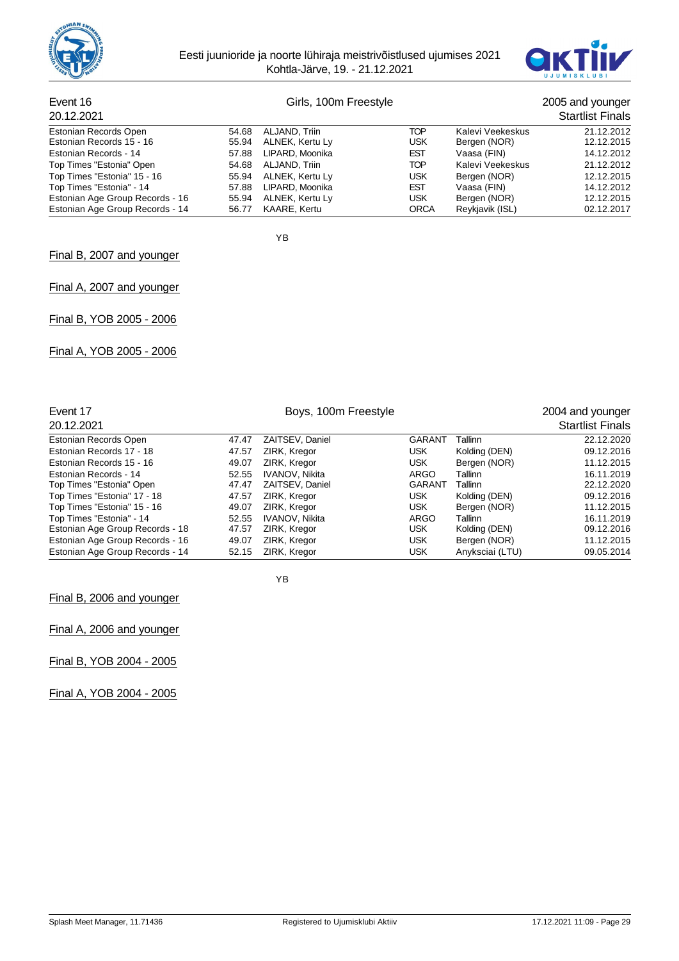



#### Event 16 Girls, 100m Freestyle 2005 and younger 20.12.2021 Startlist Finals Estonian Records Open 54.68 ALJAND, Triin TOP Kalevi Veekeskus 21.12.2012<br>Estonian Records 15 - 16 55.94 ALNEK, Kertu Ly USK Bergen (NOR) 12.12.2015 Estonian Records 15 - 16 Estonian Records - 14 57.88 LIPARD, Moonika EST Vaasa (FIN) 14.12.2012 Top Times "Estonia" Open Top Times "Estonia" 15 - 16 55.94 ALNEK, Kertu Ly 198K Bergen (NOR) 12.12.2015<br>
Top Times "Estonia" - 14 57.88 LIPARD, Moonika EST Vaasa (FIN) 14.12.2012<br>
Estonian Age Group Records - 16 55.94 ALNEK, Kertu Ly 198K Bergen ( Top Times "Estonia" - 14 12.2012<br>
Estonian Age Group Records - 16 55.94 ALNEK, Kertu Ly COSK Bergen (NOR) 12.12.2015 Estonian Age Group Records - 16 55.94 ALNEK, Kertu Ly CONNEY MERRET USK Bergen (NOR) 12.12.2015<br>Estonian Age Group Records - 14 56.77 KAARE. Kertu CORCA Revkiavik (ISL) 62.12.2017 Estonian Age Group Records - 14

YB

#### Final B, 2007 and younger

Final A, 2007 and younger

Final B, YOB 2005 - 2006

Final A, YOB 2005 - 2006

| Event 17                        |       | 2004 and younger      |               |                 |                         |
|---------------------------------|-------|-----------------------|---------------|-----------------|-------------------------|
| 20.12.2021                      |       |                       |               |                 | <b>Startlist Finals</b> |
| Estonian Records Open           | 47.47 | ZAITSEV, Daniel       | <b>GARANT</b> | Tallinn         | 22.12.2020              |
| Estonian Records 17 - 18        | 47.57 | ZIRK, Kregor          | <b>USK</b>    | Kolding (DEN)   | 09.12.2016              |
| Estonian Records 15 - 16        | 49.07 | ZIRK, Kregor          | <b>USK</b>    | Bergen (NOR)    | 11.12.2015              |
| Estonian Records - 14           | 52.55 | IVANOV, Nikita        | ARGO          | Tallinn         | 16.11.2019              |
| Top Times "Estonia" Open        | 47.47 | ZAITSEV, Daniel       | <b>GARANT</b> | Tallinn         | 22.12.2020              |
| Top Times "Estonia" 17 - 18     | 47.57 | ZIRK, Kregor          | <b>USK</b>    | Kolding (DEN)   | 09.12.2016              |
| Top Times "Estonia" 15 - 16     | 49.07 | ZIRK, Kregor          | <b>USK</b>    | Bergen (NOR)    | 11.12.2015              |
| Top Times "Estonia" - 14        | 52.55 | <b>IVANOV, Nikita</b> | <b>ARGO</b>   | Tallinn         | 16.11.2019              |
| Estonian Age Group Records - 18 | 47.57 | ZIRK, Kregor          | <b>USK</b>    | Kolding (DEN)   | 09.12.2016              |
| Estonian Age Group Records - 16 | 49.07 | ZIRK, Kregor          | <b>USK</b>    | Bergen (NOR)    | 11.12.2015              |
| Estonian Age Group Records - 14 | 52.15 | ZIRK, Kregor          | <b>USK</b>    | Anyksciai (LTU) | 09.05.2014              |

YB

Final B, 2006 and younger

Final A, 2006 and younger

Final B, YOB 2004 - 2005

Final A, YOB 2004 - 2005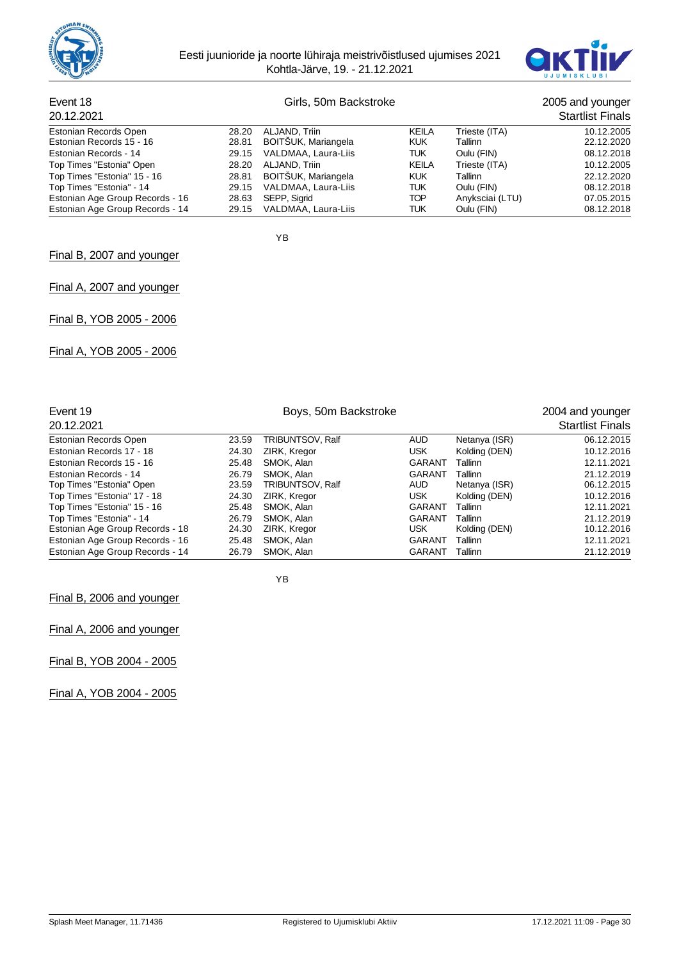



# Event 18 Girls, 50m Backstroke 2005 and younger

| 20.12.2021                      |       |                           |            |                 | <b>Startlist Finals</b> |
|---------------------------------|-------|---------------------------|------------|-----------------|-------------------------|
| Estonian Records Open           | 28.20 | ALJAND, Triin             | KEILA      | Trieste (ITA)   | 10.12.2005              |
| Estonian Records 15 - 16        | 28.81 | BOITSUK, Mariangela       | <b>KUK</b> | Tallinn         | 22.12.2020              |
| Estonian Records - 14           | 29.15 | VALDMAA, Laura-Liis       | TUK        | Oulu (FIN)      | 08.12.2018              |
| Top Times "Estonia" Open        | 28.20 | ALJAND. Triin             | KEILA      | Trieste (ITA)   | 10.12.2005              |
| Top Times "Estonia" 15 - 16     | 28.81 | BOITŠUK, Mariangela       | <b>KUK</b> | Tallinn         | 22.12.2020              |
| Top Times "Estonia" - 14        | 29.15 | VALDMAA, Laura-Liis       | TUK        | Oulu (FIN)      | 08.12.2018              |
| Estonian Age Group Records - 16 |       | 28.63 SEPP, Sigrid        | TOP        | Anyksciai (LTU) | 07.05.2015              |
| Estonian Age Group Records - 14 |       | 29.15 VALDMAA, Laura-Liis | TUK        | Oulu (FIN)      | 08.12.2018              |

YB

## Final B, 2007 and younger

Final A, 2007 and younger

Final B, YOB 2005 - 2006

Final A, YOB 2005 - 2006

| Event 19                        |       | 2004 and younger        |                         |               |            |
|---------------------------------|-------|-------------------------|-------------------------|---------------|------------|
| 20.12.2021                      |       |                         | <b>Startlist Finals</b> |               |            |
| Estonian Records Open           | 23.59 | <b>TRIBUNTSOV, Ralf</b> | AUD                     | Netanya (ISR) | 06.12.2015 |
| Estonian Records 17 - 18        | 24.30 | ZIRK, Kregor            | <b>USK</b>              | Kolding (DEN) | 10.12.2016 |
| Estonian Records 15 - 16        | 25.48 | SMOK, Alan              | <b>GARANT</b>           | Tallinn       | 12.11.2021 |
| Estonian Records - 14           | 26.79 | SMOK. Alan              | GARANT                  | Tallinn       | 21.12.2019 |
| Top Times "Estonia" Open        | 23.59 | <b>TRIBUNTSOV, Ralf</b> | AUD                     | Netanya (ISR) | 06.12.2015 |
| Top Times "Estonia" 17 - 18     | 24.30 | ZIRK, Kregor            | <b>USK</b>              | Kolding (DEN) | 10.12.2016 |
| Top Times "Estonia" 15 - 16     | 25.48 | SMOK, Alan              | GARANT                  | Tallinn       | 12.11.2021 |
| Top Times "Estonia" - 14        | 26.79 | SMOK, Alan              | GARANT                  | Tallinn       | 21.12.2019 |
| Estonian Age Group Records - 18 | 24.30 | ZIRK, Kregor            | <b>USK</b>              | Kolding (DEN) | 10.12.2016 |
| Estonian Age Group Records - 16 | 25.48 | SMOK, Alan              | GARANT                  | Tallinn       | 12.11.2021 |
| Estonian Age Group Records - 14 | 26.79 | SMOK, Alan              | <b>GARANT</b>           | Tallinn       | 21.12.2019 |

YB

Final B, 2006 and younger

Final A, 2006 and younger

Final B, YOB 2004 - 2005

Final A, YOB 2004 - 2005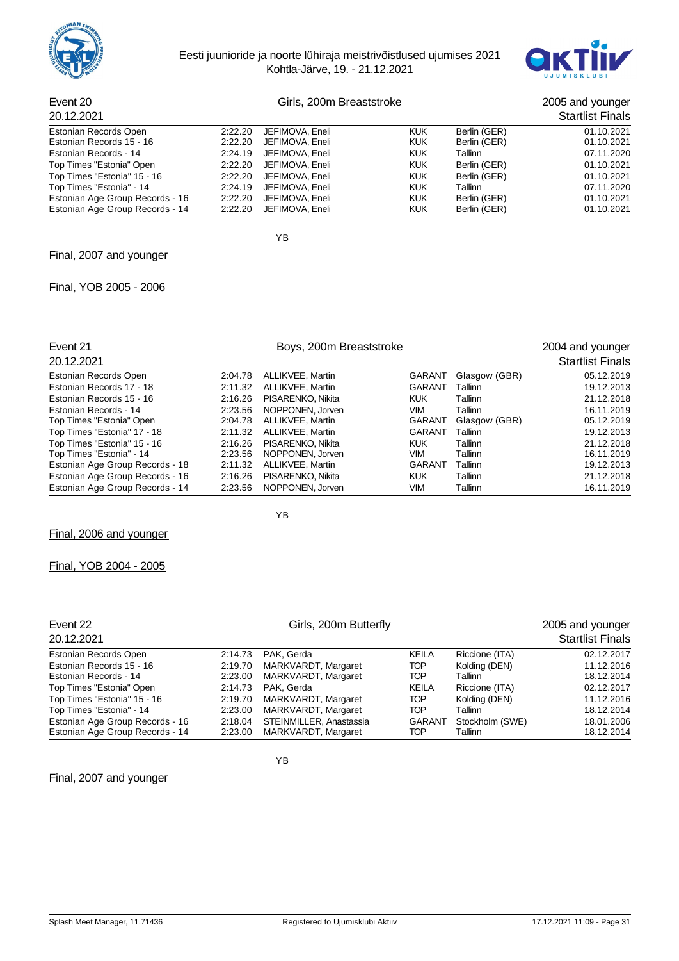



# Event 20<br>
Girls, 200m Breaststroke 2005 and younger<br>
2005 and younger<br>
2004<br>
2012 2021

| 20.12.2021                      |         |                 |            |              | <b>Startlist Finals</b> |
|---------------------------------|---------|-----------------|------------|--------------|-------------------------|
| Estonian Records Open           | 2:22.20 | JEFIMOVA, Eneli | <b>KUK</b> | Berlin (GER) | 01.10.2021              |
| Estonian Records 15 - 16        | 2:22.20 | JEFIMOVA, Eneli | <b>KUK</b> | Berlin (GER) | 01.10.2021              |
| Estonian Records - 14           | 2:24.19 | JEFIMOVA, Eneli | <b>KUK</b> | Tallinn      | 07.11.2020              |
| Top Times "Estonia" Open        | 2:22.20 | JEFIMOVA, Eneli | <b>KUK</b> | Berlin (GER) | 01.10.2021              |
| Top Times "Estonia" 15 - 16     | 2:22.20 | JEFIMOVA, Eneli | <b>KUK</b> | Berlin (GER) | 01.10.2021              |
| Top Times "Estonia" - 14        | 2:24.19 | JEFIMOVA, Eneli | <b>KUK</b> | Tallinn      | 07.11.2020              |
| Estonian Age Group Records - 16 | 2:22.20 | JEFIMOVA, Eneli | <b>KUK</b> | Berlin (GER) | 01.10.2021              |
| Estonian Age Group Records - 14 | 2:22.20 | JEFIMOVA, Eneli | <b>KUK</b> | Berlin (GER) | 01.10.2021              |

YB

## Final, 2007 and younger

## Final, YOB 2005 - 2006

| Event 21                        |         | 2004 and younger  |               |               |                         |
|---------------------------------|---------|-------------------|---------------|---------------|-------------------------|
| 20.12.2021                      |         |                   |               |               | <b>Startlist Finals</b> |
| Estonian Records Open           | 2:04.78 | ALLIKVEE, Martin  | <b>GARANT</b> | Glasgow (GBR) | 05.12.2019              |
| Estonian Records 17 - 18        | 2:11.32 | ALLIKVEE, Martin  | GARANT        | Tallinn       | 19.12.2013              |
| Estonian Records 15 - 16        | 2:16.26 | PISARENKO, Nikita | <b>KUK</b>    | Tallinn       | 21.12.2018              |
| Estonian Records - 14           | 2:23.56 | NOPPONEN, Jorven  | <b>VIM</b>    | Tallinn       | 16.11.2019              |
| Top Times "Estonia" Open        | 2:04.78 | ALLIKVEE, Martin  | <b>GARANT</b> | Glasgow (GBR) | 05.12.2019              |
| Top Times "Estonia" 17 - 18     | 2:11.32 | ALLIKVEE, Martin  | GARANT        | Tallinn       | 19.12.2013              |
| Top Times "Estonia" 15 - 16     | 2:16.26 | PISARENKO, Nikita | <b>KUK</b>    | Tallinn       | 21.12.2018              |
| Top Times "Estonia" - 14        | 2:23.56 | NOPPONEN, Jorven  | <b>VIM</b>    | Tallinn       | 16.11.2019              |
| Estonian Age Group Records - 18 | 2:11.32 | ALLIKVEE, Martin  | GARANT        | Tallinn       | 19.12.2013              |
| Estonian Age Group Records - 16 | 2:16.26 | PISARENKO, Nikita | <b>KUK</b>    | Tallinn       | 21.12.2018              |
| Estonian Age Group Records - 14 | 2.23.56 | NOPPONEN, Jorven  | VIM           | Tallinn       | 16.11.2019              |

# Final, YOB 2004 - 2005

Final, 2006 and younger

| Event 22<br>20.12.2021          | Girls, 200m Butterfly |                         |               |                 | 2005 and younger<br><b>Startlist Finals</b> |  |
|---------------------------------|-----------------------|-------------------------|---------------|-----------------|---------------------------------------------|--|
| Estonian Records Open           | 2:14.73               | PAK. Gerda              | <b>KEILA</b>  | Riccione (ITA)  | 02.12.2017                                  |  |
| Estonian Records 15 - 16        | 2:19.70               | MARKVARDT, Margaret     | <b>TOP</b>    | Kolding (DEN)   | 11.12.2016                                  |  |
| Estonian Records - 14           | 2:23.00               | MARKVARDT, Margaret     | <b>TOP</b>    | Tallinn         | 18.12.2014                                  |  |
| Top Times "Estonia" Open        | 2:14.73               | PAK. Gerda              | KEILA         | Riccione (ITA)  | 02.12.2017                                  |  |
| Top Times "Estonia" 15 - 16     | 2:19.70               | MARKVARDT, Margaret     | TOP           | Kolding (DEN)   | 11.12.2016                                  |  |
| Top Times "Estonia" - 14        | 2.23.00               | MARKVARDT, Margaret     | TOP           | Tallinn         | 18.12.2014                                  |  |
| Estonian Age Group Records - 16 | 2:18.04               | STEINMILLER, Anastassia | <b>GARANT</b> | Stockholm (SWE) | 18.01.2006                                  |  |
| Estonian Age Group Records - 14 | 2:23.00               | MARKVARDT, Margaret     | TOP           | Tallinn         | 18.12.2014                                  |  |

YB

YB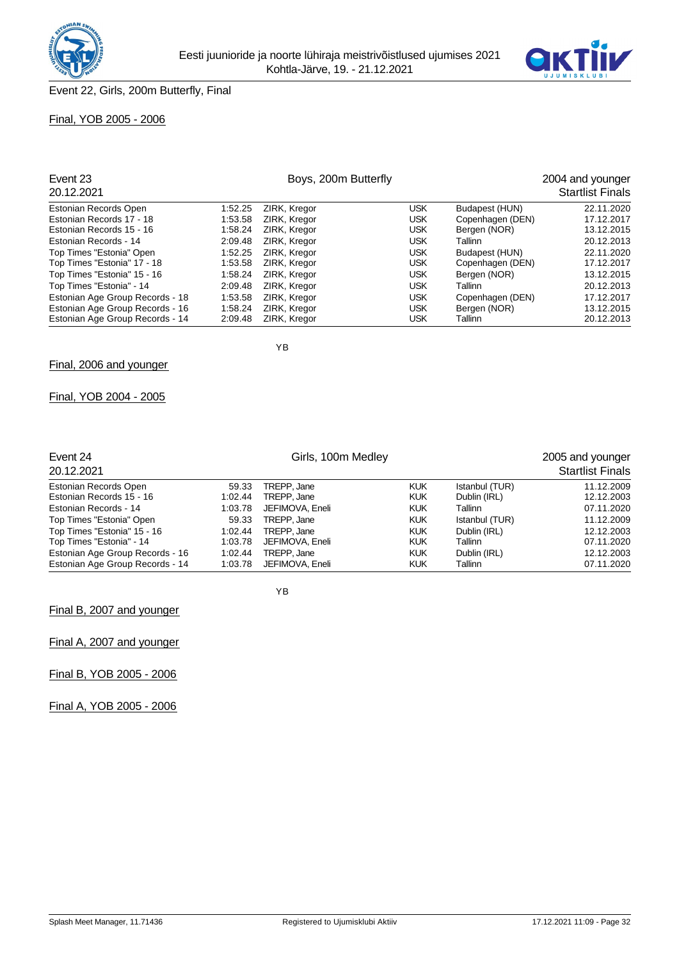



## Final, YOB 2005 - 2006

| Event 23                        | Boys, 200m Butterfly |              |            |                  | 2004 and younger        |  |
|---------------------------------|----------------------|--------------|------------|------------------|-------------------------|--|
| 20.12.2021                      |                      |              |            |                  | <b>Startlist Finals</b> |  |
| Estonian Records Open           | 1:52.25              | ZIRK, Kregor | <b>USK</b> | Budapest (HUN)   | 22.11.2020              |  |
| Estonian Records 17 - 18        | 1:53.58              | ZIRK. Kregor | <b>USK</b> | Copenhagen (DEN) | 17.12.2017              |  |
| Estonian Records 15 - 16        | 1:58.24              | ZIRK, Kregor | <b>USK</b> | Bergen (NOR)     | 13.12.2015              |  |
| Estonian Records - 14           | 2:09.48              | ZIRK, Kregor | <b>USK</b> | Tallinn          | 20.12.2013              |  |
| Top Times "Estonia" Open        | 1:52.25              | ZIRK. Kregor | <b>USK</b> | Budapest (HUN)   | 22.11.2020              |  |
| Top Times "Estonia" 17 - 18     | 1:53.58              | ZIRK, Kregor | <b>USK</b> | Copenhagen (DEN) | 17.12.2017              |  |
| Top Times "Estonia" 15 - 16     | 1:58.24              | ZIRK, Kregor | <b>USK</b> | Bergen (NOR)     | 13.12.2015              |  |
| Top Times "Estonia" - 14        | 2:09.48              | ZIRK, Kregor | <b>USK</b> | Tallinn          | 20.12.2013              |  |
| Estonian Age Group Records - 18 | 1:53.58              | ZIRK, Kregor | <b>USK</b> | Copenhagen (DEN) | 17.12.2017              |  |
| Estonian Age Group Records - 16 | 1:58.24              | ZIRK, Kregor | <b>USK</b> | Bergen (NOR)     | 13.12.2015              |  |
| Estonian Age Group Records - 14 | 2:09.48              | ZIRK, Kregor | <b>USK</b> | Tallinn          | 20.12.2013              |  |

Final, 2006 and younger

## Final, YOB 2004 - 2005

| Event 24<br>20.12.2021          |         | 2005 and younger<br><b>Startlist Finals</b> |            |                |            |
|---------------------------------|---------|---------------------------------------------|------------|----------------|------------|
| Estonian Records Open           | 59.33   | TREPP. Jane                                 | <b>KUK</b> | Istanbul (TUR) | 11.12.2009 |
| Estonian Records 15 - 16        | 1:02.44 | TREPP, Jane                                 | <b>KUK</b> | Dublin (IRL)   | 12.12.2003 |
| Estonian Records - 14           | 1:03.78 | JEFIMOVA, Eneli                             | <b>KUK</b> | Tallinn        | 07.11.2020 |
| Top Times "Estonia" Open        | 59.33   | TREPP, Jane                                 | <b>KUK</b> | Istanbul (TUR) | 11.12.2009 |
| Top Times "Estonia" 15 - 16     | 1:02.44 | TREPP, Jane                                 | <b>KUK</b> | Dublin (IRL)   | 12.12.2003 |
| Top Times "Estonia" - 14        | 1:03.78 | JEFIMOVA, Eneli                             | <b>KUK</b> | Tallinn        | 07.11.2020 |
| Estonian Age Group Records - 16 | 1:02.44 | TREPP, Jane                                 | <b>KUK</b> | Dublin (IRL)   | 12.12.2003 |
| Estonian Age Group Records - 14 | 1:03.78 | JEFIMOVA, Eneli                             | <b>KUK</b> | Tallinn        | 07.11.2020 |

YB

YB

Final B, 2007 and younger

Final A, 2007 and younger

Final B, YOB 2005 - 2006

Final A, YOB 2005 - 2006

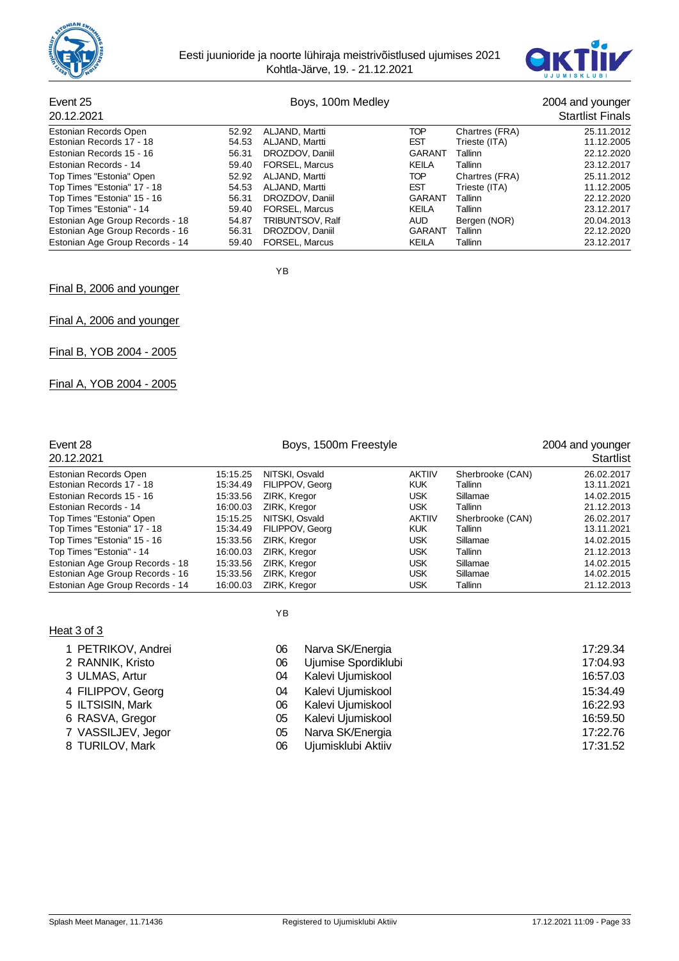



# Event 25 Boys, 100m Medley 2004 and younger<br>
2004 and younger<br>
2004 2004 2004

| 20.12.2021                      |       |                         |               |                | <b>Startlist Finals</b> |
|---------------------------------|-------|-------------------------|---------------|----------------|-------------------------|
| Estonian Records Open           | 52.92 | ALJAND, Martti          | TOP           | Chartres (FRA) | 25.11.2012              |
| Estonian Records 17 - 18        | 54.53 | ALJAND, Martti          | <b>EST</b>    | Trieste (ITA)  | 11.12.2005              |
| Estonian Records 15 - 16        | 56.31 | DROZDOV, Daniil         | <b>GARANT</b> | Tallinn        | 22.12.2020              |
| Estonian Records - 14           | 59.40 | <b>FORSEL, Marcus</b>   | <b>KEILA</b>  | Tallinn        | 23.12.2017              |
| Top Times "Estonia" Open        | 52.92 | ALJAND, Martti          | TOP           | Chartres (FRA) | 25.11.2012              |
| Top Times "Estonia" 17 - 18     | 54.53 | ALJAND, Martti          | <b>EST</b>    | Trieste (ITA)  | 11.12.2005              |
| Top Times "Estonia" 15 - 16     | 56.31 | DROZDOV, Daniil         | <b>GARANT</b> | Tallinn        | 22.12.2020              |
| Top Times "Estonia" - 14        | 59.40 | <b>FORSEL, Marcus</b>   | KEILA         | Tallinn        | 23.12.2017              |
| Estonian Age Group Records - 18 | 54.87 | <b>TRIBUNTSOV, Ralf</b> | AUD           | Bergen (NOR)   | 20.04.2013              |
| Estonian Age Group Records - 16 | 56.31 | DROZDOV, Daniil         | <b>GARANT</b> | Tallinn        | 22.12.2020              |
| Estonian Age Group Records - 14 | 59.40 | FORSEL, Marcus          | <b>KEILA</b>  | Tallinn        | 23.12.2017              |

YB

YB

Final B, 2006 and younger

Final A, 2006 and younger

Final B, YOB 2004 - 2005

Final A, YOB 2004 - 2005

| Event 28<br>20.12.2021          |          | 2004 and younger<br>Startlist |               |                  |            |
|---------------------------------|----------|-------------------------------|---------------|------------------|------------|
| Estonian Records Open           | 15:15.25 | NITSKI, Osvald                | <b>AKTIIV</b> | Sherbrooke (CAN) | 26.02.2017 |
| Estonian Records 17 - 18        | 15:34.49 | FILIPPOV, Georg               | <b>KUK</b>    | Tallinn          | 13.11.2021 |
| Estonian Records 15 - 16        | 15:33.56 | ZIRK, Kregor                  | <b>USK</b>    | Sillamae         | 14.02.2015 |
| Estonian Records - 14           | 16:00.03 | ZIRK, Kregor                  | <b>USK</b>    | Tallinn          | 21.12.2013 |
| Top Times "Estonia" Open        | 15:15.25 | NITSKI, Osvald                | <b>AKTIIV</b> | Sherbrooke (CAN) | 26.02.2017 |
| Top Times "Estonia" 17 - 18     | 15:34.49 | FILIPPOV, Georg               | <b>KUK</b>    | Tallinn          | 13.11.2021 |
| Top Times "Estonia" 15 - 16     | 15:33.56 | ZIRK, Kregor                  | <b>USK</b>    | Sillamae         | 14.02.2015 |
| Top Times "Estonia" - 14        | 16:00.03 | ZIRK, Kregor                  | <b>USK</b>    | Tallinn          | 21.12.2013 |
| Estonian Age Group Records - 18 | 15:33.56 | ZIRK, Kregor                  | <b>USK</b>    | Sillamae         | 14.02.2015 |
| Estonian Age Group Records - 16 | 15:33.56 | ZIRK, Kregor                  | <b>USK</b>    | Sillamae         | 14.02.2015 |
| Estonian Age Group Records - 14 | 16:00.03 | ZIRK, Kregor                  | <b>USK</b>    | Tallinn          | 21.12.2013 |

Heat 3 of 3

1 PETRIKOV, Andrei 2 RANNIK, Kristo 3 ULMAS, Artur 4 FILIPPOV, Georg 5 ILTSISIN, Mark 6 RASVA, Gregor 7 VASSILJEV, Jegor 8 TURILOV, Mark

| 06 | Narva SK/Energia    | 17:29.34 |
|----|---------------------|----------|
| 06 | Ujumise Spordiklubi | 17:04.93 |
| 04 | Kalevi Ujumiskool   | 16:57.03 |
| 04 | Kalevi Ujumiskool   | 15:34.49 |
| 06 | Kalevi Ujumiskool   | 16:22.93 |
| 05 | Kalevi Ujumiskool   | 16:59.50 |
| 05 | Narva SK/Energia    | 17:22.76 |
| 06 | Ujumisklubi Aktiiv  | 17:31.52 |
|    |                     |          |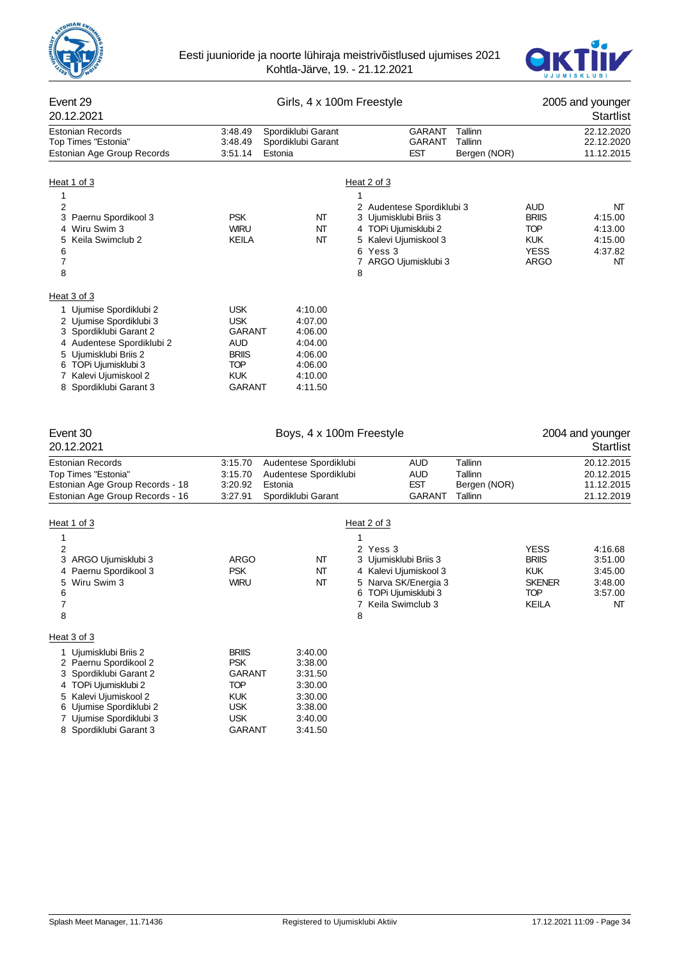



| Event 29<br>20.12.2021                                                                                                                                                                                                       | Girls, 4 x 100m Freestyle                                                                              |                                                                                      |                                                                                                                                                              |                                               | 2005 and younger<br>Startlist                                                            |                                                           |
|------------------------------------------------------------------------------------------------------------------------------------------------------------------------------------------------------------------------------|--------------------------------------------------------------------------------------------------------|--------------------------------------------------------------------------------------|--------------------------------------------------------------------------------------------------------------------------------------------------------------|-----------------------------------------------|------------------------------------------------------------------------------------------|-----------------------------------------------------------|
| <b>Estonian Records</b><br>Top Times "Estonia"<br>Estonian Age Group Records                                                                                                                                                 | 3:48.49<br>3:48.49<br>3:51.14                                                                          | Spordiklubi Garant<br>Spordiklubi Garant<br>Estonia                                  | GARANT<br>GARANT<br>EST                                                                                                                                      | Tallinn<br>Tallinn<br>Bergen (NOR)            |                                                                                          | 22.12.2020<br>22.12.2020<br>11.12.2015                    |
| Heat 1 of 3                                                                                                                                                                                                                  |                                                                                                        |                                                                                      | Heat 2 of 3                                                                                                                                                  |                                               |                                                                                          |                                                           |
| 1<br>$\overline{2}$<br>3 Paernu Spordikool 3<br>4 Wiru Swim 3<br>Keila Swimclub 2<br>5<br>6<br>$\boldsymbol{7}$<br>8                                                                                                         | <b>PSK</b><br><b>WIRU</b><br>KEILA                                                                     | NT<br>NΤ<br>NT                                                                       | 1<br>2 Audentese Spordiklubi 3<br>3 Ujumisklubi Briis 3<br>4 TOPi Ujumisklubi 2<br>5 Kalevi Ujumiskool 3<br>6 Yess 3<br>7 ARGO Ujumisklubi 3<br>8            |                                               | AUD<br><b>BRIIS</b><br><b>TOP</b><br><b>KUK</b><br><b>YESS</b><br><b>ARGO</b>            | NΤ<br>4:15.00<br>4:13.00<br>4:15.00<br>4:37.82<br>NΤ      |
| Heat 3 of 3<br>1 Ujumise Spordiklubi 2<br>2 Ujumise Spordiklubi 3<br>3 Spordiklubi Garant 2<br>4 Audentese Spordiklubi 2<br>5 Ujumisklubi Briis 2<br>6 TOPi Ujumisklubi 3<br>7 Kalevi Ujumiskool 2<br>8 Spordiklubi Garant 3 | <b>USK</b><br><b>USK</b><br>GARANT<br>AUD<br><b>BRIIS</b><br>TOP<br><b>KUK</b><br><b>GARANT</b>        | 4:10.00<br>4:07.00<br>4:06.00<br>4:04.00<br>4:06.00<br>4:06.00<br>4:10.00<br>4:11.50 |                                                                                                                                                              |                                               |                                                                                          |                                                           |
| Event 30<br>20.12.2021                                                                                                                                                                                                       |                                                                                                        | Boys, 4 x 100m Freestyle                                                             |                                                                                                                                                              |                                               |                                                                                          | 2004 and younger<br>Startlist                             |
| Estonian Records<br>Top Times "Estonia"<br>Estonian Age Group Records - 18<br>Estonian Age Group Records - 16                                                                                                                | 3:15.70<br>3:15.70<br>3:20.92<br>3:27.91                                                               | Audentese Spordiklubi<br>Audentese Spordiklubi<br>Estonia<br>Spordiklubi Garant      | <b>AUD</b><br><b>AUD</b><br><b>EST</b><br><b>GARANT</b>                                                                                                      | Tallinn<br>Tallinn<br>Bergen (NOR)<br>Tallinn |                                                                                          | 20.12.2015<br>20.12.2015<br>11.12.2015<br>21.12.2019      |
| Heat 1 of 3<br>1<br>$\overline{2}$<br>3 ARGO Ujumisklubi 3<br>Paernu Spordikool 3<br>4<br>Wiru Swim 3<br>5<br>6<br>7<br>8                                                                                                    | ARGO<br><b>PSK</b><br><b>WIRU</b>                                                                      | NT<br>NT<br>NT                                                                       | Heat 2 of 3<br>1<br>2 Yess 3<br>3 Ujumisklubi Briis 3<br>4 Kalevi Ujumiskool 3<br>5 Narva SK/Energia 3<br>6 TOPi Ujumisklubi 3<br>Keila Swimclub 3<br>7<br>8 |                                               | <b>YESS</b><br><b>BRIIS</b><br><b>KUK</b><br><b>SKENER</b><br><b>TOP</b><br><b>KEILA</b> | 4:16.68<br>3:51.00<br>3:45.00<br>3:48.00<br>3:57.00<br>NT |
| Heat 3 of 3<br>1 Ujumisklubi Briis 2<br>2 Paernu Spordikool 2<br>3 Spordiklubi Garant 2<br>4 TOPi Ujumisklubi 2<br>5 Kalevi Ujumiskool 2<br>6 Ujumise Spordiklubi 2<br>7 Ujumise Spordiklubi 3<br>8 Spordiklubi Garant 3     | <b>BRIIS</b><br><b>PSK</b><br>GARANT<br><b>TOP</b><br><b>KUK</b><br><b>USK</b><br><b>USK</b><br>GARANT | 3:40.00<br>3:38.00<br>3:31.50<br>3:30.00<br>3:30.00<br>3:38.00<br>3:40.00<br>3:41.50 |                                                                                                                                                              |                                               |                                                                                          |                                                           |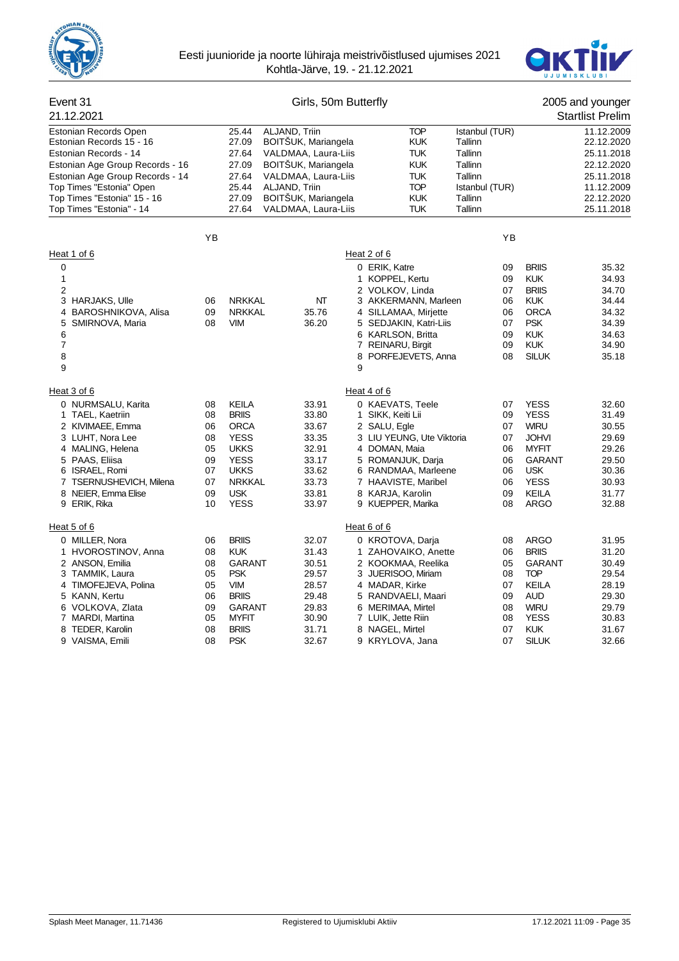



#### Event 31 Girls, 50m Butterfly 2005 and younger 21.12.2021 Startlist Prelim Estonian Records Open 25.44 ALJAND, Triin TOP Istanbul (TUR) 11.12.2009<br>Estonian Records 15 - 16 27.09 BOITŠUK, Mariangela KUK Tallinn 22.12.2020 Estonian Records 15 - 16 Estonian Records - 14 **27.64 VALDMAA, Laura-Liis** TUK Tallinn 25.11.2018<br>Estonian Age Group Records - 16 27.09 BOITŠUK, Mariangela KUK Tallinn 22.12.2020 Estonian Age Group Records - 16 Estonian Age Group Records - 14 27.64 VALDMAA, Laura-Liis TUK Tallinn 25.11.2018<br>
Top Times "Estonia" Open 25.44 ALJAND, Triin 2009 25.44 TOP Istanbul (TUR) 11.12.2009 Top Times "Estonia" Open 25.44 ALJAND, Triin TOP Istanbul (TUR) 11.12.2009 Top Times "Estonia" 15 - 16 27.09 BOITŠUK, Mariangela KUK Tallinn 22.12.2020 Top Times "Estonia" - 14 27.64 VALDMAA, Laura-Liis TUK Tallinn 25.11.2018 YB YB Heat 1 of 6 Heat 2 of 6 0 **D ERIK, Katre 19 CONSIDENT OF EXAMPLE 25 CONSIDER A CONSIDERT A ST 35.32 CONSIDERIES A ST 35.32** 1 1 KOPPEL, Kertu 09 KUK 34.93 2 2 VOLKOV, Linda 07 BRIIS 34.70 3 NO DE NRKKAL MARJAK ARJAKAS NAMAN, Marleen 1969 KUK 34.44<br>1999 NRKKAL 35.76 4 SILLAMAA, Mirjette 1969 ORCA 34.32 4 BAROSHNIKOVA Alisa 09 NRKKAL 35.76 4 5 SMIRNOVA, Maria 08 VIM 36.20 5 SEDJAKIN, Katri-Liis 07 PSK 34.39 6 6 KARLSON, Britta 09 KUK 34.63 REINARU, Birgit 8 8 **8 PORFEJEVETS, Anna** 1 08 SILUK 35.18 9 9 Heat 3 of 6 **Heat 4 of 6** Heat 4 of 6 0 NURMSALU, Karita 08 KEILA 33.91 0 KAEVATS, Teele 07 YESS 32.60 1 TAEL, Kaetriin 08 BRIIS 33.80 1 SIKK, Keiti Lii 09 YESS 31.49 2 KIVIMAEE, Emma 06 ORCA 33.67 2 SALU, Egle 07 WIRU 30.55 3 LUHT, Nora Lee 08 YESS 33.35 3 LIU YEUNG, Ute Viktoria 07 JOHVI 29.69 4 MALING, Helena 05 UKKS 32.91 4 DOMAN, Maia 06 MYFIT 29.26 5 PAAS, Eliisa 09 YESS 33.17 5 ROMANJUK, Darja 06 GARANT 29.50 07 UKKS 33.62 6 RANDMAA, Marleene 06 USK 30.36 7 TSERNUSHEVICH, Milena 07 NRKKAL 33.73 7 HAAVISTE, Maribel 06 YESS 30.93 8 NEIER, Emma Elise 09 USK 33.81 8 KARJA, Karolin 09 KEILA 31.77 9 ERIK, Rika 10 YESS 33.97 9 KUEPPER, Marika 08 ARGO 32.88 Heat 5 of 6 Heat 6 of 6 0 MILLER, Nora 06 BRIIS 32.07 0 KROTOVA, Darja 08 ARGO 31.95 1 HVOROSTINOV, Anna 08 KUK 31.43 1 ZAHOVAIKO, Anette 06 BRIIS 31.20 2 ANSON, Emilia 08 GARANT 30.51 2 KOOKMAA, Reelika 05 GARANT 30.49 3 JUERISOO, Miriam<br>05 JUM 28.57 4 MADAR Kirke 4 TIMOFEJEVA, Polina 05 VIM 28.57 4 MADAR, Kirke 07 KEILA 28.19 5 KANN, Kertu 06 BRIIS 29.48 5 RANDVAELI, Maari 09 AUD 29.30 6 VOLKOVA, Zlata 09 GARANT 29.83 6 MERIMAA, Mirtel 08 WIRU 29.79 7 MARDI, Martina 05 MYFIT 30.90 7 LUIK, Jette Riin 08 YESS 30.83 8 TEDER, Karolin **8 NAGEL 31.71** 8 NAGEL, March 31.71 9 VAISMA, Emili 08 PSK 32.67 9 KRYLOVA, Jana 07 SILUK 32.66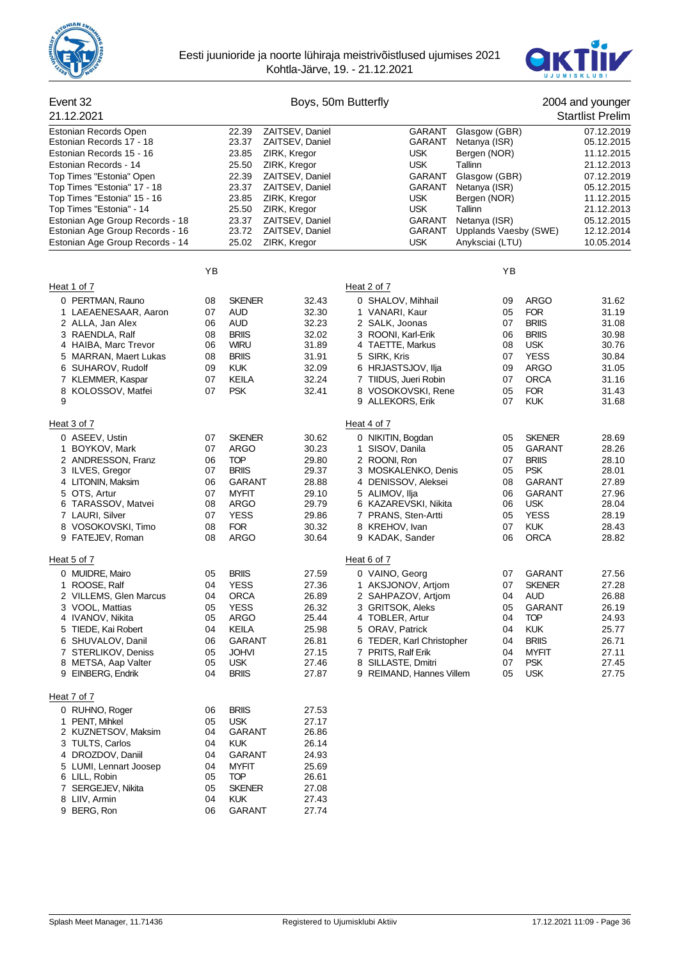



#### Event 32 Boys, 50m Butterfly 2004 and younger 21.12.2021 Startlist Prelim Estonian Records Open 22.39 ZAITSEV, Daniel GARANT Glasgow (GBR) 07.12.2019<br>Estonian Records 17 - 18 23.37 ZAITSEV, Daniel GARANT Netanya (ISR) 05.12.2015 Estonian Records 17 - 18 23.37 ZAITSEV, Daniel GARANT Netanya (ISR) 05.12.2015 Estonian Records 15 - 16 23.85 ZIRK, Kregor USK Bergen (NOR) 11.12.2015 Estonian Records - 14 25.50 ZIRK, Kregor USK Tallinn 21.12.2013 Top Times "Estonia" Open 22.39 ZAITSEV, Daniel GARANT Glasgow (GBR) 07.12.2019 Top Times "Estonia" 17 - 18 23.37 2AITSEV, Daniel GARANT Netanya (ISR) 65.12.2015<br>Top Times "Estonia" 15 - 16 23.85 ZIRK, Kregor CHR CUSK Bergen (NOR) 11.12.2015 Top Times "Estonia" 15 - 16 23.85 ZIRK, Kregor USK Bergen (NOR) 11.12.2015<br>Top Times "Estonia" - 14 25.50 ZIRK, Kregor USK Tallinn 21.12.2013 Top Times "Estonia" - 14 Estonian Age Group Records - 18 23.37 ZAITSEV, Daniel CARANT Netanya (ISR) 65.12.2015<br>Estonian Age Group Records - 16 23.72 ZAITSEV, Daniel GARANT Upplands Vaesby (SWE) 12.12.2014 Estonian Age Group Records - 16 Estonian Age Group Records - 14 25.02 ZIRK, Kregor COSK Anyksciai (LTU) 10.05.2014 YB YB Heat 1 of 7 **Heat 2 of 7** Heat 2 of 7 0 PERTMAN, Rauno 08 SKENER 32.43 0 SHALOV, Mihhail 09 ARGO 31.62 1 LAEAENESAAR, Aaron 07 AUD 32.30 1 2 ALLA, Jan Alex 06 AUD 32.23 2 SALK, Joonas 07 BRIIS 31.08 3 RAENDLA, Ralf 08 BRIIS 32.02 3 ROONI, Karl-Erik 06 BRIIS 30.98 4 HAIBA, Marc Trevor 06 WIRU 31.89 4 TAETTE, Markus 08 USK 30.76 5 MARRAN, Maert Lukas 08 BRIIS 31.91 5 SIRK, Kris 07 YESS 30.84 6 SUHAROV, Rudolf 09 KUK 32.09 6 HRJASTSJOV, Ilja 09 ARGO 31.05 7 KLEMMER, Kaspar 07 KEILA 32.24 7 TIIDUS, Jueri Robin 07 ORCA 31.16 8 KOLOSSOV, Matfei and D7 PSK 32.41 8 VOSOKOVSKI, Rene 05 FOR 31.43 9 9 ALLEKORS, Erik 07 KUK 31.68 Heat 3 of 7 Heat 4 of 7 0 ASEEV, Ustin **1988 COVER 128.69** 0 COVER 10 NIKITIN, Bogdan 1985 SKENER 128.69 1 BOYKOV, Mark 07 ARGO 30.23 1 SISOV, Danila 05 GARANT 28.26 2 ANDRESSON, Franz 06 TOP 29.80 2 ROONI, Ron 07 BRIIS 28.10 07 BRIIS 29.37 3 MOSKALENKO, Denis 05 PSK 28.01 4 LITONIN, Maksim 06 GARANT 28.88 4 DENISSOV, Aleksei 08 GARANT 27.89 5 OTS, Artur 07 MYFIT 29.10 5 ALIMOV, Ilja 06 GARANT 27.96 6 TARASSOV, Matvei 08 ARGO 29.79 6 KAZAREVSKI, Nikita 06 USK 28.04 7 LAURI, Silver 07 YESS 29.86 7 PRANS, Sten-Artti 05 YESS 28.19 8 VOSOKOVSKI, Timo  $08$  FOR 30.32 8 KREHOV, Ivan  $07$  KUK 28.43 9 FATEJEV, Roman 08 ARGO 30.64 9 KADAK, Sander 06 ORCA 28.82 Heat 5 of 7 Heat 6 of 7 0 MUIDRE, Mairo 05 BRIIS 27.59 0 VAINO, Georg 07 GARANT 27.56 1 AKSJONOV, Artjom 07 SKENER 27.28 27.36 1 AKSJONOV, Artjom 07 SKENER 27.28<br>12 ORCA 26.89 2 SAHPAZOV Artiom 04 AUD 26.88 2 VILLEMS, Glen Marcus 04 ORCA 26.89 2 SAHPAZOV, Artjom 04 AUD 26.88 3 VOOL, Mattias 05 YESS 26.32 3 GRITSOK, Aleks 05 GARANT 26.19 4 IVANOV, Nikita 05 ARGO 25.44 4 TOBLER, Artur 04 TOP 24.93 ORAV, Patrick 6 SHUVALOV, Danil 06 GARANT 26.81 6 TEDER, Karl Christopher 04 BRIIS 26.71 7 STERLIKOV, Deniss 05 JOHVI 27.15 7 PRITS, Ralf Erik 04 MYFIT 27.11 8 METSA, Aap Valter 05 USK 27.46 8 SILLASTE, Dmitri 07 PSK 27.45 9 REIMAND, Hannes Villem Heat 7 of 7 0 RUHNO, Roger 06 BRIIS 27.53 1 PENT, Mihkel 05 USK 27.17 2 KUZNETSOV, Maksim 3 TULTS, Carlos 04 KUK 26.14 4 DROZDOV, Daniil 04 GARANT 24.93 5 LUMI, Lennart Joosep 04 MYFIT 25.69 6 LILL, Robin 7 SERGEJEV, Nikita 05 SKENER 27.08 8 LIIV, Armin 04 KUK 27.43 9 BERG. Ron 06 GARANT 27.74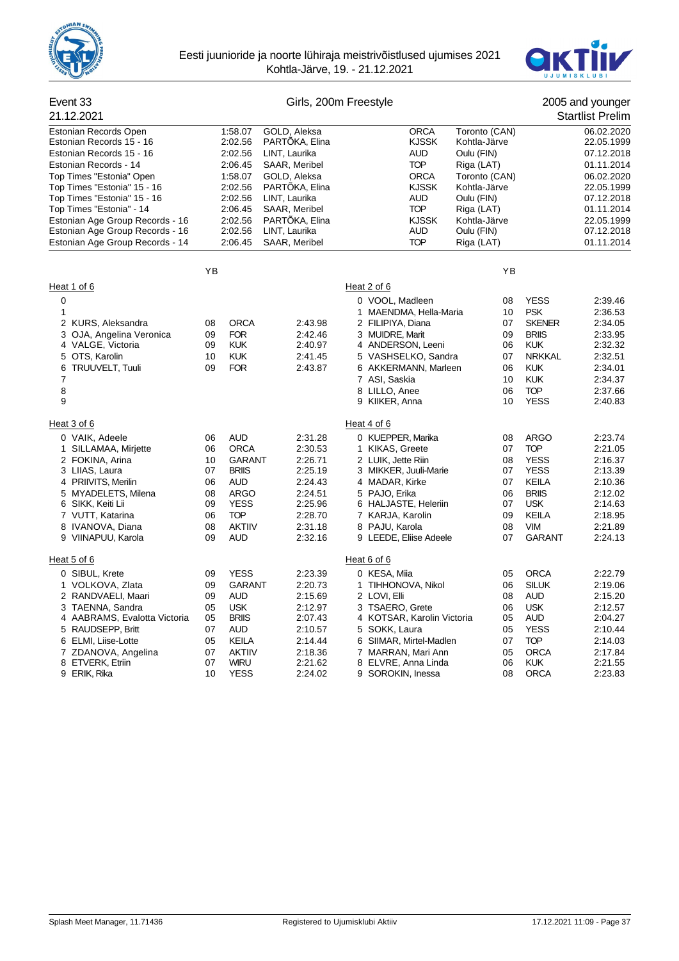



| Event 33<br>21.12.2021                                                                                                                                                                                       |                                                          |                                                                                                                                                     |                                                                                                            | Girls, 200m Freestyle                                                                                                                                                                                                                   |                                                                 |                                                                            |                                                                                                                                                    | 2005 and younger<br><b>Startlist Prelim</b>                                                                |
|--------------------------------------------------------------------------------------------------------------------------------------------------------------------------------------------------------------|----------------------------------------------------------|-----------------------------------------------------------------------------------------------------------------------------------------------------|------------------------------------------------------------------------------------------------------------|-----------------------------------------------------------------------------------------------------------------------------------------------------------------------------------------------------------------------------------------|-----------------------------------------------------------------|----------------------------------------------------------------------------|----------------------------------------------------------------------------------------------------------------------------------------------------|------------------------------------------------------------------------------------------------------------|
| <b>Estonian Records Open</b><br>Estonian Records 15 - 16<br>Estonian Records 15 - 16<br>Estonian Records - 14<br>Top Times "Estonia" Open                                                                    |                                                          | 1:58.07<br>2:02.56<br>2:02.56<br>2:06.45<br>1:58.07                                                                                                 | GOLD, Aleksa<br>PARTÖKA, Elina<br>LINT, Laurika<br>SAAR, Meribel<br>GOLD, Aleksa                           |                                                                                                                                                                                                                                         | <b>ORCA</b><br><b>KJSSK</b><br>AUD<br><b>TOP</b><br><b>ORCA</b> | Toronto (CAN)<br>Kohtla-Järve<br>Oulu (FIN)<br>Riga (LAT)<br>Toronto (CAN) |                                                                                                                                                    | 06.02.2020<br>22.05.1999<br>07.12.2018<br>01.11.2014<br>06.02.2020                                         |
| Top Times "Estonia" 15 - 16<br>Top Times "Estonia" 15 - 16<br>Top Times "Estonia" - 14<br>Estonian Age Group Records - 16                                                                                    |                                                          | 2:02.56<br>2:02.56<br>2:06.45<br>2:02.56                                                                                                            | PARTÖKA, Elina<br>LINT, Laurika<br>SAAR, Meribel<br>PARTÖKA, Elina                                         |                                                                                                                                                                                                                                         | <b>KJSSK</b><br>AUD<br><b>TOP</b><br><b>KJSSK</b>               | Kohtla-Järve<br>Oulu (FIN)<br>Riga (LAT)<br>Kohtla-Järve                   |                                                                                                                                                    | 22.05.1999<br>07.12.2018<br>01.11.2014<br>22.05.1999                                                       |
| Estonian Age Group Records - 16<br>Estonian Age Group Records - 14                                                                                                                                           |                                                          | 2:02.56<br>2:06.45                                                                                                                                  | LINT, Laurika<br>SAAR, Meribel                                                                             |                                                                                                                                                                                                                                         | AUD<br><b>TOP</b>                                               | Oulu (FIN)<br>Riga (LAT)                                                   |                                                                                                                                                    | 07.12.2018<br>01.11.2014                                                                                   |
|                                                                                                                                                                                                              | YB                                                       |                                                                                                                                                     |                                                                                                            |                                                                                                                                                                                                                                         |                                                                 | ΥB                                                                         |                                                                                                                                                    |                                                                                                            |
| Heat 1 of 6<br>0<br>1<br>2 KURS, Aleksandra<br>3<br>OJA, Angelina Veronica<br>4 VALGE, Victoria<br>5 OTS, Karolin<br>TRUUVELT, Tuuli<br>6<br>7<br>8<br>9<br>Heat 3 of 6                                      | 08<br>09<br>09<br>10<br>09                               | <b>ORCA</b><br><b>FOR</b><br><b>KUK</b><br><b>KUK</b><br><b>FOR</b>                                                                                 | 2:43.98<br>2:42.46<br>2:40.97<br>2:41.45<br>2:43.87                                                        | Heat 2 of 6<br>0 VOOL, Madleen<br>1 MAENDMA, Hella-Maria<br>2 FILIPIYA, Diana<br>3 MUIDRE, Marit<br>4 ANDERSON, Leeni<br>5 VASHSELKO, Sandra<br>6 AKKERMANN, Marleen<br>7 ASI, Saskia<br>8 LILLO, Anee<br>9 KIIKER, Anna<br>Heat 4 of 6 |                                                                 | 08<br>10<br>07<br>09<br>06<br>07<br>06<br>10<br>06<br>10                   | <b>YESS</b><br><b>PSK</b><br><b>SKENER</b><br><b>BRIIS</b><br><b>KUK</b><br><b>NRKKAL</b><br><b>KUK</b><br><b>KUK</b><br><b>TOP</b><br><b>YESS</b> | 2:39.46<br>2:36.53<br>2:34.05<br>2:33.95<br>2:32.32<br>2:32.51<br>2:34.01<br>2:34.37<br>2:37.66<br>2:40.83 |
| 0 VAIK, Adeele<br>1 SILLAMAA, Mirjette<br>2 FOKINA, Arina<br>3 LIIAS, Laura<br>4 PRIIVITS, Merilin<br>5 MYADELETS, Milena<br>6 SIKK, Keiti Lii<br>7 VUTT, Katarina<br>8 IVANOVA, Diana<br>9 VIINAPUU, Karola | 06<br>06<br>10<br>07<br>06<br>08<br>09<br>06<br>08<br>09 | <b>AUD</b><br><b>ORCA</b><br><b>GARANT</b><br><b>BRIIS</b><br><b>AUD</b><br><b>ARGO</b><br><b>YESS</b><br><b>TOP</b><br><b>AKTIIV</b><br><b>AUD</b> | 2:31.28<br>2:30.53<br>2:26.71<br>2:25.19<br>2:24.43<br>2:24.51<br>2:25.96<br>2:28.70<br>2:31.18<br>2:32.16 | 0 KUEPPER, Marika<br>1 KIKAS, Greete<br>2 LUIK, Jette Riin<br>3 MIKKER, Juuli-Marie<br>4 MADAR, Kirke<br>5 PAJO, Erika<br>6 HALJASTE, Heleriin<br>7 KARJA, Karolin<br>8 PAJU, Karola<br>9 LEEDE, Eliise Adeele                          |                                                                 | 08<br>07<br>08<br>07<br>07<br>06<br>07<br>09<br>08<br>07                   | <b>ARGO</b><br><b>TOP</b><br><b>YESS</b><br><b>YESS</b><br><b>KEILA</b><br><b>BRIIS</b><br><b>USK</b><br>KEILA<br><b>VIM</b><br><b>GARANT</b>      | 2:23.74<br>2:21.05<br>2:16.37<br>2:13.39<br>2:10.36<br>2:12.02<br>2:14.63<br>2:18.95<br>2:21.89<br>2:24.13 |
| Heat 5 of 6<br>0 SIBUL, Krete                                                                                                                                                                                | 09                                                       | <b>YESS</b>                                                                                                                                         | 2:23.39                                                                                                    | Heat 6 of 6<br>0 KESA, Miia                                                                                                                                                                                                             |                                                                 | 05                                                                         | <b>ORCA</b>                                                                                                                                        | 2:22.79                                                                                                    |
| 1 VOLKOVA, Zlata<br>2 RANDVAELI, Maari<br>3 TAENNA, Sandra<br>4 AABRAMS, Evalotta Victoria<br>5 RAUDSEPP, Britt<br>6 ELMI, Liise-Lotte<br>7 ZDANOVA, Angelina<br>8 ETVERK, Etriin                            | 09<br>09<br>05<br>05<br>07<br>05<br>07<br>07             | <b>GARANT</b><br><b>AUD</b><br><b>USK</b><br><b>BRIIS</b><br><b>AUD</b><br>KEILA<br><b>AKTIIV</b><br><b>WIRU</b>                                    | 2:20.73<br>2:15.69<br>2:12.97<br>2:07.43<br>2:10.57<br>2:14.44<br>2:18.36<br>2:21.62                       | 1 TIHHONOVA, Nikol<br>2 LOVI, Elli<br>3 TSAERO, Grete<br>4 KOTSAR, Karolin Victoria<br>5 SOKK, Laura<br>6 SIIMAR, Mirtel-Madlen<br>7 MARRAN, Mari Ann<br>8 ELVRE, Anna Linda                                                            |                                                                 | 06<br>08<br>06<br>05<br>05<br>07<br>05<br>06                               | <b>SILUK</b><br>AUD<br><b>USK</b><br><b>AUD</b><br><b>YESS</b><br><b>TOP</b><br><b>ORCA</b><br><b>KUK</b>                                          | 2:19.06<br>2:15.20<br>2:12.57<br>2:04.27<br>2:10.44<br>2:14.03<br>2:17.84<br>2:21.55                       |
| 9 ERIK, Rika                                                                                                                                                                                                 | 10                                                       | <b>YESS</b>                                                                                                                                         | 2:24.02                                                                                                    | 9 SOROKIN, Inessa                                                                                                                                                                                                                       |                                                                 | 08                                                                         | <b>ORCA</b>                                                                                                                                        | 2:23.83                                                                                                    |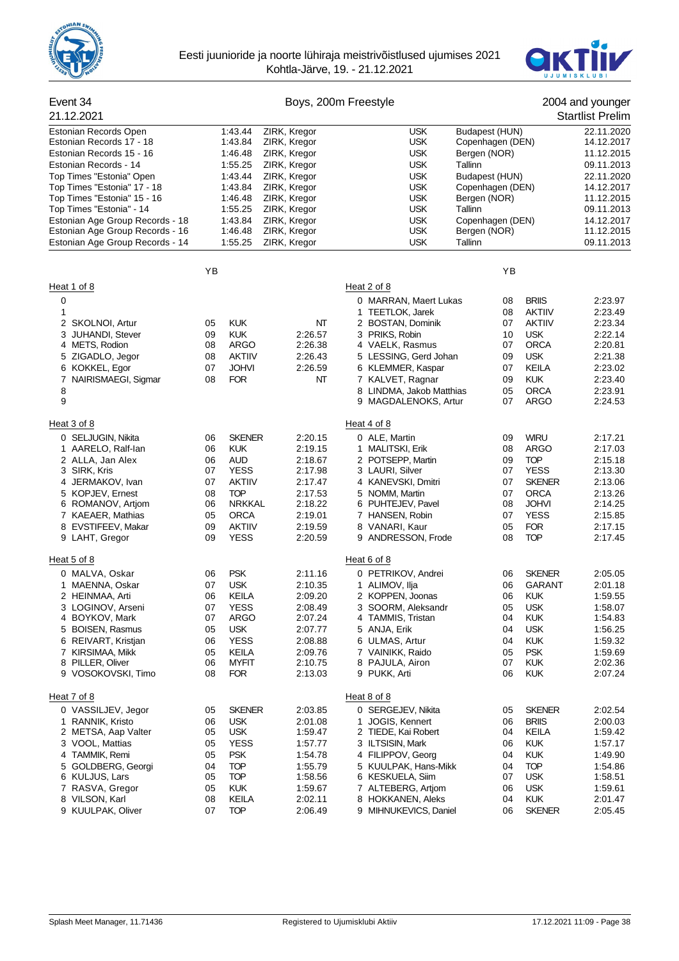



| Event 34                              |          |               | Boys, 200m Freestyle |                                     |                  |               | 2004 and younger        |
|---------------------------------------|----------|---------------|----------------------|-------------------------------------|------------------|---------------|-------------------------|
| 21.12.2021                            |          |               |                      |                                     |                  |               | <b>Startlist Prelim</b> |
| Estonian Records Open                 |          | 1:43.44       | ZIRK, Kregor         | <b>USK</b>                          | Budapest (HUN)   |               | 22.11.2020              |
| Estonian Records 17 - 18              |          | 1:43.84       | ZIRK, Kregor         | <b>USK</b>                          | Copenhagen (DEN) |               | 14.12.2017              |
| Estonian Records 15 - 16              |          | 1:46.48       | ZIRK, Kregor         | <b>USK</b>                          | Bergen (NOR)     |               | 11.12.2015              |
| Estonian Records - 14                 |          | 1:55.25       | ZIRK, Kregor         | <b>USK</b>                          | Tallinn          |               | 09.11.2013              |
| Top Times "Estonia" Open              |          | 1:43.44       | ZIRK, Kregor         | <b>USK</b>                          | Budapest (HUN)   |               | 22.11.2020              |
| Top Times "Estonia" 17 - 18           |          | 1:43.84       | ZIRK, Kregor         | <b>USK</b>                          | Copenhagen (DEN) |               | 14.12.2017              |
| Top Times "Estonia" 15 - 16           |          | 1:46.48       | ZIRK, Kregor         | <b>USK</b>                          | Bergen (NOR)     |               | 11.12.2015              |
| Top Times "Estonia" - 14              |          | 1:55.25       | ZIRK, Kregor         | <b>USK</b>                          | Tallinn          |               | 09.11.2013              |
| Estonian Age Group Records - 18       |          | 1:43.84       | ZIRK, Kregor         | <b>USK</b>                          | Copenhagen (DEN) |               | 14.12.2017              |
| Estonian Age Group Records - 16       |          | 1:46.48       | ZIRK, Kregor         | <b>USK</b>                          | Bergen (NOR)     |               | 11.12.2015              |
| Estonian Age Group Records - 14       |          | 1:55.25       | ZIRK, Kregor         | <b>USK</b>                          | Tallinn          |               | 09.11.2013              |
|                                       | YB       |               |                      |                                     | ΥB               |               |                         |
| Heat 1 of 8                           |          |               |                      | Heat 2 of 8                         |                  |               |                         |
| 0                                     |          |               |                      | 0 MARRAN, Maert Lukas               | 08               | <b>BRIIS</b>  | 2:23.97                 |
| 1                                     |          |               |                      | 1 TEETLOK, Jarek                    | 08               | <b>AKTIIV</b> | 2:23.49                 |
| 2 SKOLNOI, Artur                      | 05       | <b>KUK</b>    | NT                   | 2 BOSTAN, Dominik                   | 07               | <b>AKTIIV</b> | 2:23.34                 |
| 3 JUHANDI, Stever                     | 09       | <b>KUK</b>    | 2:26.57              | 3 PRIKS, Robin                      | 10               | <b>USK</b>    | 2:22.14                 |
| 4 METS, Rodion                        | 08       | ARGO          | 2:26.38              | 4 VAELK, Rasmus                     | 07               | <b>ORCA</b>   | 2:20.81                 |
| 5 ZIGADLO, Jegor                      | 08       | <b>AKTIIV</b> | 2:26.43              | 5 LESSING, Gerd Johan               | 09               | <b>USK</b>    | 2:21.38                 |
| 6 KOKKEL, Egor                        | 07       | <b>JOHVI</b>  | 2:26.59              | 6 KLEMMER, Kaspar                   | 07               | KEILA         | 2:23.02                 |
| 7 NAIRISMAEGI, Sigmar                 | 08       | <b>FOR</b>    | NT                   | 7 KALVET, Ragnar                    | 09               | <b>KUK</b>    | 2:23.40                 |
| 8                                     |          |               |                      | 8 LINDMA, Jakob Matthias            | 05               | <b>ORCA</b>   | 2:23.91                 |
| 9                                     |          |               |                      | 9 MAGDALENOKS, Artur                | 07               | ARGO          | 2:24.53                 |
| Heat 3 of 8                           |          |               |                      | Heat 4 of 8                         |                  |               |                         |
| 0 SELJUGIN, Nikita                    | 06       | <b>SKENER</b> | 2:20.15              | 0 ALE, Martin                       | 09               | <b>WIRU</b>   | 2:17.21                 |
| 1 AARELO, Ralf-lan                    | 06       | <b>KUK</b>    | 2:19.15              | 1 MALITSKI, Erik                    | 08               | <b>ARGO</b>   | 2:17.03                 |
| 2 ALLA, Jan Alex                      | 06       | <b>AUD</b>    | 2:18.67              | 2 POTSEPP, Martin                   | 09               | <b>TOP</b>    | 2:15.18                 |
| 3 SIRK, Kris                          | 07       | <b>YESS</b>   | 2:17.98              | 3 LAURI, Silver                     | 07               | <b>YESS</b>   | 2:13.30                 |
| 4 JERMAKOV, Ivan                      | 07       | <b>AKTIIV</b> | 2:17.47              | 4 KANEVSKI, Dmitri                  | 07               | <b>SKENER</b> | 2:13.06                 |
|                                       |          | <b>TOP</b>    |                      |                                     |                  | <b>ORCA</b>   |                         |
| 5 KOPJEV, Ernest<br>6 ROMANOV, Artjom | 08<br>06 | <b>NRKKAL</b> | 2:17.53<br>2:18.22   | 5 NOMM, Martin<br>6 PUHTEJEV, Pavel | 07<br>08         | <b>JOHVI</b>  | 2:13.26<br>2:14.25      |
|                                       |          |               |                      |                                     |                  | <b>YESS</b>   |                         |
| 7 KAEAER, Mathias                     | 05       | <b>ORCA</b>   | 2:19.01              | 7 HANSEN, Robin                     | 07               |               | 2:15.85                 |
| 8 EVSTIFEEV, Makar                    | 09       | <b>AKTIIV</b> | 2:19.59              | 8 VANARI, Kaur                      | 05               | <b>FOR</b>    | 2:17.15                 |
| 9 LAHT, Gregor                        | 09       | <b>YESS</b>   | 2:20.59              | 9 ANDRESSON, Frode                  | 08               | <b>TOP</b>    | 2:17.45                 |
| Heat 5 of 8                           |          |               |                      | Heat 6 of 8                         |                  |               |                         |
| 0 MALVA, Oskar                        | 06       | <b>PSK</b>    | 2:11.16              | 0 PETRIKOV, Andrei                  | 06               | <b>SKENER</b> | 2:05.05                 |
| 1 MAENNA, Oskar                       | 07       | <b>USK</b>    | 2:10.35              | 1 ALIMOV, Ilja                      | 06               | <b>GARANT</b> | 2:01.18                 |
| 2 HEINMAA, Arti                       | 06       | KEILA         | 2:09.20              | 2 KOPPEN, Joonas                    | 06               | <b>KUK</b>    | 1:59.55                 |
| 3 LOGINOV, Arseni                     | 07       | <b>YESS</b>   | 2:08.49              | 3 SOORM, Aleksandr                  | 05               | <b>USK</b>    | 1:58.07                 |
| 4 BOYKOV, Mark                        | 07       | <b>ARGO</b>   | 2:07.24              | 4 TAMMIS, Tristan                   | 04               | <b>KUK</b>    | 1:54.83                 |
| 5 BOISEN, Rasmus                      | 05       | <b>USK</b>    | 2:07.77              | 5 ANJA, Erik                        | 04               | <b>USK</b>    | 1:56.25                 |
| 6 REIVART, Kristjan                   | 06       | <b>YESS</b>   | 2:08.88              | 6 ULMAS, Artur                      | 04               | <b>KUK</b>    | 1:59.32                 |
| 7 KIRSIMAA, Mikk                      | 05       | <b>KEILA</b>  | 2:09.76              | 7 VAINIKK, Raido                    | 05               | <b>PSK</b>    | 1:59.69                 |
| 8 PILLER, Oliver                      | 06       | <b>MYFIT</b>  | 2:10.75              | 8 PAJULA, Airon                     | 07               | <b>KUK</b>    | 2:02.36                 |
| 9 VOSOKOVSKI, Timo                    | 08       | <b>FOR</b>    | 2:13.03              | 9 PUKK, Arti                        | 06               | <b>KUK</b>    | 2:07.24                 |
| Heat 7 of 8                           |          |               |                      | Heat 8 of 8                         |                  |               |                         |
| 0 VASSILJEV, Jegor                    | 05       | <b>SKENER</b> | 2:03.85              | 0 SERGEJEV, Nikita                  | 05               | <b>SKENER</b> | 2:02.54                 |
| 1 RANNIK, Kristo                      | 06       | <b>USK</b>    | 2:01.08              | 1 JOGIS, Kennert                    | 06               | <b>BRIIS</b>  | 2:00.03                 |
| 2 METSA, Aap Valter                   | 05       | <b>USK</b>    | 1:59.47              | 2 TIEDE, Kai Robert                 | 04               | KEILA         | 1:59.42                 |
| 3 VOOL, Mattias                       | 05       | <b>YESS</b>   | 1:57.77              | 3 ILTSISIN, Mark                    | 06               | <b>KUK</b>    | 1:57.17                 |
| 4 TAMMIK, Remi                        | 05       | <b>PSK</b>    | 1:54.78              | 4 FILIPPOV, Georg                   | 04               | <b>KUK</b>    | 1:49.90                 |
| 5 GOLDBERG, Georgi                    | 04       | <b>TOP</b>    | 1:55.79              | 5 KUULPAK, Hans-Mikk                | 04               | <b>TOP</b>    | 1:54.86                 |
| 6 KULJUS, Lars                        | 05       | <b>TOP</b>    | 1:58.56              | 6 KESKUELA, Siim                    | 07               | <b>USK</b>    | 1:58.51                 |
| 7 RASVA, Gregor                       | 05       | <b>KUK</b>    | 1:59.67              | 7 ALTEBERG, Artjom                  | 06               | <b>USK</b>    | 1:59.61                 |
| 8 VILSON, Karl                        | 08       | <b>KEILA</b>  | 2:02.11              | 8 HOKKANEN, Aleks                   | 04               | <b>KUK</b>    | 2:01.47                 |
| 9 KUULPAK, Oliver                     | 07       | <b>TOP</b>    | 2:06.49              | 9 MIHNUKEVICS, Daniel               | 06               | <b>SKENER</b> | 2:05.45                 |
|                                       |          |               |                      |                                     |                  |               |                         |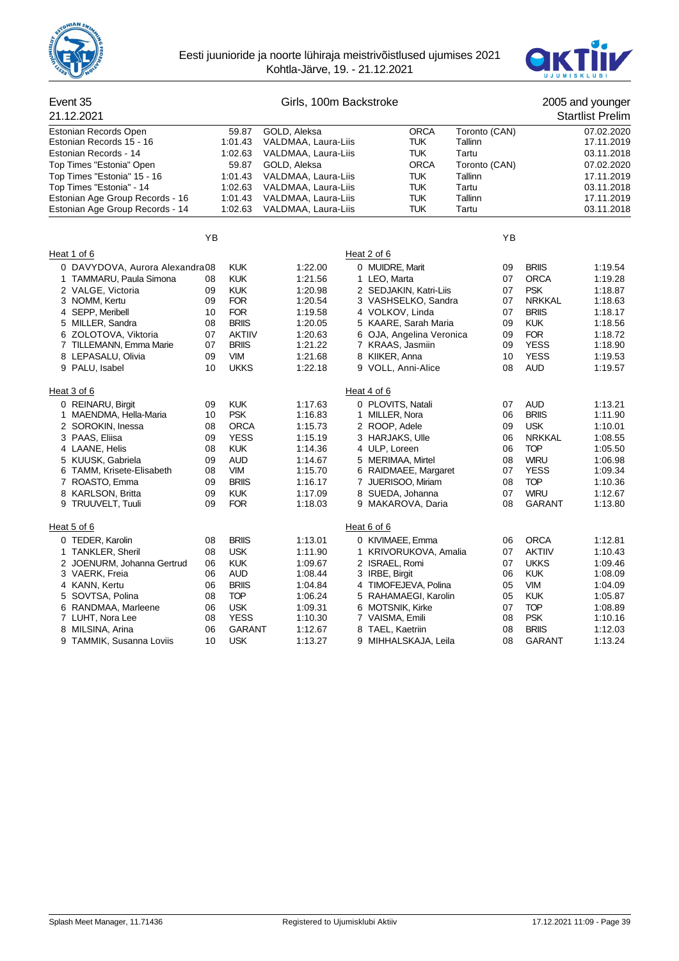



#### Event 35 Girls, 100m Backstroke 2005 and younger 21.12.2021 Startlist Prelim Estonian Records Open 59.87 GOLD, Aleksa CRCA Toronto (CAN) 07.02.2020<br>
Estonian Records 15 - 16 1:01.43 VALDMAA, Laura-Liis TUK Tallinn 17.11.2019 Estonian Records 15 - 16 1:01.43 VALDMAA, Laura-Liis TUK Tallinn Estonian Records - 14 1:02.63 VALDMAA, Laura-Liis TUK Tartu 1:02.11.2018<br>Top Times "Estonia" Open 199.87 GOLD, Aleksa 1986 CRCA Toronto (CAN) 607.02.2020 Top Times "Estonia" Open 59.87 Top Times "Estonia" 15 - 16 1:01.43 VALDMAA, Laura-Liis TUK Tallinn 17.11.2019 Top Times "Estonia" - 14 1:02.63 VALDMAA, Laura-Liis TUK Tartu 11:02.63 VALDMAA, Laura-Liis TUK Tartu 11:01.2018<br>Estonian Age Group Records - 16 1:01.43 VALDMAA, Laura-Liis TUK Tallinn 11:01.2019 Estonian Age Group Records - 16 1:01.43 VALDMAA, Laura-Liis TUK Tallinn 17.11.2019<br>Estonian Age Group Records - 14 1:02.63 VALDMAA Laura-Liis TUK Tartu 17.11.2018 Estonian Age Group Records - 14 YB YB Heat 1 of 6 Heat 2 of 6 0 DAVYDOVA, Aurora Alexandra08 KUK 1:22.00 0 MUIDRE, Marit 09 BRIIS 1:19.54 1 TAMMARU, Paula Simona 08 KUK 1:21.56 1 LEO, Marta 07 ORCA 1:19.28 2 VALGE, Victoria 09 KUK 1:20.98 2 SEDJAKIN, Katri-Liis 07 PSK 1:18.87 3 NOMM, Kertu 09 FOR 1:20.54 3 VASHSELKO, Sandra 07 NRKKAL 1:18.63 4 SEPP, Meribell 10 FOR 1:19.58 4 VOLKOV, Linda 07 BRIIS 1:18.17 5 MILLER, Sandra 08 BRIIS 1:20.05 5 KAARE, Sarah Maria 09 KUK 1:18.56 6 ZOLOTOVA, Viktoria 07 AKTIIV 1:20.63 6 OJA, Angelina Veronica 09 FOR 1:18.72 7 TILLEMANN, Emma Marie 07 BRIIS 1:21.22 7 KRAAS, Jasmiin 09 YESS 1:18.90 8 LEPASALU, Olivia 09 VIM 1:21.68 8 KIIKER, Anna 10 YESS 1:19.53 9 PALU, Isabel 10 UKKS 1:22.18 9 VOLL, Anni-Alice 08 AUD 1:19.57 Heat 3 of 6 **Heat 4 of 6** Heat 4 of 6 0 REINARU, Birgit 09 KUK 1:17.63 0 PLOVITS, Natali 07 AUD 1:13.21 1 MAENDMA, Hella-Maria 10 PSK 1:16.83 1 MILLER, Nora 06 BRIIS 1:11.90 2 SOROKIN, Inessa 08 ORCA 1:15.73 2 ROOP, Adele 09 USK 1:10.01 3 PAAS, Eliisa 09 YESS 1:15.19 3 HARJAKS, Ulle 06 NRKKAL 1:08.55 4 LAANE, Helis 08 KUK 1:14.36 4 ULP, Loreen 06 TOP 1:05.50 5 KUUSK, Gabriela 09 AUD 1:14.67 5 MERIMAA, Mirtel 08 WIRU 1:06.98 6 TAMM, Krisete-Elisabeth 08 VIM 1:15.70 6 RAIDMAEE, Margaret 07 YESS 1:09.34 7 ROASTO, Emma 09 BRIIS 1:16.17 7 JUERISOO, Miriam 08 TOP 1:10.36 8 KARLSON, Britta 09 KUK 1:17.09 8 SUEDA, Johanna 07 WIRU 1:12.67 09 FOR 1:18.03 9 MAKAROVA, Daria 608 GARANT 1:13.80 Heat 5 of 6 Heat 6 of 6 0 TEDER, Karolin 08 BRIIS 1:13.01 0 KIVIMAEE, Emma 06 ORCA 1:12.81 1 TANKLER, Sheril 08 USK 1:11.90 1 KRIVORUKOVA, Amalia 07 AKTIIV 1:10.43 2 JOENURM, Johanna Gertrud 06 KUK 1:09.67 2 ISRAEL, Romi 07 UKKS 1:09.46<br>2 1108.44 3 IRBE, Birgit 06 KUK 1:08.09 1:08.44 13 IRBE, Birgit 06 KUK 1:08.09 3 VAERK, Freia 06 AUD 1:08.44 3 IRBE, Birgit 06 KUK 1:08.09 4 KANN, Kertu 06 BRIIS 1:04.84 4 TIMOFEJEVA, Polina 05 VIM 1:04.09 5 SOVTSA, Polina 08 TOP 1:06.24 5 RAHAMAEGI, Karolin 05 KUK 1:05.87 6 RANDMAA, Marleene 06 USK 1:09.31 6 MOTSNIK, Kirke 07 TOP 1:08.89 7 LUHT, Nora Lee 08 YESS 1:10.30 7 VAISMA, Emili 08 PSK 1:10.16 8 MILSINA, Arina 06 GARANT 1:12.67 8 TAEL, Kaetriin 08 BRIIS 1:12.03 9 TAMMIK, Susanna Loviis 10 USK 1:13.27 9 MIHHALSKAJA, Leila 108 GARANT 1:13.24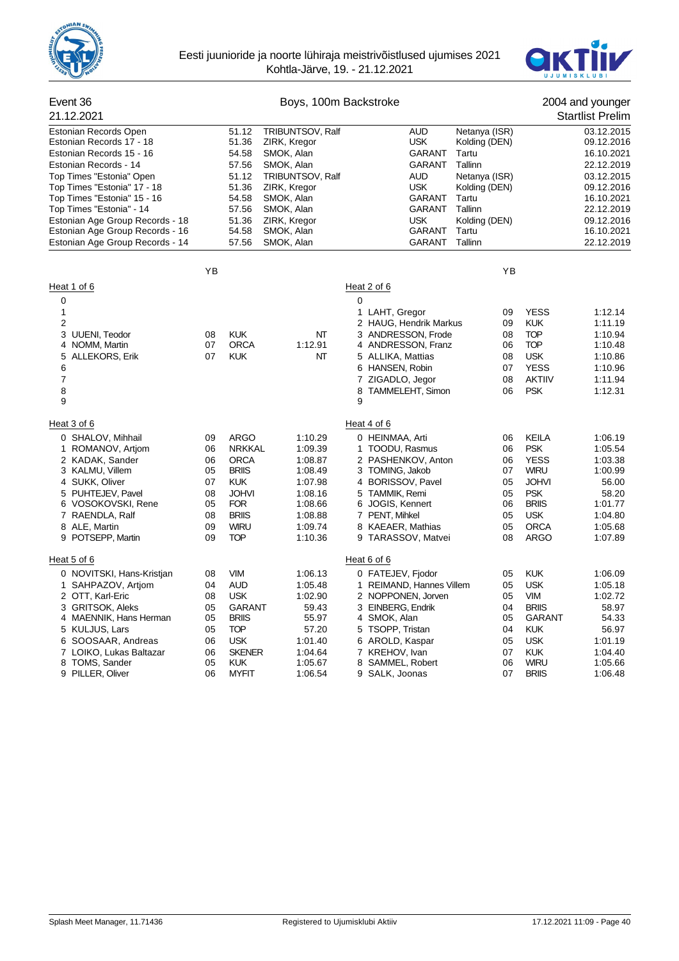



| Event 36                                                           |          |                            | Boys, 100m Backstroke    |                                      |                  |                  |                             | 2004 and younger         |
|--------------------------------------------------------------------|----------|----------------------------|--------------------------|--------------------------------------|------------------|------------------|-----------------------------|--------------------------|
| 21.12.2021                                                         |          |                            |                          |                                      |                  |                  |                             | <b>Startlist Prelim</b>  |
| Estonian Records Open                                              |          | 51.12                      | TRIBUNTSOV, Ralf         |                                      | <b>AUD</b>       | Netanya (ISR)    |                             | 03.12.2015               |
| Estonian Records 17 - 18                                           |          | 51.36                      | ZIRK, Kregor             |                                      | <b>USK</b>       | Kolding (DEN)    |                             | 09.12.2016               |
| Estonian Records 15 - 16                                           |          | 54.58                      | SMOK, Alan               |                                      | GARANT           | Tartu            |                             | 16.10.2021               |
| Estonian Records - 14                                              |          | 57.56                      | SMOK, Alan               |                                      | GARANT           | Tallinn          |                             | 22.12.2019               |
| Top Times "Estonia" Open                                           |          | 51.12                      | TRIBUNTSOV, Ralf         |                                      | aud              | Netanya (ISR)    |                             | 03.12.2015               |
| Top Times "Estonia" 17 - 18                                        |          | 51.36                      | ZIRK, Kregor             |                                      | <b>USK</b>       | Kolding (DEN)    |                             | 09.12.2016               |
| Top Times "Estonia" 15 - 16                                        |          | 54.58                      | SMOK, Alan               |                                      | GARANT           | Tartu            |                             | 16.10.2021               |
| Top Times "Estonia" - 14                                           |          | 57.56                      | SMOK, Alan               |                                      | GARANT           | Tallinn          |                             | 22.12.2019               |
| Estonian Age Group Records - 18                                    |          | 51.36                      | ZIRK, Kregor             |                                      | USK              | Kolding (DEN)    |                             | 09.12.2016               |
| Estonian Age Group Records - 16<br>Estonian Age Group Records - 14 |          | 54.58<br>57.56             | SMOK, Alan<br>SMOK, Alan |                                      | GARANT<br>GARANT | Tartu<br>Tallinn |                             | 16.10.2021<br>22.12.2019 |
|                                                                    |          |                            |                          |                                      |                  |                  |                             |                          |
|                                                                    | YB       |                            |                          |                                      |                  | YB               |                             |                          |
| Heat 1 of 6                                                        |          |                            |                          | Heat 2 of 6                          |                  |                  |                             |                          |
| 0                                                                  |          |                            |                          | $\mathbf 0$                          |                  |                  |                             |                          |
| $\mathbf{1}$                                                       |          |                            |                          | 1 LAHT, Gregor                       |                  | 09               | <b>YESS</b>                 | 1:12.14                  |
| $\overline{2}$                                                     |          |                            |                          | 2 HAUG, Hendrik Markus               |                  | 09               | <b>KUK</b>                  | 1:11.19                  |
| 3 UUENI, Teodor                                                    | 08       | <b>KUK</b>                 | NΤ                       | 3 ANDRESSON, Frode                   |                  | 08               | <b>TOP</b>                  | 1:10.94                  |
| 4 NOMM, Martin                                                     | 07       | <b>ORCA</b>                | 1:12.91                  | 4 ANDRESSON, Franz                   |                  | 06               | <b>TOP</b>                  | 1:10.48                  |
| 5<br><b>ALLEKORS, Erik</b>                                         | 07       | <b>KUK</b>                 | NΤ                       | 5 ALLIKA, Mattias                    |                  | 08               | <b>USK</b>                  | 1:10.86                  |
| 6                                                                  |          |                            |                          | 6 HANSEN, Robin                      |                  | 07               | <b>YESS</b>                 | 1:10.96                  |
| 7                                                                  |          |                            |                          | 7 ZIGADLO, Jegor                     |                  | 08               | <b>AKTIIV</b>               | 1:11.94                  |
| 8<br>9                                                             |          |                            |                          | 8 TAMMELEHT, Simon<br>9              |                  | 06               | <b>PSK</b>                  | 1:12.31                  |
| Heat 3 of 6                                                        |          |                            |                          | Heat 4 of 6                          |                  |                  |                             |                          |
|                                                                    |          |                            |                          |                                      |                  |                  |                             |                          |
| 0 SHALOV, Mihhail                                                  | 09       | <b>ARGO</b>                | 1:10.29                  | 0 HEINMAA, Arti                      |                  | 06               | <b>KEILA</b>                | 1:06.19                  |
| 1 ROMANOV, Artiom                                                  | 06       | <b>NRKKAL</b>              | 1:09.39                  | 1 TOODU, Rasmus                      |                  | 06               | <b>PSK</b>                  | 1:05.54                  |
| 2 KADAK, Sander                                                    | 06       | <b>ORCA</b>                | 1:08.87                  | 2 PASHENKOV, Anton                   |                  | 06               | <b>YESS</b>                 | 1:03.38                  |
| 3 KALMU, Villem<br>4 SUKK, Oliver                                  | 05<br>07 | <b>BRIIS</b><br><b>KUK</b> | 1:08.49                  | 3 TOMING, Jakob<br>4 BORISSOV, Pavel |                  | 07<br>05         | <b>WIRU</b><br><b>JOHVI</b> | 1:00.99                  |
| 5 PUHTEJEV, Pavel                                                  | 08       | <b>JOHVI</b>               | 1:07.98<br>1:08.16       | 5 TAMMIK, Remi                       |                  | 05               | <b>PSK</b>                  | 56.00<br>58.20           |
| 6 VOSOKOVSKI, Rene                                                 | 05       | <b>FOR</b>                 | 1:08.66                  | 6 JOGIS, Kennert                     |                  | 06               | <b>BRIIS</b>                | 1:01.77                  |
| 7 RAENDLA, Ralf                                                    | 08       | <b>BRIIS</b>               | 1:08.88                  | 7 PENT, Mihkel                       |                  | 05               | <b>USK</b>                  | 1:04.80                  |
| 8 ALE, Martin                                                      | 09       | <b>WIRU</b>                | 1:09.74                  | 8 KAEAER, Mathias                    |                  | 05               | <b>ORCA</b>                 | 1:05.68                  |
| 9 POTSEPP, Martin                                                  | 09       | <b>TOP</b>                 | 1:10.36                  | 9 TARASSOV, Matvei                   |                  | 08               | <b>ARGO</b>                 | 1:07.89                  |
| Heat 5 of 6                                                        |          |                            |                          | Heat 6 of 6                          |                  |                  |                             |                          |
| 0 NOVITSKI, Hans-Kristjan                                          | 08       | <b>VIM</b>                 | 1:06.13                  | 0 FATEJEV, Fjodor                    |                  | 05               | <b>KUK</b>                  | 1:06.09                  |
| 1 SAHPAZOV, Artjom                                                 | 04       | <b>AUD</b>                 | 1:05.48                  | 1 REIMAND, Hannes Villem             |                  | 05               | <b>USK</b>                  | 1:05.18                  |
| 2 OTT, Karl-Eric                                                   | 08       | <b>USK</b>                 | 1:02.90                  | 2 NOPPONEN, Jorven                   |                  | 05               | VIM                         | 1:02.72                  |
| 3 GRITSOK, Aleks                                                   | 05       | <b>GARANT</b>              | 59.43                    | 3 EINBERG, Endrik                    |                  | 04               | <b>BRIIS</b>                | 58.97                    |
| 4 MAENNIK, Hans Herman                                             | 05       | <b>BRIIS</b>               | 55.97                    | 4 SMOK, Alan                         |                  | 05               | <b>GARANT</b>               | 54.33                    |
| 5 KULJUS, Lars                                                     | 05       | <b>TOP</b>                 | 57.20                    | 5 TSOPP, Tristan                     |                  | 04               | <b>KUK</b>                  | 56.97                    |
| 6 SOOSAAR, Andreas                                                 | 06       | <b>USK</b>                 | 1:01.40                  | 6 AROLD, Kaspar                      |                  | 05               | <b>USK</b>                  | 1:01.19                  |
| 7 LOIKO, Lukas Baltazar                                            | 06       | <b>SKENER</b>              | 1:04.64                  | 7 KREHOV, Ivan                       |                  | 07               | <b>KUK</b>                  | 1:04.40                  |
| 8 TOMS, Sander                                                     | 05       | <b>KUK</b>                 | 1:05.67                  | 8 SAMMEL, Robert                     |                  | 06               | <b>WIRU</b>                 | 1:05.66                  |
| 9 PILLER, Oliver                                                   | 06       | <b>MYFIT</b>               | 1:06.54                  | 9 SALK, Joonas                       |                  | 07               | <b>BRIIS</b>                | 1:06.48                  |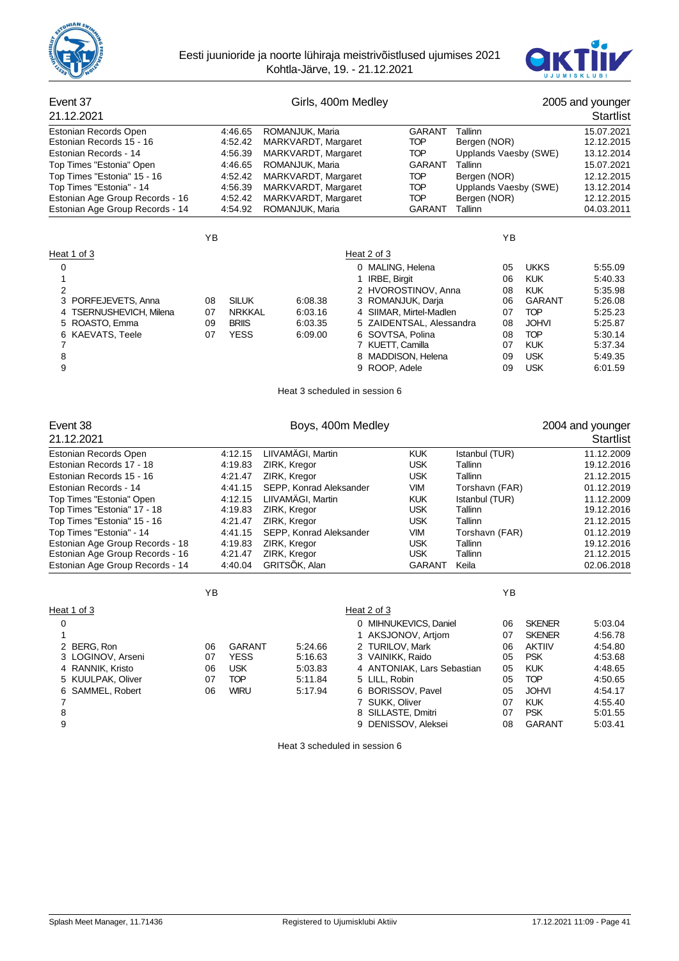



### Event 37 Girls, 400m Medley 2005 and younger 21.12.2021 Startlist Estonian Records Open **4:46.65 ROMANJUK, Maria** GARANT Tallinn 15.07.2021<br>Estonian Records 15 - 16 4:52.42 MARKVARDT, Margaret TOP Bergen (NOR) 12.12.2015 Estonian Records 15 - 16 4:52.42 MARKVARDT, Margaret TOP Bergen (NOR) 12.12.2015 Estonian Records - 14 **4:56.39 MARKVARDT, Margaret COLL COVIC UP** Upplands Vaesby (SWE) 13.12.2014<br>Top Times "Estonia" Open 15.07.2021 4:46.65 ROMANJUK, Maria **GARANT** Tallinn 15.07.2021 Top Times "Estonia" Open 11.46.65 ROMANJUK, Maria 15.07.2021 Top Times "Estonia" 15 - 16 <br>
Top Times "Estonia" - 14 11.56.39 MARKVARDT, Margaret TOP Upplands Vaesby (SWE) 13.12.2014 Top Times "Estonia" - 14 4:56.39 MARKVARDT, Margaret TOP Upplands Vaesby (SWE) 13.12.2014<br>Estonian Age Group Records - 16 4:52.42 MARKVARDT, Margaret TOP Bergen (NOR) 12.12.2015 Estonian Age Group Records - 16 4:52.42 MARKVARDT, Margaret TOP Bergen (NOR) 12.12.2015<br>Estonian Age Group Records - 14 4:54.92 ROMAN.IUK Maria GARANT Tallinn 12.12.2015 Estonian Age Group Records - 14 YB YB Heat 1 of 3 Heat 2 of 3 0 0 0 0 MALING, Helena 05 UKKS 5:55.09 1 1 IRBE, Birgit 06 KUK 5:40.33 2 2 HVOROSTINOV, Anna 08 KUK 5:35.98 3 PORFEJEVETS, Anna 08 SILUK 6:08.38 3 ROMANJUK, Darja 06 GARANT 5:26.08 4 TSERNUSHEVICH, Milena 07 NRKKAL 6:03.16 4 5 ROASTO, Emma 09 BRIIS 6:03.35 5 ZAIDENTSAL, Alessandra 08 JOHVI 5:25.87 6 KAEVATS, Teele 07 YESS 6:09.00 6 SOVTSA, Polina 08 TOP 5:30.14 FORTT, Camilla 607 KUK<br>1 7 MADDISON. Helena 609 USK 8 8 8 MADDISON, Helena 09 USK 5:49.35 9 9 ROOP, Adele 09 USK 6:01.59 Heat 3 scheduled in session 6 Event 38 **Boys, 400m Medley** 2004 and younger 21.12.2021 Startlist Estonian Records Open 4:12.15 LIIVAMÄGI, Martin KUK Istanbul (TUR) 11.12.2009 Estonian Records 17 - 18 4:19.83 ZIRK, Kregor USK Tallinn 19.12.2016 Estonian Records 15 - 16 4:21.47 ZIRK, Kregor USK Tallinn 21.12.2015 Estonian Records - 14 4:41.15 SEPP, Konrad Aleksander VIM Torshavn (FAR) 01.12.2019 Top Times "Estonia" Open 4:12.15 LIIVAMÄGI, Martin KUK Istanbul (TUR) 11.12.2009 Top Times "Estonia" 17 - 18 Top Times "Estonia" 15 - 16 4:21.47 ZIRK, Kregor USK Tallinn 21.12.2015 Top Times "Estonia" - 14 4:41.15 SEPP, Konrad Aleksander VIM Torshavn (FAR) 01.12.2019<br>Estonian Age Group Records - 18 4:19.83 ZIRK, Kregor USK Tallinn 19.12.2016 Estonian Age Group Records - 18 4:19.83 ZIRK, Kregor USK Tallinn 19.12.2016 Estonian Age Group Records - 16 Estonian Age Group Records - 14 4:40.04 GRITSÕK, Alan GARANT Keila 02.06.2018 YB YB Heat 1 of 3 Heat 2 of 3 0 0 MIHNUKEVICS, Daniel 06 SKENER 5:03.04 1 1 AKSJONOV, Artjom 07 SKENER 4:56.78 2 BERG, Ron 06 GARANT 5:24.66 2 TURILOV, Mark 06 AKTIIV 4:54.80 3 LOGINOV, Arseni 07 YESS 5:16.63 3 VAINIKK, Raido 05 PSK 4:53.68 4 RANNIK, Kristo 06 USK 5:03.83 4 ANTONIAK, Lars Sebastian 05 KUK 4:48.65 5 KUULPAK, Oliver 07 TOP 5:11.84 5 LILL, Robin 05 TOP 4:50.65 6 SAMMEL, Robert 06 WIRU 5:17.94 6 BORISSOV, Pavel 05 JOHVI 4:54.17 7 7 SUKK, Oliver 07 KUK 4:55.40 8 8 8 8 SILLASTE, Dmitri 07 PSK 5:01.55

9 9 DENISSOV, Aleksei 08 GARANT 5:03.41

Heat 3 scheduled in session 6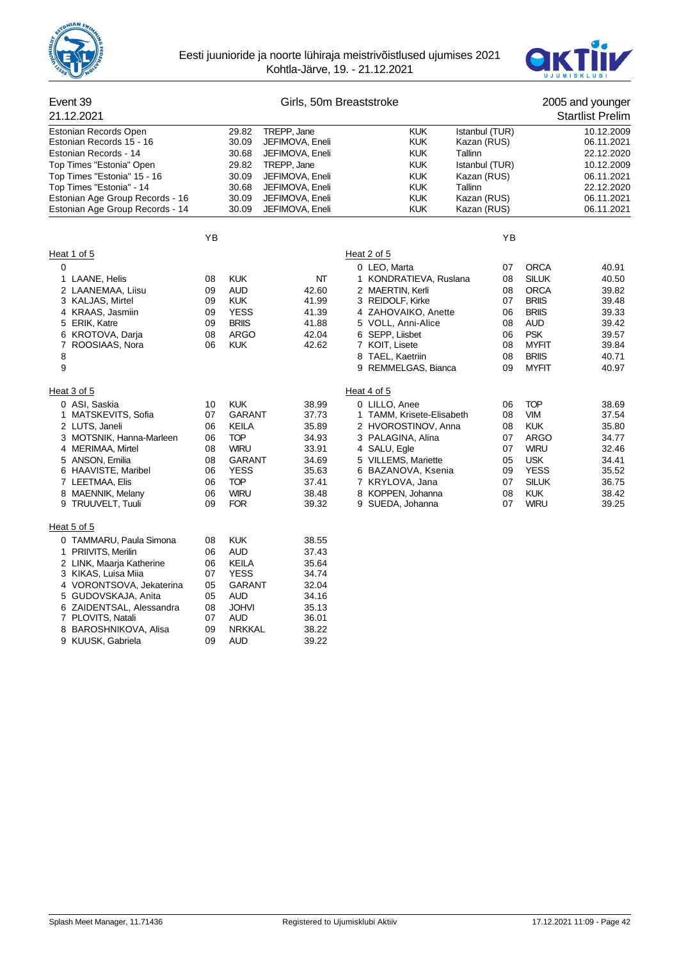



#### Event 39 Girls, 50m Breaststroke 2005 and younger 21.12.2021 Startlist Prelim Estonian Records Open 29.82 TREPP, Jane KUK Istanbul (TUR) 10.12.2009<br>Estonian Records 15 - 16 30.09 JEFIMOVA, Eneli KUK Kazan (RUS) 06.11.2021 Estonian Records 15 - 16 Estonian Records - 14 30.68 JEFIMOVA, Eneli KUK Tallinn 22.12.2020 Top Times "Estonia" Open 29.82 Top Times "Estonia" 15 - 16 30.09 JEFIMOVA, Eneli KUK Kazan (RUS) 66.11.2021<br>Top Times "Estonia" - 14 30.68 JEFIMOVA, Eneli KUK Tallinn 22.12.2020 Top Times "Estonia" - 14 30.68 JEFIMOVA, Eneli KUK Tallinn 22.12.2020 Estonian Age Group Records - 16 30.09 JEFIMOVA, Eneli KUK Kazan (RUS) 66.11.2021<br>Estonian Age Group Records - 14 30.09 JEFIMOVA, Eneli KUK Kazan (RUS) 66.11.2021 Estonian Age Group Records - 14 YB YB Heat 1 of 5 Heat 2 of 5 0 0 LEO, Marta 07 ORCA 40.91 1 LAANE, Helis 08 KUK NT 1 KONDRATIEVA, Ruslana 08 SILUK 40.50 2 LAANEMAA, Liisu 09 AUD 42.60 2 MAERTIN, Kerli 08 ORCA 39.82 3 KALJAS, Mirtel 09 KUK 41.99 3 REIDOLF, Kirke 07 BRIIS 39.48 4 ZAHOVAIKO, Anette 5 ERIK, Katre 09 BRIIS 41.88 5 VOLL, Anni-Alice 08 AUD 39.42 6 KROTOVA, Darja 08 ARGO 42.04 6 SEPP, Liisbet 06 PSK 39.57 ROOSIAAS, Nora 8 8 TAEL, Kaetriin 08 BRIIS 40.71 9 9 8 PEMMELGAS, Bianca 09 MYFIT 40.97 Heat 3 of 5 Heat 4 of 5 0 ASI, Saskia 10 KUK 38.99 0 LILLO, Anee 06 TOP 38.69 1 MATSKEVITS, Sofia 07 GARANT 37.73 1 TAMM, Krisete-Elisabeth 08 VIM 37.54 2 LUTS, Janeli 06 KEILA 35.89 2 HVOROSTINOV, Anna 08 KUK 35.80 3 MOTSNIK, Hanna-Marleen 06 TOP 34.93 3 PALAGINA, Alina 07 ARGO 34.77 4 MERIMAA, Mirtel 08 WIRU 33.91 4 SALU, Egle 07 WIRU 32.46 5 ANSON, Emilia 08 GARANT 34.69 5 VILLEMS, Mariette 05 USK 34.41 6 HAAVISTE, Maribel 06 YESS 35.63 6 BAZANOVA, Ksenia 09 YESS 35.52 7 LEETMAA, Elis 06 TOP 37.41 7 KRYLOVA, Jana 07 SILUK 36.75 8 MAENNIK, Melany 06 WIRU 38.48 8 KOPPEN, Johanna 08 KUK 38.42 09 FOR 39.32 9 SUEDA, Johanna 07 WIRU 39.25 Heat 5 of 5 0 TAMMARU, Paula Simona 08 KUK 38.55 1 PRIIVITS, Merilin 06 AUD 37.43 2 LINK, Maarja Katherine 06 KEILA 35.64 3 KIKAS, Luisa Miia 07 YESS 34.74 4 VORONTSOVA, Jekaterina 05 5 GUDOVSKAJA, Anita 05 AUD 34.16 6 ZAIDENTSAL, Alessandra 08 JOHVI 35.13 7 PLOVITS, Natali 07 AUD 36.01 8 BAROSHNIKOVA, Alisa 9 KUUSK, Gabriela 09 AUD 39.22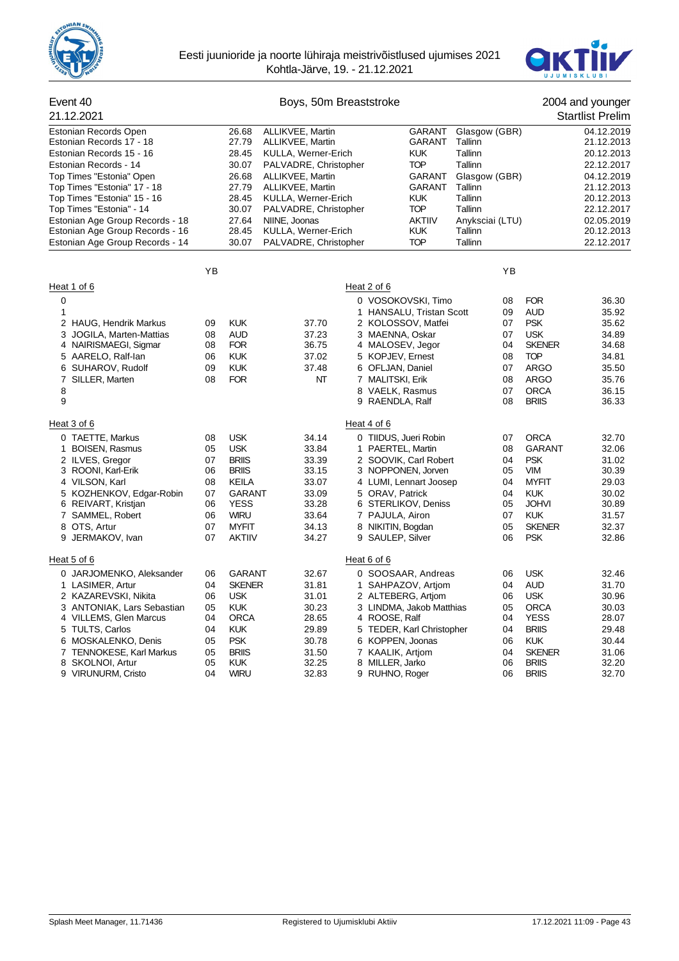



| Event 40                                                   |    |                | Boys, 50m Breaststroke                  |                                       |                    |    |               | 2004 and younger         |
|------------------------------------------------------------|----|----------------|-----------------------------------------|---------------------------------------|--------------------|----|---------------|--------------------------|
| 21.12.2021                                                 |    |                |                                         |                                       |                    |    |               | <b>Startlist Prelim</b>  |
| Estonian Records Open                                      |    | 26.68          | ALLIKVEE, Martin                        | <b>GARANT</b>                         | Glasgow (GBR)      |    |               | 04.12.2019               |
| Estonian Records 17 - 18                                   |    | 27.79          | ALLIKVEE, Martin                        | GARANT                                | Tallinn            |    |               | 21.12.2013               |
| Estonian Records 15 - 16                                   |    | 28.45          | KULLA, Werner-Erich                     | <b>KUK</b>                            | Tallinn            |    |               | 20.12.2013               |
| Estonian Records - 14                                      |    | 30.07          | PALVADRE, Christopher                   | <b>TOP</b>                            | Tallinn            |    |               | 22.12.2017               |
| Top Times "Estonia" Open                                   |    | 26.68          | ALLIKVEE, Martin                        | GARANT                                | Glasgow (GBR)      |    |               | 04.12.2019               |
| Top Times "Estonia" 17 - 18<br>Top Times "Estonia" 15 - 16 |    | 27.79<br>28.45 | ALLIKVEE, Martin<br>KULLA, Werner-Erich | <b>GARANT</b><br><b>KUK</b>           | Tallinn<br>Tallinn |    |               | 21.12.2013<br>20.12.2013 |
| Top Times "Estonia" - 14                                   |    | 30.07          | PALVADRE, Christopher                   | <b>TOP</b>                            | Tallinn            |    |               | 22.12.2017               |
| Estonian Age Group Records - 18                            |    | 27.64          | NIINE, Joonas                           | <b>AKTIIV</b>                         | Anyksciai (LTU)    |    |               | 02.05.2019               |
| Estonian Age Group Records - 16                            |    | 28.45          | KULLA, Werner-Erich                     | <b>KUK</b>                            | Tallinn            |    |               | 20.12.2013               |
| Estonian Age Group Records - 14                            |    | 30.07          | PALVADRE, Christopher                   | <b>TOP</b>                            | Tallinn            |    |               | 22.12.2017               |
|                                                            | ΥB |                |                                         |                                       |                    | ΥB |               |                          |
| Heat 1 of 6                                                |    |                |                                         | Heat 2 of 6                           |                    |    |               |                          |
|                                                            |    |                |                                         |                                       |                    | 08 | <b>FOR</b>    | 36.30                    |
| 0<br>1                                                     |    |                |                                         | 0 VOSOKOVSKI, Timo                    |                    | 09 | <b>AUD</b>    | 35.92                    |
| 2 HAUG, Hendrik Markus                                     | 09 | <b>KUK</b>     | 37.70                                   | 1 HANSALU, Tristan Scott              |                    | 07 | <b>PSK</b>    | 35.62                    |
| 3<br>JOGILA, Marten-Mattias                                | 08 | <b>AUD</b>     | 37.23                                   | 2 KOLOSSOV, Matfei<br>3 MAENNA, Oskar |                    | 07 | <b>USK</b>    | 34.89                    |
| 4 NAIRISMAEGI, Sigmar                                      | 08 | <b>FOR</b>     | 36.75                                   | 4 MALOSEV, Jegor                      |                    | 04 | <b>SKENER</b> | 34.68                    |
| 5 AARELO, Ralf-lan                                         | 06 | <b>KUK</b>     | 37.02                                   | 5 KOPJEV, Ernest                      |                    | 08 | <b>TOP</b>    | 34.81                    |
| 6 SUHAROV, Rudolf                                          | 09 | <b>KUK</b>     | 37.48                                   | 6 OFLJAN, Daniel                      |                    | 07 | <b>ARGO</b>   | 35.50                    |
| 7 SILLER, Marten                                           | 08 | <b>FOR</b>     | NT                                      | 7 MALITSKI, Erik                      |                    | 08 | <b>ARGO</b>   | 35.76                    |
| 8                                                          |    |                |                                         | 8 VAELK, Rasmus                       |                    | 07 | <b>ORCA</b>   | 36.15                    |
| 9                                                          |    |                |                                         | 9 RAENDLA, Ralf                       |                    | 08 | <b>BRIIS</b>  | 36.33                    |
| Heat 3 of 6                                                |    |                |                                         | Heat 4 of 6                           |                    |    |               |                          |
| 0 TAETTE, Markus                                           | 08 | <b>USK</b>     | 34.14                                   | 0 TIIDUS, Jueri Robin                 |                    | 07 | <b>ORCA</b>   | 32.70                    |
| 1 BOISEN, Rasmus                                           | 05 | <b>USK</b>     | 33.84                                   | 1 PAERTEL, Martin                     |                    | 08 | <b>GARANT</b> | 32.06                    |
| 2 ILVES, Gregor                                            | 07 | <b>BRIIS</b>   | 33.39                                   | 2 SOOVIK, Carl Robert                 |                    | 04 | <b>PSK</b>    | 31.02                    |
| 3 ROONI, Karl-Erik                                         | 06 | <b>BRIIS</b>   | 33.15                                   | 3 NOPPONEN, Jorven                    |                    | 05 | <b>VIM</b>    | 30.39                    |
| 4 VILSON, Karl                                             | 08 | KEILA          | 33.07                                   | 4 LUMI, Lennart Joosep                |                    | 04 | <b>MYFIT</b>  | 29.03                    |
| 5 KOZHENKOV, Edgar-Robin                                   | 07 | <b>GARANT</b>  | 33.09                                   | 5 ORAV, Patrick                       |                    | 04 | <b>KUK</b>    | 30.02                    |
| 6 REIVART, Kristjan                                        | 06 | <b>YESS</b>    | 33.28                                   | 6 STERLIKOV, Deniss                   |                    | 05 | <b>JOHVI</b>  | 30.89                    |
| 7 SAMMEL, Robert                                           | 06 | <b>WIRU</b>    | 33.64                                   | 7 PAJULA, Airon                       |                    | 07 | <b>KUK</b>    | 31.57                    |
| 8 OTS, Artur                                               | 07 | <b>MYFIT</b>   | 34.13                                   | 8 NIKITIN, Bogdan                     |                    | 05 | <b>SKENER</b> | 32.37                    |
| JERMAKOV, Ivan<br>9                                        | 07 | <b>AKTIIV</b>  | 34.27                                   | 9 SAULEP, Silver                      |                    | 06 | <b>PSK</b>    | 32.86                    |
| Heat 5 of 6                                                |    |                |                                         | Heat 6 of 6                           |                    |    |               |                          |
| 0 JARJOMENKO, Aleksander                                   | 06 | <b>GARANT</b>  | 32.67                                   | 0 SOOSAAR, Andreas                    |                    | 06 | <b>USK</b>    | 32.46                    |
| 1 LASIMER, Artur                                           | 04 | <b>SKENER</b>  | 31.81                                   | 1 SAHPAZOV, Artiom                    |                    | 04 | <b>AUD</b>    | 31.70                    |
| 2 KAZAREVSKI, Nikita                                       | 06 | <b>USK</b>     | 31.01                                   | 2 ALTEBERG, Artiom                    |                    | 06 | <b>USK</b>    | 30.96                    |
| 3 ANTONIAK, Lars Sebastian                                 | 05 | <b>KUK</b>     | 30.23                                   | 3 LINDMA, Jakob Matthias              |                    | 05 | <b>ORCA</b>   | 30.03                    |
| 4 VILLEMS, Glen Marcus                                     | 04 | <b>ORCA</b>    | 28.65                                   | 4 ROOSE, Ralf                         |                    | 04 | <b>YESS</b>   | 28.07                    |
| 5 TULTS, Carlos                                            | 04 | <b>KUK</b>     | 29.89                                   | 5 TEDER, Karl Christopher             |                    | 04 | <b>BRIIS</b>  | 29.48                    |
| MOSKALENKO, Denis<br>6                                     | 05 | <b>PSK</b>     | 30.78                                   | 6 KOPPEN, Joonas                      |                    | 06 | <b>KUK</b>    | 30.44                    |
| 7 TENNOKESE, Karl Markus                                   | 05 | <b>BRIIS</b>   | 31.50                                   | 7 KAALIK, Artjom                      |                    | 04 | <b>SKENER</b> | 31.06                    |
| SKOLNOI, Artur<br>8                                        | 05 | <b>KUK</b>     | 32.25                                   | 8 MILLER, Jarko                       |                    | 06 | <b>BRIIS</b>  | 32.20                    |
| 9 VIRUNURM, Cristo                                         | 04 | <b>WIRU</b>    | 32.83                                   | 9 RUHNO, Roger                        |                    | 06 | <b>BRIIS</b>  | 32.70                    |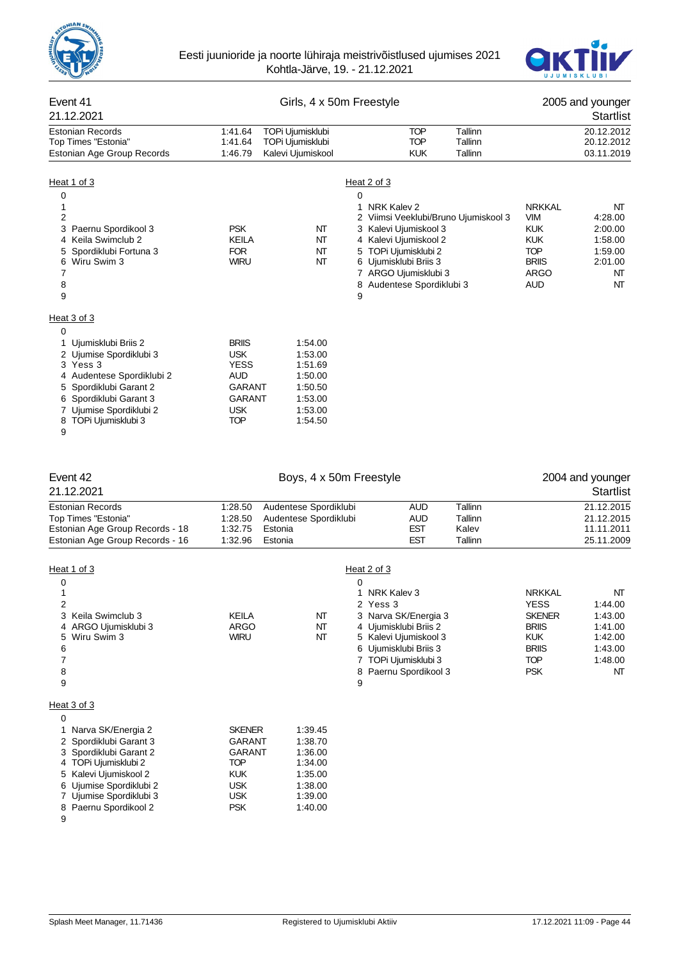



### Event 41 Girls, 4 x 50m Freestyle 2005 and younger 21.12.2021 Startlist Estonian Records 1:41.64 TOPi Ujumisklubi TOP Tallinn 20.12.2012 Top Times "Estonia" Estonian Age Group Records 1:46.79 Kalevi Ujumiskool KUK Tallinn 03.11.2019 Heat 1 of 3 Heat 2 of 3  $\overline{0}$ 1 1 NRK Kalev 2 NRK Kalev 2 NRK Kalev 2 NRK Kalev 2 NRK Kalev 2 NRK Kalev 2 NRK Kalev 2 NT 2 2 Viimsi Veeklubi/Bruno Ujumiskool 3 VIM 4:28.00 3 Paernu Spordikool 3 Communisties of March 2:00.00 NT 3 Kalevi Ujumiskool 3 Communisty 2:00.00 4 Keila Swimclub 2 **KEILA** NT 4 Kalevi Ujumiskool 2 KUK 1:58.00 5 Spordiklubi Fortuna 3 **FOR** NT 5 TOPi Ujumisklubi 2 TOP 1:59.00 6 Wiru Swim 3 WIRU NT 6 Ujumisklubi Briis 3 BRIIS 2:01.00 7 ARGO Ujumisklubi 3 ARGO ARGO NT 8 8 Audentese Spordiklubi 3 AUD NT 9 9 Heat 3 of 3  $\Omega$ 1 Ujumisklubi Briis 2 BRIIS 1:54.00 2 Ujumise Spordiklubi 3 USK 1:53.00 3 Yess 3 YESS 1:51.69 4 Audentese Spordiklubi 2 AUD 1:50.00 5 Spordiklubi Garant 2 GARANT 1:50.50 6 Spordiklubi Garant 3 GARANT 1:53.00 7 Ujumise Spordiklubi 2 USK 1:53.00 8 TOPi Ujumisklubi 3 9

#### Event 42 **Boys, 4 x 50m Freestyle** 2004 and younger 21.12.2021 Startlist Estonian Records 1:28.50 Audentese Spordiklubi AUD Tallinn 21.12.2015 Top Times "Estonia" 1:28.50 Audentese Spordiklubi AUD Tallinn 21.12.2015<br>11.11.2011 Estonian Age Group Records - 18 1:32.75 Estonia Pordiklubi CST Kalev 11.11.2011 Estonian Age Group Records - 18 1:32.75 Estonia 11.1200 EST Kalev Records - 18 1:32.75 Estonia 11.11.2011 EST Estonia Estonian Age Group Records - 16 1:32.96 Estonia EST Tallinn 25.11.2009 Heat 1 of 3 Heat 2 of 3  $\overline{0}$ 1 1 NRK Kalev 3 NRK Kalev 3 NRK Kalev 3 NRK Kalev 3 NRK Kalev 3 NRK Kalev 3 NRK Kalev 3 NRK Kalev 3 NT 2 2 Yess 3 YESS 1:44.00 3 Keila Swimclub 3 KEILA NT 3 Narva SK/Energia 3 SKENER 1:43.00 4 ARGO Ujumisklubi 3 ARGO NT 4 Ujumisklubi Briis 2 BRIIS 1:41.00 5 Wiru Swim 3 WIRU NT 5 Kalevi Ujumiskool 3 KUK 1:42.00 6 6 Ujumisklubi Briis 3 BRIIS 1:43.00 7 TOPi Ujumisklubi 3 8 8 Paernu Spordikool 3 Paernu Spordikool 3 PSK NT 9 9 Heat 3 of 3 0 1 Narva SK/Energia 2 SKENER 1:39.45 2 Spordiklubi Garant 3 GARANT 1:38.70 3 Spordiklubi Garant 2 GARANT 1:36.00<br>4 TOPi Uiumisklubi 2 TOP 1:34.00 TOPi Ujumisklubi 2 5 Kalevi Ujumiskool 2 KUK 1:35.00 6 Ujumise Spordiklubi 2 USK 1:38.00 7 Ujumise Spordiklubi 3 USK 1:39.00<br>8 Paernu Spordikool 2 PSK 1:40.00

9

Paernu Spordikool 2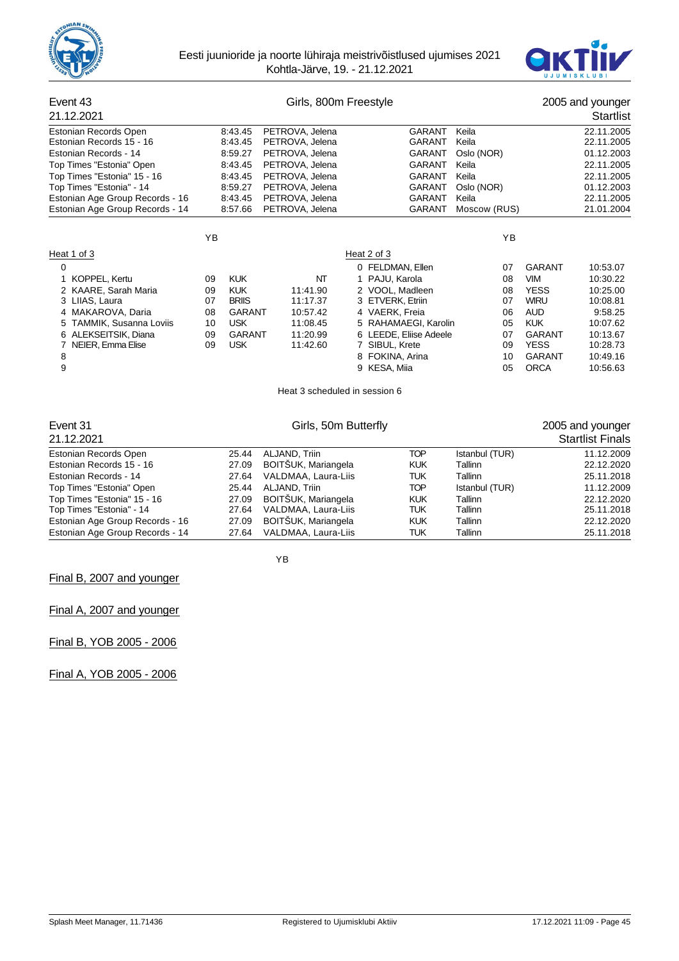



| Event 43                        |    |               | Girls, 800m Freestyle         |                  |                        |                |               | 2005 and younger        |
|---------------------------------|----|---------------|-------------------------------|------------------|------------------------|----------------|---------------|-------------------------|
| 21.12.2021                      |    |               |                               |                  |                        |                |               | Startlist               |
| Estonian Records Open           |    | 8:43.45       | PETROVA, Jelena               |                  | <b>GARANT</b>          | Keila          |               | 22.11.2005              |
| Estonian Records 15 - 16        |    | 8:43.45       | PETROVA, Jelena               |                  | <b>GARANT</b>          | Keila          |               | 22.11.2005              |
| Estonian Records - 14           |    | 8:59.27       | PETROVA, Jelena               |                  | <b>GARANT</b>          | Oslo (NOR)     |               | 01.12.2003              |
| Top Times "Estonia" Open        |    | 8:43.45       | PETROVA, Jelena               |                  | <b>GARANT</b>          | Keila          |               | 22.11.2005              |
| Top Times "Estonia" 15 - 16     |    | 8:43.45       | PETROVA, Jelena               |                  | <b>GARANT</b>          | Keila          |               | 22.11.2005              |
| Top Times "Estonia" - 14        |    | 8:59.27       | PETROVA, Jelena               |                  | <b>GARANT</b>          | Oslo (NOR)     |               | 01.12.2003              |
| Estonian Age Group Records - 16 |    | 8:43.45       | PETROVA, Jelena               |                  | <b>GARANT</b>          | Keila          |               | 22.11.2005              |
| Estonian Age Group Records - 14 |    | 8:57.66       | PETROVA, Jelena               |                  | <b>GARANT</b>          | Moscow (RUS)   |               | 21.01.2004              |
|                                 | YB |               |                               |                  |                        | ΥB             |               |                         |
| Heat 1 of 3                     |    |               |                               | Heat 2 of 3      |                        |                |               |                         |
| 0                               |    |               |                               | 0 FELDMAN, Ellen |                        | 07             | <b>GARANT</b> | 10:53.07                |
| KOPPEL, Kertu                   | 09 | <b>KUK</b>    | NT                            | 1 PAJU, Karola   |                        | 08             | <b>VIM</b>    | 10:30.22                |
| 2 KAARE, Sarah Maria            | 09 | <b>KUK</b>    | 11:41.90                      | 2 VOOL, Madleen  |                        | 08             | <b>YESS</b>   | 10:25.00                |
| 3 LIIAS, Laura                  | 07 | <b>BRIIS</b>  | 11:17.37                      | 3 ETVERK, Etriin |                        | 07             | <b>WIRU</b>   | 10:08.81                |
| 4 MAKAROVA, Daria               | 08 | <b>GARANT</b> | 10:57.42                      | 4 VAERK, Freia   |                        | 06             | <b>AUD</b>    | 9:58.25                 |
| TAMMIK, Susanna Loviis          | 10 | <b>USK</b>    | 11:08.45                      |                  | 5 RAHAMAEGI, Karolin   | 05             | <b>KUK</b>    | 10:07.62                |
| 6 ALEKSEITSIK, Diana            | 09 | <b>GARANT</b> | 11:20.99                      |                  | 6 LEEDE, Eliise Adeele | 07             | <b>GARANT</b> | 10:13.67                |
| NEIER, Emma Elise<br>7          | 09 | <b>USK</b>    | 11:42.60                      | 7 SIBUL, Krete   |                        | 09             | <b>YESS</b>   | 10:28.73                |
| 8                               |    |               |                               | 8 FOKINA, Arina  |                        | 10             | <b>GARANT</b> | 10:49.16                |
| 9                               |    |               |                               | 9 KESA, Miia     |                        | 05             | <b>ORCA</b>   | 10:56.63                |
|                                 |    |               | Heat 3 scheduled in session 6 |                  |                        |                |               |                         |
| Event 31                        |    |               | Girls, 50m Butterfly          |                  |                        |                |               | 2005 and younger        |
| 21.12.2021                      |    |               |                               |                  |                        |                |               | <b>Startlist Finals</b> |
| Estonian Records Open           |    | 25.44         | ALJAND, Triin                 |                  | <b>TOP</b>             | Istanbul (TUR) |               | 11.12.2009              |
| Estonian Records 15 - 16        |    | 27.09         | BOITŠUK, Mariangela           |                  | <b>KUK</b>             | <b>Tallinn</b> |               | 22.12.2020              |
| Estonian Records - 14           |    | 27.64         | VALDMAA, Laura-Liis           |                  | <b>TUK</b>             | Tallinn        |               | 25.11.2018              |

|                     | <b>KUK</b>                                                                                                                                                | Tallinn        | 22.12.2020 |
|---------------------|-----------------------------------------------------------------------------------------------------------------------------------------------------------|----------------|------------|
| VALDMAA, Laura-Liis | TUK                                                                                                                                                       | Tallinn        | 25.11.2018 |
|                     | TOP                                                                                                                                                       | Istanbul (TUR) | 11.12.2009 |
|                     | <b>KUK</b>                                                                                                                                                | Tallinn        | 22.12.2020 |
|                     | TUK                                                                                                                                                       | Tallinn        | 25.11.2018 |
|                     | <b>KUK</b>                                                                                                                                                | Tallinn        | 22.12.2020 |
| VALDMAA, Laura-Liis | TUK                                                                                                                                                       | Tallinn        | 25.11.2018 |
|                     | 27.09 BOITSUK, Mariangela<br>27.64<br>25.44 ALJAND, Triin<br>27.09 BOITŠUK, Mariangela<br>27.64 VALDMAA, Laura-Liis<br>27.09 BOITŠUK, Mariangela<br>27.64 |                |            |

YB

Final B, 2007 and younger

# Final A, 2007 and younger

Final B, YOB 2005 - 2006

Final A, YOB 2005 - 2006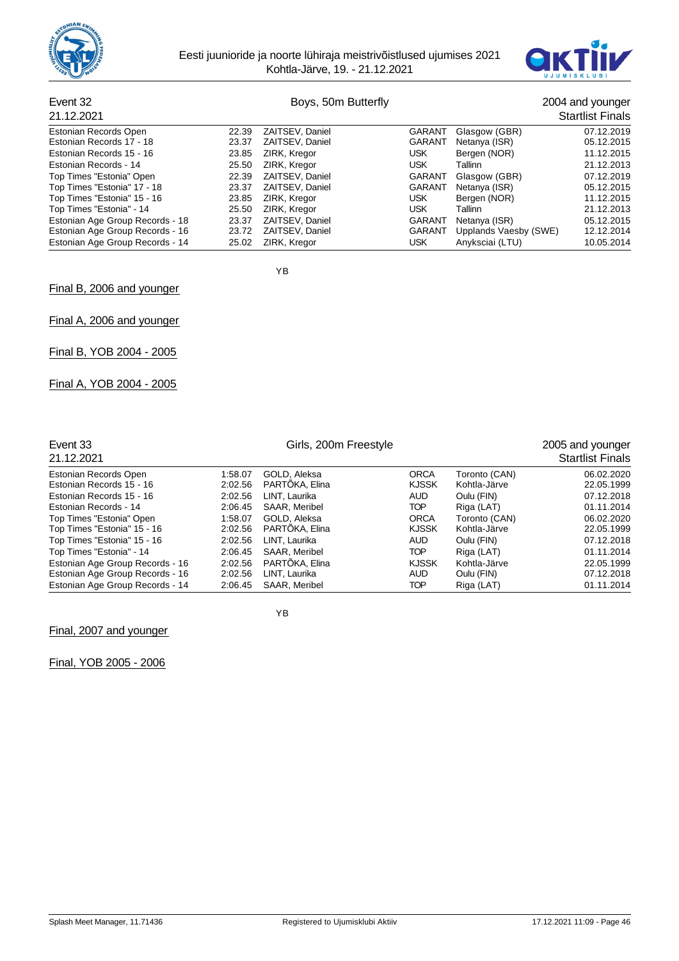



# Event 32 Boys, 50m Butterfly 2004 and younger<br>21.13.2021 Startlist Finals

| 21.12.2021                      |       |                 |               |                       | <b>Startlist Finals</b> |
|---------------------------------|-------|-----------------|---------------|-----------------------|-------------------------|
| Estonian Records Open           | 22.39 | ZAITSEV, Daniel | GARANT        | Glasgow (GBR)         | 07.12.2019              |
| Estonian Records 17 - 18        | 23.37 | ZAITSEV, Daniel | <b>GARANT</b> | Netanya (ISR)         | 05.12.2015              |
| Estonian Records 15 - 16        | 23.85 | ZIRK, Kregor    | USK.          | Bergen (NOR)          | 11.12.2015              |
| Estonian Records - 14           | 25.50 | ZIRK, Kregor    | <b>USK</b>    | Tallinn               | 21.12.2013              |
| Top Times "Estonia" Open        | 22.39 | ZAITSEV, Daniel | <b>GARANT</b> | Glasgow (GBR)         | 07.12.2019              |
| Top Times "Estonia" 17 - 18     | 23.37 | ZAITSEV. Daniel | <b>GARANT</b> | Netanya (ISR)         | 05.12.2015              |
| Top Times "Estonia" 15 - 16     | 23.85 | ZIRK, Kregor    | <b>USK</b>    | Bergen (NOR)          | 11.12.2015              |
| Top Times "Estonia" - 14        | 25.50 | ZIRK, Kregor    | USK.          | Tallinn               | 21.12.2013              |
| Estonian Age Group Records - 18 | 23.37 | ZAITSEV, Daniel | <b>GARANT</b> | Netanya (ISR)         | 05.12.2015              |
| Estonian Age Group Records - 16 | 23.72 | ZAITSEV, Daniel | <b>GARANT</b> | Upplands Vaesby (SWE) | 12.12.2014              |
| Estonian Age Group Records - 14 | 25.02 | ZIRK, Kregor    | USK.          | Anyksciai (LTU)       | 10.05.2014              |

YB

Final B, 2006 and younger

Final A, 2006 and younger

Final B, YOB 2004 - 2005

Final A, YOB 2004 - 2005

| Event 33<br>21.12.2021                                  |                    | 2005 and younger<br><b>Startlist Finals</b> |                             |                               |                          |
|---------------------------------------------------------|--------------------|---------------------------------------------|-----------------------------|-------------------------------|--------------------------|
| Estonian Records Open                                   | 1:58.07            | GOLD, Aleksa                                | <b>ORCA</b>                 | Toronto (CAN)                 | 06.02.2020               |
| Estonian Records 15 - 16                                | 2:02.56            | PARTOKA, Elina                              | <b>KJSSK</b>                | Kohtla-Järve                  | 22.05.1999               |
| Estonian Records 15 - 16                                | 2:02.56            | LINT, Laurika                               | <b>AUD</b>                  | Oulu (FIN)                    | 07.12.2018               |
| Estonian Records - 14                                   | 2:06.45            | SAAR, Meribel                               | <b>TOP</b>                  | Riga (LAT)                    | 01.11.2014               |
| Top Times "Estonia" Open<br>Top Times "Estonia" 15 - 16 | 1:58.07<br>2:02.56 | GOLD, Aleksa<br>PARTOKA, Elina              | <b>ORCA</b><br><b>KJSSK</b> | Toronto (CAN)<br>Kohtla-Järve | 06.02.2020<br>22.05.1999 |
| Top Times "Estonia" 15 - 16                             | 2:02.56            | LINT. Laurika                               | <b>AUD</b>                  | Oulu (FIN)                    | 07.12.2018               |
| Top Times "Estonia" - 14                                | 2:06.45            | SAAR, Meribel                               | TOP                         | Riga (LAT)                    | 01.11.2014               |
| Estonian Age Group Records - 16                         | 2:02.56            | PARTÖKA, Elina                              | <b>KJSSK</b>                | Kohtla-Järve                  | 22.05.1999               |
| Estonian Age Group Records - 16                         | 2:02.56            | LINT, Laurika                               | AUD                         | Oulu (FIN)                    | 07.12.2018               |
| Estonian Age Group Records - 14                         | 2:06.45            | SAAR, Meribel                               | <b>TOP</b>                  | Riga (LAT)                    | 01.11.2014               |

YB

Final, 2007 and younger

Final, YOB 2005 - 2006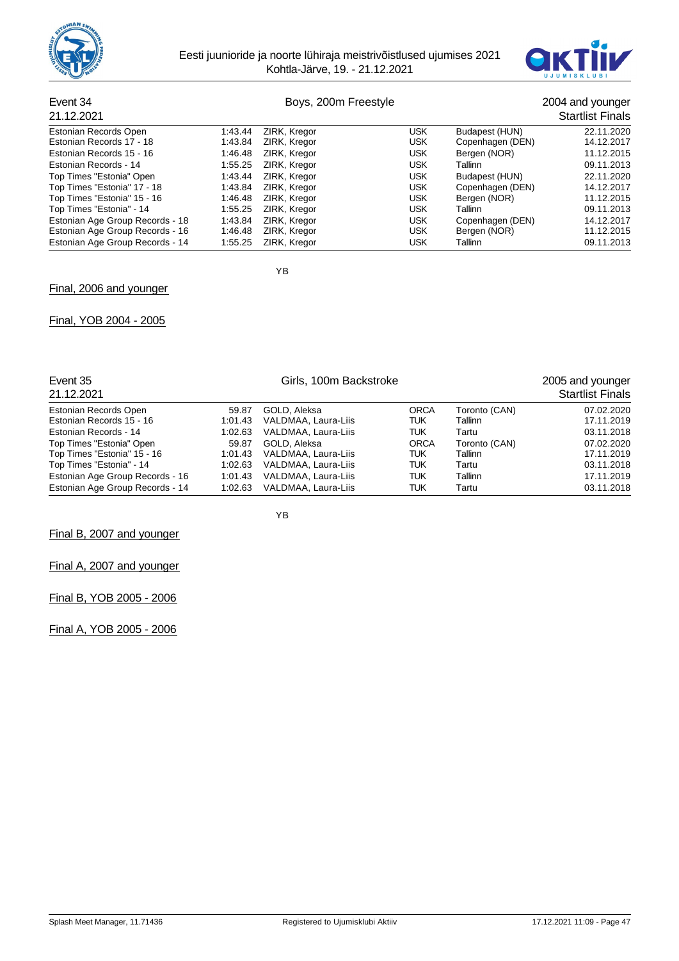



# Event 34 **Boys, 200m Freestyle** 2004 and younger

| 21.12.2021                      |         |              |            |                  | <b>Startlist Finals</b> |
|---------------------------------|---------|--------------|------------|------------------|-------------------------|
| Estonian Records Open           | 1:43.44 | ZIRK, Kregor | <b>USK</b> | Budapest (HUN)   | 22.11.2020              |
| Estonian Records 17 - 18        | 1:43.84 | ZIRK, Kregor | <b>USK</b> | Copenhagen (DEN) | 14.12.2017              |
| Estonian Records 15 - 16        | 1:46.48 | ZIRK, Kregor | <b>USK</b> | Bergen (NOR)     | 11.12.2015              |
| Estonian Records - 14           | 1:55.25 | ZIRK, Kregor | <b>USK</b> | Tallinn          | 09.11.2013              |
| Top Times "Estonia" Open        | 1:43.44 | ZIRK, Kregor | <b>USK</b> | Budapest (HUN)   | 22.11.2020              |
| Top Times "Estonia" 17 - 18     | 1:43.84 | ZIRK, Kregor | <b>USK</b> | Copenhagen (DEN) | 14.12.2017              |
| Top Times "Estonia" 15 - 16     | 1:46.48 | ZIRK, Kregor | <b>USK</b> | Bergen (NOR)     | 11.12.2015              |
| Top Times "Estonia" - 14        | 1:55.25 | ZIRK, Kregor | <b>USK</b> | Tallinn          | 09.11.2013              |
| Estonian Age Group Records - 18 | 1:43.84 | ZIRK, Kregor | <b>USK</b> | Copenhagen (DEN) | 14.12.2017              |
| Estonian Age Group Records - 16 | 1:46.48 | ZIRK, Kregor | <b>USK</b> | Bergen (NOR)     | 11.12.2015              |
| Estonian Age Group Records - 14 | 1:55.25 | ZIRK, Kregor | <b>USK</b> | Tallinn          | 09.11.2013              |

YB

# Final, 2006 and younger

## Final, YOB 2004 - 2005

| Event 35<br>21.12.2021          |         |                     | 2005 and younger<br><b>Startlist Finals</b> |               |            |
|---------------------------------|---------|---------------------|---------------------------------------------|---------------|------------|
| Estonian Records Open           | 59.87   | GOLD, Aleksa        | <b>ORCA</b>                                 | Toronto (CAN) | 07.02.2020 |
| Estonian Records 15 - 16        | 1:01.43 | VALDMAA, Laura-Liis | <b>TUK</b>                                  | Tallinn       | 17.11.2019 |
| Estonian Records - 14           | 1:02.63 | VALDMAA, Laura-Liis | TUK                                         | Tartu         | 03.11.2018 |
| Top Times "Estonia" Open        | 59.87   | GOLD, Aleksa        | <b>ORCA</b>                                 | Toronto (CAN) | 07.02.2020 |
| Top Times "Estonia" 15 - 16     | 1:01.43 | VALDMAA, Laura-Liis | <b>TUK</b>                                  | Tallinn       | 17.11.2019 |
| Top Times "Estonia" - 14        | 1:02.63 | VALDMAA, Laura-Liis | TUK                                         | Tartu         | 03.11.2018 |
| Estonian Age Group Records - 16 | 1:01.43 | VALDMAA, Laura-Liis | TUK                                         | Tallinn       | 17.11.2019 |
| Estonian Age Group Records - 14 | 1:02.63 | VALDMAA, Laura-Liis | TUK                                         | Tartu         | 03.11.2018 |

YB

Final B, 2007 and younger

Final A, 2007 and younger

Final B, YOB 2005 - 2006

Final A, YOB 2005 - 2006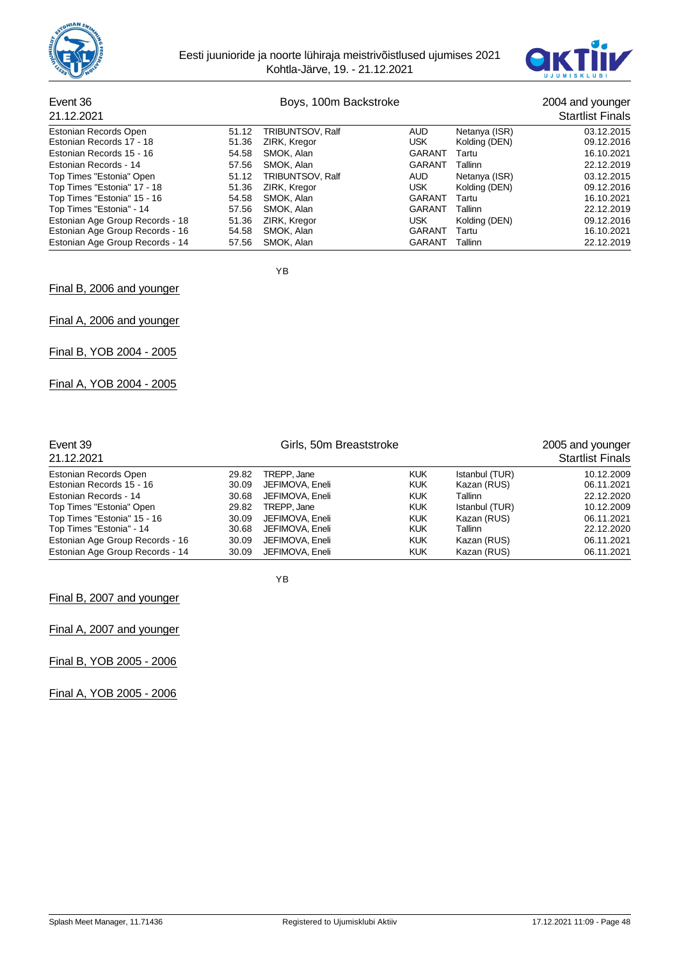



# Event 36 **Boys, 100m Backstroke Event 36** 2004 and younger

| 21.12.2021                      |       |                  |               |               | <b>Startlist Finals</b> |
|---------------------------------|-------|------------------|---------------|---------------|-------------------------|
| Estonian Records Open           | 51.12 | TRIBUNTSOV, Ralf | <b>AUD</b>    | Netanya (ISR) | 03.12.2015              |
| Estonian Records 17 - 18        | 51.36 | ZIRK, Kregor     | USK           | Kolding (DEN) | 09.12.2016              |
| Estonian Records 15 - 16        | 54.58 | SMOK, Alan       | <b>GARANT</b> | Tartu         | 16.10.2021              |
| Estonian Records - 14           | 57.56 | SMOK, Alan       | <b>GARANT</b> | Tallinn       | 22.12.2019              |
| Top Times "Estonia" Open        | 51.12 | TRIBUNTSOV, Ralf | AUD           | Netanya (ISR) | 03.12.2015              |
| Top Times "Estonia" 17 - 18     | 51.36 | ZIRK, Kregor     | <b>USK</b>    | Kolding (DEN) | 09.12.2016              |
| Top Times "Estonia" 15 - 16     | 54.58 | SMOK, Alan       | <b>GARANT</b> | Tartu         | 16.10.2021              |
| Top Times "Estonia" - 14        | 57.56 | SMOK, Alan       | <b>GARANT</b> | Tallinn       | 22.12.2019              |
| Estonian Age Group Records - 18 | 51.36 | ZIRK, Kregor     | USK.          | Kolding (DEN) | 09.12.2016              |
| Estonian Age Group Records - 16 | 54.58 | SMOK, Alan       | <b>GARANT</b> | Tartu         | 16.10.2021              |
| Estonian Age Group Records - 14 | 57.56 | SMOK, Alan       | <b>GARANT</b> | Tallinn       | 22.12.2019              |

YB

Final B, 2006 and younger

Final A, 2006 and younger

Final B, YOB 2004 - 2005

Final A, YOB 2004 - 2005

| Event 39<br>21.12.2021          |       |                 | 2005 and younger<br><b>Startlist Finals</b> |                |            |
|---------------------------------|-------|-----------------|---------------------------------------------|----------------|------------|
| Estonian Records Open           | 29.82 | TREPP, Jane     | <b>KUK</b>                                  | Istanbul (TUR) | 10.12.2009 |
| Estonian Records 15 - 16        | 30.09 | JEFIMOVA, Eneli | <b>KUK</b>                                  | Kazan (RUS)    | 06.11.2021 |
| Estonian Records - 14           | 30.68 | JEFIMOVA, Eneli | <b>KUK</b>                                  | Tallinn        | 22.12.2020 |
| Top Times "Estonia" Open        | 29.82 | TREPP, Jane     | <b>KUK</b>                                  | Istanbul (TUR) | 10.12.2009 |
| Top Times "Estonia" 15 - 16     | 30.09 | JEFIMOVA, Eneli | <b>KUK</b>                                  | Kazan (RUS)    | 06.11.2021 |
| Top Times "Estonia" - 14        | 30.68 | JEFIMOVA, Eneli | <b>KUK</b>                                  | Tallinn        | 22.12.2020 |
| Estonian Age Group Records - 16 | 30.09 | JEFIMOVA, Eneli | <b>KUK</b>                                  | Kazan (RUS)    | 06.11.2021 |
| Estonian Age Group Records - 14 | 30.09 | JEFIMOVA, Eneli | <b>KUK</b>                                  | Kazan (RUS)    | 06.11.2021 |

YB

Final B, 2007 and younger

Final A, 2007 and younger

Final B, YOB 2005 - 2006

Final A, YOB 2005 - 2006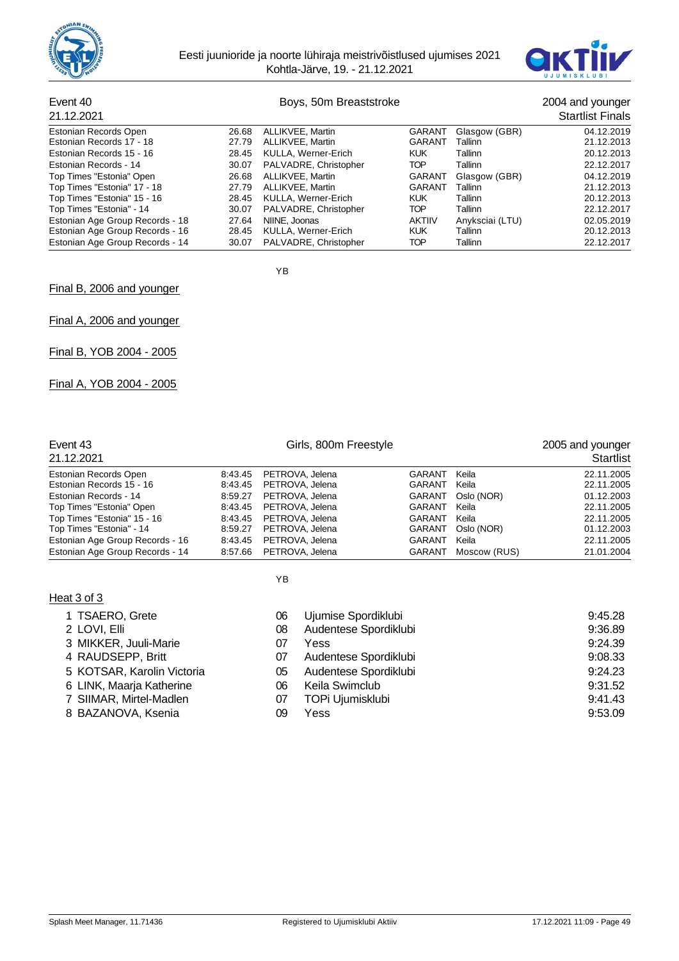



# Event 40 **Boys, 50m Breaststroke** 2004 and younger 2004 and younger 2004 and younger

| 21.12.2021                      |       |                       |               |                 | <b>Startlist Finals</b> |
|---------------------------------|-------|-----------------------|---------------|-----------------|-------------------------|
| Estonian Records Open           | 26.68 | ALLIKVEE, Martin      | <b>GARANT</b> | Glasgow (GBR)   | 04.12.2019              |
| Estonian Records 17 - 18        | 27.79 | ALLIKVEE, Martin      | <b>GARANT</b> | Tallinn         | 21.12.2013              |
| Estonian Records 15 - 16        | 28.45 | KULLA, Werner-Erich   | <b>KUK</b>    | Tallinn         | 20.12.2013              |
| Estonian Records - 14           | 30.07 | PALVADRE, Christopher | TOP           | Tallinn         | 22.12.2017              |
| Top Times "Estonia" Open        | 26.68 | ALLIKVEE, Martin      | <b>GARANT</b> | Glasgow (GBR)   | 04.12.2019              |
| Top Times "Estonia" 17 - 18     | 27.79 | ALLIKVEE, Martin      | <b>GARANT</b> | Tallinn         | 21.12.2013              |
| Top Times "Estonia" 15 - 16     | 28.45 | KULLA, Werner-Erich   | <b>KUK</b>    | Tallinn         | 20.12.2013              |
| Top Times "Estonia" - 14        | 30.07 | PALVADRE, Christopher | TOP           | Tallinn         | 22.12.2017              |
| Estonian Age Group Records - 18 | 27.64 | NIINE, Joonas         | <b>AKTIIV</b> | Anyksciai (LTU) | 02.05.2019              |
| Estonian Age Group Records - 16 | 28.45 | KULLA, Werner-Erich   | <b>KUK</b>    | Tallinn         | 20.12.2013              |
| Estonian Age Group Records - 14 | 30.07 | PALVADRE, Christopher | TOP           | Tallinn         | 22.12.2017              |

YB

YB

Final B, 2006 and younger

Final A, 2006 and younger

Final B, YOB 2004 - 2005

Final A, YOB 2004 - 2005

| Event 43<br>21.12.2021          | Girls, 800m Freestyle |                 |               |              | 2005 and younger<br><b>Startlist</b> |  |
|---------------------------------|-----------------------|-----------------|---------------|--------------|--------------------------------------|--|
|                                 |                       |                 |               |              |                                      |  |
| Estonian Records Open           | 8:43.45               | PETROVA, Jelena | <b>GARANT</b> | Keila        | 22.11.2005                           |  |
| Estonian Records 15 - 16        | 8:43.45               | PETROVA, Jelena | <b>GARANT</b> | Keila        | 22.11.2005                           |  |
| Estonian Records - 14           | 8:59.27               | PETROVA, Jelena | GARANT        | Oslo (NOR)   | 01.12.2003                           |  |
| Top Times "Estonia" Open        | 8:43.45               | PETROVA, Jelena | GARANT        | Keila        | 22.11.2005                           |  |
| Top Times "Estonia" 15 - 16     | 8:43.45               | PETROVA, Jelena | GARANT        | Keila        | 22.11.2005                           |  |
| Top Times "Estonia" - 14        | 8:59.27               | PETROVA, Jelena | <b>GARANT</b> | Oslo (NOR)   | 01.12.2003                           |  |
| Estonian Age Group Records - 16 | 8:43.45               | PETROVA, Jelena | GARANT        | Keila        | 22.11.2005                           |  |
| Estonian Age Group Records - 14 | 8:57.66               | PETROVA, Jelena | <b>GARANT</b> | Moscow (RUS) | 21.01.2004                           |  |

Heat 3 of 3

1 TSAERO, Grete 06 Ujumise Spordiklubi 9:45.28 2 LOVI, Elli 08 Audentese Spordiklubi 9:36.89 3 MIKKER, Juuli-Marie 07 4 RAUDSEPP, Britt 07 5 KOTSAR, Karolin Victoria  $105$ 

| 3 MIKKER, Juuli-Marie      | $\Omega$ | Yess                  | 9:24.39 |
|----------------------------|----------|-----------------------|---------|
| 4 RAUDSEPP, Britt          |          | Audentese Spordiklubi | 9:08.33 |
| 5 KOTSAR, Karolin Victoria | 05.      | Audentese Spordiklubi | 9:24.23 |
| 6 LINK, Maarja Katherine   | 06.      | Keila Swimclub        | 9:31.52 |
| 7 SIIMAR, Mirtel-Madlen    | 07       | TOPi Ujumisklubi      | 9:41.43 |
| 8 BAZANOVA, Ksenia         | 09       | Yess                  | 9:53.09 |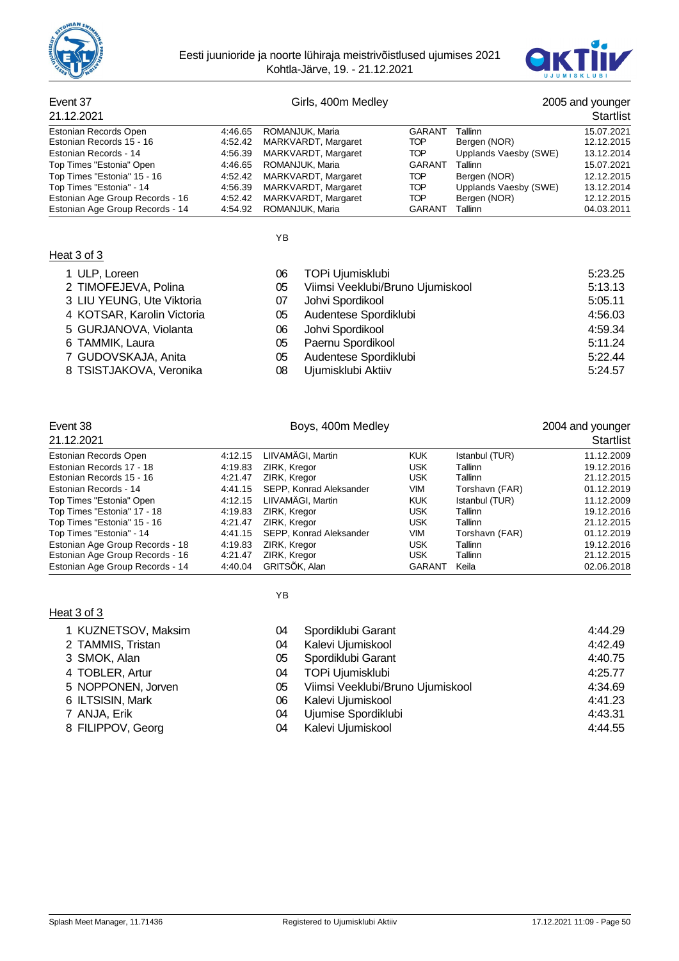



# Event 37 Girls, 400m Medley 2005 and younger 2005 and younger 21.12.2005

| 21.12.2021                      |         |                             |               |                       | Startlist  |
|---------------------------------|---------|-----------------------------|---------------|-----------------------|------------|
| Estonian Records Open           | 4:46.65 | ROMANJUK, Maria             | GARANT        | Tallinn               | 15.07.2021 |
| Estonian Records 15 - 16        | 4:52.42 | MARKVARDT, Margaret         | TOP           | Bergen (NOR)          | 12.12.2015 |
| Estonian Records - 14           | 4:56.39 | MARKVARDT, Margaret         | TOP.          | Upplands Vaesby (SWE) | 13.12.2014 |
| Top Times "Estonia" Open        |         | 4:46.65 ROMANJUK, Maria     | GARANT        | Tallinn               | 15.07.2021 |
| Top Times "Estonia" 15 - 16     |         | 4:52.42 MARKVARDT, Margaret | TOP           | Bergen (NOR)          | 12.12.2015 |
| Top Times "Estonia" - 14        | 4:56.39 | MARKVARDT, Margaret         | TOP           | Upplands Vaesby (SWE) | 13.12.2014 |
| Estonian Age Group Records - 16 | 4:52.42 | MARKVARDT, Margaret         | TOP           | Bergen (NOR)          | 12.12.2015 |
| Estonian Age Group Records - 14 | 4:54.92 | ROMANJUK, Maria             | <b>GARANT</b> | Tallinn               | 04.03.2011 |

YB

#### Heat 3 of 3

| 1 ULP, Loreen                                                                                                                                                                                                                                                                                                                                                                        | 06 | TOPi Ujumisklubi                 | 5:23.25 |
|--------------------------------------------------------------------------------------------------------------------------------------------------------------------------------------------------------------------------------------------------------------------------------------------------------------------------------------------------------------------------------------|----|----------------------------------|---------|
| 2 TIMOFEJEVA, Polina                                                                                                                                                                                                                                                                                                                                                                 | 05 | Viimsi Veeklubi/Bruno Ujumiskool | 5:13.13 |
| 3 LIU YEUNG, Ute Viktoria                                                                                                                                                                                                                                                                                                                                                            | 07 | Johvi Spordikool                 | 5:05.11 |
| 4 KOTSAR, Karolin Victoria                                                                                                                                                                                                                                                                                                                                                           | 05 | Audentese Spordiklubi            | 4:56.03 |
| 5 GURJANOVA, Violanta                                                                                                                                                                                                                                                                                                                                                                | 06 | Johvi Spordikool                 | 4:59.34 |
| 6 TAMMIK, Laura                                                                                                                                                                                                                                                                                                                                                                      | 05 | Paernu Spordikool                | 5:11.24 |
| $\overline{z}$ $\overline{z}$ $\overline{z}$ $\overline{z}$ $\overline{z}$ $\overline{z}$ $\overline{z}$ $\overline{z}$ $\overline{z}$ $\overline{z}$ $\overline{z}$ $\overline{z}$ $\overline{z}$ $\overline{z}$ $\overline{z}$ $\overline{z}$ $\overline{z}$ $\overline{z}$ $\overline{z}$ $\overline{z}$ $\overline{z}$ $\overline{z}$ $\overline{z}$ $\overline{z}$ $\overline{$ |    |                                  | $   -$  |

- 7 GUDOVSKAJA, Anita 05 Audentese Spordiklubi 5:22.44
- 8 TSISTJAKOVA, Veronika 08 Ujumisklubi Aktiiv 5:24.57

## Event 38 **Boys, 400m Medley Boys, 400m Medley** 2004 and younger

| 21.12.2021                      |         |                         |               |                | Startlist  |
|---------------------------------|---------|-------------------------|---------------|----------------|------------|
| Estonian Records Open           | 4:12.15 | LIIVAMÄGI, Martin       | <b>KUK</b>    | Istanbul (TUR) | 11.12.2009 |
| Estonian Records 17 - 18        | 4:19.83 | ZIRK, Kregor            | <b>USK</b>    | Tallinn        | 19.12.2016 |
| Estonian Records 15 - 16        | 4:21.47 | ZIRK, Kregor            | <b>USK</b>    | Tallinn        | 21.12.2015 |
| Estonian Records - 14           | 4:41.15 | SEPP, Konrad Aleksander | VIM           | Torshavn (FAR) | 01.12.2019 |
| Top Times "Estonia" Open        | 4:12.15 | LIIVAMÄGI, Martin       | <b>KUK</b>    | Istanbul (TUR) | 11.12.2009 |
| Top Times "Estonia" 17 - 18     | 4:19.83 | ZIRK, Kregor            | <b>USK</b>    | Tallinn        | 19.12.2016 |
| Top Times "Estonia" 15 - 16     | 4:21.47 | ZIRK, Kregor            | <b>USK</b>    | Tallinn        | 21.12.2015 |
| Top Times "Estonia" - 14        | 4:41.15 | SEPP, Konrad Aleksander | VIM           | Torshavn (FAR) | 01.12.2019 |
| Estonian Age Group Records - 18 | 4:19.83 | ZIRK, Kregor            | <b>USK</b>    | Tallinn        | 19.12.2016 |
| Estonian Age Group Records - 16 | 4:21.47 | ZIRK, Kregor            | <b>USK</b>    | Tallinn        | 21.12.2015 |
| Estonian Age Group Records - 14 | 4:40.04 | GRITSÖK, Alan           | <b>GARANT</b> | Keila          | 02.06.2018 |

### Heat 3 of 3

|  | <b>KUZNETSOV. Maksin</b> |
|--|--------------------------|
|  |                          |

- 2 TAMMIS, Tristan
- 3 SMOK, Alan
- 4 TOBLER, Artur
- 5 NOPPONEN, Jorven
- 6 ILTSISIN, Mark
- 7 ANJA, Erik
- 8 FILIPPOV, Georg

# YB

| 1 KUZNETSOV, Maksim | 04 | Spordiklubi Garant               | 4:44.29 |
|---------------------|----|----------------------------------|---------|
| 2 TAMMIS, Tristan   | 04 | Kalevi Ujumiskool                | 4:42.49 |
| 3 SMOK, Alan        | 05 | Spordiklubi Garant               | 4:40.75 |
| 4 TOBLER, Artur     | 04 | TOPi Ujumisklubi                 | 4:25.77 |
| 5 NOPPONEN, Jorven  | 05 | Viimsi Veeklubi/Bruno Ujumiskool | 4:34.69 |
| 6 ILTSISIN, Mark    | 06 | Kalevi Ujumiskool                | 4:41.23 |
| 7 ANJA. Erik        | 04 | Ujumise Spordiklubi              | 4:43.31 |
| 8 FILIPPOV, Georg   | 04 | Kalevi Ujumiskool                | 4:44.55 |
|                     |    |                                  |         |

06 Johvi Spordikool 4:59.34 6 TAMMIK, Laura 05 Paernu Spordikool 5:11.24